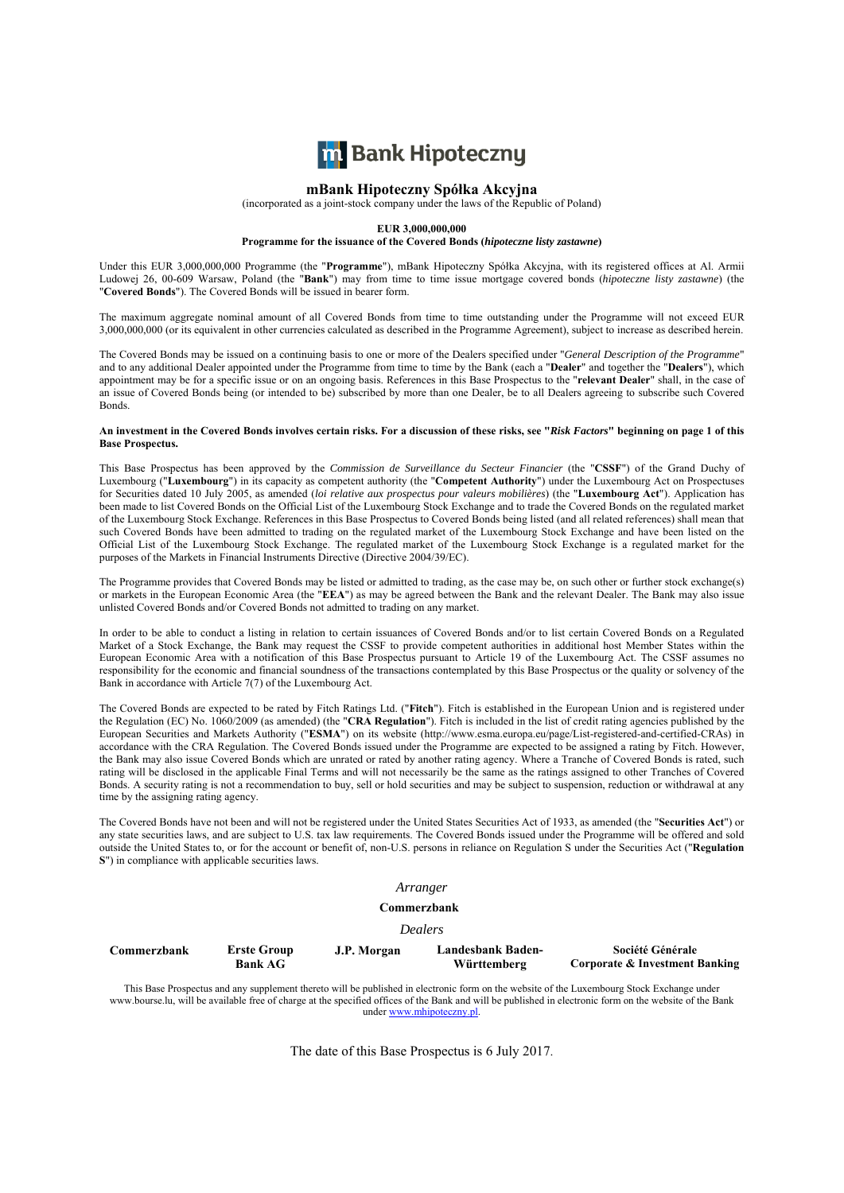

#### **mBank Hipoteczny Spółka Akcyjna**

(incorporated as a joint-stock company under the laws of the Republic of Poland)

#### **EUR 3,000,000,000**

**Programme for the issuance of the Covered Bonds (***hipoteczne listy zastawne***)** 

Under this EUR 3,000,000,000 Programme (the "**Programme**"), mBank Hipoteczny Spółka Akcyjna, with its registered offices at Al. Armii Ludowej 26, 00-609 Warsaw, Poland (the "**Bank**") may from time to time issue mortgage covered bonds (*hipoteczne listy zastawne*) (the "**Covered Bonds**"). The Covered Bonds will be issued in bearer form.

The maximum aggregate nominal amount of all Covered Bonds from time to time outstanding under the Programme will not exceed EUR 3,000,000,000 (or its equivalent in other currencies calculated as described in the Programme Agreement), subject to increase as described herein.

The Covered Bonds may be issued on a continuing basis to one or more of the Dealers specified under "*General Description of the Programme*" and to any additional Dealer appointed under the Programme from time to time by the Bank (each a "**Dealer**" and together the "**Dealers**"), which appointment may be for a specific issue or on an ongoing basis. References in this Base Prospectus to the "**relevant Dealer**" shall, in the case of an issue of Covered Bonds being (or intended to be) subscribed by more than one Dealer, be to all Dealers agreeing to subscribe such Covered Bonds.

#### **An investment in the Covered Bonds involves certain risks. For a discussion of these risks, see "***Risk Factors***" beginning on page 1 of this Base Prospectus.**

This Base Prospectus has been approved by the *Commission de Surveillance du Secteur Financier* (the "CSSF") of the Grand Duchy of Luxembourg ("**Luxembourg**") in its capacity as competent authority (the "**Competent Authority**") under the Luxembourg Act on Prospectuses for Securities dated 10 July 2005, as amended (*loi relative aux prospectus pour valeurs mobilières*) (the "**Luxembourg Act**"). Application has been made to list Covered Bonds on the Official List of the Luxembourg Stock Exchange and to trade the Covered Bonds on the regulated market of the Luxembourg Stock Exchange. References in this Base Prospectus to Covered Bonds being listed (and all related references) shall mean that such Covered Bonds have been admitted to trading on the regulated market of the Luxembourg Stock Exchange and have been listed on the Official List of the Luxembourg Stock Exchange. The regulated market of the Luxembourg Stock Exchange is a regulated market for the purposes of the Markets in Financial Instruments Directive (Directive 2004/39/EC).

The Programme provides that Covered Bonds may be listed or admitted to trading, as the case may be, on such other or further stock exchange(s) or markets in the European Economic Area (the "**EEA**") as may be agreed between the Bank and the relevant Dealer. The Bank may also issue unlisted Covered Bonds and/or Covered Bonds not admitted to trading on any market.

In order to be able to conduct a listing in relation to certain issuances of Covered Bonds and/or to list certain Covered Bonds on a Regulated Market of a Stock Exchange, the Bank may request the CSSF to provide competent authorities in additional host Member States within the European Economic Area with a notification of this Base Prospectus pursuant to Article 19 of the Luxembourg Act. The CSSF assumes no responsibility for the economic and financial soundness of the transactions contemplated by this Base Prospectus or the quality or solvency of the Bank in accordance with Article 7(7) of the Luxembourg Act.

The Covered Bonds are expected to be rated by Fitch Ratings Ltd. ("**Fitch**"). Fitch is established in the European Union and is registered under the Regulation (EC) No. 1060/2009 (as amended) (the "**CRA Regulation**"). Fitch is included in the list of credit rating agencies published by the European Securities and Markets Authority ("**ESMA**") on its website (http://www.esma.europa.eu/page/List-registered-and-certified-CRAs) in accordance with the CRA Regulation. The Covered Bonds issued under the Programme are expected to be assigned a rating by Fitch. However, the Bank may also issue Covered Bonds which are unrated or rated by another rating agency. Where a Tranche of Covered Bonds is rated, such rating will be disclosed in the applicable Final Terms and will not necessarily be the same as the ratings assigned to other Tranches of Covered Bonds. A security rating is not a recommendation to buy, sell or hold securities and may be subject to suspension, reduction or withdrawal at any time by the assigning rating agency.

The Covered Bonds have not been and will not be registered under the United States Securities Act of 1933, as amended (the "**Securities Act**") or any state securities laws, and are subject to U.S. tax law requirements. The Covered Bonds issued under the Programme will be offered and sold outside the United States to, or for the account or benefit of, non-U.S. persons in reliance on Regulation S under the Securities Act ("**Regulation S**") in compliance with applicable securities laws.

#### *Arranger*

#### **Commerzbank**

*Dealers* 

| Commerzbank | <b>Erste Group</b><br><b>Bank AG</b> | J.P. Morgan | Landesbank Baden-<br>Württemberg | Société Générale<br>Corporate & Investment Banking |
|-------------|--------------------------------------|-------------|----------------------------------|----------------------------------------------------|
|             |                                      |             |                                  |                                                    |

This Base Prospectus and any supplement thereto will be published in electronic form on the website of the Luxembourg Stock Exchange under www.bourse.lu, will be available free of charge at the specified offices of the Bank and will be published in electronic form on the website of the Bank under www.mhipoteczny.pl.

The date of this Base Prospectus is 6 July 2017.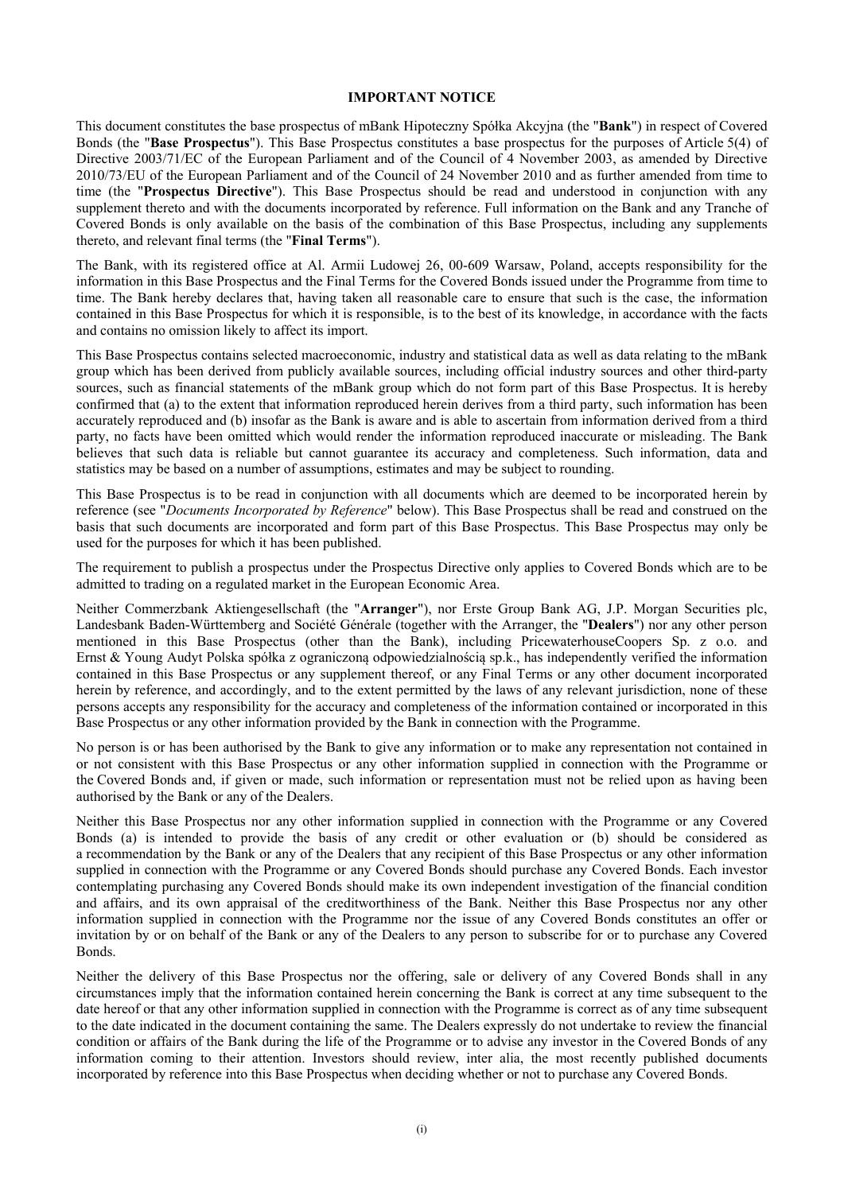#### **IMPORTANT NOTICE**

This document constitutes the base prospectus of mBank Hipoteczny Spółka Akcyjna (the "**Bank**") in respect of Covered Bonds (the "**Base Prospectus**"). This Base Prospectus constitutes a base prospectus for the purposes of Article 5(4) of Directive 2003/71/EC of the European Parliament and of the Council of 4 November 2003, as amended by Directive 2010/73/EU of the European Parliament and of the Council of 24 November 2010 and as further amended from time to time (the "**Prospectus Directive**"). This Base Prospectus should be read and understood in conjunction with any supplement thereto and with the documents incorporated by reference. Full information on the Bank and any Tranche of Covered Bonds is only available on the basis of the combination of this Base Prospectus, including any supplements thereto, and relevant final terms (the "**Final Terms**").

The Bank, with its registered office at Al. Armii Ludowej 26, 00-609 Warsaw, Poland, accepts responsibility for the information in this Base Prospectus and the Final Terms for the Covered Bonds issued under the Programme from time to time. The Bank hereby declares that, having taken all reasonable care to ensure that such is the case, the information contained in this Base Prospectus for which it is responsible, is to the best of its knowledge, in accordance with the facts and contains no omission likely to affect its import.

This Base Prospectus contains selected macroeconomic, industry and statistical data as well as data relating to the mBank group which has been derived from publicly available sources, including official industry sources and other third-party sources, such as financial statements of the mBank group which do not form part of this Base Prospectus. It is hereby confirmed that (a) to the extent that information reproduced herein derives from a third party, such information has been accurately reproduced and (b) insofar as the Bank is aware and is able to ascertain from information derived from a third party, no facts have been omitted which would render the information reproduced inaccurate or misleading. The Bank believes that such data is reliable but cannot guarantee its accuracy and completeness. Such information, data and statistics may be based on a number of assumptions, estimates and may be subject to rounding.

This Base Prospectus is to be read in conjunction with all documents which are deemed to be incorporated herein by reference (see "*Documents Incorporated by Reference*" below). This Base Prospectus shall be read and construed on the basis that such documents are incorporated and form part of this Base Prospectus. This Base Prospectus may only be used for the purposes for which it has been published.

The requirement to publish a prospectus under the Prospectus Directive only applies to Covered Bonds which are to be admitted to trading on a regulated market in the European Economic Area.

Neither Commerzbank Aktiengesellschaft (the "**Arranger**"), nor Erste Group Bank AG, J.P. Morgan Securities plc, Landesbank Baden-Württemberg and Société Générale (together with the Arranger, the "**Dealers**") nor any other person mentioned in this Base Prospectus (other than the Bank), including PricewaterhouseCoopers Sp. z o.o. and Ernst & Young Audyt Polska spółka z ograniczoną odpowiedzialnością sp.k., has independently verified the information contained in this Base Prospectus or any supplement thereof, or any Final Terms or any other document incorporated herein by reference, and accordingly, and to the extent permitted by the laws of any relevant jurisdiction, none of these persons accepts any responsibility for the accuracy and completeness of the information contained or incorporated in this Base Prospectus or any other information provided by the Bank in connection with the Programme.

No person is or has been authorised by the Bank to give any information or to make any representation not contained in or not consistent with this Base Prospectus or any other information supplied in connection with the Programme or the Covered Bonds and, if given or made, such information or representation must not be relied upon as having been authorised by the Bank or any of the Dealers.

Neither this Base Prospectus nor any other information supplied in connection with the Programme or any Covered Bonds (a) is intended to provide the basis of any credit or other evaluation or (b) should be considered as a recommendation by the Bank or any of the Dealers that any recipient of this Base Prospectus or any other information supplied in connection with the Programme or any Covered Bonds should purchase any Covered Bonds. Each investor contemplating purchasing any Covered Bonds should make its own independent investigation of the financial condition and affairs, and its own appraisal of the creditworthiness of the Bank. Neither this Base Prospectus nor any other information supplied in connection with the Programme nor the issue of any Covered Bonds constitutes an offer or invitation by or on behalf of the Bank or any of the Dealers to any person to subscribe for or to purchase any Covered Bonds.

Neither the delivery of this Base Prospectus nor the offering, sale or delivery of any Covered Bonds shall in any circumstances imply that the information contained herein concerning the Bank is correct at any time subsequent to the date hereof or that any other information supplied in connection with the Programme is correct as of any time subsequent to the date indicated in the document containing the same. The Dealers expressly do not undertake to review the financial condition or affairs of the Bank during the life of the Programme or to advise any investor in the Covered Bonds of any information coming to their attention. Investors should review, inter alia, the most recently published documents incorporated by reference into this Base Prospectus when deciding whether or not to purchase any Covered Bonds.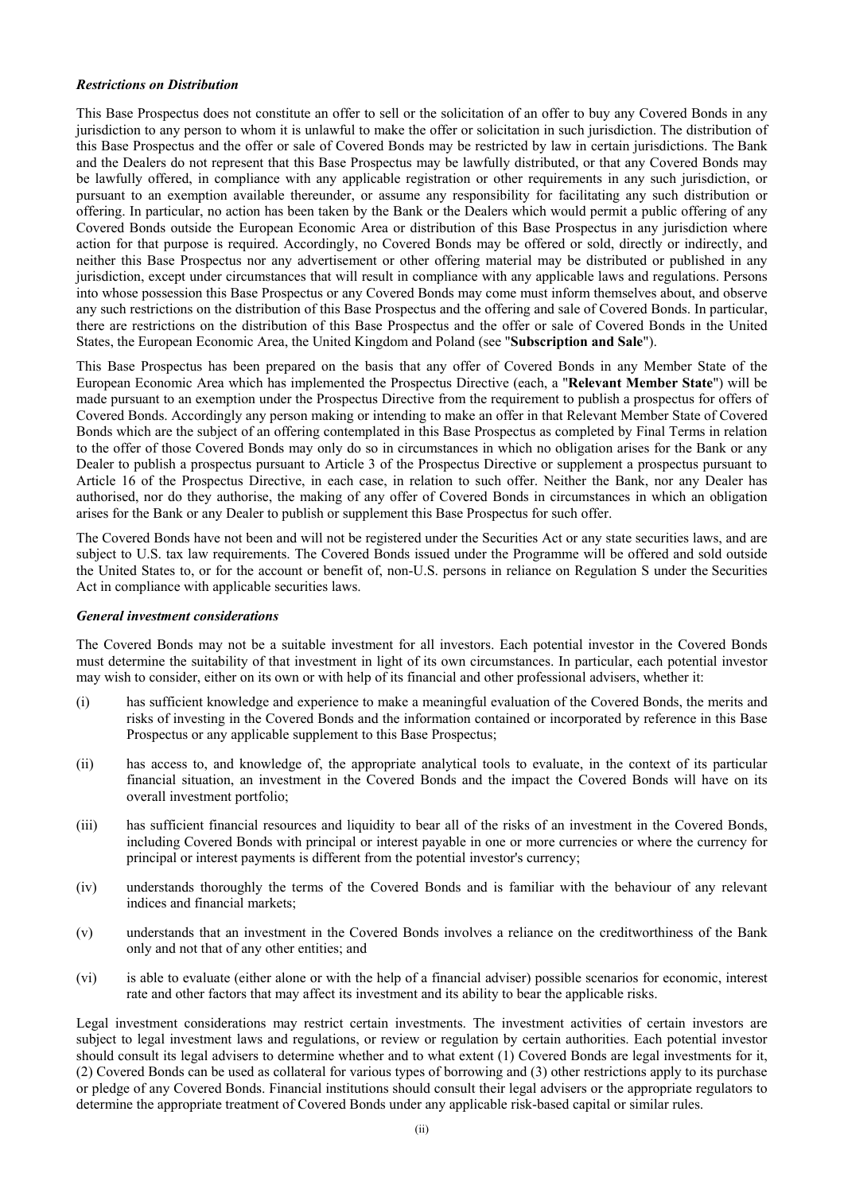## *Restrictions on Distribution*

This Base Prospectus does not constitute an offer to sell or the solicitation of an offer to buy any Covered Bonds in any jurisdiction to any person to whom it is unlawful to make the offer or solicitation in such jurisdiction. The distribution of this Base Prospectus and the offer or sale of Covered Bonds may be restricted by law in certain jurisdictions. The Bank and the Dealers do not represent that this Base Prospectus may be lawfully distributed, or that any Covered Bonds may be lawfully offered, in compliance with any applicable registration or other requirements in any such jurisdiction, or pursuant to an exemption available thereunder, or assume any responsibility for facilitating any such distribution or offering. In particular, no action has been taken by the Bank or the Dealers which would permit a public offering of any Covered Bonds outside the European Economic Area or distribution of this Base Prospectus in any jurisdiction where action for that purpose is required. Accordingly, no Covered Bonds may be offered or sold, directly or indirectly, and neither this Base Prospectus nor any advertisement or other offering material may be distributed or published in any jurisdiction, except under circumstances that will result in compliance with any applicable laws and regulations. Persons into whose possession this Base Prospectus or any Covered Bonds may come must inform themselves about, and observe any such restrictions on the distribution of this Base Prospectus and the offering and sale of Covered Bonds. In particular, there are restrictions on the distribution of this Base Prospectus and the offer or sale of Covered Bonds in the United States, the European Economic Area, the United Kingdom and Poland (see "**Subscription and Sale**").

This Base Prospectus has been prepared on the basis that any offer of Covered Bonds in any Member State of the European Economic Area which has implemented the Prospectus Directive (each, a "**Relevant Member State**") will be made pursuant to an exemption under the Prospectus Directive from the requirement to publish a prospectus for offers of Covered Bonds. Accordingly any person making or intending to make an offer in that Relevant Member State of Covered Bonds which are the subject of an offering contemplated in this Base Prospectus as completed by Final Terms in relation to the offer of those Covered Bonds may only do so in circumstances in which no obligation arises for the Bank or any Dealer to publish a prospectus pursuant to Article 3 of the Prospectus Directive or supplement a prospectus pursuant to Article 16 of the Prospectus Directive, in each case, in relation to such offer. Neither the Bank, nor any Dealer has authorised, nor do they authorise, the making of any offer of Covered Bonds in circumstances in which an obligation arises for the Bank or any Dealer to publish or supplement this Base Prospectus for such offer.

The Covered Bonds have not been and will not be registered under the Securities Act or any state securities laws, and are subject to U.S. tax law requirements. The Covered Bonds issued under the Programme will be offered and sold outside the United States to, or for the account or benefit of, non-U.S. persons in reliance on Regulation S under the Securities Act in compliance with applicable securities laws.

#### *General investment considerations*

The Covered Bonds may not be a suitable investment for all investors. Each potential investor in the Covered Bonds must determine the suitability of that investment in light of its own circumstances. In particular, each potential investor may wish to consider, either on its own or with help of its financial and other professional advisers, whether it:

- (i) has sufficient knowledge and experience to make a meaningful evaluation of the Covered Bonds, the merits and risks of investing in the Covered Bonds and the information contained or incorporated by reference in this Base Prospectus or any applicable supplement to this Base Prospectus;
- (ii) has access to, and knowledge of, the appropriate analytical tools to evaluate, in the context of its particular financial situation, an investment in the Covered Bonds and the impact the Covered Bonds will have on its overall investment portfolio;
- (iii) has sufficient financial resources and liquidity to bear all of the risks of an investment in the Covered Bonds, including Covered Bonds with principal or interest payable in one or more currencies or where the currency for principal or interest payments is different from the potential investor's currency;
- (iv) understands thoroughly the terms of the Covered Bonds and is familiar with the behaviour of any relevant indices and financial markets;
- (v) understands that an investment in the Covered Bonds involves a reliance on the creditworthiness of the Bank only and not that of any other entities; and
- (vi) is able to evaluate (either alone or with the help of a financial adviser) possible scenarios for economic, interest rate and other factors that may affect its investment and its ability to bear the applicable risks.

Legal investment considerations may restrict certain investments. The investment activities of certain investors are subject to legal investment laws and regulations, or review or regulation by certain authorities. Each potential investor should consult its legal advisers to determine whether and to what extent (1) Covered Bonds are legal investments for it, (2) Covered Bonds can be used as collateral for various types of borrowing and (3) other restrictions apply to its purchase or pledge of any Covered Bonds. Financial institutions should consult their legal advisers or the appropriate regulators to determine the appropriate treatment of Covered Bonds under any applicable risk-based capital or similar rules.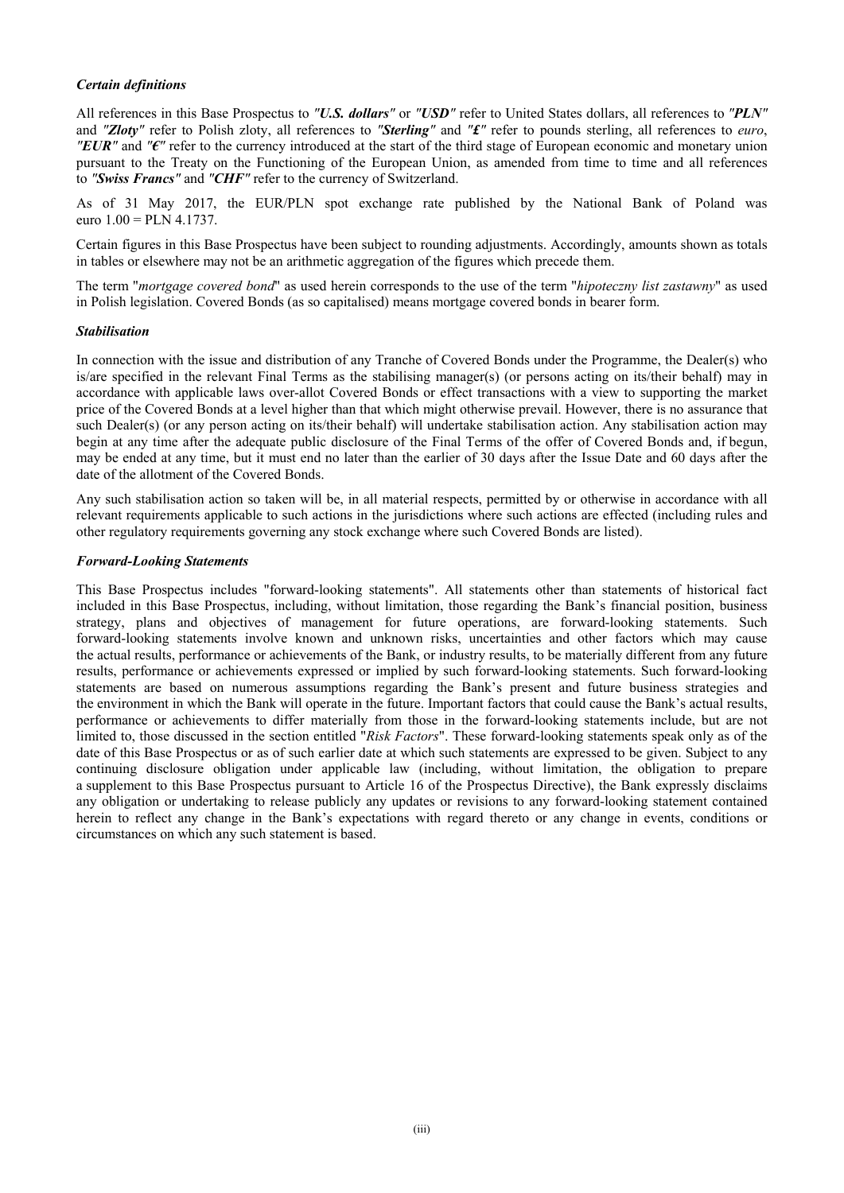## *Certain definitions*

All references in this Base Prospectus to *"U.S. dollars"* or *"USD"* refer to United States dollars, all references to *"PLN"* and *"Zloty"* refer to Polish zloty, all references to *"Sterling"* and *"£"* refer to pounds sterling, all references to *euro*, *"EUR"* and *"€"* refer to the currency introduced at the start of the third stage of European economic and monetary union pursuant to the Treaty on the Functioning of the European Union, as amended from time to time and all references to *"Swiss Francs"* and *"CHF"* refer to the currency of Switzerland.

As of 31 May 2017, the EUR/PLN spot exchange rate published by the National Bank of Poland was euro  $1.00 = PLN 4.1737$ .

Certain figures in this Base Prospectus have been subject to rounding adjustments. Accordingly, amounts shown as totals in tables or elsewhere may not be an arithmetic aggregation of the figures which precede them.

The term "*mortgage covered bond*" as used herein corresponds to the use of the term "*hipoteczny list zastawny*" as used in Polish legislation. Covered Bonds (as so capitalised) means mortgage covered bonds in bearer form.

#### *Stabilisation*

In connection with the issue and distribution of any Tranche of Covered Bonds under the Programme, the Dealer(s) who is/are specified in the relevant Final Terms as the stabilising manager(s) (or persons acting on its/their behalf) may in accordance with applicable laws over-allot Covered Bonds or effect transactions with a view to supporting the market price of the Covered Bonds at a level higher than that which might otherwise prevail. However, there is no assurance that such Dealer(s) (or any person acting on its/their behalf) will undertake stabilisation action. Any stabilisation action may begin at any time after the adequate public disclosure of the Final Terms of the offer of Covered Bonds and, if begun, may be ended at any time, but it must end no later than the earlier of 30 days after the Issue Date and 60 days after the date of the allotment of the Covered Bonds.

Any such stabilisation action so taken will be, in all material respects, permitted by or otherwise in accordance with all relevant requirements applicable to such actions in the jurisdictions where such actions are effected (including rules and other regulatory requirements governing any stock exchange where such Covered Bonds are listed).

#### *Forward-Looking Statements*

This Base Prospectus includes "forward-looking statements". All statements other than statements of historical fact included in this Base Prospectus, including, without limitation, those regarding the Bank's financial position, business strategy, plans and objectives of management for future operations, are forward-looking statements. Such forward-looking statements involve known and unknown risks, uncertainties and other factors which may cause the actual results, performance or achievements of the Bank, or industry results, to be materially different from any future results, performance or achievements expressed or implied by such forward-looking statements. Such forward-looking statements are based on numerous assumptions regarding the Bank's present and future business strategies and the environment in which the Bank will operate in the future. Important factors that could cause the Bank's actual results, performance or achievements to differ materially from those in the forward-looking statements include, but are not limited to, those discussed in the section entitled "*Risk Factors*". These forward-looking statements speak only as of the date of this Base Prospectus or as of such earlier date at which such statements are expressed to be given. Subject to any continuing disclosure obligation under applicable law (including, without limitation, the obligation to prepare a supplement to this Base Prospectus pursuant to Article 16 of the Prospectus Directive), the Bank expressly disclaims any obligation or undertaking to release publicly any updates or revisions to any forward-looking statement contained herein to reflect any change in the Bank's expectations with regard thereto or any change in events, conditions or circumstances on which any such statement is based.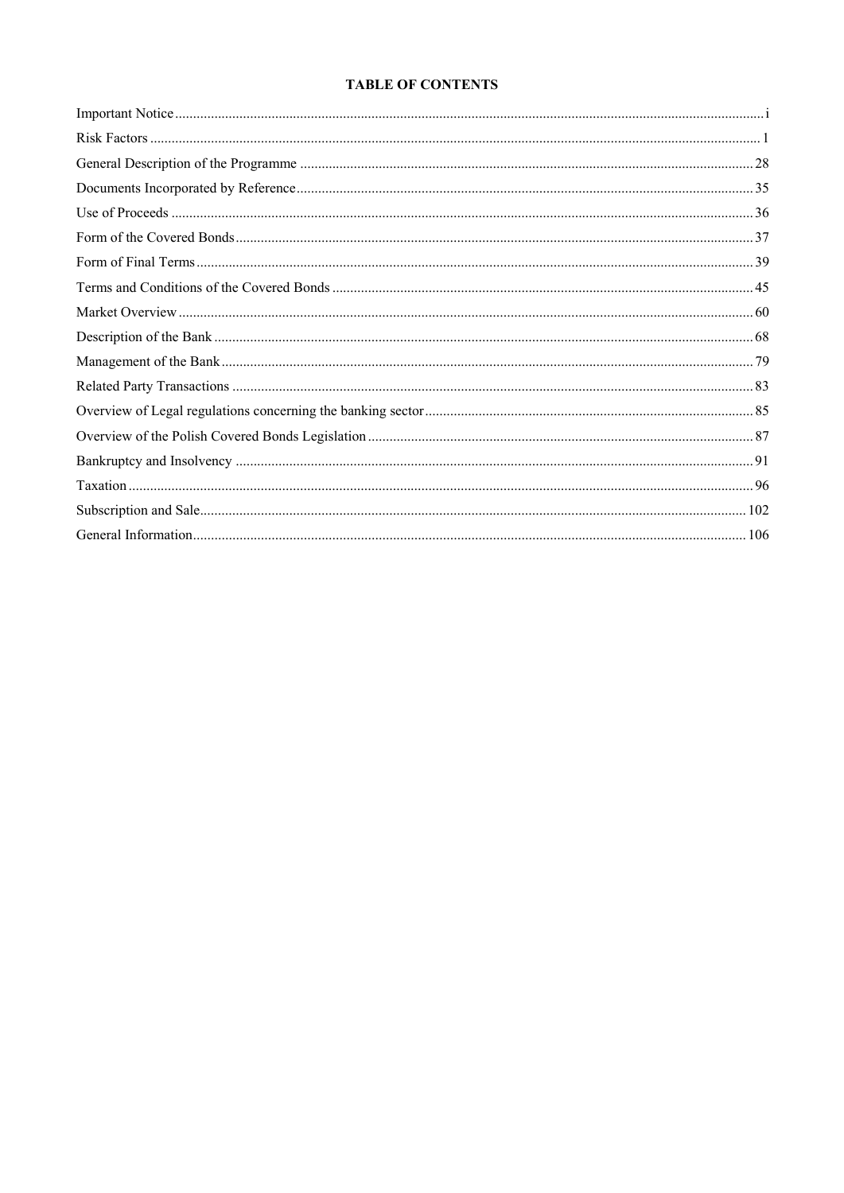# **TABLE OF CONTENTS**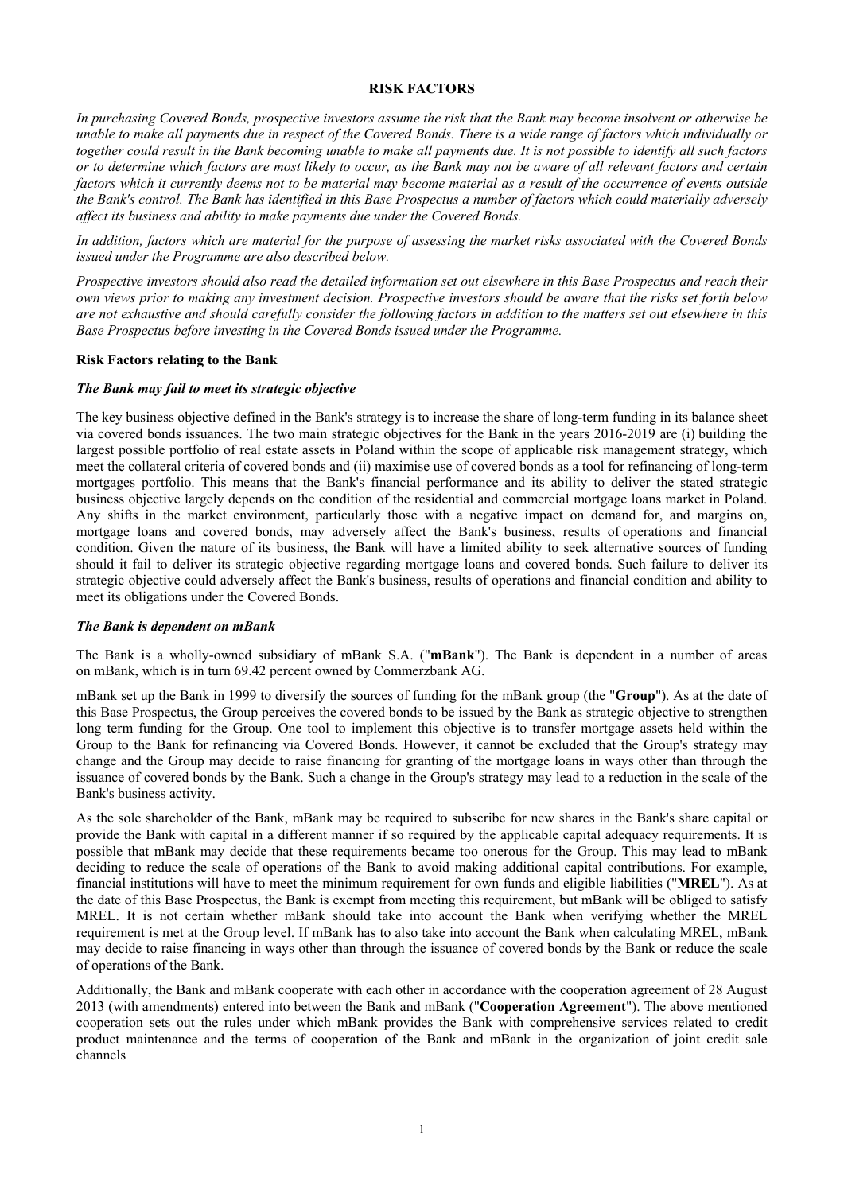#### **RISK FACTORS**

*In purchasing Covered Bonds, prospective investors assume the risk that the Bank may become insolvent or otherwise be unable to make all payments due in respect of the Covered Bonds. There is a wide range of factors which individually or together could result in the Bank becoming unable to make all payments due. It is not possible to identify all such factors or to determine which factors are most likely to occur, as the Bank may not be aware of all relevant factors and certain factors which it currently deems not to be material may become material as a result of the occurrence of events outside the Bank's control. The Bank has identified in this Base Prospectus a number of factors which could materially adversely affect its business and ability to make payments due under the Covered Bonds.* 

*In addition, factors which are material for the purpose of assessing the market risks associated with the Covered Bonds issued under the Programme are also described below.* 

*Prospective investors should also read the detailed information set out elsewhere in this Base Prospectus and reach their own views prior to making any investment decision. Prospective investors should be aware that the risks set forth below are not exhaustive and should carefully consider the following factors in addition to the matters set out elsewhere in this Base Prospectus before investing in the Covered Bonds issued under the Programme.* 

#### **Risk Factors relating to the Bank**

#### *The Bank may fail to meet its strategic objective*

The key business objective defined in the Bank's strategy is to increase the share of long-term funding in its balance sheet via covered bonds issuances. The two main strategic objectives for the Bank in the years 2016-2019 are (i) building the largest possible portfolio of real estate assets in Poland within the scope of applicable risk management strategy, which meet the collateral criteria of covered bonds and (ii) maximise use of covered bonds as a tool for refinancing of long-term mortgages portfolio. This means that the Bank's financial performance and its ability to deliver the stated strategic business objective largely depends on the condition of the residential and commercial mortgage loans market in Poland. Any shifts in the market environment, particularly those with a negative impact on demand for, and margins on, mortgage loans and covered bonds, may adversely affect the Bank's business, results of operations and financial condition. Given the nature of its business, the Bank will have a limited ability to seek alternative sources of funding should it fail to deliver its strategic objective regarding mortgage loans and covered bonds. Such failure to deliver its strategic objective could adversely affect the Bank's business, results of operations and financial condition and ability to meet its obligations under the Covered Bonds.

#### *The Bank is dependent on mBank*

The Bank is a wholly-owned subsidiary of mBank S.A. ("**mBank**"). The Bank is dependent in a number of areas on mBank, which is in turn 69.42 percent owned by Commerzbank AG.

mBank set up the Bank in 1999 to diversify the sources of funding for the mBank group (the "**Group**"). As at the date of this Base Prospectus, the Group perceives the covered bonds to be issued by the Bank as strategic objective to strengthen long term funding for the Group. One tool to implement this objective is to transfer mortgage assets held within the Group to the Bank for refinancing via Covered Bonds. However, it cannot be excluded that the Group's strategy may change and the Group may decide to raise financing for granting of the mortgage loans in ways other than through the issuance of covered bonds by the Bank. Such a change in the Group's strategy may lead to a reduction in the scale of the Bank's business activity.

As the sole shareholder of the Bank, mBank may be required to subscribe for new shares in the Bank's share capital or provide the Bank with capital in a different manner if so required by the applicable capital adequacy requirements. It is possible that mBank may decide that these requirements became too onerous for the Group. This may lead to mBank deciding to reduce the scale of operations of the Bank to avoid making additional capital contributions. For example, financial institutions will have to meet the minimum requirement for own funds and eligible liabilities ("**MREL**"). As at the date of this Base Prospectus, the Bank is exempt from meeting this requirement, but mBank will be obliged to satisfy MREL. It is not certain whether mBank should take into account the Bank when verifying whether the MREL requirement is met at the Group level. If mBank has to also take into account the Bank when calculating MREL, mBank may decide to raise financing in ways other than through the issuance of covered bonds by the Bank or reduce the scale of operations of the Bank.

Additionally, the Bank and mBank cooperate with each other in accordance with the cooperation agreement of 28 August 2013 (with amendments) entered into between the Bank and mBank ("**Cooperation Agreement**"). The above mentioned cooperation sets out the rules under which mBank provides the Bank with comprehensive services related to credit product maintenance and the terms of cooperation of the Bank and mBank in the organization of joint credit sale channels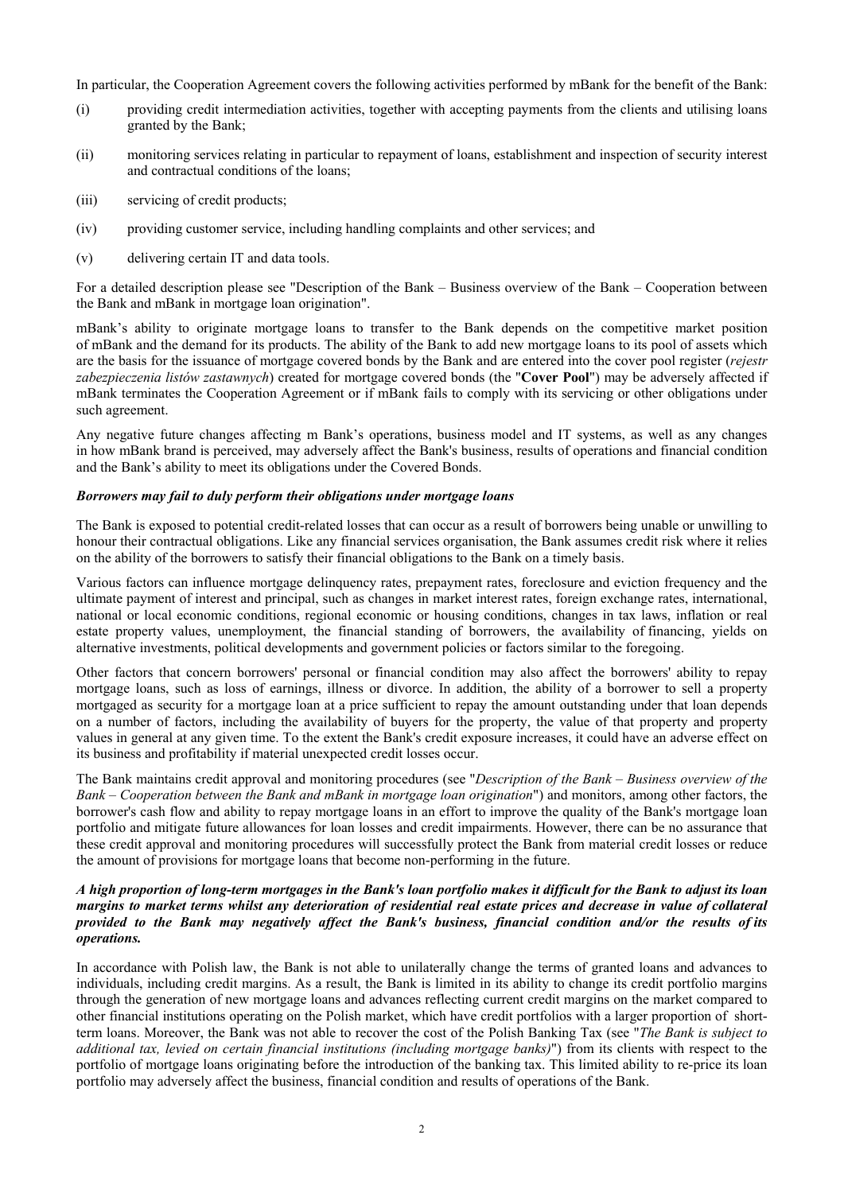In particular, the Cooperation Agreement covers the following activities performed by mBank for the benefit of the Bank:

- (i) providing credit intermediation activities, together with accepting payments from the clients and utilising loans granted by the Bank;
- (ii) monitoring services relating in particular to repayment of loans, establishment and inspection of security interest and contractual conditions of the loans;
- (iii) servicing of credit products;
- (iv) providing customer service, including handling complaints and other services; and
- (v) delivering certain IT and data tools.

For a detailed description please see "Description of the Bank – Business overview of the Bank – Cooperation between the Bank and mBank in mortgage loan origination".

mBank's ability to originate mortgage loans to transfer to the Bank depends on the competitive market position of mBank and the demand for its products. The ability of the Bank to add new mortgage loans to its pool of assets which are the basis for the issuance of mortgage covered bonds by the Bank and are entered into the cover pool register (*rejestr zabezpieczenia listów zastawnych*) created for mortgage covered bonds (the "**Cover Pool**") may be adversely affected if mBank terminates the Cooperation Agreement or if mBank fails to comply with its servicing or other obligations under such agreement.

Any negative future changes affecting m Bank's operations, business model and IT systems, as well as any changes in how mBank brand is perceived, may adversely affect the Bank's business, results of operations and financial condition and the Bank's ability to meet its obligations under the Covered Bonds.

## *Borrowers may fail to duly perform their obligations under mortgage loans*

The Bank is exposed to potential credit-related losses that can occur as a result of borrowers being unable or unwilling to honour their contractual obligations. Like any financial services organisation, the Bank assumes credit risk where it relies on the ability of the borrowers to satisfy their financial obligations to the Bank on a timely basis.

Various factors can influence mortgage delinquency rates, prepayment rates, foreclosure and eviction frequency and the ultimate payment of interest and principal, such as changes in market interest rates, foreign exchange rates, international, national or local economic conditions, regional economic or housing conditions, changes in tax laws, inflation or real estate property values, unemployment, the financial standing of borrowers, the availability of financing, yields on alternative investments, political developments and government policies or factors similar to the foregoing.

Other factors that concern borrowers' personal or financial condition may also affect the borrowers' ability to repay mortgage loans, such as loss of earnings, illness or divorce. In addition, the ability of a borrower to sell a property mortgaged as security for a mortgage loan at a price sufficient to repay the amount outstanding under that loan depends on a number of factors, including the availability of buyers for the property, the value of that property and property values in general at any given time. To the extent the Bank's credit exposure increases, it could have an adverse effect on its business and profitability if material unexpected credit losses occur.

The Bank maintains credit approval and monitoring procedures (see "*Description of the Bank – Business overview of the Bank – Cooperation between the Bank and mBank in mortgage loan origination*") and monitors, among other factors, the borrower's cash flow and ability to repay mortgage loans in an effort to improve the quality of the Bank's mortgage loan portfolio and mitigate future allowances for loan losses and credit impairments. However, there can be no assurance that these credit approval and monitoring procedures will successfully protect the Bank from material credit losses or reduce the amount of provisions for mortgage loans that become non-performing in the future.

## *A high proportion of long-term mortgages in the Bank's loan portfolio makes it difficult for the Bank to adjust its loan margins to market terms whilst any deterioration of residential real estate prices and decrease in value of collateral provided to the Bank may negatively affect the Bank's business, financial condition and/or the results of its operations.*

In accordance with Polish law, the Bank is not able to unilaterally change the terms of granted loans and advances to individuals, including credit margins. As a result, the Bank is limited in its ability to change its credit portfolio margins through the generation of new mortgage loans and advances reflecting current credit margins on the market compared to other financial institutions operating on the Polish market, which have credit portfolios with a larger proportion of shortterm loans. Moreover, the Bank was not able to recover the cost of the Polish Banking Tax (see "*The Bank is subject to additional tax, levied on certain financial institutions (including mortgage banks)*") from its clients with respect to the portfolio of mortgage loans originating before the introduction of the banking tax. This limited ability to re-price its loan portfolio may adversely affect the business, financial condition and results of operations of the Bank.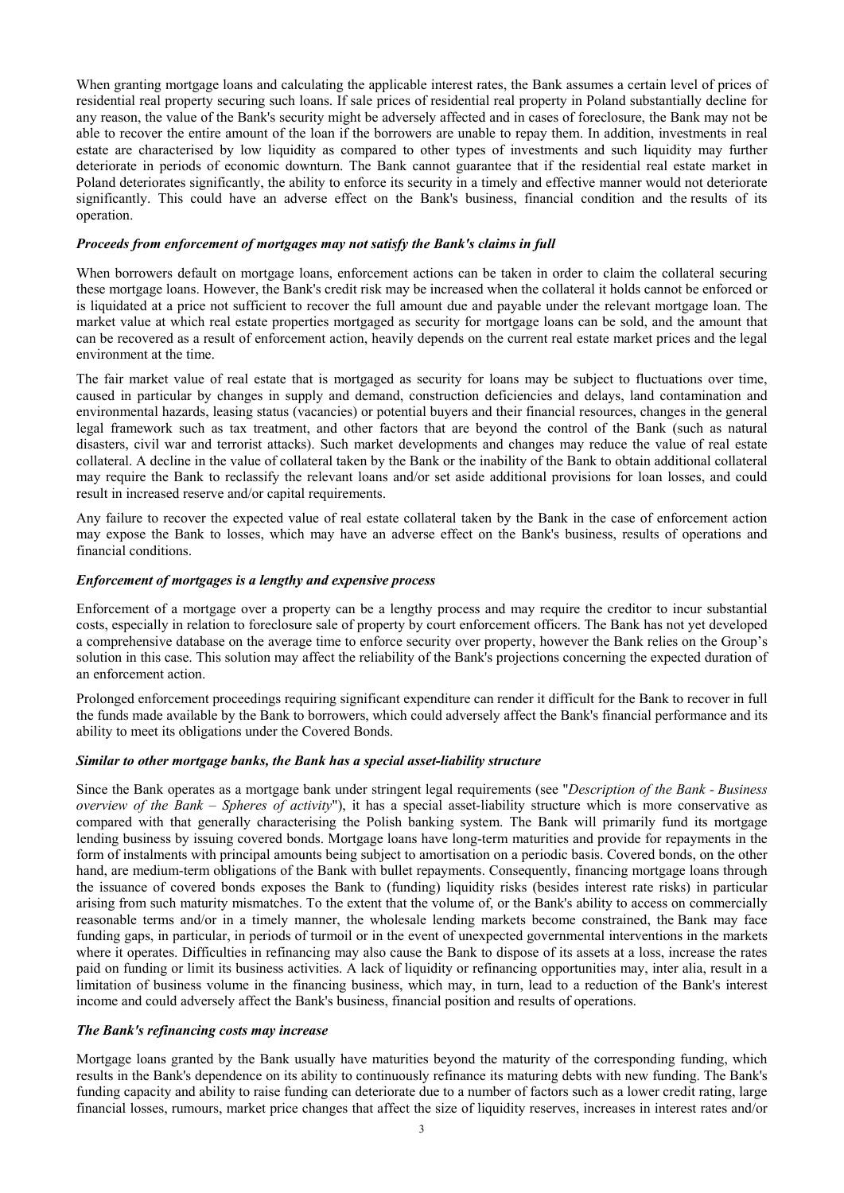When granting mortgage loans and calculating the applicable interest rates, the Bank assumes a certain level of prices of residential real property securing such loans. If sale prices of residential real property in Poland substantially decline for any reason, the value of the Bank's security might be adversely affected and in cases of foreclosure, the Bank may not be able to recover the entire amount of the loan if the borrowers are unable to repay them. In addition, investments in real estate are characterised by low liquidity as compared to other types of investments and such liquidity may further deteriorate in periods of economic downturn. The Bank cannot guarantee that if the residential real estate market in Poland deteriorates significantly, the ability to enforce its security in a timely and effective manner would not deteriorate significantly. This could have an adverse effect on the Bank's business, financial condition and the results of its operation.

#### *Proceeds from enforcement of mortgages may not satisfy the Bank's claims in full*

When borrowers default on mortgage loans, enforcement actions can be taken in order to claim the collateral securing these mortgage loans. However, the Bank's credit risk may be increased when the collateral it holds cannot be enforced or is liquidated at a price not sufficient to recover the full amount due and payable under the relevant mortgage loan. The market value at which real estate properties mortgaged as security for mortgage loans can be sold, and the amount that can be recovered as a result of enforcement action, heavily depends on the current real estate market prices and the legal environment at the time.

The fair market value of real estate that is mortgaged as security for loans may be subject to fluctuations over time, caused in particular by changes in supply and demand, construction deficiencies and delays, land contamination and environmental hazards, leasing status (vacancies) or potential buyers and their financial resources, changes in the general legal framework such as tax treatment, and other factors that are beyond the control of the Bank (such as natural disasters, civil war and terrorist attacks). Such market developments and changes may reduce the value of real estate collateral. A decline in the value of collateral taken by the Bank or the inability of the Bank to obtain additional collateral may require the Bank to reclassify the relevant loans and/or set aside additional provisions for loan losses, and could result in increased reserve and/or capital requirements.

Any failure to recover the expected value of real estate collateral taken by the Bank in the case of enforcement action may expose the Bank to losses, which may have an adverse effect on the Bank's business, results of operations and financial conditions.

#### *Enforcement of mortgages is a lengthy and expensive process*

Enforcement of a mortgage over a property can be a lengthy process and may require the creditor to incur substantial costs, especially in relation to foreclosure sale of property by court enforcement officers. The Bank has not yet developed a comprehensive database on the average time to enforce security over property, however the Bank relies on the Group's solution in this case. This solution may affect the reliability of the Bank's projections concerning the expected duration of an enforcement action.

Prolonged enforcement proceedings requiring significant expenditure can render it difficult for the Bank to recover in full the funds made available by the Bank to borrowers, which could adversely affect the Bank's financial performance and its ability to meet its obligations under the Covered Bonds.

## *Similar to other mortgage banks, the Bank has a special asset-liability structure*

Since the Bank operates as a mortgage bank under stringent legal requirements (see "*Description of the Bank - Business overview of the Bank – Spheres of activity*"), it has a special asset-liability structure which is more conservative as compared with that generally characterising the Polish banking system. The Bank will primarily fund its mortgage lending business by issuing covered bonds. Mortgage loans have long-term maturities and provide for repayments in the form of instalments with principal amounts being subject to amortisation on a periodic basis. Covered bonds, on the other hand, are medium-term obligations of the Bank with bullet repayments. Consequently, financing mortgage loans through the issuance of covered bonds exposes the Bank to (funding) liquidity risks (besides interest rate risks) in particular arising from such maturity mismatches. To the extent that the volume of, or the Bank's ability to access on commercially reasonable terms and/or in a timely manner, the wholesale lending markets become constrained, the Bank may face funding gaps, in particular, in periods of turmoil or in the event of unexpected governmental interventions in the markets where it operates. Difficulties in refinancing may also cause the Bank to dispose of its assets at a loss, increase the rates paid on funding or limit its business activities. A lack of liquidity or refinancing opportunities may, inter alia, result in a limitation of business volume in the financing business, which may, in turn, lead to a reduction of the Bank's interest income and could adversely affect the Bank's business, financial position and results of operations.

#### *The Bank's refinancing costs may increase*

Mortgage loans granted by the Bank usually have maturities beyond the maturity of the corresponding funding, which results in the Bank's dependence on its ability to continuously refinance its maturing debts with new funding. The Bank's funding capacity and ability to raise funding can deteriorate due to a number of factors such as a lower credit rating, large financial losses, rumours, market price changes that affect the size of liquidity reserves, increases in interest rates and/or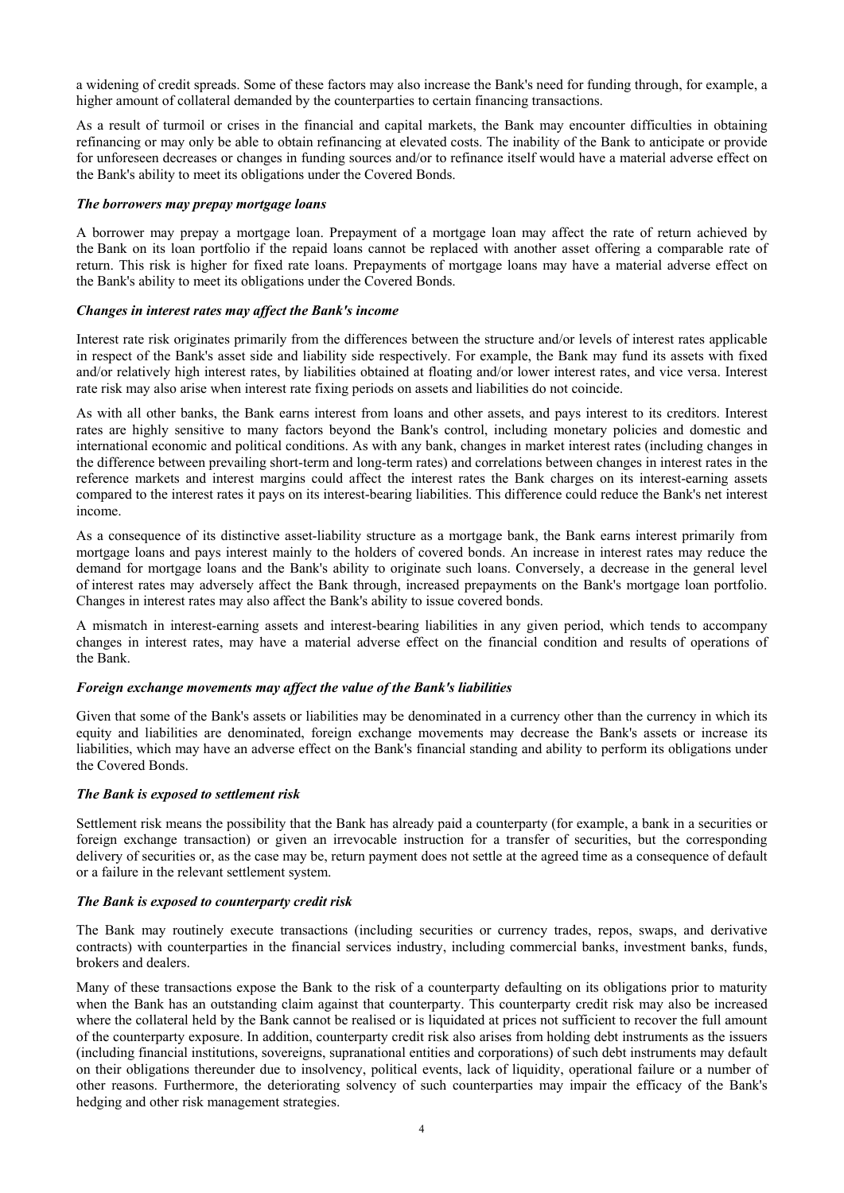a widening of credit spreads. Some of these factors may also increase the Bank's need for funding through, for example, a higher amount of collateral demanded by the counterparties to certain financing transactions.

As a result of turmoil or crises in the financial and capital markets, the Bank may encounter difficulties in obtaining refinancing or may only be able to obtain refinancing at elevated costs. The inability of the Bank to anticipate or provide for unforeseen decreases or changes in funding sources and/or to refinance itself would have a material adverse effect on the Bank's ability to meet its obligations under the Covered Bonds.

#### *The borrowers may prepay mortgage loans*

A borrower may prepay a mortgage loan. Prepayment of a mortgage loan may affect the rate of return achieved by the Bank on its loan portfolio if the repaid loans cannot be replaced with another asset offering a comparable rate of return. This risk is higher for fixed rate loans. Prepayments of mortgage loans may have a material adverse effect on the Bank's ability to meet its obligations under the Covered Bonds.

#### *Changes in interest rates may affect the Bank's income*

Interest rate risk originates primarily from the differences between the structure and/or levels of interest rates applicable in respect of the Bank's asset side and liability side respectively. For example, the Bank may fund its assets with fixed and/or relatively high interest rates, by liabilities obtained at floating and/or lower interest rates, and vice versa. Interest rate risk may also arise when interest rate fixing periods on assets and liabilities do not coincide.

As with all other banks, the Bank earns interest from loans and other assets, and pays interest to its creditors. Interest rates are highly sensitive to many factors beyond the Bank's control, including monetary policies and domestic and international economic and political conditions. As with any bank, changes in market interest rates (including changes in the difference between prevailing short-term and long-term rates) and correlations between changes in interest rates in the reference markets and interest margins could affect the interest rates the Bank charges on its interest-earning assets compared to the interest rates it pays on its interest-bearing liabilities. This difference could reduce the Bank's net interest income.

As a consequence of its distinctive asset-liability structure as a mortgage bank, the Bank earns interest primarily from mortgage loans and pays interest mainly to the holders of covered bonds. An increase in interest rates may reduce the demand for mortgage loans and the Bank's ability to originate such loans. Conversely, a decrease in the general level of interest rates may adversely affect the Bank through, increased prepayments on the Bank's mortgage loan portfolio. Changes in interest rates may also affect the Bank's ability to issue covered bonds.

A mismatch in interest-earning assets and interest-bearing liabilities in any given period, which tends to accompany changes in interest rates, may have a material adverse effect on the financial condition and results of operations of the Bank.

## *Foreign exchange movements may affect the value of the Bank's liabilities*

Given that some of the Bank's assets or liabilities may be denominated in a currency other than the currency in which its equity and liabilities are denominated, foreign exchange movements may decrease the Bank's assets or increase its liabilities, which may have an adverse effect on the Bank's financial standing and ability to perform its obligations under the Covered Bonds.

## *The Bank is exposed to settlement risk*

Settlement risk means the possibility that the Bank has already paid a counterparty (for example, a bank in a securities or foreign exchange transaction) or given an irrevocable instruction for a transfer of securities, but the corresponding delivery of securities or, as the case may be, return payment does not settle at the agreed time as a consequence of default or a failure in the relevant settlement system.

## *The Bank is exposed to counterparty credit risk*

The Bank may routinely execute transactions (including securities or currency trades, repos, swaps, and derivative contracts) with counterparties in the financial services industry, including commercial banks, investment banks, funds, brokers and dealers.

Many of these transactions expose the Bank to the risk of a counterparty defaulting on its obligations prior to maturity when the Bank has an outstanding claim against that counterparty. This counterparty credit risk may also be increased where the collateral held by the Bank cannot be realised or is liquidated at prices not sufficient to recover the full amount of the counterparty exposure. In addition, counterparty credit risk also arises from holding debt instruments as the issuers (including financial institutions, sovereigns, supranational entities and corporations) of such debt instruments may default on their obligations thereunder due to insolvency, political events, lack of liquidity, operational failure or a number of other reasons. Furthermore, the deteriorating solvency of such counterparties may impair the efficacy of the Bank's hedging and other risk management strategies.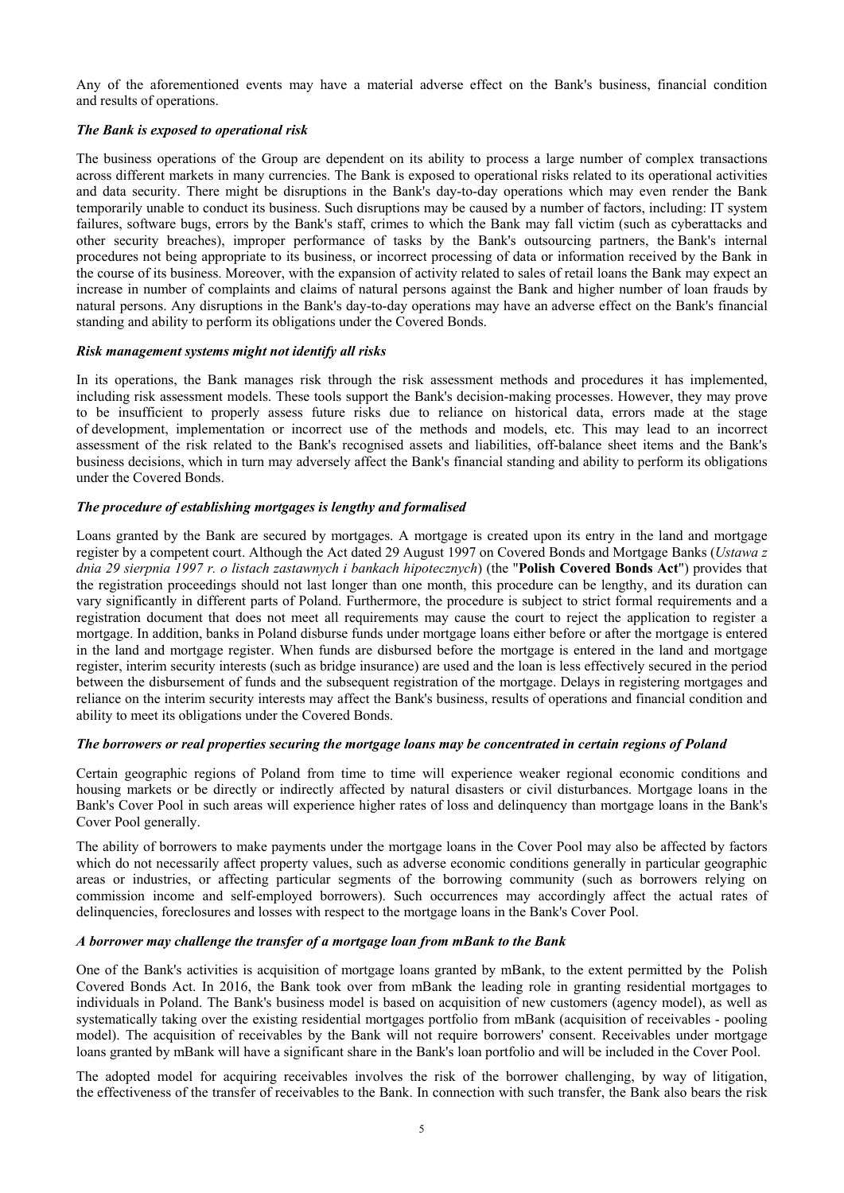Any of the aforementioned events may have a material adverse effect on the Bank's business, financial condition and results of operations.

## *The Bank is exposed to operational risk*

The business operations of the Group are dependent on its ability to process a large number of complex transactions across different markets in many currencies. The Bank is exposed to operational risks related to its operational activities and data security. There might be disruptions in the Bank's day-to-day operations which may even render the Bank temporarily unable to conduct its business. Such disruptions may be caused by a number of factors, including: IT system failures, software bugs, errors by the Bank's staff, crimes to which the Bank may fall victim (such as cyberattacks and other security breaches), improper performance of tasks by the Bank's outsourcing partners, the Bank's internal procedures not being appropriate to its business, or incorrect processing of data or information received by the Bank in the course of its business. Moreover, with the expansion of activity related to sales of retail loans the Bank may expect an increase in number of complaints and claims of natural persons against the Bank and higher number of loan frauds by natural persons. Any disruptions in the Bank's day-to-day operations may have an adverse effect on the Bank's financial standing and ability to perform its obligations under the Covered Bonds.

#### *Risk management systems might not identify all risks*

In its operations, the Bank manages risk through the risk assessment methods and procedures it has implemented, including risk assessment models. These tools support the Bank's decision-making processes. However, they may prove to be insufficient to properly assess future risks due to reliance on historical data, errors made at the stage of development, implementation or incorrect use of the methods and models, etc. This may lead to an incorrect assessment of the risk related to the Bank's recognised assets and liabilities, off-balance sheet items and the Bank's business decisions, which in turn may adversely affect the Bank's financial standing and ability to perform its obligations under the Covered Bonds.

# *The procedure of establishing mortgages is lengthy and formalised*

Loans granted by the Bank are secured by mortgages. A mortgage is created upon its entry in the land and mortgage register by a competent court. Although the Act dated 29 August 1997 on Covered Bonds and Mortgage Banks (*Ustawa z dnia 29 sierpnia 1997 r. o listach zastawnych i bankach hipotecznych*) (the "**Polish Covered Bonds Act**") provides that the registration proceedings should not last longer than one month, this procedure can be lengthy, and its duration can vary significantly in different parts of Poland. Furthermore, the procedure is subject to strict formal requirements and a registration document that does not meet all requirements may cause the court to reject the application to register a mortgage. In addition, banks in Poland disburse funds under mortgage loans either before or after the mortgage is entered in the land and mortgage register. When funds are disbursed before the mortgage is entered in the land and mortgage register, interim security interests (such as bridge insurance) are used and the loan is less effectively secured in the period between the disbursement of funds and the subsequent registration of the mortgage. Delays in registering mortgages and reliance on the interim security interests may affect the Bank's business, results of operations and financial condition and ability to meet its obligations under the Covered Bonds.

## *The borrowers or real properties securing the mortgage loans may be concentrated in certain regions of Poland*

Certain geographic regions of Poland from time to time will experience weaker regional economic conditions and housing markets or be directly or indirectly affected by natural disasters or civil disturbances. Mortgage loans in the Bank's Cover Pool in such areas will experience higher rates of loss and delinquency than mortgage loans in the Bank's Cover Pool generally.

The ability of borrowers to make payments under the mortgage loans in the Cover Pool may also be affected by factors which do not necessarily affect property values, such as adverse economic conditions generally in particular geographic areas or industries, or affecting particular segments of the borrowing community (such as borrowers relying on commission income and self-employed borrowers). Such occurrences may accordingly affect the actual rates of delinquencies, foreclosures and losses with respect to the mortgage loans in the Bank's Cover Pool.

## *A borrower may challenge the transfer of a mortgage loan from mBank to the Bank*

One of the Bank's activities is acquisition of mortgage loans granted by mBank, to the extent permitted by the Polish Covered Bonds Act. In 2016, the Bank took over from mBank the leading role in granting residential mortgages to individuals in Poland. The Bank's business model is based on acquisition of new customers (agency model), as well as systematically taking over the existing residential mortgages portfolio from mBank (acquisition of receivables - pooling model). The acquisition of receivables by the Bank will not require borrowers' consent. Receivables under mortgage loans granted by mBank will have a significant share in the Bank's loan portfolio and will be included in the Cover Pool.

The adopted model for acquiring receivables involves the risk of the borrower challenging, by way of litigation, the effectiveness of the transfer of receivables to the Bank. In connection with such transfer, the Bank also bears the risk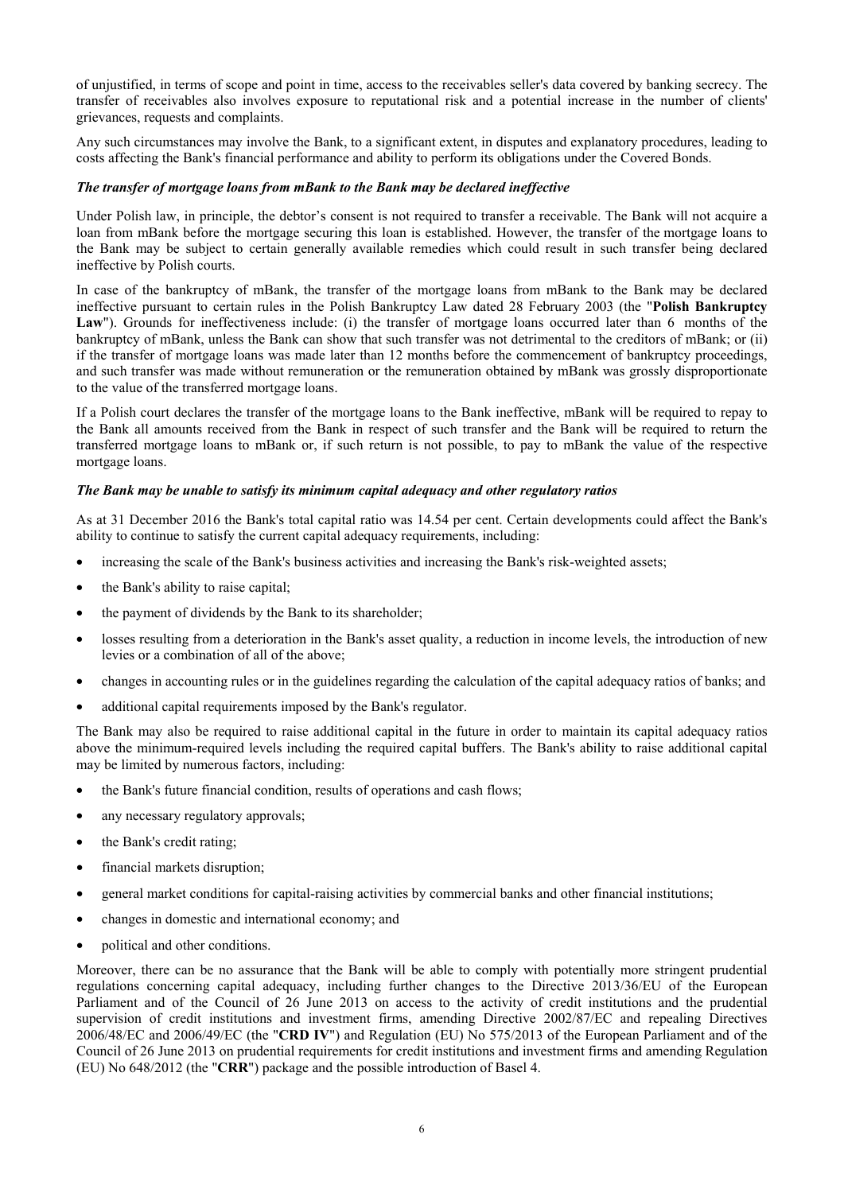of unjustified, in terms of scope and point in time, access to the receivables seller's data covered by banking secrecy. The transfer of receivables also involves exposure to reputational risk and a potential increase in the number of clients' grievances, requests and complaints.

Any such circumstances may involve the Bank, to a significant extent, in disputes and explanatory procedures, leading to costs affecting the Bank's financial performance and ability to perform its obligations under the Covered Bonds.

## *The transfer of mortgage loans from mBank to the Bank may be declared ineffective*

Under Polish law, in principle, the debtor's consent is not required to transfer a receivable. The Bank will not acquire a loan from mBank before the mortgage securing this loan is established. However, the transfer of the mortgage loans to the Bank may be subject to certain generally available remedies which could result in such transfer being declared ineffective by Polish courts.

In case of the bankruptcy of mBank, the transfer of the mortgage loans from mBank to the Bank may be declared ineffective pursuant to certain rules in the Polish Bankruptcy Law dated 28 February 2003 (the "**Polish Bankruptcy**  Law"). Grounds for ineffectiveness include: (i) the transfer of mortgage loans occurred later than 6 months of the bankruptcy of mBank, unless the Bank can show that such transfer was not detrimental to the creditors of mBank; or (ii) if the transfer of mortgage loans was made later than 12 months before the commencement of bankruptcy proceedings, and such transfer was made without remuneration or the remuneration obtained by mBank was grossly disproportionate to the value of the transferred mortgage loans.

If a Polish court declares the transfer of the mortgage loans to the Bank ineffective, mBank will be required to repay to the Bank all amounts received from the Bank in respect of such transfer and the Bank will be required to return the transferred mortgage loans to mBank or, if such return is not possible, to pay to mBank the value of the respective mortgage loans.

## *The Bank may be unable to satisfy its minimum capital adequacy and other regulatory ratios*

As at 31 December 2016 the Bank's total capital ratio was 14.54 per cent. Certain developments could affect the Bank's ability to continue to satisfy the current capital adequacy requirements, including:

- increasing the scale of the Bank's business activities and increasing the Bank's risk-weighted assets;
- the Bank's ability to raise capital:
- the payment of dividends by the Bank to its shareholder;
- losses resulting from a deterioration in the Bank's asset quality, a reduction in income levels, the introduction of new levies or a combination of all of the above;
- changes in accounting rules or in the guidelines regarding the calculation of the capital adequacy ratios of banks; and
- additional capital requirements imposed by the Bank's regulator.

The Bank may also be required to raise additional capital in the future in order to maintain its capital adequacy ratios above the minimum-required levels including the required capital buffers. The Bank's ability to raise additional capital may be limited by numerous factors, including:

- the Bank's future financial condition, results of operations and cash flows;
- any necessary regulatory approvals;
- the Bank's credit rating;
- financial markets disruption;
- general market conditions for capital-raising activities by commercial banks and other financial institutions;
- changes in domestic and international economy; and
- political and other conditions.

Moreover, there can be no assurance that the Bank will be able to comply with potentially more stringent prudential regulations concerning capital adequacy, including further changes to the Directive 2013/36/EU of the European Parliament and of the Council of 26 June 2013 on access to the activity of credit institutions and the prudential supervision of credit institutions and investment firms, amending Directive 2002/87/EC and repealing Directives 2006/48/EC and 2006/49/EC (the "**CRD IV**") and Regulation (EU) No 575/2013 of the European Parliament and of the Council of 26 June 2013 on prudential requirements for credit institutions and investment firms and amending Regulation (EU) No 648/2012 (the "**CRR**") package and the possible introduction of Basel 4.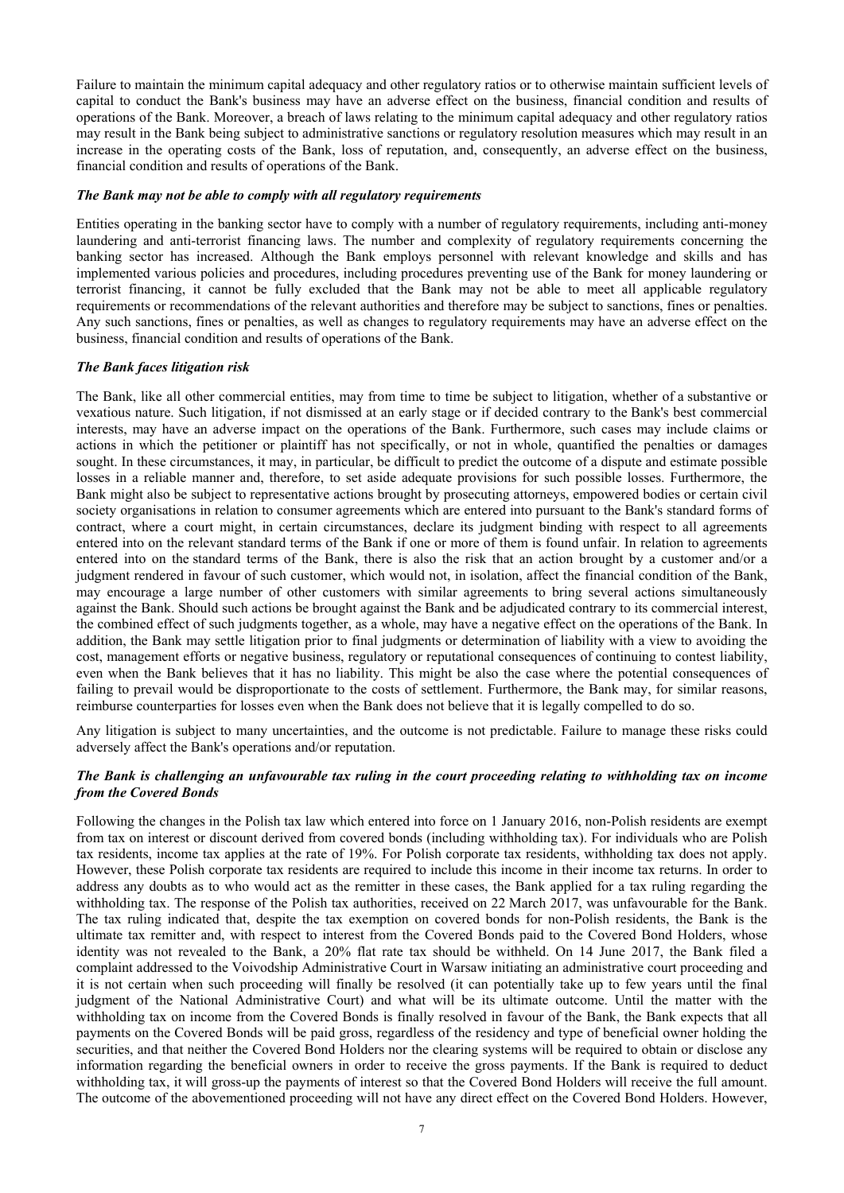Failure to maintain the minimum capital adequacy and other regulatory ratios or to otherwise maintain sufficient levels of capital to conduct the Bank's business may have an adverse effect on the business, financial condition and results of operations of the Bank. Moreover, a breach of laws relating to the minimum capital adequacy and other regulatory ratios may result in the Bank being subject to administrative sanctions or regulatory resolution measures which may result in an increase in the operating costs of the Bank, loss of reputation, and, consequently, an adverse effect on the business, financial condition and results of operations of the Bank.

#### *The Bank may not be able to comply with all regulatory requirements*

Entities operating in the banking sector have to comply with a number of regulatory requirements, including anti-money laundering and anti-terrorist financing laws. The number and complexity of regulatory requirements concerning the banking sector has increased. Although the Bank employs personnel with relevant knowledge and skills and has implemented various policies and procedures, including procedures preventing use of the Bank for money laundering or terrorist financing, it cannot be fully excluded that the Bank may not be able to meet all applicable regulatory requirements or recommendations of the relevant authorities and therefore may be subject to sanctions, fines or penalties. Any such sanctions, fines or penalties, as well as changes to regulatory requirements may have an adverse effect on the business, financial condition and results of operations of the Bank.

## *The Bank faces litigation risk*

The Bank, like all other commercial entities, may from time to time be subject to litigation, whether of a substantive or vexatious nature. Such litigation, if not dismissed at an early stage or if decided contrary to the Bank's best commercial interests, may have an adverse impact on the operations of the Bank. Furthermore, such cases may include claims or actions in which the petitioner or plaintiff has not specifically, or not in whole, quantified the penalties or damages sought. In these circumstances, it may, in particular, be difficult to predict the outcome of a dispute and estimate possible losses in a reliable manner and, therefore, to set aside adequate provisions for such possible losses. Furthermore, the Bank might also be subject to representative actions brought by prosecuting attorneys, empowered bodies or certain civil society organisations in relation to consumer agreements which are entered into pursuant to the Bank's standard forms of contract, where a court might, in certain circumstances, declare its judgment binding with respect to all agreements entered into on the relevant standard terms of the Bank if one or more of them is found unfair. In relation to agreements entered into on the standard terms of the Bank, there is also the risk that an action brought by a customer and/or a judgment rendered in favour of such customer, which would not, in isolation, affect the financial condition of the Bank, may encourage a large number of other customers with similar agreements to bring several actions simultaneously against the Bank. Should such actions be brought against the Bank and be adjudicated contrary to its commercial interest, the combined effect of such judgments together, as a whole, may have a negative effect on the operations of the Bank. In addition, the Bank may settle litigation prior to final judgments or determination of liability with a view to avoiding the cost, management efforts or negative business, regulatory or reputational consequences of continuing to contest liability, even when the Bank believes that it has no liability. This might be also the case where the potential consequences of failing to prevail would be disproportionate to the costs of settlement. Furthermore, the Bank may, for similar reasons, reimburse counterparties for losses even when the Bank does not believe that it is legally compelled to do so.

Any litigation is subject to many uncertainties, and the outcome is not predictable. Failure to manage these risks could adversely affect the Bank's operations and/or reputation.

## *The Bank is challenging an unfavourable tax ruling in the court proceeding relating to withholding tax on income from the Covered Bonds*

Following the changes in the Polish tax law which entered into force on 1 January 2016, non-Polish residents are exempt from tax on interest or discount derived from covered bonds (including withholding tax). For individuals who are Polish tax residents, income tax applies at the rate of 19%. For Polish corporate tax residents, withholding tax does not apply. However, these Polish corporate tax residents are required to include this income in their income tax returns. In order to address any doubts as to who would act as the remitter in these cases, the Bank applied for a tax ruling regarding the withholding tax. The response of the Polish tax authorities, received on 22 March 2017, was unfavourable for the Bank. The tax ruling indicated that, despite the tax exemption on covered bonds for non-Polish residents, the Bank is the ultimate tax remitter and, with respect to interest from the Covered Bonds paid to the Covered Bond Holders, whose identity was not revealed to the Bank, a 20% flat rate tax should be withheld. On 14 June 2017, the Bank filed a complaint addressed to the Voivodship Administrative Court in Warsaw initiating an administrative court proceeding and it is not certain when such proceeding will finally be resolved (it can potentially take up to few years until the final judgment of the National Administrative Court) and what will be its ultimate outcome. Until the matter with the withholding tax on income from the Covered Bonds is finally resolved in favour of the Bank, the Bank expects that all payments on the Covered Bonds will be paid gross, regardless of the residency and type of beneficial owner holding the securities, and that neither the Covered Bond Holders nor the clearing systems will be required to obtain or disclose any information regarding the beneficial owners in order to receive the gross payments. If the Bank is required to deduct withholding tax, it will gross-up the payments of interest so that the Covered Bond Holders will receive the full amount. The outcome of the abovementioned proceeding will not have any direct effect on the Covered Bond Holders. However,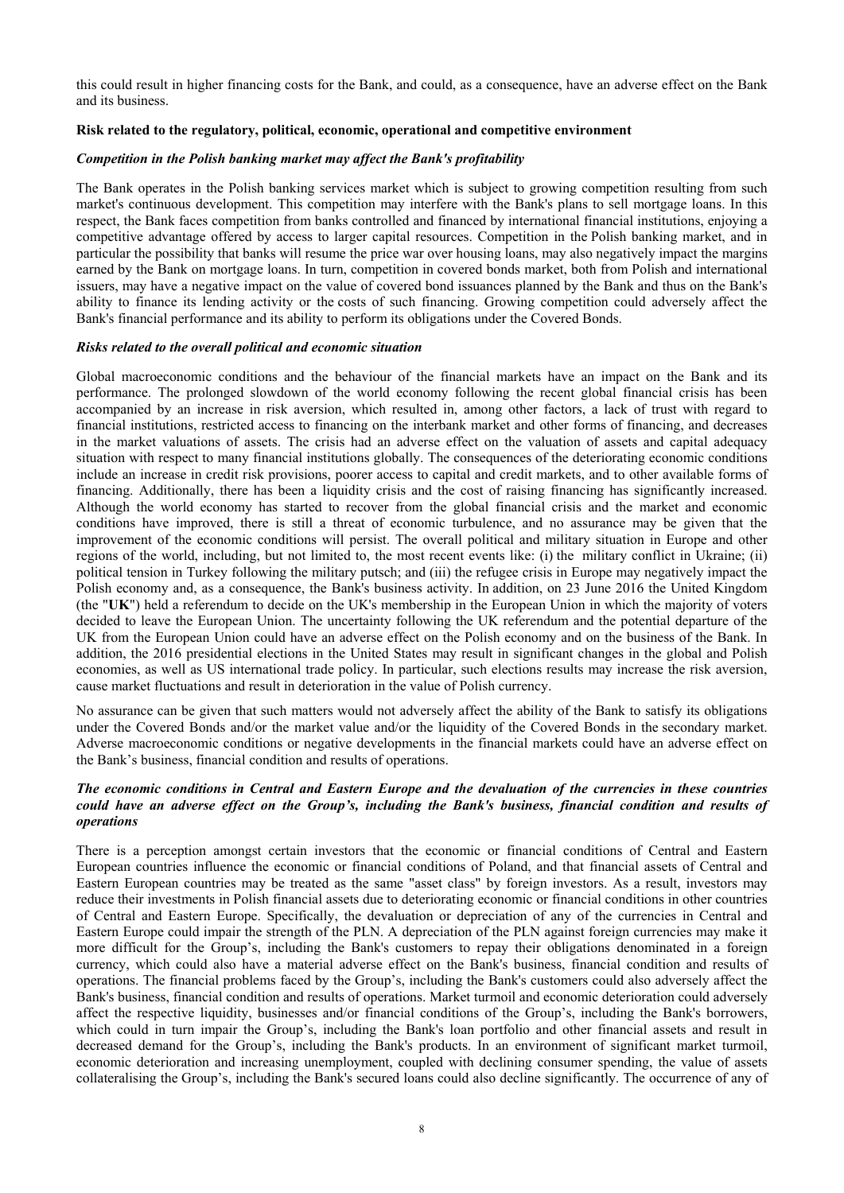this could result in higher financing costs for the Bank, and could, as a consequence, have an adverse effect on the Bank and its business.

## **Risk related to the regulatory, political, economic, operational and competitive environment**

#### *Competition in the Polish banking market may affect the Bank's profitability*

The Bank operates in the Polish banking services market which is subject to growing competition resulting from such market's continuous development. This competition may interfere with the Bank's plans to sell mortgage loans. In this respect, the Bank faces competition from banks controlled and financed by international financial institutions, enjoying a competitive advantage offered by access to larger capital resources. Competition in the Polish banking market, and in particular the possibility that banks will resume the price war over housing loans, may also negatively impact the margins earned by the Bank on mortgage loans. In turn, competition in covered bonds market, both from Polish and international issuers, may have a negative impact on the value of covered bond issuances planned by the Bank and thus on the Bank's ability to finance its lending activity or the costs of such financing. Growing competition could adversely affect the Bank's financial performance and its ability to perform its obligations under the Covered Bonds.

#### *Risks related to the overall political and economic situation*

Global macroeconomic conditions and the behaviour of the financial markets have an impact on the Bank and its performance. The prolonged slowdown of the world economy following the recent global financial crisis has been accompanied by an increase in risk aversion, which resulted in, among other factors, a lack of trust with regard to financial institutions, restricted access to financing on the interbank market and other forms of financing, and decreases in the market valuations of assets. The crisis had an adverse effect on the valuation of assets and capital adequacy situation with respect to many financial institutions globally. The consequences of the deteriorating economic conditions include an increase in credit risk provisions, poorer access to capital and credit markets, and to other available forms of financing. Additionally, there has been a liquidity crisis and the cost of raising financing has significantly increased. Although the world economy has started to recover from the global financial crisis and the market and economic conditions have improved, there is still a threat of economic turbulence, and no assurance may be given that the improvement of the economic conditions will persist. The overall political and military situation in Europe and other regions of the world, including, but not limited to, the most recent events like: (i) the military conflict in Ukraine; (ii) political tension in Turkey following the military putsch; and (iii) the refugee crisis in Europe may negatively impact the Polish economy and, as a consequence, the Bank's business activity. In addition, on 23 June 2016 the United Kingdom (the "**UK**") held a referendum to decide on the UK's membership in the European Union in which the majority of voters decided to leave the European Union. The uncertainty following the UK referendum and the potential departure of the UK from the European Union could have an adverse effect on the Polish economy and on the business of the Bank. In addition, the 2016 presidential elections in the United States may result in significant changes in the global and Polish economies, as well as US international trade policy. In particular, such elections results may increase the risk aversion, cause market fluctuations and result in deterioration in the value of Polish currency.

No assurance can be given that such matters would not adversely affect the ability of the Bank to satisfy its obligations under the Covered Bonds and/or the market value and/or the liquidity of the Covered Bonds in the secondary market. Adverse macroeconomic conditions or negative developments in the financial markets could have an adverse effect on the Bank's business, financial condition and results of operations.

#### *The economic conditions in Central and Eastern Europe and the devaluation of the currencies in these countries could have an adverse effect on the Group's, including the Bank's business, financial condition and results of operations*

There is a perception amongst certain investors that the economic or financial conditions of Central and Eastern European countries influence the economic or financial conditions of Poland, and that financial assets of Central and Eastern European countries may be treated as the same "asset class" by foreign investors. As a result, investors may reduce their investments in Polish financial assets due to deteriorating economic or financial conditions in other countries of Central and Eastern Europe. Specifically, the devaluation or depreciation of any of the currencies in Central and Eastern Europe could impair the strength of the PLN. A depreciation of the PLN against foreign currencies may make it more difficult for the Group's, including the Bank's customers to repay their obligations denominated in a foreign currency, which could also have a material adverse effect on the Bank's business, financial condition and results of operations. The financial problems faced by the Group's, including the Bank's customers could also adversely affect the Bank's business, financial condition and results of operations. Market turmoil and economic deterioration could adversely affect the respective liquidity, businesses and/or financial conditions of the Group's, including the Bank's borrowers, which could in turn impair the Group's, including the Bank's loan portfolio and other financial assets and result in decreased demand for the Group's, including the Bank's products. In an environment of significant market turmoil, economic deterioration and increasing unemployment, coupled with declining consumer spending, the value of assets collateralising the Group's, including the Bank's secured loans could also decline significantly. The occurrence of any of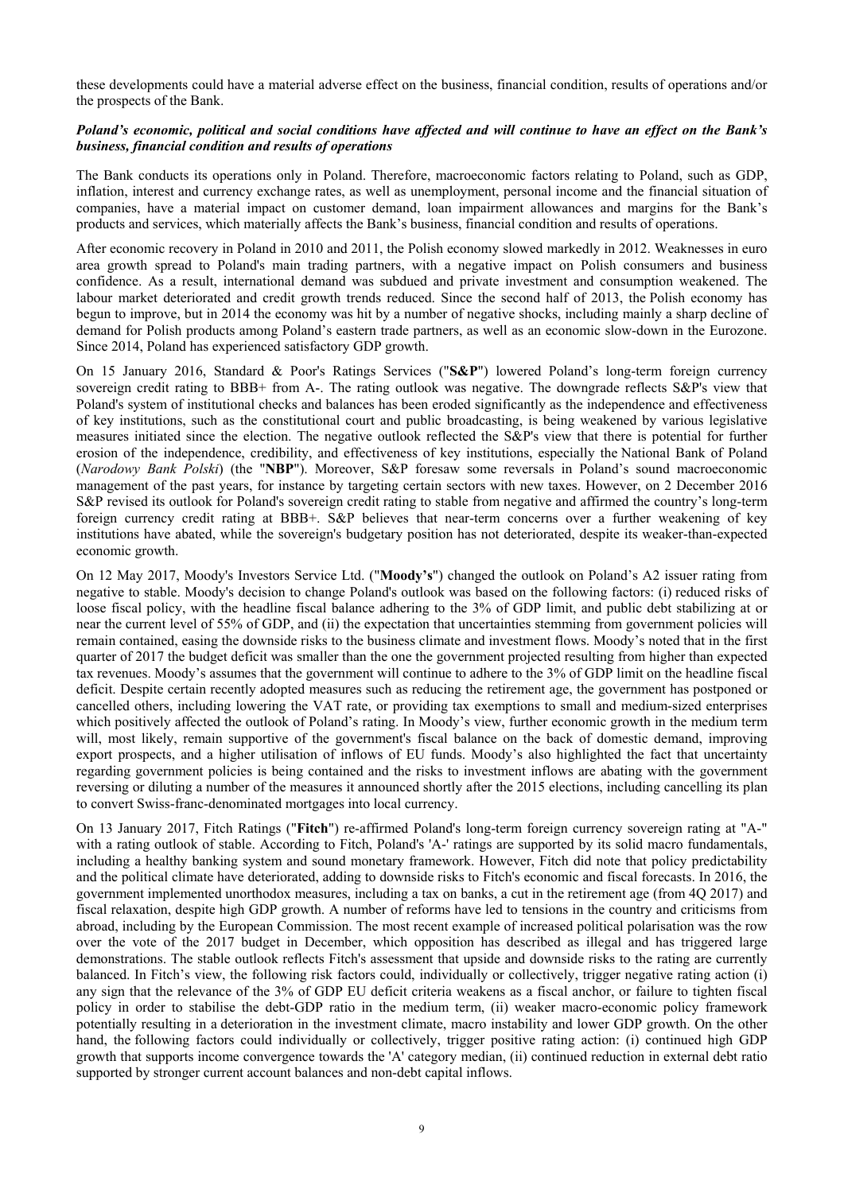these developments could have a material adverse effect on the business, financial condition, results of operations and/or the prospects of the Bank.

## *Poland's economic, political and social conditions have affected and will continue to have an effect on the Bank's business, financial condition and results of operations*

The Bank conducts its operations only in Poland. Therefore, macroeconomic factors relating to Poland, such as GDP, inflation, interest and currency exchange rates, as well as unemployment, personal income and the financial situation of companies, have a material impact on customer demand, loan impairment allowances and margins for the Bank's products and services, which materially affects the Bank's business, financial condition and results of operations.

After economic recovery in Poland in 2010 and 2011, the Polish economy slowed markedly in 2012. Weaknesses in euro area growth spread to Poland's main trading partners, with a negative impact on Polish consumers and business confidence. As a result, international demand was subdued and private investment and consumption weakened. The labour market deteriorated and credit growth trends reduced. Since the second half of 2013, the Polish economy has begun to improve, but in 2014 the economy was hit by a number of negative shocks, including mainly a sharp decline of demand for Polish products among Poland's eastern trade partners, as well as an economic slow-down in the Eurozone. Since 2014, Poland has experienced satisfactory GDP growth.

On 15 January 2016, Standard & Poor's Ratings Services ("**S&P**") lowered Poland's long-term foreign currency sovereign credit rating to BBB+ from A-. The rating outlook was negative. The downgrade reflects S&P's view that Poland's system of institutional checks and balances has been eroded significantly as the independence and effectiveness of key institutions, such as the constitutional court and public broadcasting, is being weakened by various legislative measures initiated since the election. The negative outlook reflected the S&P's view that there is potential for further erosion of the independence, credibility, and effectiveness of key institutions, especially the National Bank of Poland (*Narodowy Bank Polski*) (the "**NBP**"). Moreover, S&P foresaw some reversals in Poland's sound macroeconomic management of the past years, for instance by targeting certain sectors with new taxes. However, on 2 December 2016 S&P revised its outlook for Poland's sovereign credit rating to stable from negative and affirmed the country's long-term foreign currency credit rating at BBB+. S&P believes that near-term concerns over a further weakening of key institutions have abated, while the sovereign's budgetary position has not deteriorated, despite its weaker-than-expected economic growth.

On 12 May 2017, Moody's Investors Service Ltd. ("**Moody's**") changed the outlook on Poland's A2 issuer rating from negative to stable. Moody's decision to change Poland's outlook was based on the following factors: (i) reduced risks of loose fiscal policy, with the headline fiscal balance adhering to the 3% of GDP limit, and public debt stabilizing at or near the current level of 55% of GDP, and (ii) the expectation that uncertainties stemming from government policies will remain contained, easing the downside risks to the business climate and investment flows. Moody's noted that in the first quarter of 2017 the budget deficit was smaller than the one the government projected resulting from higher than expected tax revenues. Moody's assumes that the government will continue to adhere to the 3% of GDP limit on the headline fiscal deficit. Despite certain recently adopted measures such as reducing the retirement age, the government has postponed or cancelled others, including lowering the VAT rate, or providing tax exemptions to small and medium-sized enterprises which positively affected the outlook of Poland's rating. In Moody's view, further economic growth in the medium term will, most likely, remain supportive of the government's fiscal balance on the back of domestic demand, improving export prospects, and a higher utilisation of inflows of EU funds. Moody's also highlighted the fact that uncertainty regarding government policies is being contained and the risks to investment inflows are abating with the government reversing or diluting a number of the measures it announced shortly after the 2015 elections, including cancelling its plan to convert Swiss-franc-denominated mortgages into local currency.

On 13 January 2017, Fitch Ratings ("**Fitch**") re-affirmed Poland's long-term foreign currency sovereign rating at "A-" with a rating outlook of stable. According to Fitch, Poland's 'A-' ratings are supported by its solid macro fundamentals, including a healthy banking system and sound monetary framework. However, Fitch did note that policy predictability and the political climate have deteriorated, adding to downside risks to Fitch's economic and fiscal forecasts. In 2016, the government implemented unorthodox measures, including a tax on banks, a cut in the retirement age (from 4Q 2017) and fiscal relaxation, despite high GDP growth. A number of reforms have led to tensions in the country and criticisms from abroad, including by the European Commission. The most recent example of increased political polarisation was the row over the vote of the 2017 budget in December, which opposition has described as illegal and has triggered large demonstrations. The stable outlook reflects Fitch's assessment that upside and downside risks to the rating are currently balanced. In Fitch's view, the following risk factors could, individually or collectively, trigger negative rating action (i) any sign that the relevance of the 3% of GDP EU deficit criteria weakens as a fiscal anchor, or failure to tighten fiscal policy in order to stabilise the debt-GDP ratio in the medium term, (ii) weaker macro-economic policy framework potentially resulting in a deterioration in the investment climate, macro instability and lower GDP growth. On the other hand, the following factors could individually or collectively, trigger positive rating action: (i) continued high GDP growth that supports income convergence towards the 'A' category median, (ii) continued reduction in external debt ratio supported by stronger current account balances and non-debt capital inflows.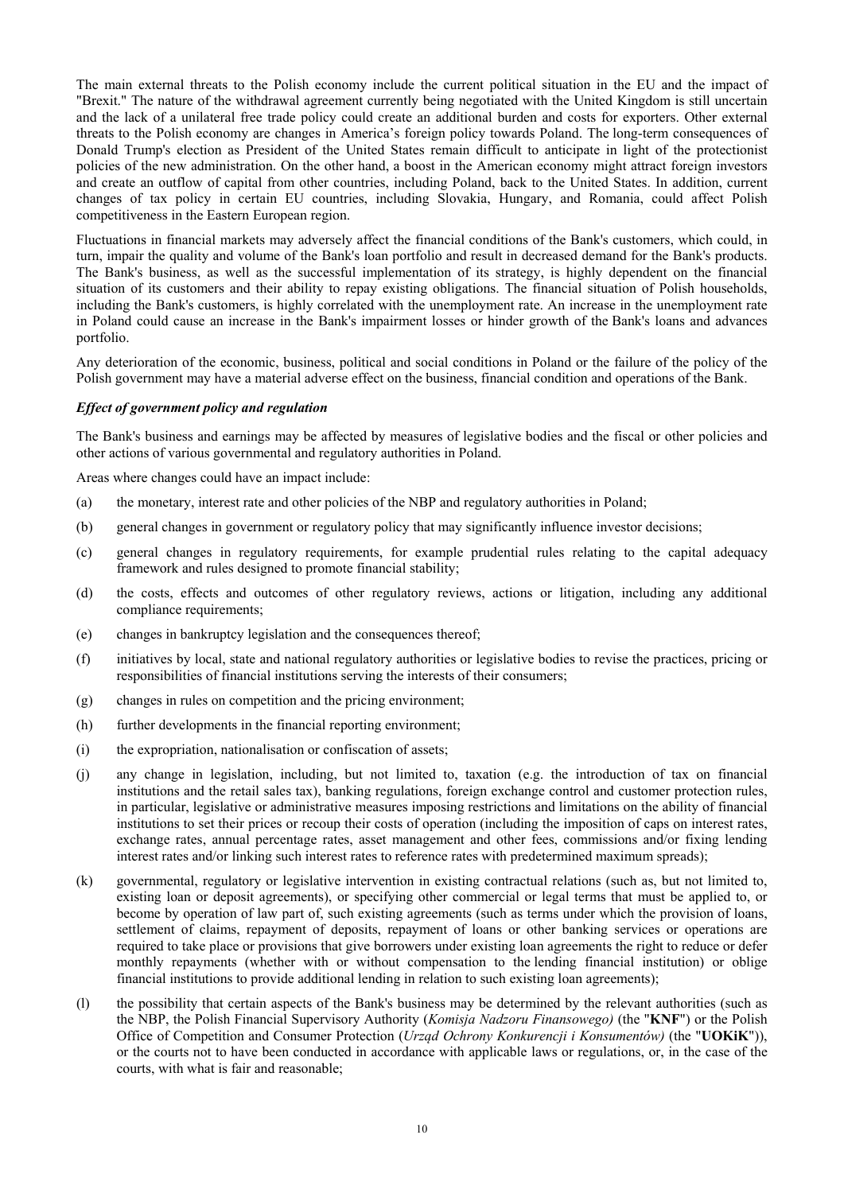The main external threats to the Polish economy include the current political situation in the EU and the impact of "Brexit." The nature of the withdrawal agreement currently being negotiated with the United Kingdom is still uncertain and the lack of a unilateral free trade policy could create an additional burden and costs for exporters. Other external threats to the Polish economy are changes in America's foreign policy towards Poland. The long-term consequences of Donald Trump's election as President of the United States remain difficult to anticipate in light of the protectionist policies of the new administration. On the other hand, a boost in the American economy might attract foreign investors and create an outflow of capital from other countries, including Poland, back to the United States. In addition, current changes of tax policy in certain EU countries, including Slovakia, Hungary, and Romania, could affect Polish competitiveness in the Eastern European region.

Fluctuations in financial markets may adversely affect the financial conditions of the Bank's customers, which could, in turn, impair the quality and volume of the Bank's loan portfolio and result in decreased demand for the Bank's products. The Bank's business, as well as the successful implementation of its strategy, is highly dependent on the financial situation of its customers and their ability to repay existing obligations. The financial situation of Polish households, including the Bank's customers, is highly correlated with the unemployment rate. An increase in the unemployment rate in Poland could cause an increase in the Bank's impairment losses or hinder growth of the Bank's loans and advances portfolio.

Any deterioration of the economic, business, political and social conditions in Poland or the failure of the policy of the Polish government may have a material adverse effect on the business, financial condition and operations of the Bank.

## *Effect of government policy and regulation*

The Bank's business and earnings may be affected by measures of legislative bodies and the fiscal or other policies and other actions of various governmental and regulatory authorities in Poland.

Areas where changes could have an impact include:

- (a) the monetary, interest rate and other policies of the NBP and regulatory authorities in Poland;
- (b) general changes in government or regulatory policy that may significantly influence investor decisions;
- (c) general changes in regulatory requirements, for example prudential rules relating to the capital adequacy framework and rules designed to promote financial stability;
- (d) the costs, effects and outcomes of other regulatory reviews, actions or litigation, including any additional compliance requirements;
- (e) changes in bankruptcy legislation and the consequences thereof;
- (f) initiatives by local, state and national regulatory authorities or legislative bodies to revise the practices, pricing or responsibilities of financial institutions serving the interests of their consumers;
- (g) changes in rules on competition and the pricing environment;
- (h) further developments in the financial reporting environment;
- (i) the expropriation, nationalisation or confiscation of assets;
- (j) any change in legislation, including, but not limited to, taxation (e.g. the introduction of tax on financial institutions and the retail sales tax), banking regulations, foreign exchange control and customer protection rules, in particular, legislative or administrative measures imposing restrictions and limitations on the ability of financial institutions to set their prices or recoup their costs of operation (including the imposition of caps on interest rates, exchange rates, annual percentage rates, asset management and other fees, commissions and/or fixing lending interest rates and/or linking such interest rates to reference rates with predetermined maximum spreads);
- (k) governmental, regulatory or legislative intervention in existing contractual relations (such as, but not limited to, existing loan or deposit agreements), or specifying other commercial or legal terms that must be applied to, or become by operation of law part of, such existing agreements (such as terms under which the provision of loans, settlement of claims, repayment of deposits, repayment of loans or other banking services or operations are required to take place or provisions that give borrowers under existing loan agreements the right to reduce or defer monthly repayments (whether with or without compensation to the lending financial institution) or oblige financial institutions to provide additional lending in relation to such existing loan agreements);
- (l) the possibility that certain aspects of the Bank's business may be determined by the relevant authorities (such as the NBP, the Polish Financial Supervisory Authority (*Komisja Nadzoru Finansowego)* (the "**KNF**") or the Polish Office of Competition and Consumer Protection (*Urząd Ochrony Konkurencji i Konsumentów)* (the "**UOKiK**")), or the courts not to have been conducted in accordance with applicable laws or regulations, or, in the case of the courts, with what is fair and reasonable;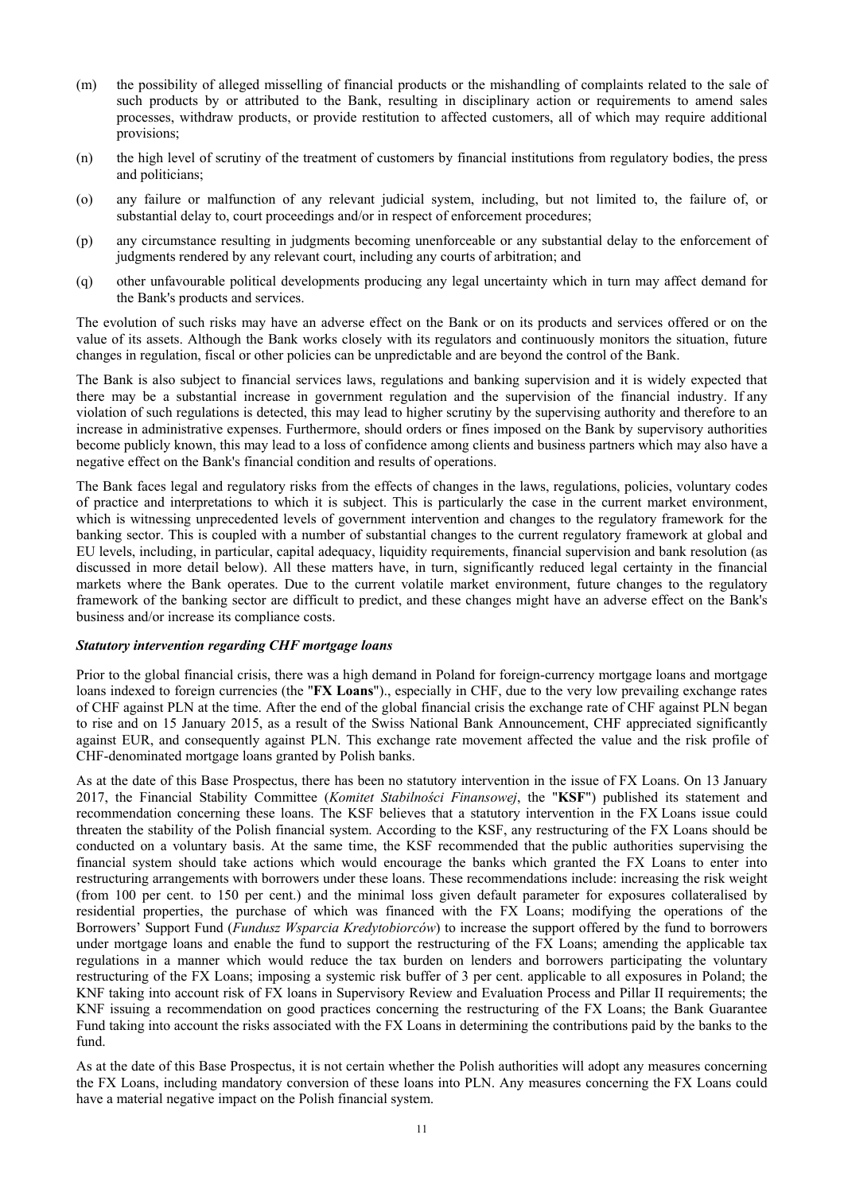- (m) the possibility of alleged misselling of financial products or the mishandling of complaints related to the sale of such products by or attributed to the Bank, resulting in disciplinary action or requirements to amend sales processes, withdraw products, or provide restitution to affected customers, all of which may require additional provisions;
- (n) the high level of scrutiny of the treatment of customers by financial institutions from regulatory bodies, the press and politicians;
- (o) any failure or malfunction of any relevant judicial system, including, but not limited to, the failure of, or substantial delay to, court proceedings and/or in respect of enforcement procedures;
- (p) any circumstance resulting in judgments becoming unenforceable or any substantial delay to the enforcement of judgments rendered by any relevant court, including any courts of arbitration; and
- (q) other unfavourable political developments producing any legal uncertainty which in turn may affect demand for the Bank's products and services.

The evolution of such risks may have an adverse effect on the Bank or on its products and services offered or on the value of its assets. Although the Bank works closely with its regulators and continuously monitors the situation, future changes in regulation, fiscal or other policies can be unpredictable and are beyond the control of the Bank.

The Bank is also subject to financial services laws, regulations and banking supervision and it is widely expected that there may be a substantial increase in government regulation and the supervision of the financial industry. If any violation of such regulations is detected, this may lead to higher scrutiny by the supervising authority and therefore to an increase in administrative expenses. Furthermore, should orders or fines imposed on the Bank by supervisory authorities become publicly known, this may lead to a loss of confidence among clients and business partners which may also have a negative effect on the Bank's financial condition and results of operations.

The Bank faces legal and regulatory risks from the effects of changes in the laws, regulations, policies, voluntary codes of practice and interpretations to which it is subject. This is particularly the case in the current market environment, which is witnessing unprecedented levels of government intervention and changes to the regulatory framework for the banking sector. This is coupled with a number of substantial changes to the current regulatory framework at global and EU levels, including, in particular, capital adequacy, liquidity requirements, financial supervision and bank resolution (as discussed in more detail below). All these matters have, in turn, significantly reduced legal certainty in the financial markets where the Bank operates. Due to the current volatile market environment, future changes to the regulatory framework of the banking sector are difficult to predict, and these changes might have an adverse effect on the Bank's business and/or increase its compliance costs.

## *Statutory intervention regarding CHF mortgage loans*

Prior to the global financial crisis, there was a high demand in Poland for foreign-currency mortgage loans and mortgage loans indexed to foreign currencies (the "**FX Loans**")., especially in CHF, due to the very low prevailing exchange rates of CHF against PLN at the time. After the end of the global financial crisis the exchange rate of CHF against PLN began to rise and on 15 January 2015, as a result of the Swiss National Bank Announcement, CHF appreciated significantly against EUR, and consequently against PLN. This exchange rate movement affected the value and the risk profile of CHF-denominated mortgage loans granted by Polish banks.

As at the date of this Base Prospectus, there has been no statutory intervention in the issue of FX Loans. On 13 January 2017, the Financial Stability Committee (*Komitet Stabilności Finansowej*, the "**KSF**") published its statement and recommendation concerning these loans. The KSF believes that a statutory intervention in the FX Loans issue could threaten the stability of the Polish financial system. According to the KSF, any restructuring of the FX Loans should be conducted on a voluntary basis. At the same time, the KSF recommended that the public authorities supervising the financial system should take actions which would encourage the banks which granted the FX Loans to enter into restructuring arrangements with borrowers under these loans. These recommendations include: increasing the risk weight (from 100 per cent. to 150 per cent.) and the minimal loss given default parameter for exposures collateralised by residential properties, the purchase of which was financed with the FX Loans; modifying the operations of the Borrowers' Support Fund (*Fundusz Wsparcia Kredytobiorców*) to increase the support offered by the fund to borrowers under mortgage loans and enable the fund to support the restructuring of the FX Loans; amending the applicable tax regulations in a manner which would reduce the tax burden on lenders and borrowers participating the voluntary restructuring of the FX Loans; imposing a systemic risk buffer of 3 per cent. applicable to all exposures in Poland; the KNF taking into account risk of FX loans in Supervisory Review and Evaluation Process and Pillar II requirements; the KNF issuing a recommendation on good practices concerning the restructuring of the FX Loans; the Bank Guarantee Fund taking into account the risks associated with the FX Loans in determining the contributions paid by the banks to the fund.

As at the date of this Base Prospectus, it is not certain whether the Polish authorities will adopt any measures concerning the FX Loans, including mandatory conversion of these loans into PLN. Any measures concerning the FX Loans could have a material negative impact on the Polish financial system.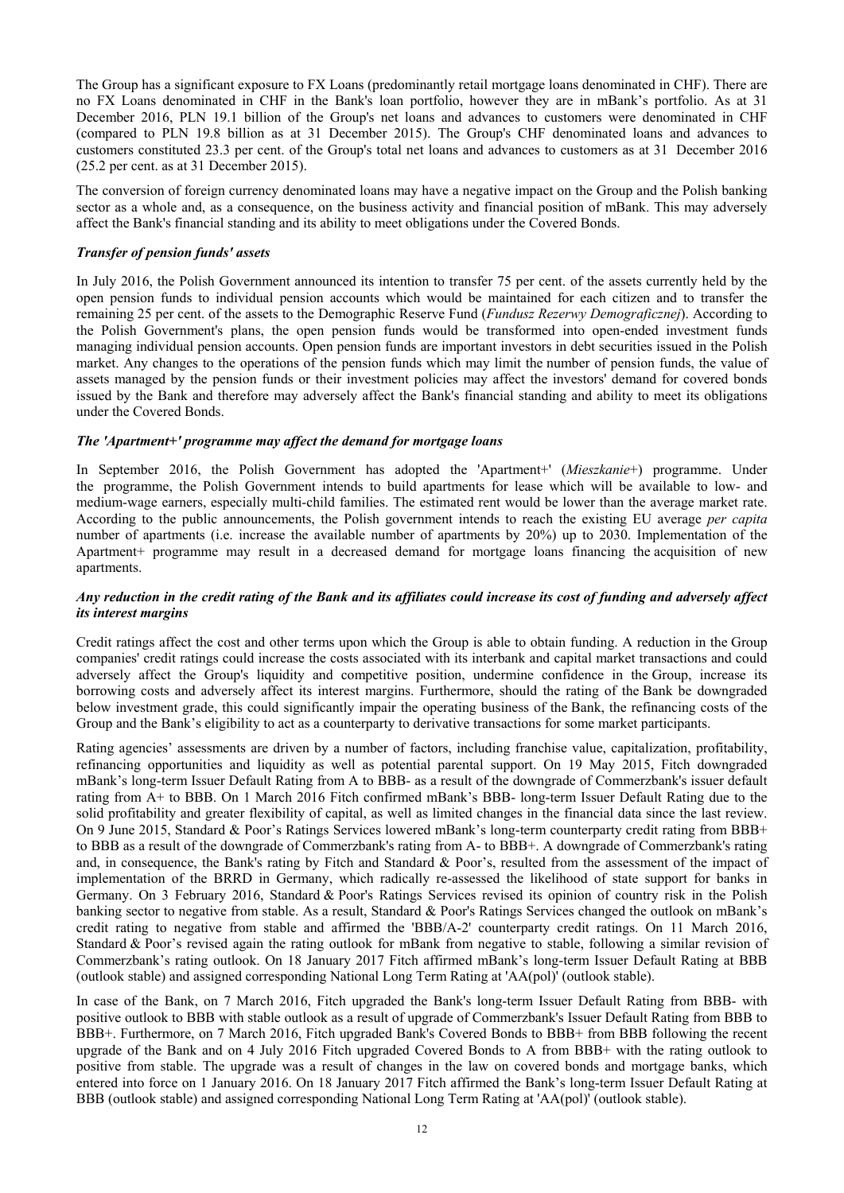The Group has a significant exposure to FX Loans (predominantly retail mortgage loans denominated in CHF). There are no FX Loans denominated in CHF in the Bank's loan portfolio, however they are in mBank's portfolio. As at 31 December 2016, PLN 19.1 billion of the Group's net loans and advances to customers were denominated in CHF (compared to PLN 19.8 billion as at 31 December 2015). The Group's CHF denominated loans and advances to customers constituted 23.3 per cent. of the Group's total net loans and advances to customers as at 31 December 2016 (25.2 per cent. as at 31 December 2015).

The conversion of foreign currency denominated loans may have a negative impact on the Group and the Polish banking sector as a whole and, as a consequence, on the business activity and financial position of mBank. This may adversely affect the Bank's financial standing and its ability to meet obligations under the Covered Bonds.

## *Transfer of pension funds' assets*

In July 2016, the Polish Government announced its intention to transfer 75 per cent. of the assets currently held by the open pension funds to individual pension accounts which would be maintained for each citizen and to transfer the remaining 25 per cent. of the assets to the Demographic Reserve Fund (*Fundusz Rezerwy Demograficznej*). According to the Polish Government's plans, the open pension funds would be transformed into open-ended investment funds managing individual pension accounts. Open pension funds are important investors in debt securities issued in the Polish market. Any changes to the operations of the pension funds which may limit the number of pension funds, the value of assets managed by the pension funds or their investment policies may affect the investors' demand for covered bonds issued by the Bank and therefore may adversely affect the Bank's financial standing and ability to meet its obligations under the Covered Bonds.

## *The 'Apartment+' programme may affect the demand for mortgage loans*

In September 2016, the Polish Government has adopted the 'Apartment+' (*Mieszkanie*+) programme. Under the programme, the Polish Government intends to build apartments for lease which will be available to low- and medium-wage earners, especially multi-child families. The estimated rent would be lower than the average market rate. According to the public announcements, the Polish government intends to reach the existing EU average *per capita* number of apartments (i.e. increase the available number of apartments by 20%) up to 2030. Implementation of the Apartment+ programme may result in a decreased demand for mortgage loans financing the acquisition of new apartments.

## *Any reduction in the credit rating of the Bank and its affiliates could increase its cost of funding and adversely affect its interest margins*

Credit ratings affect the cost and other terms upon which the Group is able to obtain funding. A reduction in the Group companies' credit ratings could increase the costs associated with its interbank and capital market transactions and could adversely affect the Group's liquidity and competitive position, undermine confidence in the Group, increase its borrowing costs and adversely affect its interest margins. Furthermore, should the rating of the Bank be downgraded below investment grade, this could significantly impair the operating business of the Bank, the refinancing costs of the Group and the Bank's eligibility to act as a counterparty to derivative transactions for some market participants.

Rating agencies' assessments are driven by a number of factors, including franchise value, capitalization, profitability, refinancing opportunities and liquidity as well as potential parental support. On 19 May 2015, Fitch downgraded mBank's long-term Issuer Default Rating from A to BBB- as a result of the downgrade of Commerzbank's issuer default rating from A+ to BBB. On 1 March 2016 Fitch confirmed mBank's BBB- long-term Issuer Default Rating due to the solid profitability and greater flexibility of capital, as well as limited changes in the financial data since the last review. On 9 June 2015, Standard & Poor's Ratings Services lowered mBank's long-term counterparty credit rating from BBB+ to BBB as a result of the downgrade of Commerzbank's rating from A- to BBB+. A downgrade of Commerzbank's rating and, in consequence, the Bank's rating by Fitch and Standard & Poor's, resulted from the assessment of the impact of implementation of the BRRD in Germany, which radically re-assessed the likelihood of state support for banks in Germany. On 3 February 2016, Standard & Poor's Ratings Services revised its opinion of country risk in the Polish banking sector to negative from stable. As a result, Standard & Poor's Ratings Services changed the outlook on mBank's credit rating to negative from stable and affirmed the 'BBB/A-2' counterparty credit ratings. On 11 March 2016, Standard & Poor's revised again the rating outlook for mBank from negative to stable, following a similar revision of Commerzbank's rating outlook. On 18 January 2017 Fitch affirmed mBank's long-term Issuer Default Rating at BBB (outlook stable) and assigned corresponding National Long Term Rating at 'AA(pol)' (outlook stable).

In case of the Bank, on 7 March 2016, Fitch upgraded the Bank's long-term Issuer Default Rating from BBB- with positive outlook to BBB with stable outlook as a result of upgrade of Commerzbank's Issuer Default Rating from BBB to BBB+. Furthermore, on 7 March 2016, Fitch upgraded Bank's Covered Bonds to BBB+ from BBB following the recent upgrade of the Bank and on 4 July 2016 Fitch upgraded Covered Bonds to A from BBB+ with the rating outlook to positive from stable. The upgrade was a result of changes in the law on covered bonds and mortgage banks, which entered into force on 1 January 2016. On 18 January 2017 Fitch affirmed the Bank's long-term Issuer Default Rating at BBB (outlook stable) and assigned corresponding National Long Term Rating at 'AA(pol)' (outlook stable).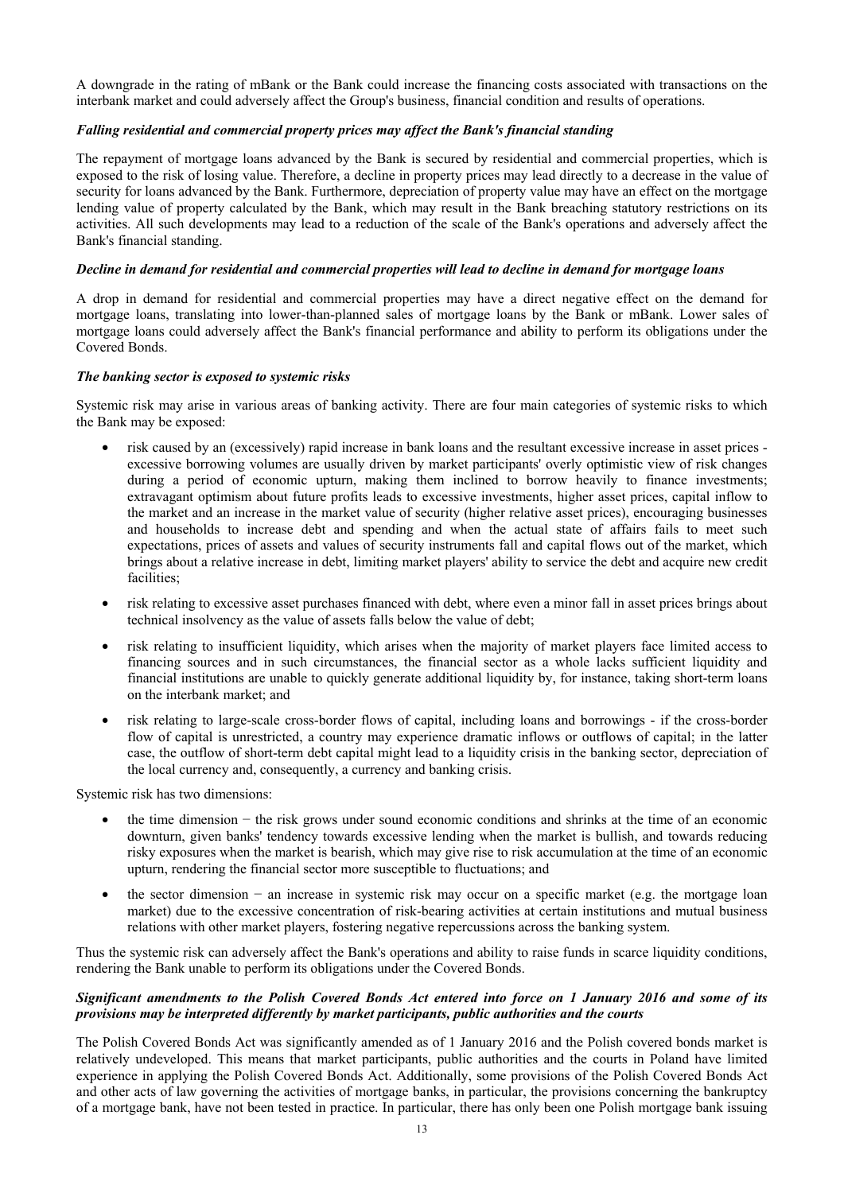A downgrade in the rating of mBank or the Bank could increase the financing costs associated with transactions on the interbank market and could adversely affect the Group's business, financial condition and results of operations.

## *Falling residential and commercial property prices may affect the Bank's financial standing*

The repayment of mortgage loans advanced by the Bank is secured by residential and commercial properties, which is exposed to the risk of losing value. Therefore, a decline in property prices may lead directly to a decrease in the value of security for loans advanced by the Bank. Furthermore, depreciation of property value may have an effect on the mortgage lending value of property calculated by the Bank, which may result in the Bank breaching statutory restrictions on its activities. All such developments may lead to a reduction of the scale of the Bank's operations and adversely affect the Bank's financial standing.

## *Decline in demand for residential and commercial properties will lead to decline in demand for mortgage loans*

A drop in demand for residential and commercial properties may have a direct negative effect on the demand for mortgage loans, translating into lower-than-planned sales of mortgage loans by the Bank or mBank. Lower sales of mortgage loans could adversely affect the Bank's financial performance and ability to perform its obligations under the Covered Bonds.

## *The banking sector is exposed to systemic risks*

Systemic risk may arise in various areas of banking activity. There are four main categories of systemic risks to which the Bank may be exposed:

- risk caused by an (excessively) rapid increase in bank loans and the resultant excessive increase in asset prices excessive borrowing volumes are usually driven by market participants' overly optimistic view of risk changes during a period of economic upturn, making them inclined to borrow heavily to finance investments; extravagant optimism about future profits leads to excessive investments, higher asset prices, capital inflow to the market and an increase in the market value of security (higher relative asset prices), encouraging businesses and households to increase debt and spending and when the actual state of affairs fails to meet such expectations, prices of assets and values of security instruments fall and capital flows out of the market, which brings about a relative increase in debt, limiting market players' ability to service the debt and acquire new credit facilities<sup>.</sup>
- risk relating to excessive asset purchases financed with debt, where even a minor fall in asset prices brings about technical insolvency as the value of assets falls below the value of debt;
- risk relating to insufficient liquidity, which arises when the majority of market players face limited access to financing sources and in such circumstances, the financial sector as a whole lacks sufficient liquidity and financial institutions are unable to quickly generate additional liquidity by, for instance, taking short-term loans on the interbank market; and
- risk relating to large-scale cross-border flows of capital, including loans and borrowings if the cross-border flow of capital is unrestricted, a country may experience dramatic inflows or outflows of capital; in the latter case, the outflow of short-term debt capital might lead to a liquidity crisis in the banking sector, depreciation of the local currency and, consequently, a currency and banking crisis.

Systemic risk has two dimensions:

- the time dimension − the risk grows under sound economic conditions and shrinks at the time of an economic downturn, given banks' tendency towards excessive lending when the market is bullish, and towards reducing risky exposures when the market is bearish, which may give rise to risk accumulation at the time of an economic upturn, rendering the financial sector more susceptible to fluctuations; and
- the sector dimension − an increase in systemic risk may occur on a specific market (e.g. the mortgage loan market) due to the excessive concentration of risk-bearing activities at certain institutions and mutual business relations with other market players, fostering negative repercussions across the banking system.

Thus the systemic risk can adversely affect the Bank's operations and ability to raise funds in scarce liquidity conditions, rendering the Bank unable to perform its obligations under the Covered Bonds.

## *Significant amendments to the Polish Covered Bonds Act entered into force on 1 January 2016 and some of its provisions may be interpreted differently by market participants, public authorities and the courts*

The Polish Covered Bonds Act was significantly amended as of 1 January 2016 and the Polish covered bonds market is relatively undeveloped. This means that market participants, public authorities and the courts in Poland have limited experience in applying the Polish Covered Bonds Act. Additionally, some provisions of the Polish Covered Bonds Act and other acts of law governing the activities of mortgage banks, in particular, the provisions concerning the bankruptcy of a mortgage bank, have not been tested in practice. In particular, there has only been one Polish mortgage bank issuing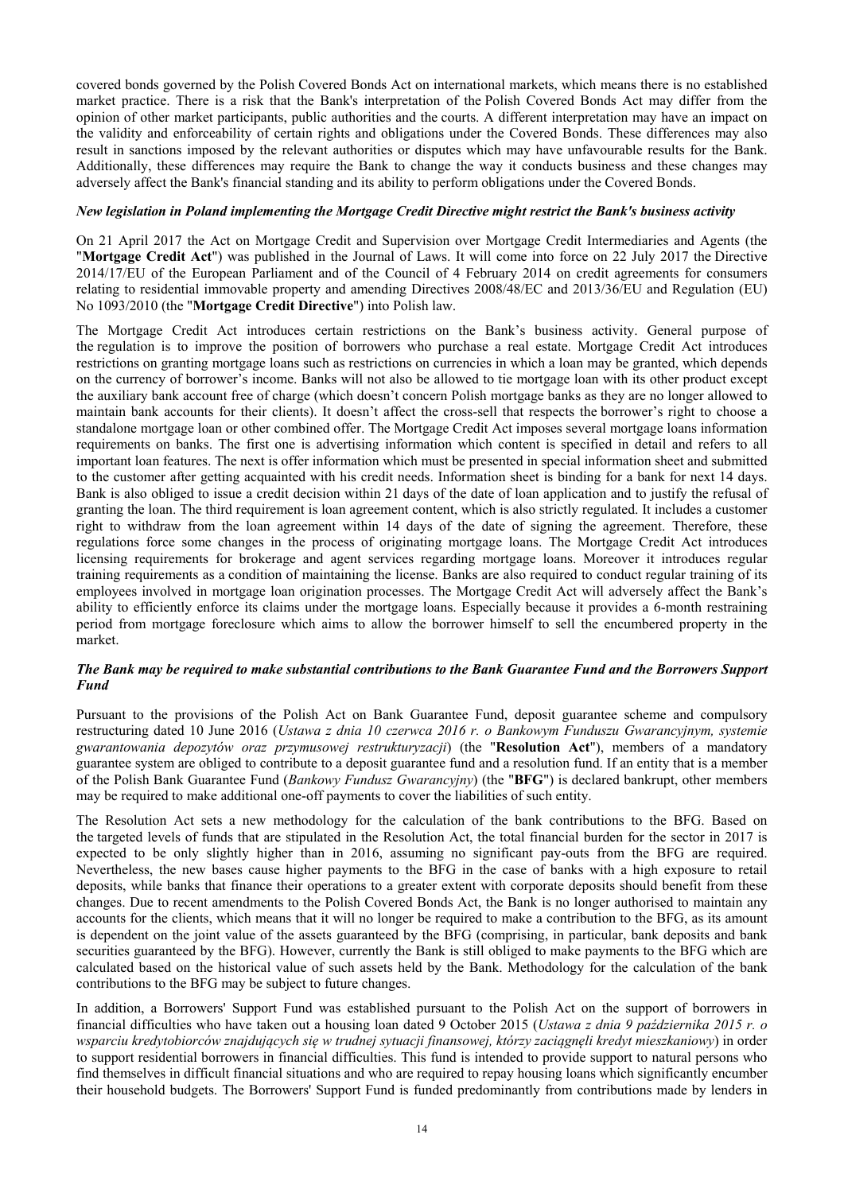covered bonds governed by the Polish Covered Bonds Act on international markets, which means there is no established market practice. There is a risk that the Bank's interpretation of the Polish Covered Bonds Act may differ from the opinion of other market participants, public authorities and the courts. A different interpretation may have an impact on the validity and enforceability of certain rights and obligations under the Covered Bonds. These differences may also result in sanctions imposed by the relevant authorities or disputes which may have unfavourable results for the Bank. Additionally, these differences may require the Bank to change the way it conducts business and these changes may adversely affect the Bank's financial standing and its ability to perform obligations under the Covered Bonds.

## *New legislation in Poland implementing the Mortgage Credit Directive might restrict the Bank's business activity*

On 21 April 2017 the Act on Mortgage Credit and Supervision over Mortgage Credit Intermediaries and Agents (the "**Mortgage Credit Act**") was published in the Journal of Laws. It will come into force on 22 July 2017 the Directive 2014/17/EU of the European Parliament and of the Council of 4 February 2014 on credit agreements for consumers relating to residential immovable property and amending Directives 2008/48/EC and 2013/36/EU and Regulation (EU) No 1093/2010 (the "**Mortgage Credit Directive**") into Polish law.

The Mortgage Credit Act introduces certain restrictions on the Bank's business activity. General purpose of the regulation is to improve the position of borrowers who purchase a real estate. Mortgage Credit Act introduces restrictions on granting mortgage loans such as restrictions on currencies in which a loan may be granted, which depends on the currency of borrower's income. Banks will not also be allowed to tie mortgage loan with its other product except the auxiliary bank account free of charge (which doesn't concern Polish mortgage banks as they are no longer allowed to maintain bank accounts for their clients). It doesn't affect the cross-sell that respects the borrower's right to choose a standalone mortgage loan or other combined offer. The Mortgage Credit Act imposes several mortgage loans information requirements on banks. The first one is advertising information which content is specified in detail and refers to all important loan features. The next is offer information which must be presented in special information sheet and submitted to the customer after getting acquainted with his credit needs. Information sheet is binding for a bank for next 14 days. Bank is also obliged to issue a credit decision within 21 days of the date of loan application and to justify the refusal of granting the loan. The third requirement is loan agreement content, which is also strictly regulated. It includes a customer right to withdraw from the loan agreement within 14 days of the date of signing the agreement. Therefore, these regulations force some changes in the process of originating mortgage loans. The Mortgage Credit Act introduces licensing requirements for brokerage and agent services regarding mortgage loans. Moreover it introduces regular training requirements as a condition of maintaining the license. Banks are also required to conduct regular training of its employees involved in mortgage loan origination processes. The Mortgage Credit Act will adversely affect the Bank's ability to efficiently enforce its claims under the mortgage loans. Especially because it provides a 6-month restraining period from mortgage foreclosure which aims to allow the borrower himself to sell the encumbered property in the market.

## *The Bank may be required to make substantial contributions to the Bank Guarantee Fund and the Borrowers Support Fund*

Pursuant to the provisions of the Polish Act on Bank Guarantee Fund, deposit guarantee scheme and compulsory restructuring dated 10 June 2016 (*Ustawa z dnia 10 czerwca 2016 r. o Bankowym Funduszu Gwarancyjnym, systemie gwarantowania depozytów oraz przymusowej restrukturyzacji*) (the "**Resolution Act**"), members of a mandatory guarantee system are obliged to contribute to a deposit guarantee fund and a resolution fund. If an entity that is a member of the Polish Bank Guarantee Fund (*Bankowy Fundusz Gwarancyjny*) (the "**BFG**") is declared bankrupt, other members may be required to make additional one-off payments to cover the liabilities of such entity.

The Resolution Act sets a new methodology for the calculation of the bank contributions to the BFG. Based on the targeted levels of funds that are stipulated in the Resolution Act, the total financial burden for the sector in 2017 is expected to be only slightly higher than in 2016, assuming no significant pay-outs from the BFG are required. Nevertheless, the new bases cause higher payments to the BFG in the case of banks with a high exposure to retail deposits, while banks that finance their operations to a greater extent with corporate deposits should benefit from these changes. Due to recent amendments to the Polish Covered Bonds Act, the Bank is no longer authorised to maintain any accounts for the clients, which means that it will no longer be required to make a contribution to the BFG, as its amount is dependent on the joint value of the assets guaranteed by the BFG (comprising, in particular, bank deposits and bank securities guaranteed by the BFG). However, currently the Bank is still obliged to make payments to the BFG which are calculated based on the historical value of such assets held by the Bank. Methodology for the calculation of the bank contributions to the BFG may be subject to future changes.

In addition, a Borrowers' Support Fund was established pursuant to the Polish Act on the support of borrowers in financial difficulties who have taken out a housing loan dated 9 October 2015 (*Ustawa z dnia 9 października 2015 r. o wsparciu kredytobiorców znajdujących się w trudnej sytuacji finansowej, którzy zaciągnęli kredyt mieszkaniowy*) in order to support residential borrowers in financial difficulties. This fund is intended to provide support to natural persons who find themselves in difficult financial situations and who are required to repay housing loans which significantly encumber their household budgets. The Borrowers' Support Fund is funded predominantly from contributions made by lenders in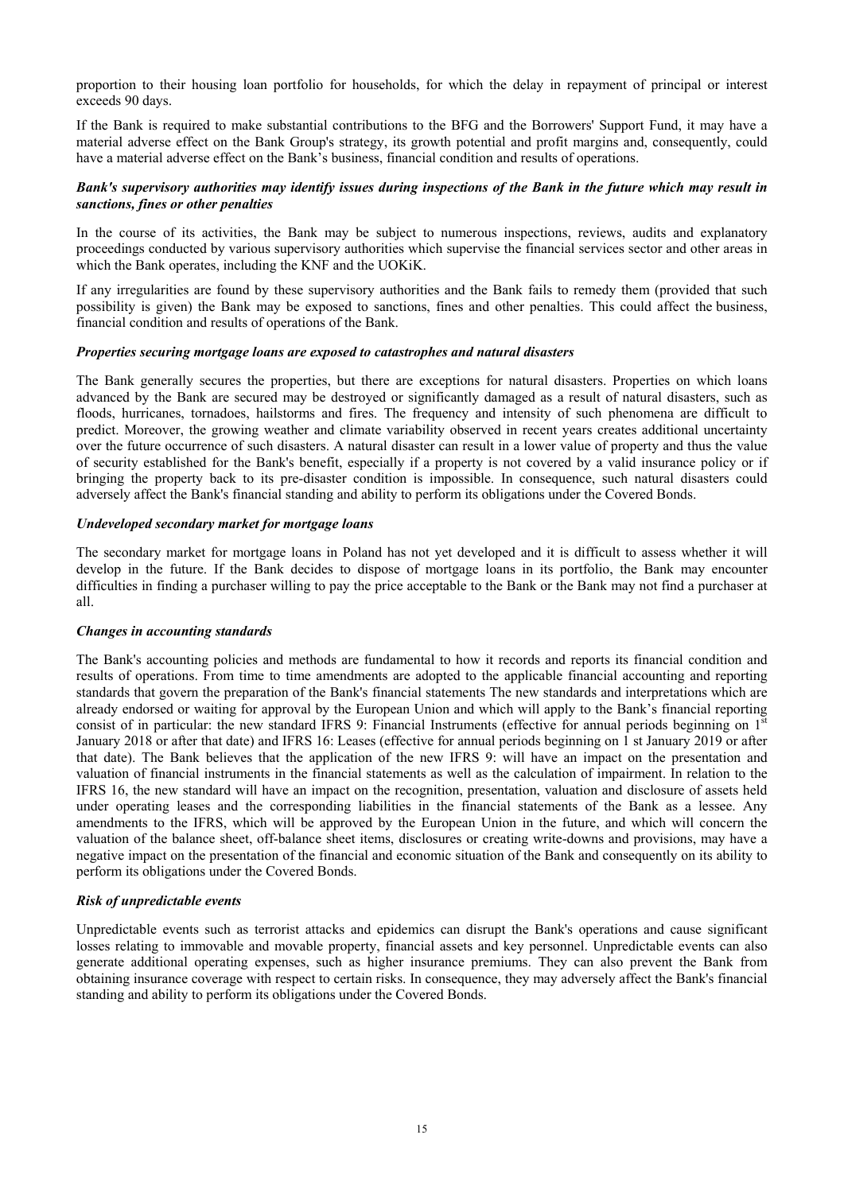proportion to their housing loan portfolio for households, for which the delay in repayment of principal or interest exceeds 90 days.

If the Bank is required to make substantial contributions to the BFG and the Borrowers' Support Fund, it may have a material adverse effect on the Bank Group's strategy, its growth potential and profit margins and, consequently, could have a material adverse effect on the Bank's business, financial condition and results of operations.

## *Bank's supervisory authorities may identify issues during inspections of the Bank in the future which may result in sanctions, fines or other penalties*

In the course of its activities, the Bank may be subject to numerous inspections, reviews, audits and explanatory proceedings conducted by various supervisory authorities which supervise the financial services sector and other areas in which the Bank operates, including the KNF and the UOKiK.

If any irregularities are found by these supervisory authorities and the Bank fails to remedy them (provided that such possibility is given) the Bank may be exposed to sanctions, fines and other penalties. This could affect the business, financial condition and results of operations of the Bank.

#### *Properties securing mortgage loans are exposed to catastrophes and natural disasters*

The Bank generally secures the properties, but there are exceptions for natural disasters. Properties on which loans advanced by the Bank are secured may be destroyed or significantly damaged as a result of natural disasters, such as floods, hurricanes, tornadoes, hailstorms and fires. The frequency and intensity of such phenomena are difficult to predict. Moreover, the growing weather and climate variability observed in recent years creates additional uncertainty over the future occurrence of such disasters. A natural disaster can result in a lower value of property and thus the value of security established for the Bank's benefit, especially if a property is not covered by a valid insurance policy or if bringing the property back to its pre-disaster condition is impossible. In consequence, such natural disasters could adversely affect the Bank's financial standing and ability to perform its obligations under the Covered Bonds.

## *Undeveloped secondary market for mortgage loans*

The secondary market for mortgage loans in Poland has not yet developed and it is difficult to assess whether it will develop in the future. If the Bank decides to dispose of mortgage loans in its portfolio, the Bank may encounter difficulties in finding a purchaser willing to pay the price acceptable to the Bank or the Bank may not find a purchaser at all.

## *Changes in accounting standards*

The Bank's accounting policies and methods are fundamental to how it records and reports its financial condition and results of operations. From time to time amendments are adopted to the applicable financial accounting and reporting standards that govern the preparation of the Bank's financial statements The new standards and interpretations which are already endorsed or waiting for approval by the European Union and which will apply to the Bank's financial reporting consist of in particular: the new standard IFRS 9: Financial Instruments (effective for annual periods beginning on  $1<sup>s</sup>$ January 2018 or after that date) and IFRS 16: Leases (effective for annual periods beginning on 1 st January 2019 or after that date). The Bank believes that the application of the new IFRS 9: will have an impact on the presentation and valuation of financial instruments in the financial statements as well as the calculation of impairment. In relation to the IFRS 16, the new standard will have an impact on the recognition, presentation, valuation and disclosure of assets held under operating leases and the corresponding liabilities in the financial statements of the Bank as a lessee. Any amendments to the IFRS, which will be approved by the European Union in the future, and which will concern the valuation of the balance sheet, off-balance sheet items, disclosures or creating write-downs and provisions, may have a negative impact on the presentation of the financial and economic situation of the Bank and consequently on its ability to perform its obligations under the Covered Bonds.

## *Risk of unpredictable events*

Unpredictable events such as terrorist attacks and epidemics can disrupt the Bank's operations and cause significant losses relating to immovable and movable property, financial assets and key personnel. Unpredictable events can also generate additional operating expenses, such as higher insurance premiums. They can also prevent the Bank from obtaining insurance coverage with respect to certain risks. In consequence, they may adversely affect the Bank's financial standing and ability to perform its obligations under the Covered Bonds.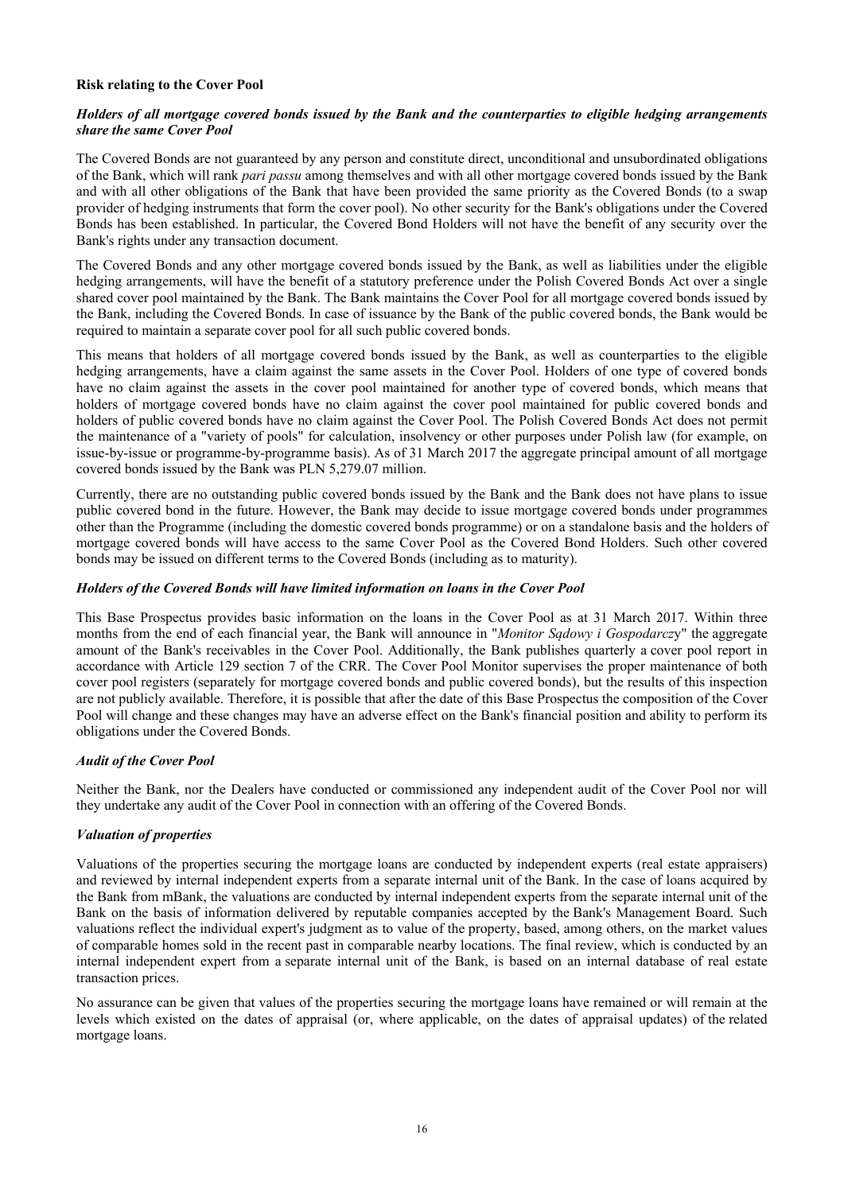## **Risk relating to the Cover Pool**

## *Holders of all mortgage covered bonds issued by the Bank and the counterparties to eligible hedging arrangements share the same Cover Pool*

The Covered Bonds are not guaranteed by any person and constitute direct, unconditional and unsubordinated obligations of the Bank, which will rank *pari passu* among themselves and with all other mortgage covered bonds issued by the Bank and with all other obligations of the Bank that have been provided the same priority as the Covered Bonds (to a swap provider of hedging instruments that form the cover pool). No other security for the Bank's obligations under the Covered Bonds has been established. In particular, the Covered Bond Holders will not have the benefit of any security over the Bank's rights under any transaction document.

The Covered Bonds and any other mortgage covered bonds issued by the Bank, as well as liabilities under the eligible hedging arrangements, will have the benefit of a statutory preference under the Polish Covered Bonds Act over a single shared cover pool maintained by the Bank. The Bank maintains the Cover Pool for all mortgage covered bonds issued by the Bank, including the Covered Bonds. In case of issuance by the Bank of the public covered bonds, the Bank would be required to maintain a separate cover pool for all such public covered bonds.

This means that holders of all mortgage covered bonds issued by the Bank, as well as counterparties to the eligible hedging arrangements, have a claim against the same assets in the Cover Pool. Holders of one type of covered bonds have no claim against the assets in the cover pool maintained for another type of covered bonds, which means that holders of mortgage covered bonds have no claim against the cover pool maintained for public covered bonds and holders of public covered bonds have no claim against the Cover Pool. The Polish Covered Bonds Act does not permit the maintenance of a "variety of pools" for calculation, insolvency or other purposes under Polish law (for example, on issue-by-issue or programme-by-programme basis). As of 31 March 2017 the aggregate principal amount of all mortgage covered bonds issued by the Bank was PLN 5,279.07 million.

Currently, there are no outstanding public covered bonds issued by the Bank and the Bank does not have plans to issue public covered bond in the future. However, the Bank may decide to issue mortgage covered bonds under programmes other than the Programme (including the domestic covered bonds programme) or on a standalone basis and the holders of mortgage covered bonds will have access to the same Cover Pool as the Covered Bond Holders. Such other covered bonds may be issued on different terms to the Covered Bonds (including as to maturity).

## *Holders of the Covered Bonds will have limited information on loans in the Cover Pool*

This Base Prospectus provides basic information on the loans in the Cover Pool as at 31 March 2017. Within three months from the end of each financial year, the Bank will announce in "*Monitor Sądowy i Gospodarcz*y" the aggregate amount of the Bank's receivables in the Cover Pool. Additionally, the Bank publishes quarterly a cover pool report in accordance with Article 129 section 7 of the CRR. The Cover Pool Monitor supervises the proper maintenance of both cover pool registers (separately for mortgage covered bonds and public covered bonds), but the results of this inspection are not publicly available. Therefore, it is possible that after the date of this Base Prospectus the composition of the Cover Pool will change and these changes may have an adverse effect on the Bank's financial position and ability to perform its obligations under the Covered Bonds.

## *Audit of the Cover Pool*

Neither the Bank, nor the Dealers have conducted or commissioned any independent audit of the Cover Pool nor will they undertake any audit of the Cover Pool in connection with an offering of the Covered Bonds.

## *Valuation of properties*

Valuations of the properties securing the mortgage loans are conducted by independent experts (real estate appraisers) and reviewed by internal independent experts from a separate internal unit of the Bank. In the case of loans acquired by the Bank from mBank, the valuations are conducted by internal independent experts from the separate internal unit of the Bank on the basis of information delivered by reputable companies accepted by the Bank's Management Board. Such valuations reflect the individual expert's judgment as to value of the property, based, among others, on the market values of comparable homes sold in the recent past in comparable nearby locations. The final review, which is conducted by an internal independent expert from a separate internal unit of the Bank, is based on an internal database of real estate transaction prices.

No assurance can be given that values of the properties securing the mortgage loans have remained or will remain at the levels which existed on the dates of appraisal (or, where applicable, on the dates of appraisal updates) of the related mortgage loans.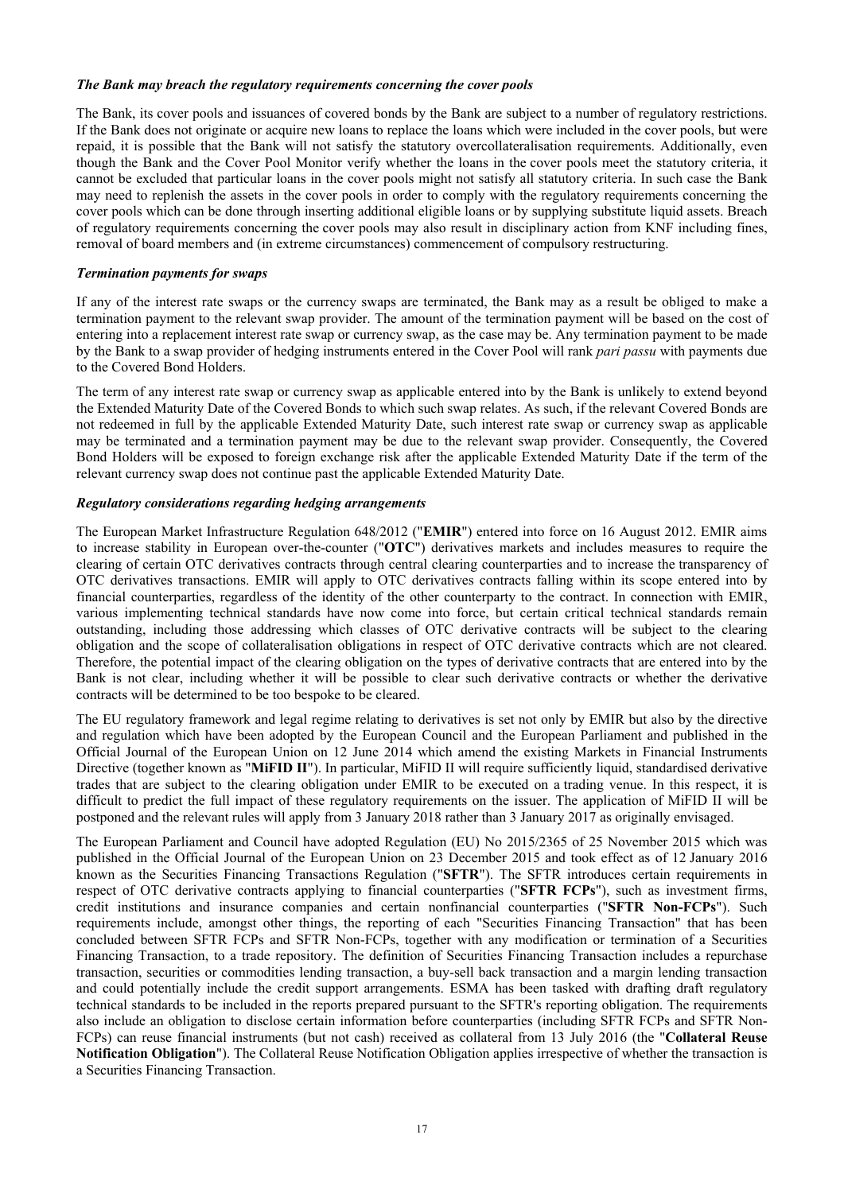#### *The Bank may breach the regulatory requirements concerning the cover pools*

The Bank, its cover pools and issuances of covered bonds by the Bank are subject to a number of regulatory restrictions. If the Bank does not originate or acquire new loans to replace the loans which were included in the cover pools, but were repaid, it is possible that the Bank will not satisfy the statutory overcollateralisation requirements. Additionally, even though the Bank and the Cover Pool Monitor verify whether the loans in the cover pools meet the statutory criteria, it cannot be excluded that particular loans in the cover pools might not satisfy all statutory criteria. In such case the Bank may need to replenish the assets in the cover pools in order to comply with the regulatory requirements concerning the cover pools which can be done through inserting additional eligible loans or by supplying substitute liquid assets. Breach of regulatory requirements concerning the cover pools may also result in disciplinary action from KNF including fines, removal of board members and (in extreme circumstances) commencement of compulsory restructuring.

#### *Termination payments for swaps*

If any of the interest rate swaps or the currency swaps are terminated, the Bank may as a result be obliged to make a termination payment to the relevant swap provider. The amount of the termination payment will be based on the cost of entering into a replacement interest rate swap or currency swap, as the case may be. Any termination payment to be made by the Bank to a swap provider of hedging instruments entered in the Cover Pool will rank *pari passu* with payments due to the Covered Bond Holders.

The term of any interest rate swap or currency swap as applicable entered into by the Bank is unlikely to extend beyond the Extended Maturity Date of the Covered Bonds to which such swap relates. As such, if the relevant Covered Bonds are not redeemed in full by the applicable Extended Maturity Date, such interest rate swap or currency swap as applicable may be terminated and a termination payment may be due to the relevant swap provider. Consequently, the Covered Bond Holders will be exposed to foreign exchange risk after the applicable Extended Maturity Date if the term of the relevant currency swap does not continue past the applicable Extended Maturity Date.

## *Regulatory considerations regarding hedging arrangements*

The European Market Infrastructure Regulation 648/2012 ("**EMIR**") entered into force on 16 August 2012. EMIR aims to increase stability in European over-the-counter ("**OTC**") derivatives markets and includes measures to require the clearing of certain OTC derivatives contracts through central clearing counterparties and to increase the transparency of OTC derivatives transactions. EMIR will apply to OTC derivatives contracts falling within its scope entered into by financial counterparties, regardless of the identity of the other counterparty to the contract. In connection with EMIR, various implementing technical standards have now come into force, but certain critical technical standards remain outstanding, including those addressing which classes of OTC derivative contracts will be subject to the clearing obligation and the scope of collateralisation obligations in respect of OTC derivative contracts which are not cleared. Therefore, the potential impact of the clearing obligation on the types of derivative contracts that are entered into by the Bank is not clear, including whether it will be possible to clear such derivative contracts or whether the derivative contracts will be determined to be too bespoke to be cleared.

The EU regulatory framework and legal regime relating to derivatives is set not only by EMIR but also by the directive and regulation which have been adopted by the European Council and the European Parliament and published in the Official Journal of the European Union on 12 June 2014 which amend the existing Markets in Financial Instruments Directive (together known as "**MiFID II**"). In particular, MiFID II will require sufficiently liquid, standardised derivative trades that are subject to the clearing obligation under EMIR to be executed on a trading venue. In this respect, it is difficult to predict the full impact of these regulatory requirements on the issuer. The application of MiFID II will be postponed and the relevant rules will apply from 3 January 2018 rather than 3 January 2017 as originally envisaged.

The European Parliament and Council have adopted Regulation (EU) No 2015/2365 of 25 November 2015 which was published in the Official Journal of the European Union on 23 December 2015 and took effect as of 12 January 2016 known as the Securities Financing Transactions Regulation ("**SFTR**"). The SFTR introduces certain requirements in respect of OTC derivative contracts applying to financial counterparties ("**SFTR FCPs**"), such as investment firms, credit institutions and insurance companies and certain nonfinancial counterparties ("**SFTR Non-FCPs**"). Such requirements include, amongst other things, the reporting of each "Securities Financing Transaction" that has been concluded between SFTR FCPs and SFTR Non-FCPs, together with any modification or termination of a Securities Financing Transaction, to a trade repository. The definition of Securities Financing Transaction includes a repurchase transaction, securities or commodities lending transaction, a buy-sell back transaction and a margin lending transaction and could potentially include the credit support arrangements. ESMA has been tasked with drafting draft regulatory technical standards to be included in the reports prepared pursuant to the SFTR's reporting obligation. The requirements also include an obligation to disclose certain information before counterparties (including SFTR FCPs and SFTR Non-FCPs) can reuse financial instruments (but not cash) received as collateral from 13 July 2016 (the "**Collateral Reuse Notification Obligation**"). The Collateral Reuse Notification Obligation applies irrespective of whether the transaction is a Securities Financing Transaction.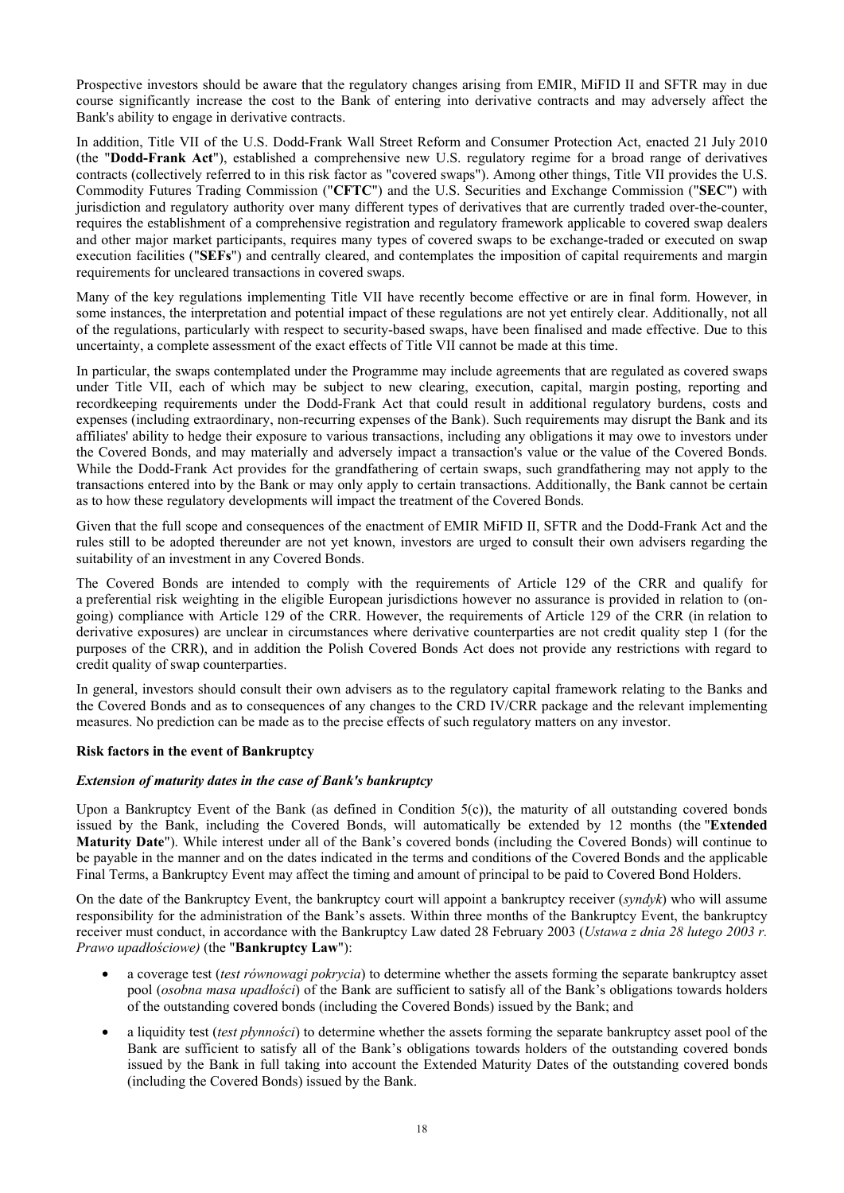Prospective investors should be aware that the regulatory changes arising from EMIR, MiFID II and SFTR may in due course significantly increase the cost to the Bank of entering into derivative contracts and may adversely affect the Bank's ability to engage in derivative contracts.

In addition, Title VII of the U.S. Dodd-Frank Wall Street Reform and Consumer Protection Act, enacted 21 July 2010 (the "**Dodd-Frank Act**"), established a comprehensive new U.S. regulatory regime for a broad range of derivatives contracts (collectively referred to in this risk factor as "covered swaps"). Among other things, Title VII provides the U.S. Commodity Futures Trading Commission ("**CFTC**") and the U.S. Securities and Exchange Commission ("**SEC**") with jurisdiction and regulatory authority over many different types of derivatives that are currently traded over-the-counter, requires the establishment of a comprehensive registration and regulatory framework applicable to covered swap dealers and other major market participants, requires many types of covered swaps to be exchange-traded or executed on swap execution facilities ("**SEFs**") and centrally cleared, and contemplates the imposition of capital requirements and margin requirements for uncleared transactions in covered swaps.

Many of the key regulations implementing Title VII have recently become effective or are in final form. However, in some instances, the interpretation and potential impact of these regulations are not yet entirely clear. Additionally, not all of the regulations, particularly with respect to security-based swaps, have been finalised and made effective. Due to this uncertainty, a complete assessment of the exact effects of Title VII cannot be made at this time.

In particular, the swaps contemplated under the Programme may include agreements that are regulated as covered swaps under Title VII, each of which may be subject to new clearing, execution, capital, margin posting, reporting and recordkeeping requirements under the Dodd-Frank Act that could result in additional regulatory burdens, costs and expenses (including extraordinary, non-recurring expenses of the Bank). Such requirements may disrupt the Bank and its affiliates' ability to hedge their exposure to various transactions, including any obligations it may owe to investors under the Covered Bonds, and may materially and adversely impact a transaction's value or the value of the Covered Bonds. While the Dodd-Frank Act provides for the grandfathering of certain swaps, such grandfathering may not apply to the transactions entered into by the Bank or may only apply to certain transactions. Additionally, the Bank cannot be certain as to how these regulatory developments will impact the treatment of the Covered Bonds.

Given that the full scope and consequences of the enactment of EMIR MiFID II, SFTR and the Dodd-Frank Act and the rules still to be adopted thereunder are not yet known, investors are urged to consult their own advisers regarding the suitability of an investment in any Covered Bonds.

The Covered Bonds are intended to comply with the requirements of Article 129 of the CRR and qualify for a preferential risk weighting in the eligible European jurisdictions however no assurance is provided in relation to (ongoing) compliance with Article 129 of the CRR. However, the requirements of Article 129 of the CRR (in relation to derivative exposures) are unclear in circumstances where derivative counterparties are not credit quality step 1 (for the purposes of the CRR), and in addition the Polish Covered Bonds Act does not provide any restrictions with regard to credit quality of swap counterparties.

In general, investors should consult their own advisers as to the regulatory capital framework relating to the Banks and the Covered Bonds and as to consequences of any changes to the CRD IV/CRR package and the relevant implementing measures. No prediction can be made as to the precise effects of such regulatory matters on any investor.

## **Risk factors in the event of Bankruptcy**

## *Extension of maturity dates in the case of Bank's bankruptcy*

Upon a Bankruptcy Event of the Bank (as defined in Condition  $5(c)$ ), the maturity of all outstanding covered bonds issued by the Bank, including the Covered Bonds, will automatically be extended by 12 months (the "**Extended Maturity Date**"). While interest under all of the Bank's covered bonds (including the Covered Bonds) will continue to be payable in the manner and on the dates indicated in the terms and conditions of the Covered Bonds and the applicable Final Terms, a Bankruptcy Event may affect the timing and amount of principal to be paid to Covered Bond Holders.

On the date of the Bankruptcy Event, the bankruptcy court will appoint a bankruptcy receiver (*syndyk*) who will assume responsibility for the administration of the Bank's assets. Within three months of the Bankruptcy Event, the bankruptcy receiver must conduct, in accordance with the Bankruptcy Law dated 28 February 2003 (*Ustawa z dnia 28 lutego 2003 r. Prawo upadłościowe)* (the "**Bankruptcy Law**"):

- a coverage test (*test równowagi pokrycia*) to determine whether the assets forming the separate bankruptcy asset pool (*osobna masa upadłości*) of the Bank are sufficient to satisfy all of the Bank's obligations towards holders of the outstanding covered bonds (including the Covered Bonds) issued by the Bank; and
- a liquidity test (*test płynności*) to determine whether the assets forming the separate bankruptcy asset pool of the Bank are sufficient to satisfy all of the Bank's obligations towards holders of the outstanding covered bonds issued by the Bank in full taking into account the Extended Maturity Dates of the outstanding covered bonds (including the Covered Bonds) issued by the Bank.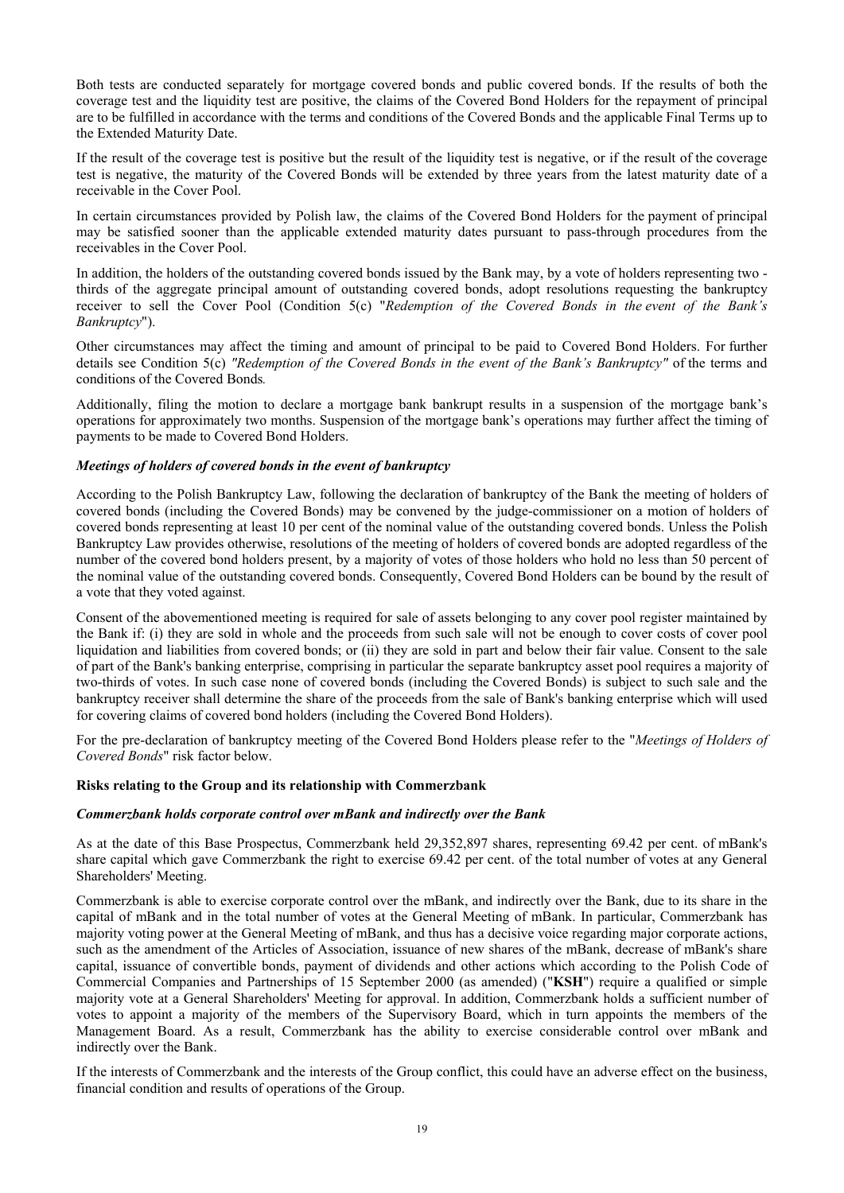Both tests are conducted separately for mortgage covered bonds and public covered bonds. If the results of both the coverage test and the liquidity test are positive, the claims of the Covered Bond Holders for the repayment of principal are to be fulfilled in accordance with the terms and conditions of the Covered Bonds and the applicable Final Terms up to the Extended Maturity Date.

If the result of the coverage test is positive but the result of the liquidity test is negative, or if the result of the coverage test is negative, the maturity of the Covered Bonds will be extended by three years from the latest maturity date of a receivable in the Cover Pool.

In certain circumstances provided by Polish law, the claims of the Covered Bond Holders for the payment of principal may be satisfied sooner than the applicable extended maturity dates pursuant to pass-through procedures from the receivables in the Cover Pool.

In addition, the holders of the outstanding covered bonds issued by the Bank may, by a vote of holders representing two thirds of the aggregate principal amount of outstanding covered bonds, adopt resolutions requesting the bankruptcy receiver to sell the Cover Pool (Condition 5(c) "*Redemption of the Covered Bonds in the event of the Bank's Bankruptcy*").

Other circumstances may affect the timing and amount of principal to be paid to Covered Bond Holders. For further details see Condition 5(c) "Redemption of the Covered Bonds in the event of the Bank's Bankruptcy" of the terms and conditions of the Covered Bonds*.* 

Additionally, filing the motion to declare a mortgage bank bankrupt results in a suspension of the mortgage bank's operations for approximately two months. Suspension of the mortgage bank's operations may further affect the timing of payments to be made to Covered Bond Holders.

## *Meetings of holders of covered bonds in the event of bankruptcy*

According to the Polish Bankruptcy Law, following the declaration of bankruptcy of the Bank the meeting of holders of covered bonds (including the Covered Bonds) may be convened by the judge-commissioner on a motion of holders of covered bonds representing at least 10 per cent of the nominal value of the outstanding covered bonds. Unless the Polish Bankruptcy Law provides otherwise, resolutions of the meeting of holders of covered bonds are adopted regardless of the number of the covered bond holders present, by a majority of votes of those holders who hold no less than 50 percent of the nominal value of the outstanding covered bonds. Consequently, Covered Bond Holders can be bound by the result of a vote that they voted against.

Consent of the abovementioned meeting is required for sale of assets belonging to any cover pool register maintained by the Bank if: (i) they are sold in whole and the proceeds from such sale will not be enough to cover costs of cover pool liquidation and liabilities from covered bonds; or (ii) they are sold in part and below their fair value. Consent to the sale of part of the Bank's banking enterprise, comprising in particular the separate bankruptcy asset pool requires a majority of two-thirds of votes. In such case none of covered bonds (including the Covered Bonds) is subject to such sale and the bankruptcy receiver shall determine the share of the proceeds from the sale of Bank's banking enterprise which will used for covering claims of covered bond holders (including the Covered Bond Holders).

For the pre-declaration of bankruptcy meeting of the Covered Bond Holders please refer to the "*Meetings of Holders of Covered Bonds*" risk factor below.

## **Risks relating to the Group and its relationship with Commerzbank**

## *Commerzbank holds corporate control over mBank and indirectly over the Bank*

As at the date of this Base Prospectus, Commerzbank held 29,352,897 shares, representing 69.42 per cent. of mBank's share capital which gave Commerzbank the right to exercise 69.42 per cent. of the total number of votes at any General Shareholders' Meeting.

Commerzbank is able to exercise corporate control over the mBank, and indirectly over the Bank, due to its share in the capital of mBank and in the total number of votes at the General Meeting of mBank. In particular, Commerzbank has majority voting power at the General Meeting of mBank, and thus has a decisive voice regarding major corporate actions, such as the amendment of the Articles of Association, issuance of new shares of the mBank, decrease of mBank's share capital, issuance of convertible bonds, payment of dividends and other actions which according to the Polish Code of Commercial Companies and Partnerships of 15 September 2000 (as amended) ("**KSH**") require a qualified or simple majority vote at a General Shareholders' Meeting for approval. In addition, Commerzbank holds a sufficient number of votes to appoint a majority of the members of the Supervisory Board, which in turn appoints the members of the Management Board. As a result, Commerzbank has the ability to exercise considerable control over mBank and indirectly over the Bank.

If the interests of Commerzbank and the interests of the Group conflict, this could have an adverse effect on the business, financial condition and results of operations of the Group.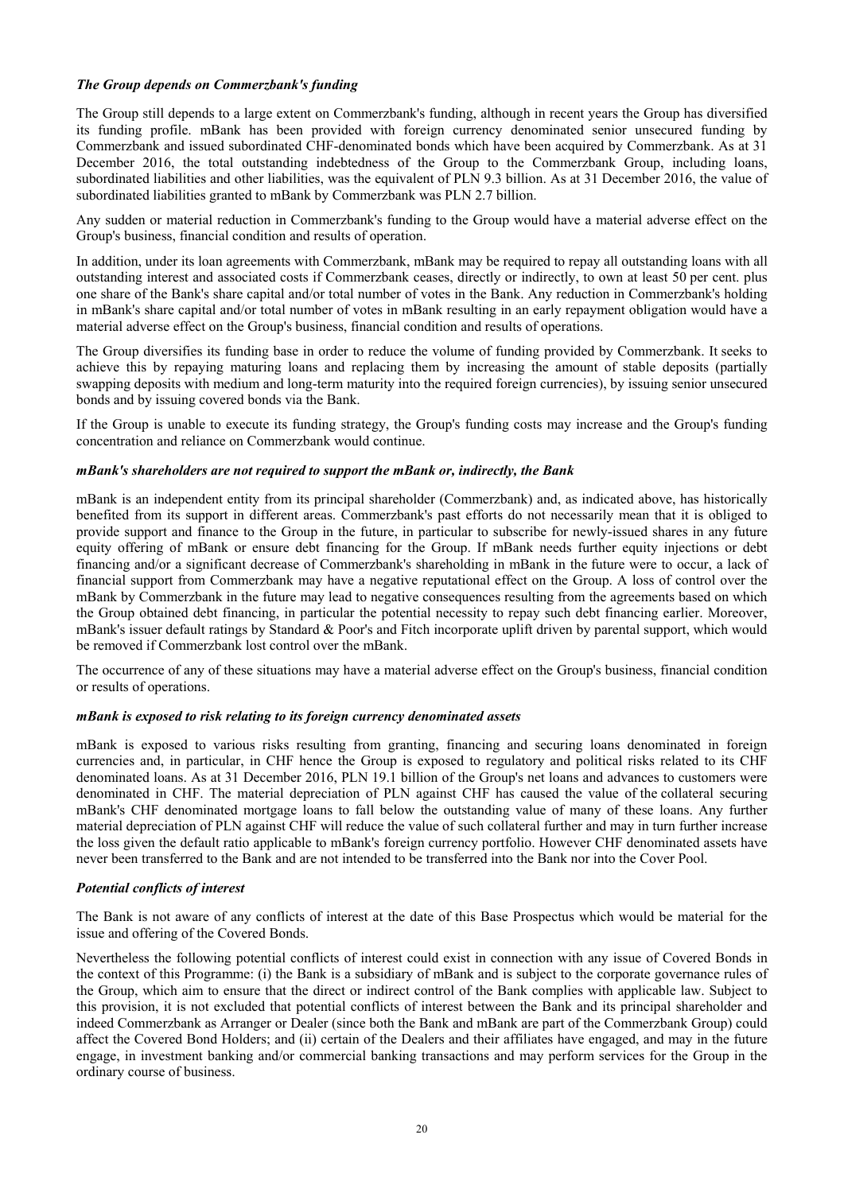## *The Group depends on Commerzbank's funding*

The Group still depends to a large extent on Commerzbank's funding, although in recent years the Group has diversified its funding profile. mBank has been provided with foreign currency denominated senior unsecured funding by Commerzbank and issued subordinated CHF-denominated bonds which have been acquired by Commerzbank. As at 31 December 2016, the total outstanding indebtedness of the Group to the Commerzbank Group, including loans, subordinated liabilities and other liabilities, was the equivalent of PLN 9.3 billion. As at 31 December 2016, the value of subordinated liabilities granted to mBank by Commerzbank was PLN 2.7 billion.

Any sudden or material reduction in Commerzbank's funding to the Group would have a material adverse effect on the Group's business, financial condition and results of operation.

In addition, under its loan agreements with Commerzbank, mBank may be required to repay all outstanding loans with all outstanding interest and associated costs if Commerzbank ceases, directly or indirectly, to own at least 50 per cent. plus one share of the Bank's share capital and/or total number of votes in the Bank. Any reduction in Commerzbank's holding in mBank's share capital and/or total number of votes in mBank resulting in an early repayment obligation would have a material adverse effect on the Group's business, financial condition and results of operations.

The Group diversifies its funding base in order to reduce the volume of funding provided by Commerzbank. It seeks to achieve this by repaying maturing loans and replacing them by increasing the amount of stable deposits (partially swapping deposits with medium and long-term maturity into the required foreign currencies), by issuing senior unsecured bonds and by issuing covered bonds via the Bank.

If the Group is unable to execute its funding strategy, the Group's funding costs may increase and the Group's funding concentration and reliance on Commerzbank would continue.

## *mBank's shareholders are not required to support the mBank or, indirectly, the Bank*

mBank is an independent entity from its principal shareholder (Commerzbank) and, as indicated above, has historically benefited from its support in different areas. Commerzbank's past efforts do not necessarily mean that it is obliged to provide support and finance to the Group in the future, in particular to subscribe for newly-issued shares in any future equity offering of mBank or ensure debt financing for the Group. If mBank needs further equity injections or debt financing and/or a significant decrease of Commerzbank's shareholding in mBank in the future were to occur, a lack of financial support from Commerzbank may have a negative reputational effect on the Group. A loss of control over the mBank by Commerzbank in the future may lead to negative consequences resulting from the agreements based on which the Group obtained debt financing, in particular the potential necessity to repay such debt financing earlier. Moreover, mBank's issuer default ratings by Standard & Poor's and Fitch incorporate uplift driven by parental support, which would be removed if Commerzbank lost control over the mBank.

The occurrence of any of these situations may have a material adverse effect on the Group's business, financial condition or results of operations.

## *mBank is exposed to risk relating to its foreign currency denominated assets*

mBank is exposed to various risks resulting from granting, financing and securing loans denominated in foreign currencies and, in particular, in CHF hence the Group is exposed to regulatory and political risks related to its CHF denominated loans. As at 31 December 2016, PLN 19.1 billion of the Group's net loans and advances to customers were denominated in CHF. The material depreciation of PLN against CHF has caused the value of the collateral securing mBank's CHF denominated mortgage loans to fall below the outstanding value of many of these loans. Any further material depreciation of PLN against CHF will reduce the value of such collateral further and may in turn further increase the loss given the default ratio applicable to mBank's foreign currency portfolio. However CHF denominated assets have never been transferred to the Bank and are not intended to be transferred into the Bank nor into the Cover Pool.

## *Potential conflicts of interest*

The Bank is not aware of any conflicts of interest at the date of this Base Prospectus which would be material for the issue and offering of the Covered Bonds.

Nevertheless the following potential conflicts of interest could exist in connection with any issue of Covered Bonds in the context of this Programme: (i) the Bank is a subsidiary of mBank and is subject to the corporate governance rules of the Group, which aim to ensure that the direct or indirect control of the Bank complies with applicable law. Subject to this provision, it is not excluded that potential conflicts of interest between the Bank and its principal shareholder and indeed Commerzbank as Arranger or Dealer (since both the Bank and mBank are part of the Commerzbank Group) could affect the Covered Bond Holders; and (ii) certain of the Dealers and their affiliates have engaged, and may in the future engage, in investment banking and/or commercial banking transactions and may perform services for the Group in the ordinary course of business.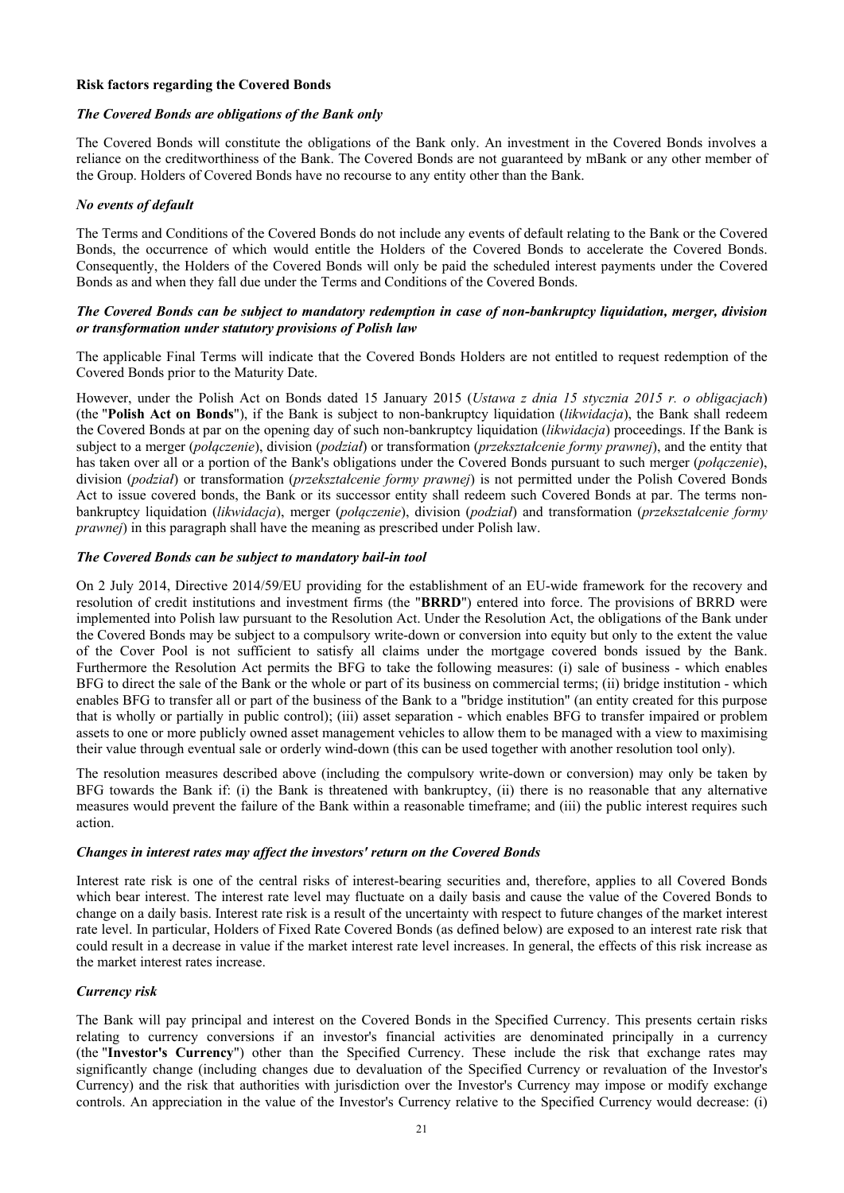#### **Risk factors regarding the Covered Bonds**

#### *The Covered Bonds are obligations of the Bank only*

The Covered Bonds will constitute the obligations of the Bank only. An investment in the Covered Bonds involves a reliance on the creditworthiness of the Bank. The Covered Bonds are not guaranteed by mBank or any other member of the Group. Holders of Covered Bonds have no recourse to any entity other than the Bank.

#### *No events of default*

The Terms and Conditions of the Covered Bonds do not include any events of default relating to the Bank or the Covered Bonds, the occurrence of which would entitle the Holders of the Covered Bonds to accelerate the Covered Bonds. Consequently, the Holders of the Covered Bonds will only be paid the scheduled interest payments under the Covered Bonds as and when they fall due under the Terms and Conditions of the Covered Bonds.

#### *The Covered Bonds can be subject to mandatory redemption in case of non-bankruptcy liquidation, merger, division or transformation under statutory provisions of Polish law*

The applicable Final Terms will indicate that the Covered Bonds Holders are not entitled to request redemption of the Covered Bonds prior to the Maturity Date.

However, under the Polish Act on Bonds dated 15 January 2015 (*Ustawa z dnia 15 stycznia 2015 r. o obligacjach*) (the "**Polish Act on Bonds**"), if the Bank is subject to non-bankruptcy liquidation (*likwidacja*), the Bank shall redeem the Covered Bonds at par on the opening day of such non-bankruptcy liquidation (*likwidacja*) proceedings. If the Bank is subject to a merger (*połączenie*), division (*podział*) or transformation (*przekształcenie formy prawnej*), and the entity that has taken over all or a portion of the Bank's obligations under the Covered Bonds pursuant to such merger (*połączenie*), division (*podział*) or transformation (*przekształcenie formy prawnej*) is not permitted under the Polish Covered Bonds Act to issue covered bonds, the Bank or its successor entity shall redeem such Covered Bonds at par. The terms nonbankruptcy liquidation (*likwidacja*), merger (*połączenie*), division (*podział*) and transformation (*przekształcenie formy prawnej*) in this paragraph shall have the meaning as prescribed under Polish law.

#### *The Covered Bonds can be subject to mandatory bail-in tool*

On 2 July 2014, Directive 2014/59/EU providing for the establishment of an EU-wide framework for the recovery and resolution of credit institutions and investment firms (the "**BRRD**") entered into force. The provisions of BRRD were implemented into Polish law pursuant to the Resolution Act. Under the Resolution Act, the obligations of the Bank under the Covered Bonds may be subject to a compulsory write-down or conversion into equity but only to the extent the value of the Cover Pool is not sufficient to satisfy all claims under the mortgage covered bonds issued by the Bank. Furthermore the Resolution Act permits the BFG to take the following measures: (i) sale of business - which enables BFG to direct the sale of the Bank or the whole or part of its business on commercial terms; (ii) bridge institution - which enables BFG to transfer all or part of the business of the Bank to a "bridge institution" (an entity created for this purpose that is wholly or partially in public control); (iii) asset separation - which enables BFG to transfer impaired or problem assets to one or more publicly owned asset management vehicles to allow them to be managed with a view to maximising their value through eventual sale or orderly wind-down (this can be used together with another resolution tool only).

The resolution measures described above (including the compulsory write-down or conversion) may only be taken by BFG towards the Bank if: (i) the Bank is threatened with bankruptcy, (ii) there is no reasonable that any alternative measures would prevent the failure of the Bank within a reasonable timeframe; and (iii) the public interest requires such action.

#### *Changes in interest rates may affect the investors' return on the Covered Bonds*

Interest rate risk is one of the central risks of interest-bearing securities and, therefore, applies to all Covered Bonds which bear interest. The interest rate level may fluctuate on a daily basis and cause the value of the Covered Bonds to change on a daily basis. Interest rate risk is a result of the uncertainty with respect to future changes of the market interest rate level. In particular, Holders of Fixed Rate Covered Bonds (as defined below) are exposed to an interest rate risk that could result in a decrease in value if the market interest rate level increases. In general, the effects of this risk increase as the market interest rates increase.

## *Currency risk*

The Bank will pay principal and interest on the Covered Bonds in the Specified Currency. This presents certain risks relating to currency conversions if an investor's financial activities are denominated principally in a currency (the "**Investor's Currency**") other than the Specified Currency. These include the risk that exchange rates may significantly change (including changes due to devaluation of the Specified Currency or revaluation of the Investor's Currency) and the risk that authorities with jurisdiction over the Investor's Currency may impose or modify exchange controls. An appreciation in the value of the Investor's Currency relative to the Specified Currency would decrease: (i)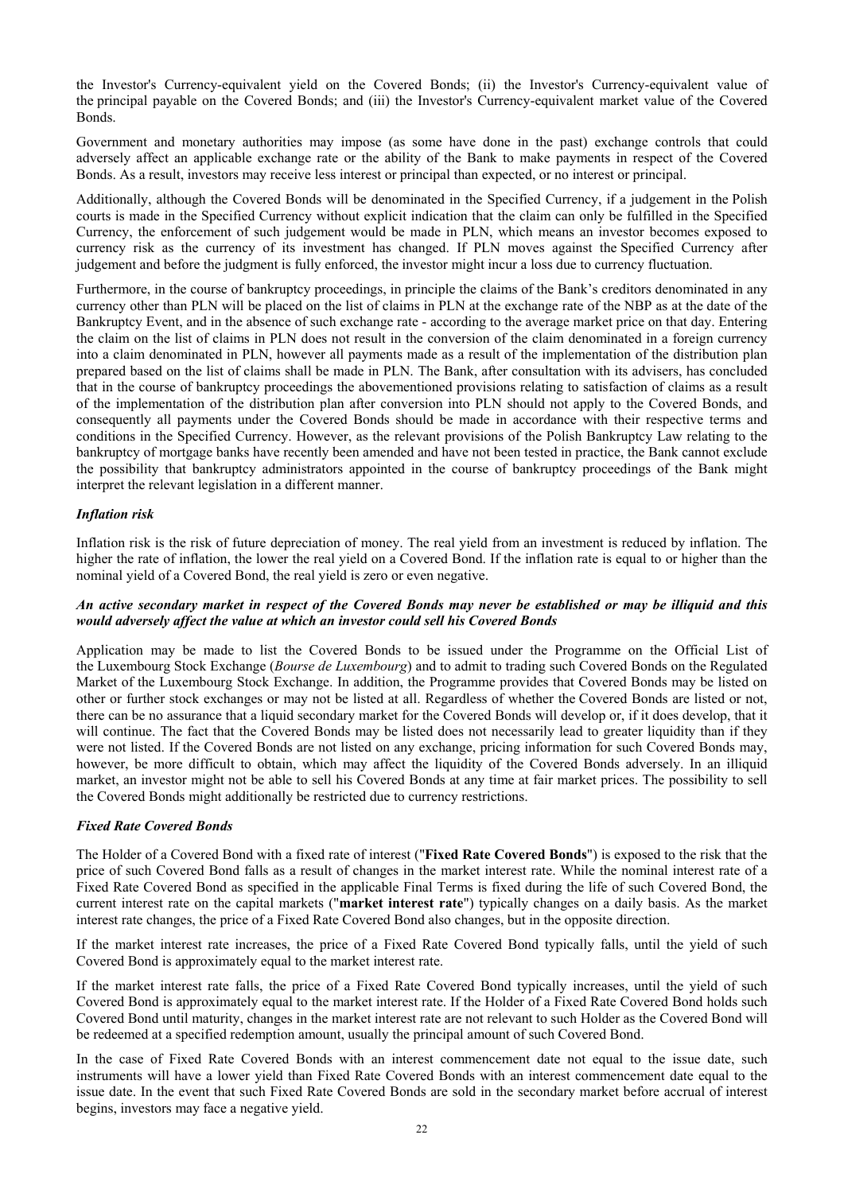the Investor's Currency-equivalent yield on the Covered Bonds; (ii) the Investor's Currency-equivalent value of the principal payable on the Covered Bonds; and (iii) the Investor's Currency-equivalent market value of the Covered Bonds.

Government and monetary authorities may impose (as some have done in the past) exchange controls that could adversely affect an applicable exchange rate or the ability of the Bank to make payments in respect of the Covered Bonds. As a result, investors may receive less interest or principal than expected, or no interest or principal.

Additionally, although the Covered Bonds will be denominated in the Specified Currency, if a judgement in the Polish courts is made in the Specified Currency without explicit indication that the claim can only be fulfilled in the Specified Currency, the enforcement of such judgement would be made in PLN, which means an investor becomes exposed to currency risk as the currency of its investment has changed. If PLN moves against the Specified Currency after judgement and before the judgment is fully enforced, the investor might incur a loss due to currency fluctuation.

Furthermore, in the course of bankruptcy proceedings, in principle the claims of the Bank's creditors denominated in any currency other than PLN will be placed on the list of claims in PLN at the exchange rate of the NBP as at the date of the Bankruptcy Event, and in the absence of such exchange rate - according to the average market price on that day. Entering the claim on the list of claims in PLN does not result in the conversion of the claim denominated in a foreign currency into a claim denominated in PLN, however all payments made as a result of the implementation of the distribution plan prepared based on the list of claims shall be made in PLN. The Bank, after consultation with its advisers, has concluded that in the course of bankruptcy proceedings the abovementioned provisions relating to satisfaction of claims as a result of the implementation of the distribution plan after conversion into PLN should not apply to the Covered Bonds, and consequently all payments under the Covered Bonds should be made in accordance with their respective terms and conditions in the Specified Currency. However, as the relevant provisions of the Polish Bankruptcy Law relating to the bankruptcy of mortgage banks have recently been amended and have not been tested in practice, the Bank cannot exclude the possibility that bankruptcy administrators appointed in the course of bankruptcy proceedings of the Bank might interpret the relevant legislation in a different manner.

## *Inflation risk*

Inflation risk is the risk of future depreciation of money. The real yield from an investment is reduced by inflation. The higher the rate of inflation, the lower the real yield on a Covered Bond. If the inflation rate is equal to or higher than the nominal yield of a Covered Bond, the real yield is zero or even negative.

## *An active secondary market in respect of the Covered Bonds may never be established or may be illiquid and this would adversely affect the value at which an investor could sell his Covered Bonds*

Application may be made to list the Covered Bonds to be issued under the Programme on the Official List of the Luxembourg Stock Exchange (*Bourse de Luxembourg*) and to admit to trading such Covered Bonds on the Regulated Market of the Luxembourg Stock Exchange. In addition, the Programme provides that Covered Bonds may be listed on other or further stock exchanges or may not be listed at all. Regardless of whether the Covered Bonds are listed or not, there can be no assurance that a liquid secondary market for the Covered Bonds will develop or, if it does develop, that it will continue. The fact that the Covered Bonds may be listed does not necessarily lead to greater liquidity than if they were not listed. If the Covered Bonds are not listed on any exchange, pricing information for such Covered Bonds may, however, be more difficult to obtain, which may affect the liquidity of the Covered Bonds adversely. In an illiquid market, an investor might not be able to sell his Covered Bonds at any time at fair market prices. The possibility to sell the Covered Bonds might additionally be restricted due to currency restrictions.

## *Fixed Rate Covered Bonds*

The Holder of a Covered Bond with a fixed rate of interest ("**Fixed Rate Covered Bonds**") is exposed to the risk that the price of such Covered Bond falls as a result of changes in the market interest rate. While the nominal interest rate of a Fixed Rate Covered Bond as specified in the applicable Final Terms is fixed during the life of such Covered Bond, the current interest rate on the capital markets ("**market interest rate**") typically changes on a daily basis. As the market interest rate changes, the price of a Fixed Rate Covered Bond also changes, but in the opposite direction.

If the market interest rate increases, the price of a Fixed Rate Covered Bond typically falls, until the yield of such Covered Bond is approximately equal to the market interest rate.

If the market interest rate falls, the price of a Fixed Rate Covered Bond typically increases, until the yield of such Covered Bond is approximately equal to the market interest rate. If the Holder of a Fixed Rate Covered Bond holds such Covered Bond until maturity, changes in the market interest rate are not relevant to such Holder as the Covered Bond will be redeemed at a specified redemption amount, usually the principal amount of such Covered Bond.

In the case of Fixed Rate Covered Bonds with an interest commencement date not equal to the issue date, such instruments will have a lower yield than Fixed Rate Covered Bonds with an interest commencement date equal to the issue date. In the event that such Fixed Rate Covered Bonds are sold in the secondary market before accrual of interest begins, investors may face a negative yield.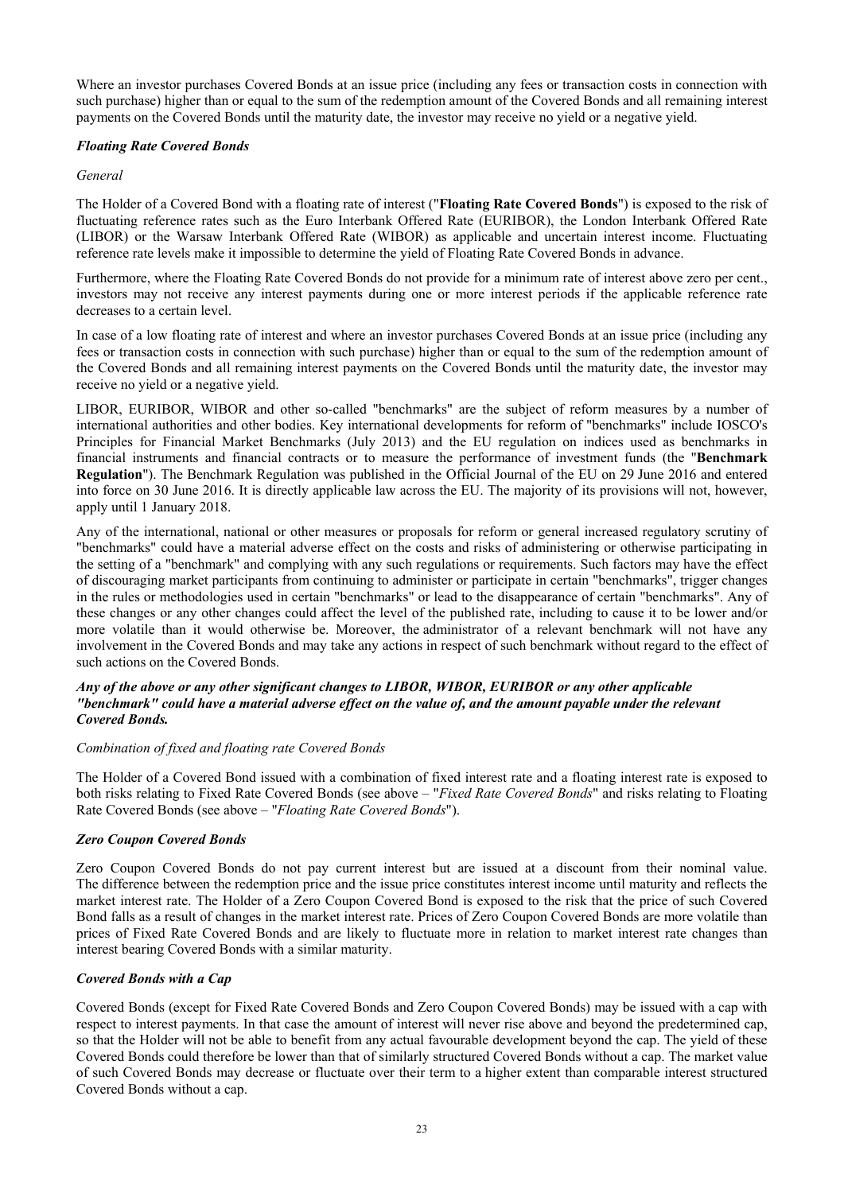Where an investor purchases Covered Bonds at an issue price (including any fees or transaction costs in connection with such purchase) higher than or equal to the sum of the redemption amount of the Covered Bonds and all remaining interest payments on the Covered Bonds until the maturity date, the investor may receive no yield or a negative yield.

# *Floating Rate Covered Bonds*

## *General*

The Holder of a Covered Bond with a floating rate of interest ("**Floating Rate Covered Bonds**") is exposed to the risk of fluctuating reference rates such as the Euro Interbank Offered Rate (EURIBOR), the London Interbank Offered Rate (LIBOR) or the Warsaw Interbank Offered Rate (WIBOR) as applicable and uncertain interest income. Fluctuating reference rate levels make it impossible to determine the yield of Floating Rate Covered Bonds in advance.

Furthermore, where the Floating Rate Covered Bonds do not provide for a minimum rate of interest above zero per cent., investors may not receive any interest payments during one or more interest periods if the applicable reference rate decreases to a certain level.

In case of a low floating rate of interest and where an investor purchases Covered Bonds at an issue price (including any fees or transaction costs in connection with such purchase) higher than or equal to the sum of the redemption amount of the Covered Bonds and all remaining interest payments on the Covered Bonds until the maturity date, the investor may receive no yield or a negative yield.

LIBOR, EURIBOR, WIBOR and other so-called "benchmarks" are the subject of reform measures by a number of international authorities and other bodies. Key international developments for reform of "benchmarks" include IOSCO's Principles for Financial Market Benchmarks (July 2013) and the EU regulation on indices used as benchmarks in financial instruments and financial contracts or to measure the performance of investment funds (the "**Benchmark Regulation**"). The Benchmark Regulation was published in the Official Journal of the EU on 29 June 2016 and entered into force on 30 June 2016. It is directly applicable law across the EU. The majority of its provisions will not, however, apply until 1 January 2018.

Any of the international, national or other measures or proposals for reform or general increased regulatory scrutiny of "benchmarks" could have a material adverse effect on the costs and risks of administering or otherwise participating in the setting of a "benchmark" and complying with any such regulations or requirements. Such factors may have the effect of discouraging market participants from continuing to administer or participate in certain "benchmarks", trigger changes in the rules or methodologies used in certain "benchmarks" or lead to the disappearance of certain "benchmarks". Any of these changes or any other changes could affect the level of the published rate, including to cause it to be lower and/or more volatile than it would otherwise be. Moreover, the administrator of a relevant benchmark will not have any involvement in the Covered Bonds and may take any actions in respect of such benchmark without regard to the effect of such actions on the Covered Bonds.

## *Any of the above or any other significant changes to LIBOR, WIBOR, EURIBOR or any other applicable "benchmark" could have a material adverse effect on the value of, and the amount payable under the relevant Covered Bonds.*

## *Combination of fixed and floating rate Covered Bonds*

The Holder of a Covered Bond issued with a combination of fixed interest rate and a floating interest rate is exposed to both risks relating to Fixed Rate Covered Bonds (see above – "*Fixed Rate Covered Bonds*" and risks relating to Floating Rate Covered Bonds (see above – "*Floating Rate Covered Bonds*").

## *Zero Coupon Covered Bonds*

Zero Coupon Covered Bonds do not pay current interest but are issued at a discount from their nominal value. The difference between the redemption price and the issue price constitutes interest income until maturity and reflects the market interest rate. The Holder of a Zero Coupon Covered Bond is exposed to the risk that the price of such Covered Bond falls as a result of changes in the market interest rate. Prices of Zero Coupon Covered Bonds are more volatile than prices of Fixed Rate Covered Bonds and are likely to fluctuate more in relation to market interest rate changes than interest bearing Covered Bonds with a similar maturity.

## *Covered Bonds with a Cap*

Covered Bonds (except for Fixed Rate Covered Bonds and Zero Coupon Covered Bonds) may be issued with a cap with respect to interest payments. In that case the amount of interest will never rise above and beyond the predetermined cap, so that the Holder will not be able to benefit from any actual favourable development beyond the cap. The yield of these Covered Bonds could therefore be lower than that of similarly structured Covered Bonds without a cap. The market value of such Covered Bonds may decrease or fluctuate over their term to a higher extent than comparable interest structured Covered Bonds without a cap.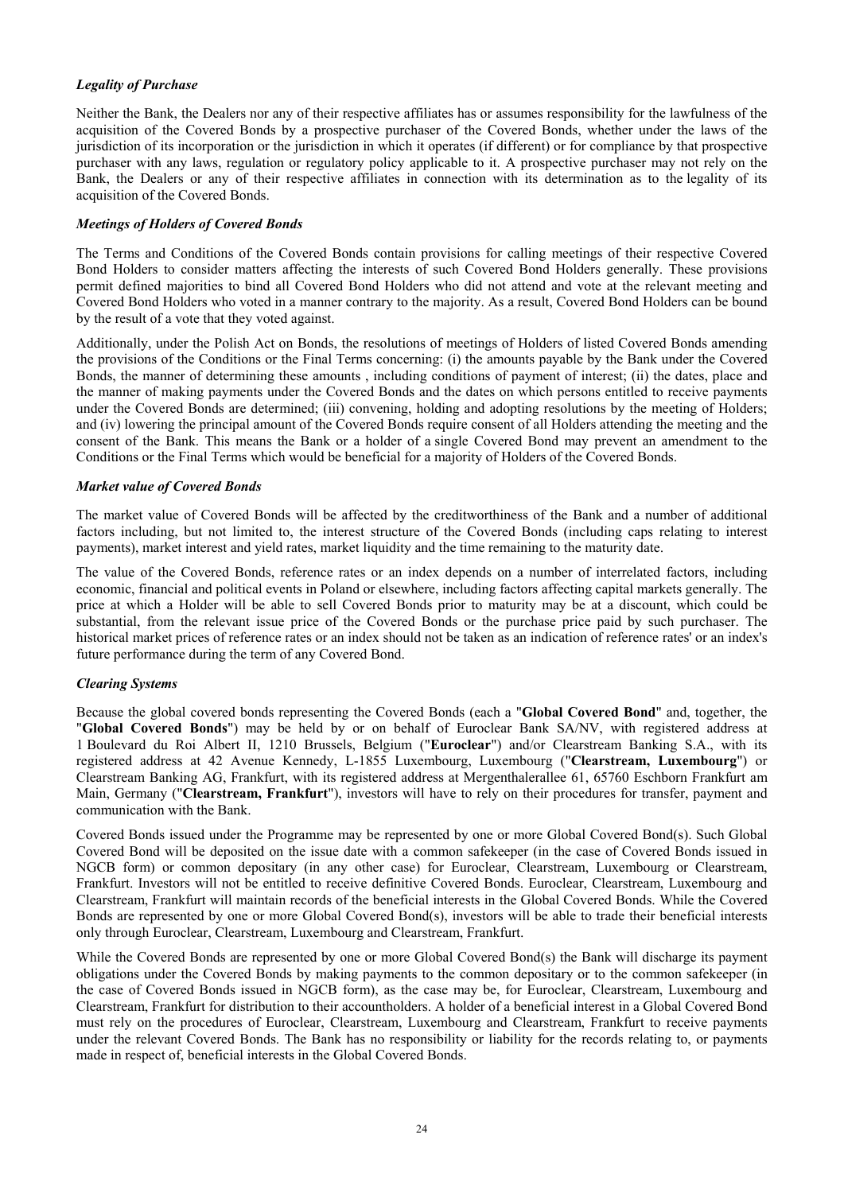# *Legality of Purchase*

Neither the Bank, the Dealers nor any of their respective affiliates has or assumes responsibility for the lawfulness of the acquisition of the Covered Bonds by a prospective purchaser of the Covered Bonds, whether under the laws of the jurisdiction of its incorporation or the jurisdiction in which it operates (if different) or for compliance by that prospective purchaser with any laws, regulation or regulatory policy applicable to it. A prospective purchaser may not rely on the Bank, the Dealers or any of their respective affiliates in connection with its determination as to the legality of its acquisition of the Covered Bonds.

## *Meetings of Holders of Covered Bonds*

The Terms and Conditions of the Covered Bonds contain provisions for calling meetings of their respective Covered Bond Holders to consider matters affecting the interests of such Covered Bond Holders generally. These provisions permit defined majorities to bind all Covered Bond Holders who did not attend and vote at the relevant meeting and Covered Bond Holders who voted in a manner contrary to the majority. As a result, Covered Bond Holders can be bound by the result of a vote that they voted against.

Additionally, under the Polish Act on Bonds, the resolutions of meetings of Holders of listed Covered Bonds amending the provisions of the Conditions or the Final Terms concerning: (i) the amounts payable by the Bank under the Covered Bonds, the manner of determining these amounts , including conditions of payment of interest; (ii) the dates, place and the manner of making payments under the Covered Bonds and the dates on which persons entitled to receive payments under the Covered Bonds are determined; (iii) convening, holding and adopting resolutions by the meeting of Holders; and (iv) lowering the principal amount of the Covered Bonds require consent of all Holders attending the meeting and the consent of the Bank. This means the Bank or a holder of a single Covered Bond may prevent an amendment to the Conditions or the Final Terms which would be beneficial for a majority of Holders of the Covered Bonds.

## *Market value of Covered Bonds*

The market value of Covered Bonds will be affected by the creditworthiness of the Bank and a number of additional factors including, but not limited to, the interest structure of the Covered Bonds (including caps relating to interest payments), market interest and yield rates, market liquidity and the time remaining to the maturity date.

The value of the Covered Bonds, reference rates or an index depends on a number of interrelated factors, including economic, financial and political events in Poland or elsewhere, including factors affecting capital markets generally. The price at which a Holder will be able to sell Covered Bonds prior to maturity may be at a discount, which could be substantial, from the relevant issue price of the Covered Bonds or the purchase price paid by such purchaser. The historical market prices of reference rates or an index should not be taken as an indication of reference rates' or an index's future performance during the term of any Covered Bond.

## *Clearing Systems*

Because the global covered bonds representing the Covered Bonds (each a "**Global Covered Bond**" and, together, the "**Global Covered Bonds**") may be held by or on behalf of Euroclear Bank SA/NV, with registered address at 1 Boulevard du Roi Albert II, 1210 Brussels, Belgium ("**Euroclear**") and/or Clearstream Banking S.A., with its registered address at 42 Avenue Kennedy, L-1855 Luxembourg, Luxembourg ("**Clearstream, Luxembourg**") or Clearstream Banking AG, Frankfurt, with its registered address at Mergenthalerallee 61, 65760 Eschborn Frankfurt am Main, Germany ("**Clearstream, Frankfurt**"), investors will have to rely on their procedures for transfer, payment and communication with the Bank.

Covered Bonds issued under the Programme may be represented by one or more Global Covered Bond(s). Such Global Covered Bond will be deposited on the issue date with a common safekeeper (in the case of Covered Bonds issued in NGCB form) or common depositary (in any other case) for Euroclear, Clearstream, Luxembourg or Clearstream, Frankfurt. Investors will not be entitled to receive definitive Covered Bonds. Euroclear, Clearstream, Luxembourg and Clearstream, Frankfurt will maintain records of the beneficial interests in the Global Covered Bonds. While the Covered Bonds are represented by one or more Global Covered Bond(s), investors will be able to trade their beneficial interests only through Euroclear, Clearstream, Luxembourg and Clearstream, Frankfurt.

While the Covered Bonds are represented by one or more Global Covered Bond(s) the Bank will discharge its payment obligations under the Covered Bonds by making payments to the common depositary or to the common safekeeper (in the case of Covered Bonds issued in NGCB form), as the case may be, for Euroclear, Clearstream, Luxembourg and Clearstream, Frankfurt for distribution to their accountholders. A holder of a beneficial interest in a Global Covered Bond must rely on the procedures of Euroclear, Clearstream, Luxembourg and Clearstream, Frankfurt to receive payments under the relevant Covered Bonds. The Bank has no responsibility or liability for the records relating to, or payments made in respect of, beneficial interests in the Global Covered Bonds.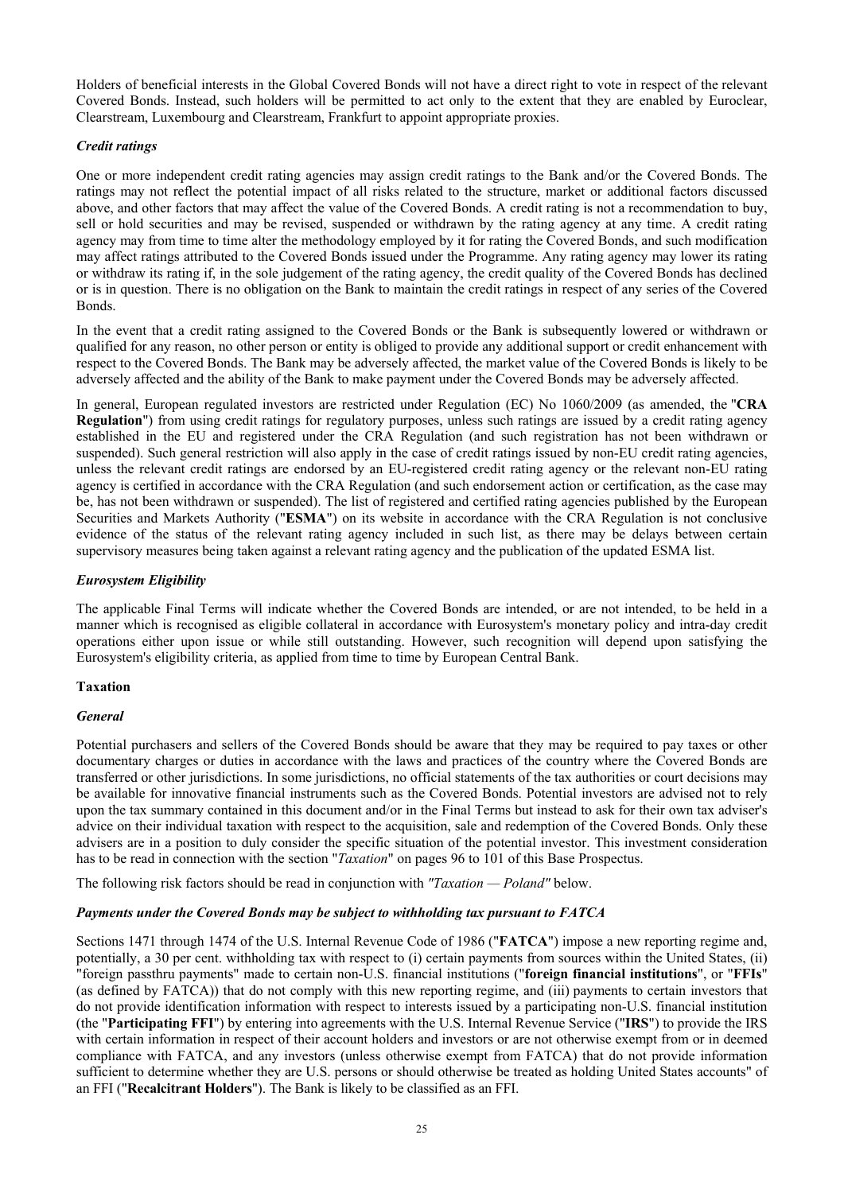Holders of beneficial interests in the Global Covered Bonds will not have a direct right to vote in respect of the relevant Covered Bonds. Instead, such holders will be permitted to act only to the extent that they are enabled by Euroclear, Clearstream, Luxembourg and Clearstream, Frankfurt to appoint appropriate proxies.

## *Credit ratings*

One or more independent credit rating agencies may assign credit ratings to the Bank and/or the Covered Bonds. The ratings may not reflect the potential impact of all risks related to the structure, market or additional factors discussed above, and other factors that may affect the value of the Covered Bonds. A credit rating is not a recommendation to buy, sell or hold securities and may be revised, suspended or withdrawn by the rating agency at any time. A credit rating agency may from time to time alter the methodology employed by it for rating the Covered Bonds, and such modification may affect ratings attributed to the Covered Bonds issued under the Programme. Any rating agency may lower its rating or withdraw its rating if, in the sole judgement of the rating agency, the credit quality of the Covered Bonds has declined or is in question. There is no obligation on the Bank to maintain the credit ratings in respect of any series of the Covered Bonds.

In the event that a credit rating assigned to the Covered Bonds or the Bank is subsequently lowered or withdrawn or qualified for any reason, no other person or entity is obliged to provide any additional support or credit enhancement with respect to the Covered Bonds. The Bank may be adversely affected, the market value of the Covered Bonds is likely to be adversely affected and the ability of the Bank to make payment under the Covered Bonds may be adversely affected.

In general, European regulated investors are restricted under Regulation (EC) No 1060/2009 (as amended, the "**CRA Regulation**") from using credit ratings for regulatory purposes, unless such ratings are issued by a credit rating agency established in the EU and registered under the CRA Regulation (and such registration has not been withdrawn or suspended). Such general restriction will also apply in the case of credit ratings issued by non-EU credit rating agencies, unless the relevant credit ratings are endorsed by an EU-registered credit rating agency or the relevant non-EU rating agency is certified in accordance with the CRA Regulation (and such endorsement action or certification, as the case may be, has not been withdrawn or suspended). The list of registered and certified rating agencies published by the European Securities and Markets Authority ("**ESMA**") on its website in accordance with the CRA Regulation is not conclusive evidence of the status of the relevant rating agency included in such list, as there may be delays between certain supervisory measures being taken against a relevant rating agency and the publication of the updated ESMA list.

# *Eurosystem Eligibility*

The applicable Final Terms will indicate whether the Covered Bonds are intended, or are not intended, to be held in a manner which is recognised as eligible collateral in accordance with Eurosystem's monetary policy and intra-day credit operations either upon issue or while still outstanding. However, such recognition will depend upon satisfying the Eurosystem's eligibility criteria, as applied from time to time by European Central Bank.

## **Taxation**

## *General*

Potential purchasers and sellers of the Covered Bonds should be aware that they may be required to pay taxes or other documentary charges or duties in accordance with the laws and practices of the country where the Covered Bonds are transferred or other jurisdictions. In some jurisdictions, no official statements of the tax authorities or court decisions may be available for innovative financial instruments such as the Covered Bonds. Potential investors are advised not to rely upon the tax summary contained in this document and/or in the Final Terms but instead to ask for their own tax adviser's advice on their individual taxation with respect to the acquisition, sale and redemption of the Covered Bonds. Only these advisers are in a position to duly consider the specific situation of the potential investor. This investment consideration has to be read in connection with the section "*Taxation*" on pages 96 to 101 of this Base Prospectus.

The following risk factors should be read in conjunction with *"Taxation — Poland"* below.

# *Payments under the Covered Bonds may be subject to withholding tax pursuant to FATCA*

Sections 1471 through 1474 of the U.S. Internal Revenue Code of 1986 ("**FATCA**") impose a new reporting regime and, potentially, a 30 per cent. withholding tax with respect to (i) certain payments from sources within the United States, (ii) "foreign passthru payments" made to certain non-U.S. financial institutions ("**foreign financial institutions**", or "**FFIs**" (as defined by FATCA)) that do not comply with this new reporting regime, and (iii) payments to certain investors that do not provide identification information with respect to interests issued by a participating non-U.S. financial institution (the "**Participating FFI**") by entering into agreements with the U.S. Internal Revenue Service ("**IRS**") to provide the IRS with certain information in respect of their account holders and investors or are not otherwise exempt from or in deemed compliance with FATCA, and any investors (unless otherwise exempt from FATCA) that do not provide information sufficient to determine whether they are U.S. persons or should otherwise be treated as holding United States accounts" of an FFI ("**Recalcitrant Holders**"). The Bank is likely to be classified as an FFI.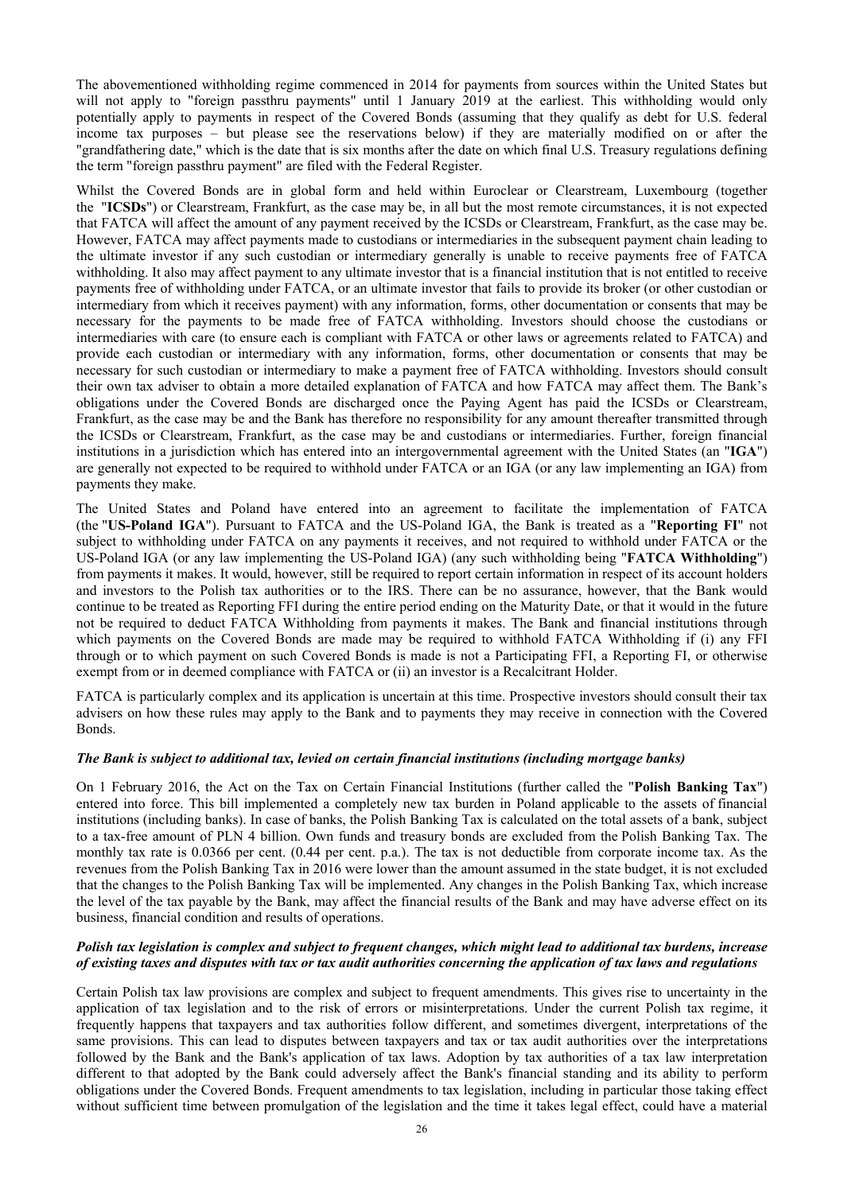The abovementioned withholding regime commenced in 2014 for payments from sources within the United States but will not apply to "foreign passthru payments" until 1 January 2019 at the earliest. This withholding would only potentially apply to payments in respect of the Covered Bonds (assuming that they qualify as debt for U.S. federal income tax purposes – but please see the reservations below) if they are materially modified on or after the "grandfathering date," which is the date that is six months after the date on which final U.S. Treasury regulations defining the term "foreign passthru payment" are filed with the Federal Register.

Whilst the Covered Bonds are in global form and held within Euroclear or Clearstream, Luxembourg (together the "**ICSDs**") or Clearstream, Frankfurt, as the case may be, in all but the most remote circumstances, it is not expected that FATCA will affect the amount of any payment received by the ICSDs or Clearstream, Frankfurt, as the case may be. However, FATCA may affect payments made to custodians or intermediaries in the subsequent payment chain leading to the ultimate investor if any such custodian or intermediary generally is unable to receive payments free of FATCA withholding. It also may affect payment to any ultimate investor that is a financial institution that is not entitled to receive payments free of withholding under FATCA, or an ultimate investor that fails to provide its broker (or other custodian or intermediary from which it receives payment) with any information, forms, other documentation or consents that may be necessary for the payments to be made free of FATCA withholding. Investors should choose the custodians or intermediaries with care (to ensure each is compliant with FATCA or other laws or agreements related to FATCA) and provide each custodian or intermediary with any information, forms, other documentation or consents that may be necessary for such custodian or intermediary to make a payment free of FATCA withholding. Investors should consult their own tax adviser to obtain a more detailed explanation of FATCA and how FATCA may affect them. The Bank's obligations under the Covered Bonds are discharged once the Paying Agent has paid the ICSDs or Clearstream, Frankfurt, as the case may be and the Bank has therefore no responsibility for any amount thereafter transmitted through the ICSDs or Clearstream, Frankfurt, as the case may be and custodians or intermediaries. Further, foreign financial institutions in a jurisdiction which has entered into an intergovernmental agreement with the United States (an "**IGA**") are generally not expected to be required to withhold under FATCA or an IGA (or any law implementing an IGA) from payments they make.

The United States and Poland have entered into an agreement to facilitate the implementation of FATCA (the "**US-Poland IGA**"). Pursuant to FATCA and the US-Poland IGA, the Bank is treated as a "**Reporting FI**" not subject to withholding under FATCA on any payments it receives, and not required to withhold under FATCA or the US-Poland IGA (or any law implementing the US-Poland IGA) (any such withholding being "**FATCA Withholding**") from payments it makes. It would, however, still be required to report certain information in respect of its account holders and investors to the Polish tax authorities or to the IRS. There can be no assurance, however, that the Bank would continue to be treated as Reporting FFI during the entire period ending on the Maturity Date, or that it would in the future not be required to deduct FATCA Withholding from payments it makes. The Bank and financial institutions through which payments on the Covered Bonds are made may be required to withhold FATCA Withholding if (i) any FFI through or to which payment on such Covered Bonds is made is not a Participating FFI, a Reporting FI, or otherwise exempt from or in deemed compliance with FATCA or (ii) an investor is a Recalcitrant Holder.

FATCA is particularly complex and its application is uncertain at this time. Prospective investors should consult their tax advisers on how these rules may apply to the Bank and to payments they may receive in connection with the Covered Bonds.

#### *The Bank is subject to additional tax, levied on certain financial institutions (including mortgage banks)*

On 1 February 2016, the Act on the Tax on Certain Financial Institutions (further called the "**Polish Banking Tax**") entered into force. This bill implemented a completely new tax burden in Poland applicable to the assets of financial institutions (including banks). In case of banks, the Polish Banking Tax is calculated on the total assets of a bank, subject to a tax-free amount of PLN 4 billion. Own funds and treasury bonds are excluded from the Polish Banking Tax. The monthly tax rate is 0.0366 per cent. (0.44 per cent. p.a.). The tax is not deductible from corporate income tax. As the revenues from the Polish Banking Tax in 2016 were lower than the amount assumed in the state budget, it is not excluded that the changes to the Polish Banking Tax will be implemented. Any changes in the Polish Banking Tax, which increase the level of the tax payable by the Bank, may affect the financial results of the Bank and may have adverse effect on its business, financial condition and results of operations.

#### *Polish tax legislation is complex and subject to frequent changes, which might lead to additional tax burdens, increase of existing taxes and disputes with tax or tax audit authorities concerning the application of tax laws and regulations*

Certain Polish tax law provisions are complex and subject to frequent amendments. This gives rise to uncertainty in the application of tax legislation and to the risk of errors or misinterpretations. Under the current Polish tax regime, it frequently happens that taxpayers and tax authorities follow different, and sometimes divergent, interpretations of the same provisions. This can lead to disputes between taxpayers and tax or tax audit authorities over the interpretations followed by the Bank and the Bank's application of tax laws. Adoption by tax authorities of a tax law interpretation different to that adopted by the Bank could adversely affect the Bank's financial standing and its ability to perform obligations under the Covered Bonds. Frequent amendments to tax legislation, including in particular those taking effect without sufficient time between promulgation of the legislation and the time it takes legal effect, could have a material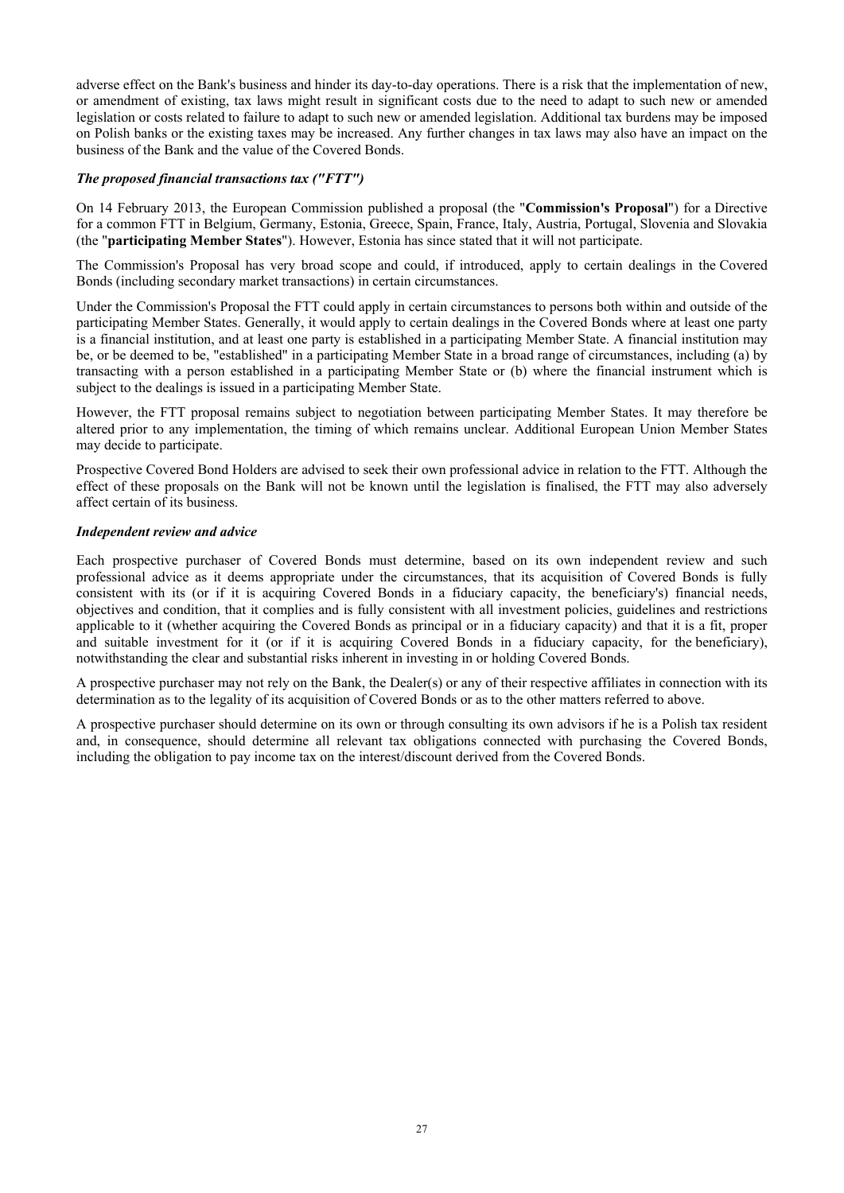adverse effect on the Bank's business and hinder its day-to-day operations. There is a risk that the implementation of new, or amendment of existing, tax laws might result in significant costs due to the need to adapt to such new or amended legislation or costs related to failure to adapt to such new or amended legislation. Additional tax burdens may be imposed on Polish banks or the existing taxes may be increased. Any further changes in tax laws may also have an impact on the business of the Bank and the value of the Covered Bonds.

## *The proposed financial transactions tax ("FTT")*

On 14 February 2013, the European Commission published a proposal (the "**Commission's Proposal**") for a Directive for a common FTT in Belgium, Germany, Estonia, Greece, Spain, France, Italy, Austria, Portugal, Slovenia and Slovakia (the "**participating Member States**"). However, Estonia has since stated that it will not participate.

The Commission's Proposal has very broad scope and could, if introduced, apply to certain dealings in the Covered Bonds (including secondary market transactions) in certain circumstances.

Under the Commission's Proposal the FTT could apply in certain circumstances to persons both within and outside of the participating Member States. Generally, it would apply to certain dealings in the Covered Bonds where at least one party is a financial institution, and at least one party is established in a participating Member State. A financial institution may be, or be deemed to be, "established" in a participating Member State in a broad range of circumstances, including (a) by transacting with a person established in a participating Member State or (b) where the financial instrument which is subject to the dealings is issued in a participating Member State.

However, the FTT proposal remains subject to negotiation between participating Member States. It may therefore be altered prior to any implementation, the timing of which remains unclear. Additional European Union Member States may decide to participate.

Prospective Covered Bond Holders are advised to seek their own professional advice in relation to the FTT. Although the effect of these proposals on the Bank will not be known until the legislation is finalised, the FTT may also adversely affect certain of its business.

## *Independent review and advice*

Each prospective purchaser of Covered Bonds must determine, based on its own independent review and such professional advice as it deems appropriate under the circumstances, that its acquisition of Covered Bonds is fully consistent with its (or if it is acquiring Covered Bonds in a fiduciary capacity, the beneficiary's) financial needs, objectives and condition, that it complies and is fully consistent with all investment policies, guidelines and restrictions applicable to it (whether acquiring the Covered Bonds as principal or in a fiduciary capacity) and that it is a fit, proper and suitable investment for it (or if it is acquiring Covered Bonds in a fiduciary capacity, for the beneficiary), notwithstanding the clear and substantial risks inherent in investing in or holding Covered Bonds.

A prospective purchaser may not rely on the Bank, the Dealer(s) or any of their respective affiliates in connection with its determination as to the legality of its acquisition of Covered Bonds or as to the other matters referred to above.

A prospective purchaser should determine on its own or through consulting its own advisors if he is a Polish tax resident and, in consequence, should determine all relevant tax obligations connected with purchasing the Covered Bonds, including the obligation to pay income tax on the interest/discount derived from the Covered Bonds.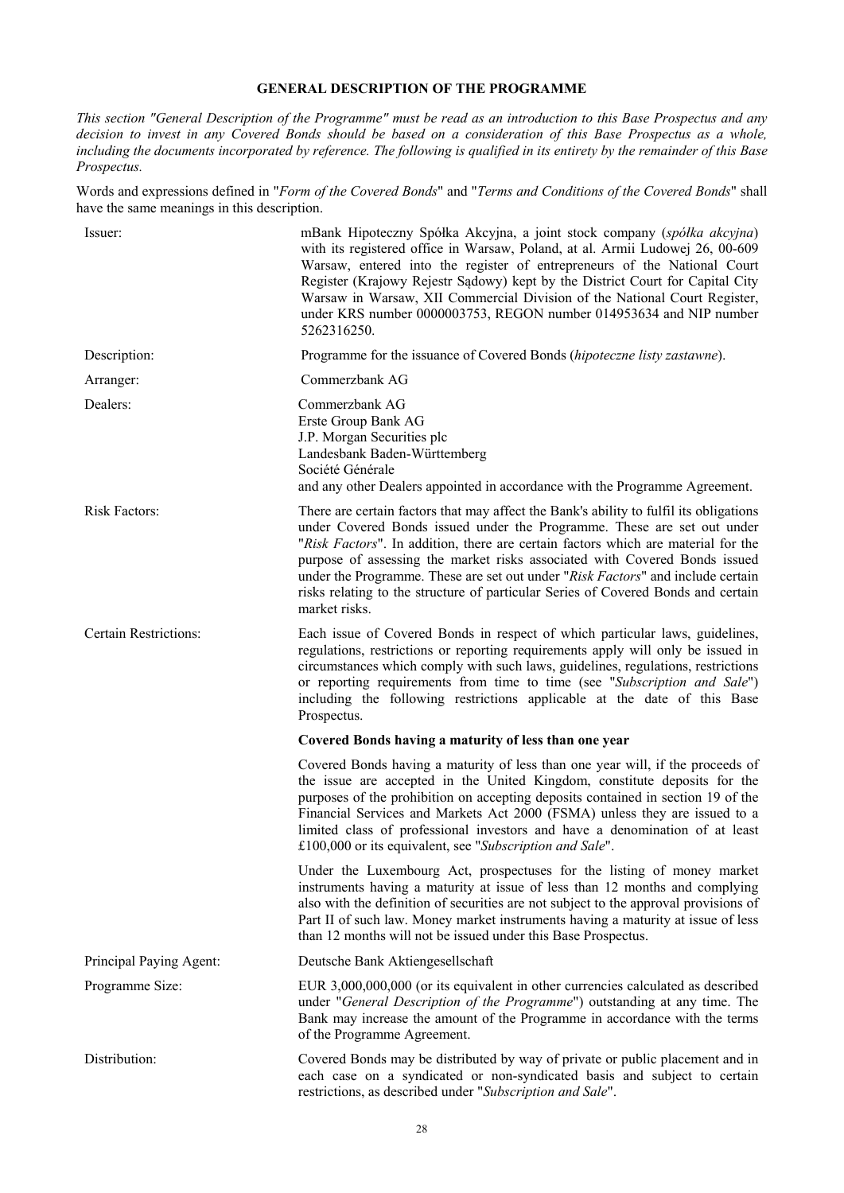# **GENERAL DESCRIPTION OF THE PROGRAMME**

*This section "General Description of the Programme" must be read as an introduction to this Base Prospectus and any decision to invest in any Covered Bonds should be based on a consideration of this Base Prospectus as a whole, including the documents incorporated by reference. The following is qualified in its entirety by the remainder of this Base Prospectus.* 

Words and expressions defined in "*Form of the Covered Bonds*" and "*Terms and Conditions of the Covered Bonds*" shall have the same meanings in this description.

| Issuer:                      | mBank Hipoteczny Spółka Akcyjna, a joint stock company (spółka akcyjna)<br>with its registered office in Warsaw, Poland, at al. Armii Ludowej 26, 00-609<br>Warsaw, entered into the register of entrepreneurs of the National Court<br>Register (Krajowy Rejestr Sądowy) kept by the District Court for Capital City<br>Warsaw in Warsaw, XII Commercial Division of the National Court Register,<br>under KRS number 0000003753, REGON number 014953634 and NIP number<br>5262316250.                                       |
|------------------------------|-------------------------------------------------------------------------------------------------------------------------------------------------------------------------------------------------------------------------------------------------------------------------------------------------------------------------------------------------------------------------------------------------------------------------------------------------------------------------------------------------------------------------------|
| Description:                 | Programme for the issuance of Covered Bonds (hipoteczne listy zastawne).                                                                                                                                                                                                                                                                                                                                                                                                                                                      |
| Arranger:                    | Commerzbank AG                                                                                                                                                                                                                                                                                                                                                                                                                                                                                                                |
| Dealers:                     | Commerzbank AG<br>Erste Group Bank AG<br>J.P. Morgan Securities plc<br>Landesbank Baden-Württemberg<br>Société Générale<br>and any other Dealers appointed in accordance with the Programme Agreement.                                                                                                                                                                                                                                                                                                                        |
| Risk Factors:                | There are certain factors that may affect the Bank's ability to fulfil its obligations<br>under Covered Bonds issued under the Programme. These are set out under<br>"Risk Factors". In addition, there are certain factors which are material for the<br>purpose of assessing the market risks associated with Covered Bonds issued<br>under the Programme. These are set out under "Risk Factors" and include certain<br>risks relating to the structure of particular Series of Covered Bonds and certain<br>market risks. |
| <b>Certain Restrictions:</b> | Each issue of Covered Bonds in respect of which particular laws, guidelines,<br>regulations, restrictions or reporting requirements apply will only be issued in<br>circumstances which comply with such laws, guidelines, regulations, restrictions<br>or reporting requirements from time to time (see "Subscription and Sale")<br>including the following restrictions applicable at the date of this Base<br>Prospectus.                                                                                                  |
|                              | Covered Bonds having a maturity of less than one year                                                                                                                                                                                                                                                                                                                                                                                                                                                                         |
|                              | Covered Bonds having a maturity of less than one year will, if the proceeds of<br>the issue are accepted in the United Kingdom, constitute deposits for the<br>purposes of the prohibition on accepting deposits contained in section 19 of the<br>Financial Services and Markets Act 2000 (FSMA) unless they are issued to a<br>limited class of professional investors and have a denomination of at least<br>£100,000 or its equivalent, see "Subscription and Sale".                                                      |
|                              | Under the Luxembourg Act, prospectuses for the listing of money market<br>instruments having a maturity at issue of less than 12 months and complying<br>also with the definition of securities are not subject to the approval provisions of<br>Part II of such law. Money market instruments having a maturity at issue of less<br>than 12 months will not be issued under this Base Prospectus.                                                                                                                            |
| Principal Paying Agent:      | Deutsche Bank Aktiengesellschaft                                                                                                                                                                                                                                                                                                                                                                                                                                                                                              |
| Programme Size:              | EUR 3,000,000,000 (or its equivalent in other currencies calculated as described<br>under "General Description of the Programme") outstanding at any time. The<br>Bank may increase the amount of the Programme in accordance with the terms<br>of the Programme Agreement.                                                                                                                                                                                                                                                   |
| Distribution:                | Covered Bonds may be distributed by way of private or public placement and in<br>each case on a syndicated or non-syndicated basis and subject to certain<br>restrictions, as described under "Subscription and Sale".                                                                                                                                                                                                                                                                                                        |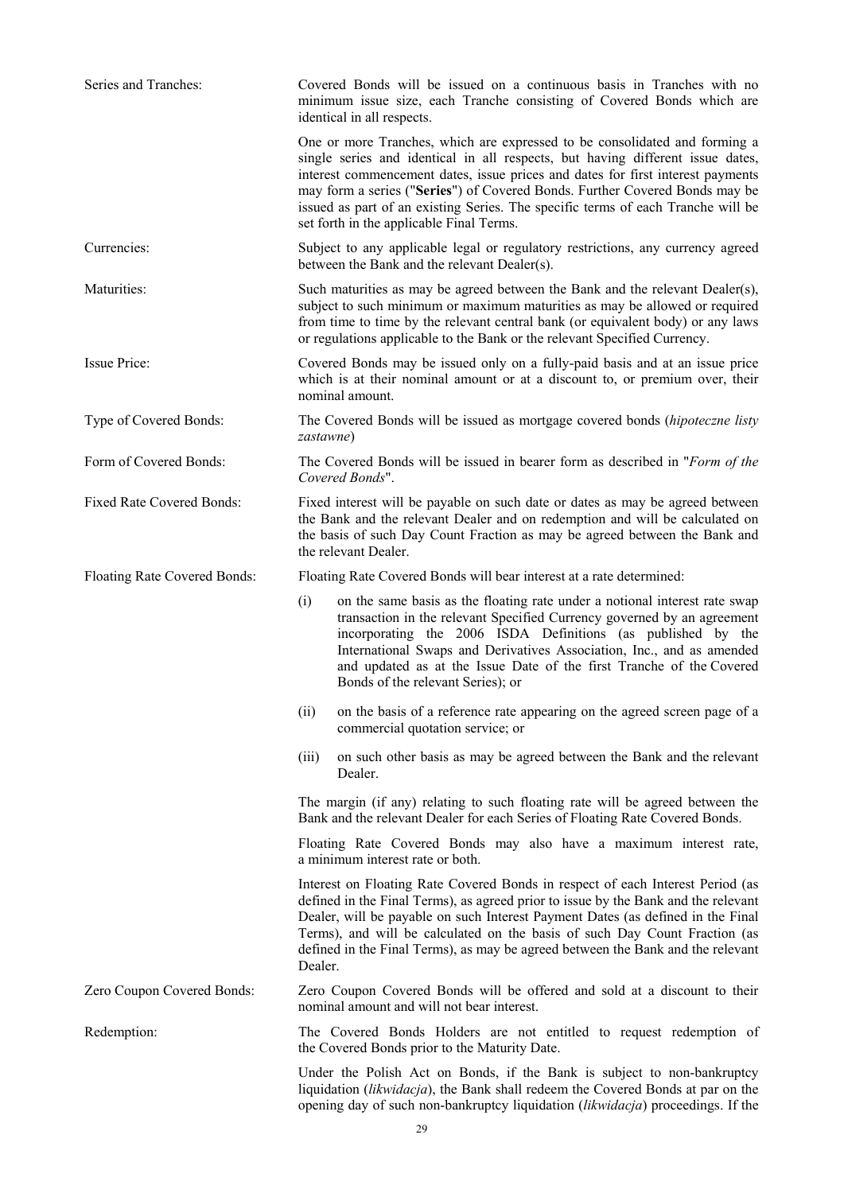| Series and Tranches:             | Covered Bonds will be issued on a continuous basis in Tranches with no<br>minimum issue size, each Tranche consisting of Covered Bonds which are<br>identical in all respects.                                                                                                                                                                                                                                                                                 |  |  |
|----------------------------------|----------------------------------------------------------------------------------------------------------------------------------------------------------------------------------------------------------------------------------------------------------------------------------------------------------------------------------------------------------------------------------------------------------------------------------------------------------------|--|--|
|                                  | One or more Tranches, which are expressed to be consolidated and forming a<br>single series and identical in all respects, but having different issue dates,<br>interest commencement dates, issue prices and dates for first interest payments<br>may form a series ("Series") of Covered Bonds. Further Covered Bonds may be<br>issued as part of an existing Series. The specific terms of each Tranche will be<br>set forth in the applicable Final Terms. |  |  |
| Currencies:                      | Subject to any applicable legal or regulatory restrictions, any currency agreed<br>between the Bank and the relevant Dealer(s).                                                                                                                                                                                                                                                                                                                                |  |  |
| Maturities:                      | Such maturities as may be agreed between the Bank and the relevant Dealer(s),<br>subject to such minimum or maximum maturities as may be allowed or required<br>from time to time by the relevant central bank (or equivalent body) or any laws<br>or regulations applicable to the Bank or the relevant Specified Currency.                                                                                                                                   |  |  |
| Issue Price:                     | Covered Bonds may be issued only on a fully-paid basis and at an issue price<br>which is at their nominal amount or at a discount to, or premium over, their<br>nominal amount.                                                                                                                                                                                                                                                                                |  |  |
| Type of Covered Bonds:           | The Covered Bonds will be issued as mortgage covered bonds (hipoteczne listy<br><i>zastawne</i> )                                                                                                                                                                                                                                                                                                                                                              |  |  |
| Form of Covered Bonds:           | The Covered Bonds will be issued in bearer form as described in "Form of the<br>Covered Bonds".                                                                                                                                                                                                                                                                                                                                                                |  |  |
| <b>Fixed Rate Covered Bonds:</b> | Fixed interest will be payable on such date or dates as may be agreed between<br>the Bank and the relevant Dealer and on redemption and will be calculated on<br>the basis of such Day Count Fraction as may be agreed between the Bank and<br>the relevant Dealer.                                                                                                                                                                                            |  |  |
| Floating Rate Covered Bonds:     | Floating Rate Covered Bonds will bear interest at a rate determined:                                                                                                                                                                                                                                                                                                                                                                                           |  |  |
|                                  | (i)<br>on the same basis as the floating rate under a notional interest rate swap<br>transaction in the relevant Specified Currency governed by an agreement<br>incorporating the 2006 ISDA Definitions (as published by the<br>International Swaps and Derivatives Association, Inc., and as amended<br>and updated as at the Issue Date of the first Tranche of the Covered<br>Bonds of the relevant Series); or                                             |  |  |
|                                  | on the basis of a reference rate appearing on the agreed screen page of a<br>(ii)<br>commercial quotation service; or                                                                                                                                                                                                                                                                                                                                          |  |  |
|                                  | on such other basis as may be agreed between the Bank and the relevant<br>(iii)<br>Dealer.                                                                                                                                                                                                                                                                                                                                                                     |  |  |
|                                  | The margin (if any) relating to such floating rate will be agreed between the<br>Bank and the relevant Dealer for each Series of Floating Rate Covered Bonds.                                                                                                                                                                                                                                                                                                  |  |  |
|                                  | Floating Rate Covered Bonds may also have a maximum interest rate,<br>a minimum interest rate or both.                                                                                                                                                                                                                                                                                                                                                         |  |  |
|                                  | Interest on Floating Rate Covered Bonds in respect of each Interest Period (as<br>defined in the Final Terms), as agreed prior to issue by the Bank and the relevant<br>Dealer, will be payable on such Interest Payment Dates (as defined in the Final<br>Terms), and will be calculated on the basis of such Day Count Fraction (as<br>defined in the Final Terms), as may be agreed between the Bank and the relevant<br>Dealer.                            |  |  |
| Zero Coupon Covered Bonds:       | Zero Coupon Covered Bonds will be offered and sold at a discount to their<br>nominal amount and will not bear interest.                                                                                                                                                                                                                                                                                                                                        |  |  |
| Redemption:                      | The Covered Bonds Holders are not entitled to request redemption of<br>the Covered Bonds prior to the Maturity Date.                                                                                                                                                                                                                                                                                                                                           |  |  |
|                                  | Under the Polish Act on Bonds, if the Bank is subject to non-bankruptcy<br>liquidation (likwidacja), the Bank shall redeem the Covered Bonds at par on the                                                                                                                                                                                                                                                                                                     |  |  |

opening day of such non-bankruptcy liquidation (*likwidacja*) proceedings. If the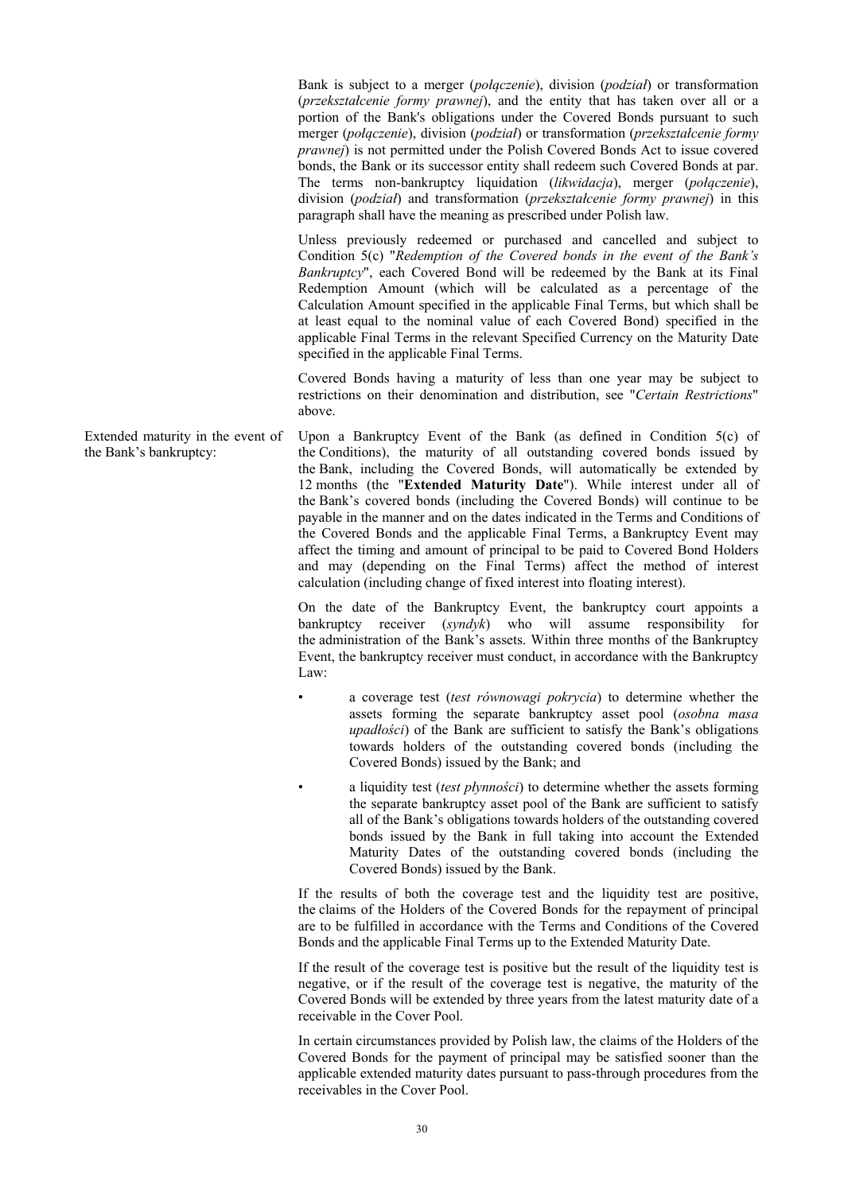Bank is subject to a merger (*połączenie*), division (*podział*) or transformation (*przekształcenie formy prawnej*), and the entity that has taken over all or a portion of the Bank's obligations under the Covered Bonds pursuant to such merger (*połączenie*), division (*podział*) or transformation (*przekształcenie formy prawnej*) is not permitted under the Polish Covered Bonds Act to issue covered bonds, the Bank or its successor entity shall redeem such Covered Bonds at par. The terms non-bankruptcy liquidation (*likwidacja*), merger (*połączenie*), division (*podział*) and transformation (*przekształcenie formy prawnej*) in this paragraph shall have the meaning as prescribed under Polish law.

Unless previously redeemed or purchased and cancelled and subject to Condition 5(c) "*Redemption of the Covered bonds in the event of the Bank's Bankruptcy*", each Covered Bond will be redeemed by the Bank at its Final Redemption Amount (which will be calculated as a percentage of the Calculation Amount specified in the applicable Final Terms, but which shall be at least equal to the nominal value of each Covered Bond) specified in the applicable Final Terms in the relevant Specified Currency on the Maturity Date specified in the applicable Final Terms.

Covered Bonds having a maturity of less than one year may be subject to restrictions on their denomination and distribution, see "*Certain Restrictions*" above.

the Bank's bankruptcy: Upon a Bankruptcy Event of the Bank (as defined in Condition 5(c) of the Conditions), the maturity of all outstanding covered bonds issued by the Bank, including the Covered Bonds, will automatically be extended by 12 months (the "**Extended Maturity Date**"). While interest under all of the Bank's covered bonds (including the Covered Bonds) will continue to be payable in the manner and on the dates indicated in the Terms and Conditions of the Covered Bonds and the applicable Final Terms, a Bankruptcy Event may affect the timing and amount of principal to be paid to Covered Bond Holders and may (depending on the Final Terms) affect the method of interest calculation (including change of fixed interest into floating interest).

> On the date of the Bankruptcy Event, the bankruptcy court appoints a bankruptcy receiver (*syndyk*) who will assume responsibility for the administration of the Bank's assets. Within three months of the Bankruptcy Event, the bankruptcy receiver must conduct, in accordance with the Bankruptcy Law:

- a coverage test (*test równowagi pokrycia*) to determine whether the assets forming the separate bankruptcy asset pool (*osobna masa upadłości*) of the Bank are sufficient to satisfy the Bank's obligations towards holders of the outstanding covered bonds (including the Covered Bonds) issued by the Bank; and
- a liquidity test (*test płynności*) to determine whether the assets forming the separate bankruptcy asset pool of the Bank are sufficient to satisfy all of the Bank's obligations towards holders of the outstanding covered bonds issued by the Bank in full taking into account the Extended Maturity Dates of the outstanding covered bonds (including the Covered Bonds) issued by the Bank.

If the results of both the coverage test and the liquidity test are positive, the claims of the Holders of the Covered Bonds for the repayment of principal are to be fulfilled in accordance with the Terms and Conditions of the Covered Bonds and the applicable Final Terms up to the Extended Maturity Date.

If the result of the coverage test is positive but the result of the liquidity test is negative, or if the result of the coverage test is negative, the maturity of the Covered Bonds will be extended by three years from the latest maturity date of a receivable in the Cover Pool.

In certain circumstances provided by Polish law, the claims of the Holders of the Covered Bonds for the payment of principal may be satisfied sooner than the applicable extended maturity dates pursuant to pass-through procedures from the receivables in the Cover Pool.

Extended maturity in the event of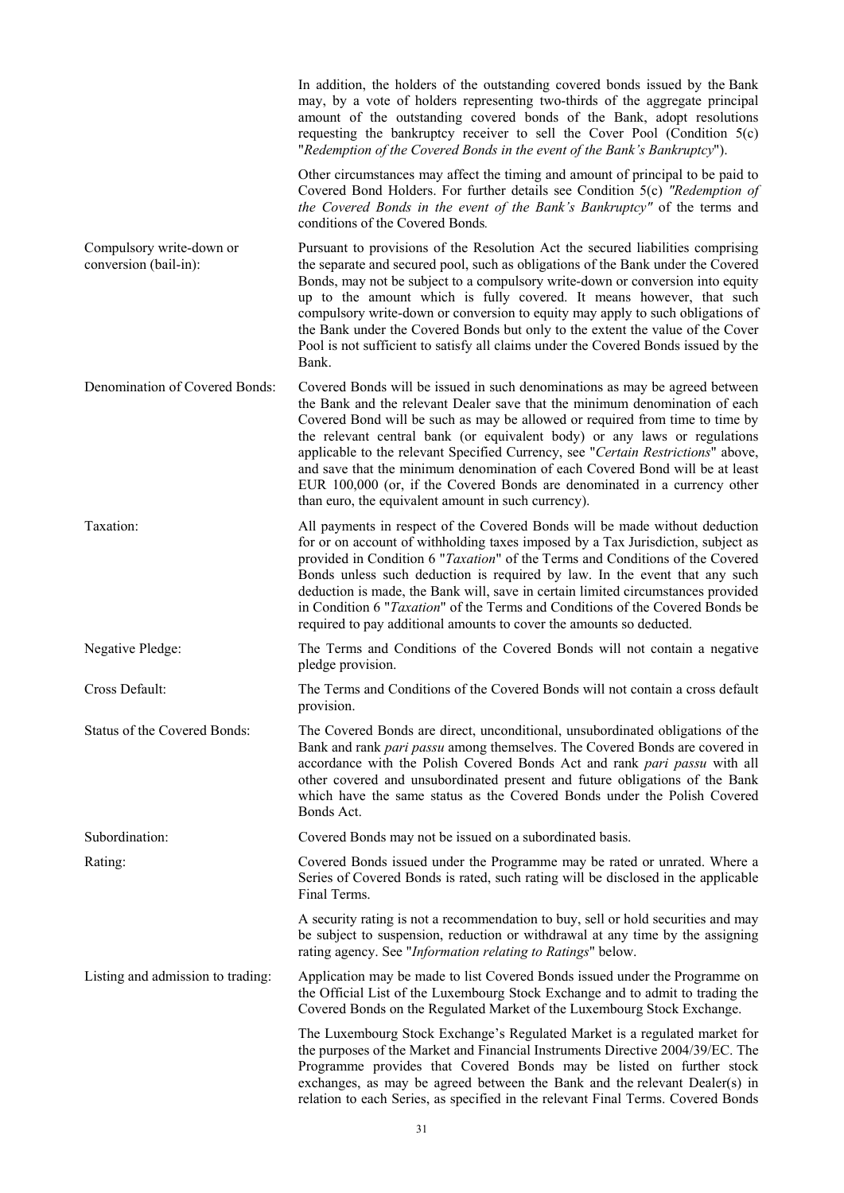|                                                   | In addition, the holders of the outstanding covered bonds issued by the Bank<br>may, by a vote of holders representing two-thirds of the aggregate principal<br>amount of the outstanding covered bonds of the Bank, adopt resolutions<br>requesting the bankruptcy receiver to sell the Cover Pool (Condition $5(c)$ )<br>"Redemption of the Covered Bonds in the event of the Bank's Bankruptcy").                                                                                                                                                                                                                            |
|---------------------------------------------------|---------------------------------------------------------------------------------------------------------------------------------------------------------------------------------------------------------------------------------------------------------------------------------------------------------------------------------------------------------------------------------------------------------------------------------------------------------------------------------------------------------------------------------------------------------------------------------------------------------------------------------|
|                                                   | Other circumstances may affect the timing and amount of principal to be paid to<br>Covered Bond Holders. For further details see Condition 5(c) "Redemption of<br>the Covered Bonds in the event of the Bank's Bankruptcy" of the terms and<br>conditions of the Covered Bonds.                                                                                                                                                                                                                                                                                                                                                 |
| Compulsory write-down or<br>conversion (bail-in): | Pursuant to provisions of the Resolution Act the secured liabilities comprising<br>the separate and secured pool, such as obligations of the Bank under the Covered<br>Bonds, may not be subject to a compulsory write-down or conversion into equity<br>up to the amount which is fully covered. It means however, that such<br>compulsory write-down or conversion to equity may apply to such obligations of<br>the Bank under the Covered Bonds but only to the extent the value of the Cover<br>Pool is not sufficient to satisfy all claims under the Covered Bonds issued by the<br>Bank.                                |
| Denomination of Covered Bonds:                    | Covered Bonds will be issued in such denominations as may be agreed between<br>the Bank and the relevant Dealer save that the minimum denomination of each<br>Covered Bond will be such as may be allowed or required from time to time by<br>the relevant central bank (or equivalent body) or any laws or regulations<br>applicable to the relevant Specified Currency, see "Certain Restrictions" above,<br>and save that the minimum denomination of each Covered Bond will be at least<br>EUR 100,000 (or, if the Covered Bonds are denominated in a currency other<br>than euro, the equivalent amount in such currency). |
| Taxation:                                         | All payments in respect of the Covered Bonds will be made without deduction<br>for or on account of withholding taxes imposed by a Tax Jurisdiction, subject as<br>provided in Condition 6 "Taxation" of the Terms and Conditions of the Covered<br>Bonds unless such deduction is required by law. In the event that any such<br>deduction is made, the Bank will, save in certain limited circumstances provided<br>in Condition 6 "Taxation" of the Terms and Conditions of the Covered Bonds be<br>required to pay additional amounts to cover the amounts so deducted.                                                     |
| Negative Pledge:                                  | The Terms and Conditions of the Covered Bonds will not contain a negative<br>pledge provision.                                                                                                                                                                                                                                                                                                                                                                                                                                                                                                                                  |
| Cross Default:                                    | The Terms and Conditions of the Covered Bonds will not contain a cross default<br>provision.                                                                                                                                                                                                                                                                                                                                                                                                                                                                                                                                    |
| Status of the Covered Bonds:                      | The Covered Bonds are direct, unconditional, unsubordinated obligations of the<br>Bank and rank pari passu among themselves. The Covered Bonds are covered in<br>accordance with the Polish Covered Bonds Act and rank pari passu with all<br>other covered and unsubordinated present and future obligations of the Bank<br>which have the same status as the Covered Bonds under the Polish Covered<br>Bonds Act.                                                                                                                                                                                                             |
| Subordination:                                    | Covered Bonds may not be issued on a subordinated basis.                                                                                                                                                                                                                                                                                                                                                                                                                                                                                                                                                                        |
| Rating:                                           | Covered Bonds issued under the Programme may be rated or unrated. Where a<br>Series of Covered Bonds is rated, such rating will be disclosed in the applicable<br>Final Terms.                                                                                                                                                                                                                                                                                                                                                                                                                                                  |
|                                                   | A security rating is not a recommendation to buy, sell or hold securities and may<br>be subject to suspension, reduction or withdrawal at any time by the assigning<br>rating agency. See "Information relating to Ratings" below.                                                                                                                                                                                                                                                                                                                                                                                              |
| Listing and admission to trading:                 | Application may be made to list Covered Bonds issued under the Programme on<br>the Official List of the Luxembourg Stock Exchange and to admit to trading the<br>Covered Bonds on the Regulated Market of the Luxembourg Stock Exchange.                                                                                                                                                                                                                                                                                                                                                                                        |
|                                                   | The Luxembourg Stock Exchange's Regulated Market is a regulated market for<br>the purposes of the Market and Financial Instruments Directive 2004/39/EC. The<br>Programme provides that Covered Bonds may be listed on further stock<br>exchanges, as may be agreed between the Bank and the relevant Dealer(s) in<br>relation to each Series, as specified in the relevant Final Terms. Covered Bonds                                                                                                                                                                                                                          |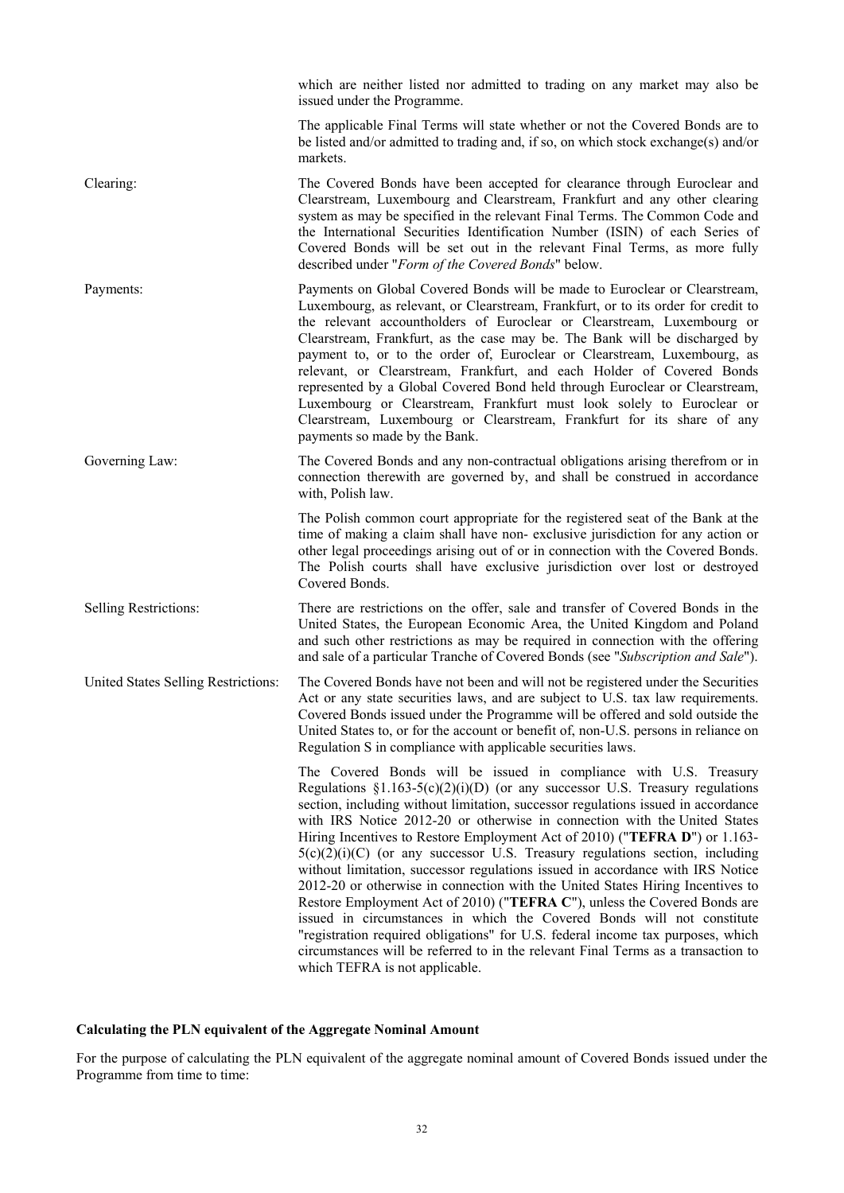which are neither listed nor admitted to trading on any market may also be issued under the Programme. The applicable Final Terms will state whether or not the Covered Bonds are to be listed and/or admitted to trading and, if so, on which stock exchange(s) and/or markets. Clearing: The Covered Bonds have been accepted for clearance through Euroclear and Clearstream, Luxembourg and Clearstream, Frankfurt and any other clearing system as may be specified in the relevant Final Terms. The Common Code and the International Securities Identification Number (ISIN) of each Series of Covered Bonds will be set out in the relevant Final Terms, as more fully described under "*Form of the Covered Bonds*" below. Payments: Payments on Global Covered Bonds will be made to Euroclear or Clearstream, Luxembourg, as relevant, or Clearstream, Frankfurt, or to its order for credit to the relevant accountholders of Euroclear or Clearstream, Luxembourg or Clearstream, Frankfurt, as the case may be. The Bank will be discharged by payment to, or to the order of, Euroclear or Clearstream, Luxembourg, as relevant, or Clearstream, Frankfurt, and each Holder of Covered Bonds represented by a Global Covered Bond held through Euroclear or Clearstream, Luxembourg or Clearstream, Frankfurt must look solely to Euroclear or Clearstream, Luxembourg or Clearstream, Frankfurt for its share of any payments so made by the Bank. Governing Law: The Covered Bonds and any non-contractual obligations arising therefrom or in connection therewith are governed by, and shall be construed in accordance with, Polish law. The Polish common court appropriate for the registered seat of the Bank at the time of making a claim shall have non- exclusive jurisdiction for any action or other legal proceedings arising out of or in connection with the Covered Bonds. The Polish courts shall have exclusive jurisdiction over lost or destroyed Covered Bonds. Selling Restrictions: There are restrictions on the offer, sale and transfer of Covered Bonds in the United States, the European Economic Area, the United Kingdom and Poland and such other restrictions as may be required in connection with the offering and sale of a particular Tranche of Covered Bonds (see "*Subscription and Sale*"). United States Selling Restrictions: The Covered Bonds have not been and will not be registered under the Securities Act or any state securities laws, and are subject to U.S. tax law requirements. Covered Bonds issued under the Programme will be offered and sold outside the United States to, or for the account or benefit of, non-U.S. persons in reliance on Regulation S in compliance with applicable securities laws. The Covered Bonds will be issued in compliance with U.S. Treasury Regulations  $\S1.163-5(c)(2)(i)(D)$  (or any successor U.S. Treasury regulations section, including without limitation, successor regulations issued in accordance with IRS Notice 2012-20 or otherwise in connection with the United States Hiring Incentives to Restore Employment Act of 2010) ("**TEFRA D**") or 1.163-  $5(c)(2)(i)(C)$  (or any successor U.S. Treasury regulations section, including without limitation, successor regulations issued in accordance with IRS Notice 2012-20 or otherwise in connection with the United States Hiring Incentives to Restore Employment Act of 2010) ("**TEFRA C**"), unless the Covered Bonds are issued in circumstances in which the Covered Bonds will not constitute "registration required obligations" for U.S. federal income tax purposes, which circumstances will be referred to in the relevant Final Terms as a transaction to which TEFRA is not applicable.

### **Calculating the PLN equivalent of the Aggregate Nominal Amount**

For the purpose of calculating the PLN equivalent of the aggregate nominal amount of Covered Bonds issued under the Programme from time to time: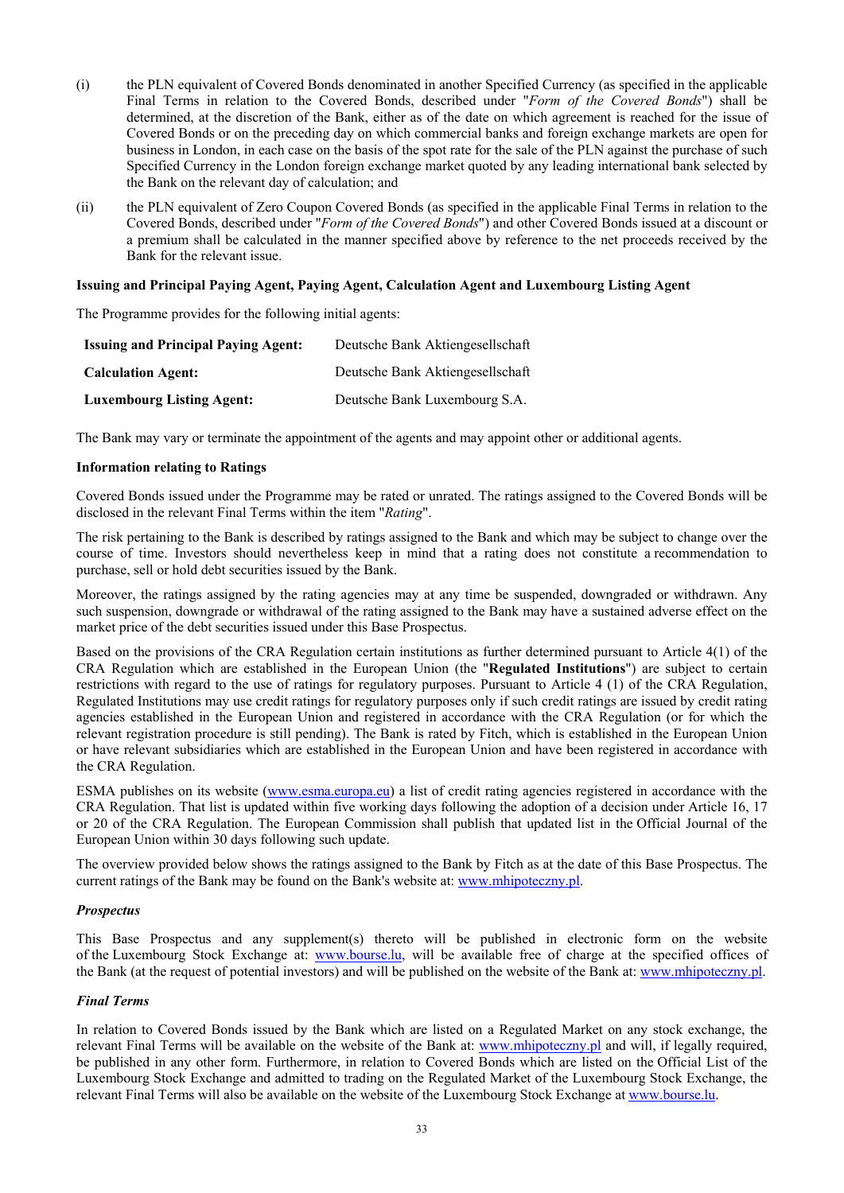- (i) the PLN equivalent of Covered Bonds denominated in another Specified Currency (as specified in the applicable Final Terms in relation to the Covered Bonds, described under "*Form of the Covered Bonds*") shall be determined, at the discretion of the Bank, either as of the date on which agreement is reached for the issue of Covered Bonds or on the preceding day on which commercial banks and foreign exchange markets are open for business in London, in each case on the basis of the spot rate for the sale of the PLN against the purchase of such Specified Currency in the London foreign exchange market quoted by any leading international bank selected by the Bank on the relevant day of calculation; and
- (ii) the PLN equivalent of Zero Coupon Covered Bonds (as specified in the applicable Final Terms in relation to the Covered Bonds, described under "*Form of the Covered Bonds*") and other Covered Bonds issued at a discount or a premium shall be calculated in the manner specified above by reference to the net proceeds received by the Bank for the relevant issue.

### **Issuing and Principal Paying Agent, Paying Agent, Calculation Agent and Luxembourg Listing Agent**

The Programme provides for the following initial agents:

| <b>Issuing and Principal Paying Agent:</b> | Deutsche Bank Aktiengesellschaft |
|--------------------------------------------|----------------------------------|
| <b>Calculation Agent:</b>                  | Deutsche Bank Aktiengesellschaft |
| <b>Luxembourg Listing Agent:</b>           | Deutsche Bank Luxembourg S.A.    |

The Bank may vary or terminate the appointment of the agents and may appoint other or additional agents.

### **Information relating to Ratings**

Covered Bonds issued under the Programme may be rated or unrated. The ratings assigned to the Covered Bonds will be disclosed in the relevant Final Terms within the item "*Rating*".

The risk pertaining to the Bank is described by ratings assigned to the Bank and which may be subject to change over the course of time. Investors should nevertheless keep in mind that a rating does not constitute a recommendation to purchase, sell or hold debt securities issued by the Bank.

Moreover, the ratings assigned by the rating agencies may at any time be suspended, downgraded or withdrawn. Any such suspension, downgrade or withdrawal of the rating assigned to the Bank may have a sustained adverse effect on the market price of the debt securities issued under this Base Prospectus.

Based on the provisions of the CRA Regulation certain institutions as further determined pursuant to Article 4(1) of the CRA Regulation which are established in the European Union (the "**Regulated Institutions**") are subject to certain restrictions with regard to the use of ratings for regulatory purposes. Pursuant to Article 4 (1) of the CRA Regulation, Regulated Institutions may use credit ratings for regulatory purposes only if such credit ratings are issued by credit rating agencies established in the European Union and registered in accordance with the CRA Regulation (or for which the relevant registration procedure is still pending). The Bank is rated by Fitch, which is established in the European Union or have relevant subsidiaries which are established in the European Union and have been registered in accordance with the CRA Regulation.

ESMA publishes on its website (www.esma.europa.eu) a list of credit rating agencies registered in accordance with the CRA Regulation. That list is updated within five working days following the adoption of a decision under Article 16, 17 or 20 of the CRA Regulation. The European Commission shall publish that updated list in the Official Journal of the European Union within 30 days following such update.

The overview provided below shows the ratings assigned to the Bank by Fitch as at the date of this Base Prospectus. The current ratings of the Bank may be found on the Bank's website at: www.mhipoteczny.pl.

#### *Prospectus*

This Base Prospectus and any supplement(s) thereto will be published in electronic form on the website of the Luxembourg Stock Exchange at: www.bourse.lu, will be available free of charge at the specified offices of the Bank (at the request of potential investors) and will be published on the website of the Bank at: www.mhipoteczny.pl.

#### *Final Terms*

In relation to Covered Bonds issued by the Bank which are listed on a Regulated Market on any stock exchange, the relevant Final Terms will be available on the website of the Bank at: www.mhipoteczny.pl and will, if legally required, be published in any other form. Furthermore, in relation to Covered Bonds which are listed on the Official List of the Luxembourg Stock Exchange and admitted to trading on the Regulated Market of the Luxembourg Stock Exchange, the relevant Final Terms will also be available on the website of the Luxembourg Stock Exchange at www.bourse.lu.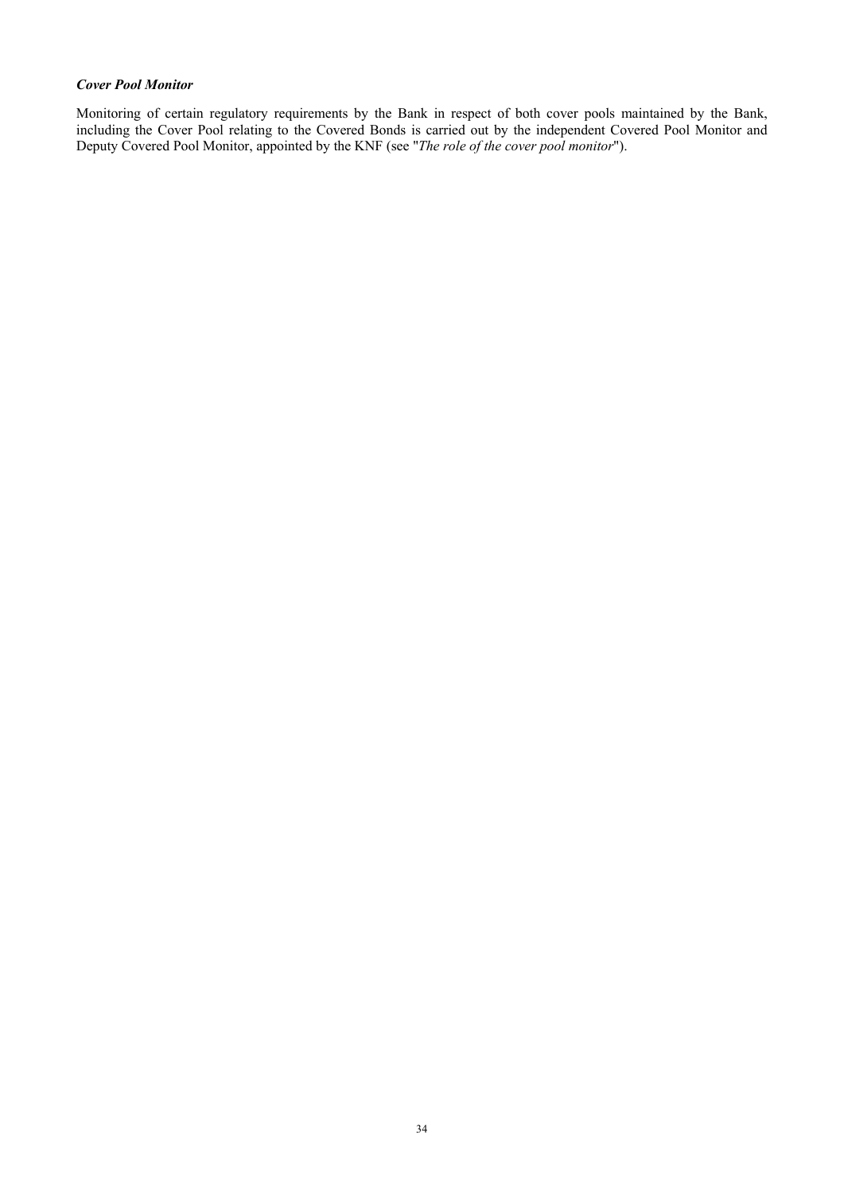### *Cover Pool Monitor*

Monitoring of certain regulatory requirements by the Bank in respect of both cover pools maintained by the Bank, including the Cover Pool relating to the Covered Bonds is carried out by the independent Covered Pool Monitor and Deputy Covered Pool Monitor, appointed by the KNF (see "*The role of the cover pool monitor*").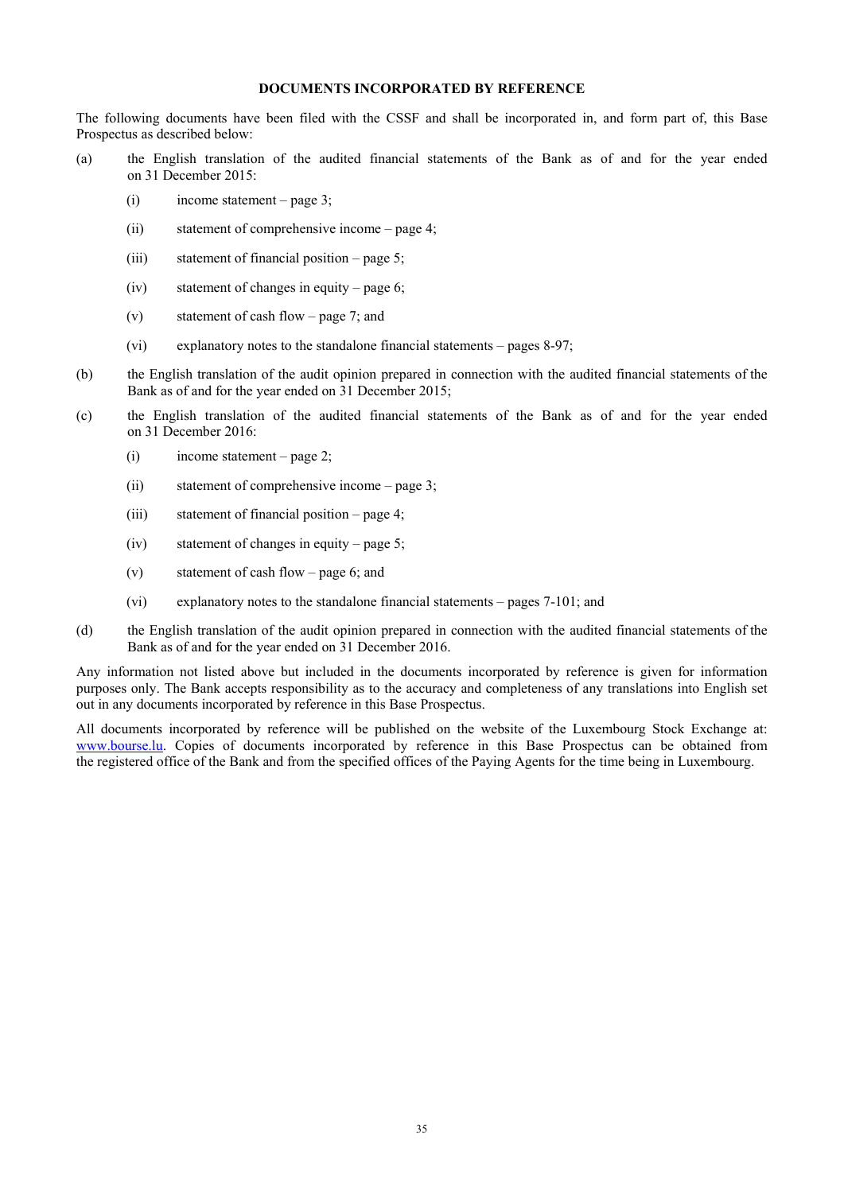### **DOCUMENTS INCORPORATED BY REFERENCE**

The following documents have been filed with the CSSF and shall be incorporated in, and form part of, this Base Prospectus as described below:

- (a) the English translation of the audited financial statements of the Bank as of and for the year ended on 31 December 2015:
	- (i) income statement page 3;
	- (ii) statement of comprehensive income page 4;
	- (iii) statement of financial position page 5;
	- (iv) statement of changes in equity page 6;
	- (v) statement of cash flow page 7; and
	- (vi) explanatory notes to the standalone financial statements pages 8-97;
- (b) the English translation of the audit opinion prepared in connection with the audited financial statements of the Bank as of and for the year ended on 31 December 2015;
- (c) the English translation of the audited financial statements of the Bank as of and for the year ended on 31 December 2016:
	- (i) income statement page 2;
	- (ii) statement of comprehensive income page 3;
	- (iii) statement of financial position page 4;
	- (iv) statement of changes in equity page 5;
	- (v) statement of cash flow page 6; and
	- (vi) explanatory notes to the standalone financial statements pages 7-101; and
- (d) the English translation of the audit opinion prepared in connection with the audited financial statements of the Bank as of and for the year ended on 31 December 2016.

Any information not listed above but included in the documents incorporated by reference is given for information purposes only. The Bank accepts responsibility as to the accuracy and completeness of any translations into English set out in any documents incorporated by reference in this Base Prospectus.

All documents incorporated by reference will be published on the website of the Luxembourg Stock Exchange at: www.bourse.lu. Copies of documents incorporated by reference in this Base Prospectus can be obtained from the registered office of the Bank and from the specified offices of the Paying Agents for the time being in Luxembourg.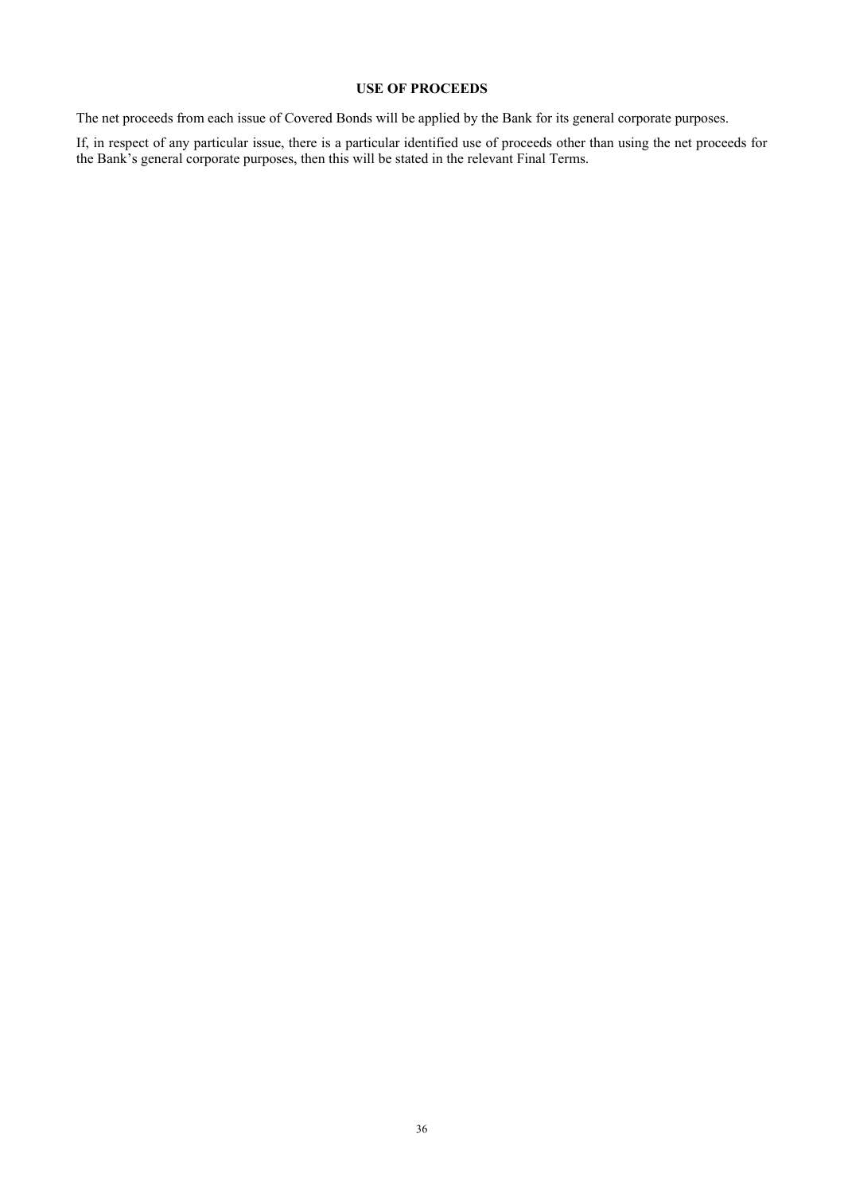# **USE OF PROCEEDS**

The net proceeds from each issue of Covered Bonds will be applied by the Bank for its general corporate purposes.

If, in respect of any particular issue, there is a particular identified use of proceeds other than using the net proceeds for the Bank's general corporate purposes, then this will be stated in the relevant Final Terms.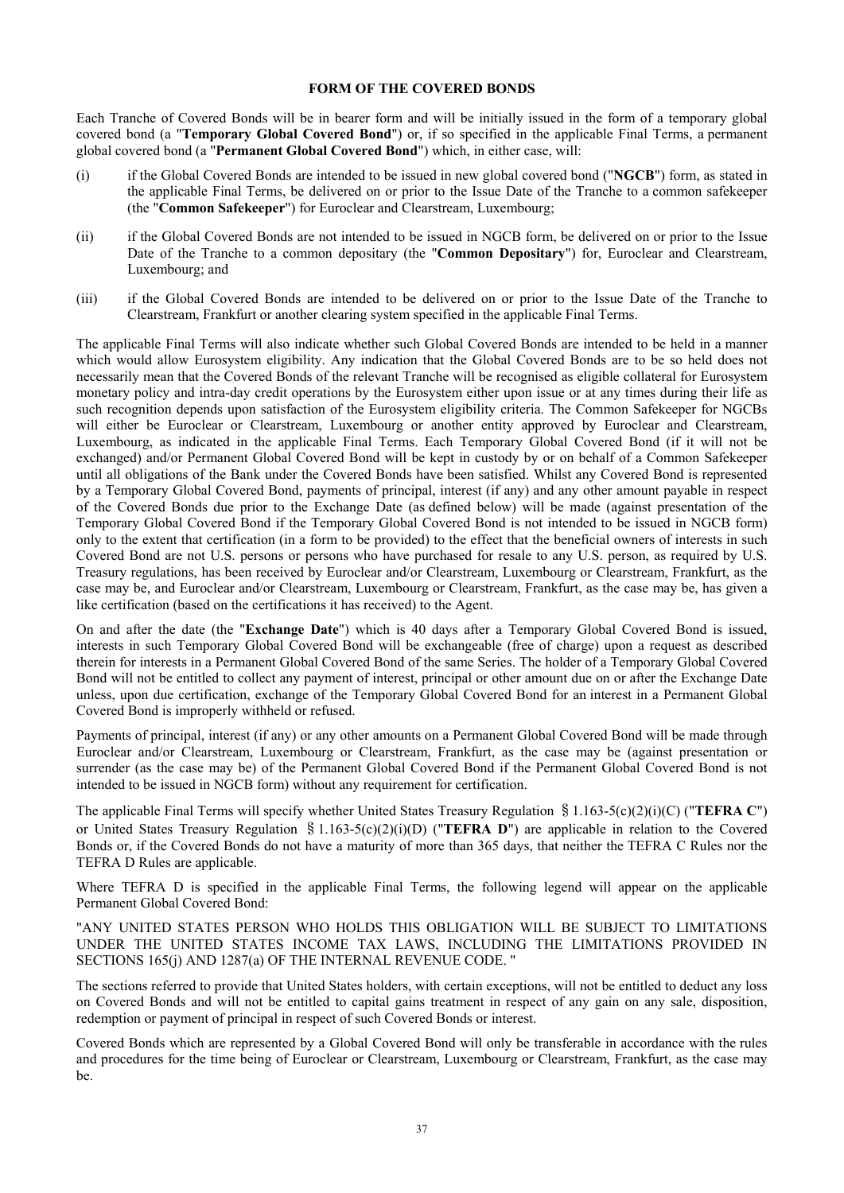### **FORM OF THE COVERED BONDS**

Each Tranche of Covered Bonds will be in bearer form and will be initially issued in the form of a temporary global covered bond (a "**Temporary Global Covered Bond**") or, if so specified in the applicable Final Terms, a permanent global covered bond (a "**Permanent Global Covered Bond**") which, in either case, will:

- (i) if the Global Covered Bonds are intended to be issued in new global covered bond ("**NGCB**") form, as stated in the applicable Final Terms, be delivered on or prior to the Issue Date of the Tranche to a common safekeeper (the "**Common Safekeeper**") for Euroclear and Clearstream, Luxembourg;
- (ii) if the Global Covered Bonds are not intended to be issued in NGCB form, be delivered on or prior to the Issue Date of the Tranche to a common depositary (the "**Common Depositary**") for, Euroclear and Clearstream, Luxembourg; and
- (iii) if the Global Covered Bonds are intended to be delivered on or prior to the Issue Date of the Tranche to Clearstream, Frankfurt or another clearing system specified in the applicable Final Terms.

The applicable Final Terms will also indicate whether such Global Covered Bonds are intended to be held in a manner which would allow Eurosystem eligibility. Any indication that the Global Covered Bonds are to be so held does not necessarily mean that the Covered Bonds of the relevant Tranche will be recognised as eligible collateral for Eurosystem monetary policy and intra-day credit operations by the Eurosystem either upon issue or at any times during their life as such recognition depends upon satisfaction of the Eurosystem eligibility criteria. The Common Safekeeper for NGCBs will either be Euroclear or Clearstream, Luxembourg or another entity approved by Euroclear and Clearstream, Luxembourg, as indicated in the applicable Final Terms. Each Temporary Global Covered Bond (if it will not be exchanged) and/or Permanent Global Covered Bond will be kept in custody by or on behalf of a Common Safekeeper until all obligations of the Bank under the Covered Bonds have been satisfied. Whilst any Covered Bond is represented by a Temporary Global Covered Bond, payments of principal, interest (if any) and any other amount payable in respect of the Covered Bonds due prior to the Exchange Date (as defined below) will be made (against presentation of the Temporary Global Covered Bond if the Temporary Global Covered Bond is not intended to be issued in NGCB form) only to the extent that certification (in a form to be provided) to the effect that the beneficial owners of interests in such Covered Bond are not U.S. persons or persons who have purchased for resale to any U.S. person, as required by U.S. Treasury regulations, has been received by Euroclear and/or Clearstream, Luxembourg or Clearstream, Frankfurt, as the case may be, and Euroclear and/or Clearstream, Luxembourg or Clearstream, Frankfurt, as the case may be, has given a like certification (based on the certifications it has received) to the Agent.

On and after the date (the "**Exchange Date**") which is 40 days after a Temporary Global Covered Bond is issued, interests in such Temporary Global Covered Bond will be exchangeable (free of charge) upon a request as described therein for interests in a Permanent Global Covered Bond of the same Series. The holder of a Temporary Global Covered Bond will not be entitled to collect any payment of interest, principal or other amount due on or after the Exchange Date unless, upon due certification, exchange of the Temporary Global Covered Bond for an interest in a Permanent Global Covered Bond is improperly withheld or refused.

Payments of principal, interest (if any) or any other amounts on a Permanent Global Covered Bond will be made through Euroclear and/or Clearstream, Luxembourg or Clearstream, Frankfurt, as the case may be (against presentation or surrender (as the case may be) of the Permanent Global Covered Bond if the Permanent Global Covered Bond is not intended to be issued in NGCB form) without any requirement for certification.

The applicable Final Terms will specify whether United States Treasury Regulation §1.163-5(c)(2)(i)(C) ("**TEFRA C**") or United States Treasury Regulation §1.163-5(c)(2)(i)(D) ("**TEFRA D**") are applicable in relation to the Covered Bonds or, if the Covered Bonds do not have a maturity of more than 365 days, that neither the TEFRA C Rules nor the TEFRA D Rules are applicable.

Where TEFRA D is specified in the applicable Final Terms, the following legend will appear on the applicable Permanent Global Covered Bond:

"ANY UNITED STATES PERSON WHO HOLDS THIS OBLIGATION WILL BE SUBJECT TO LIMITATIONS UNDER THE UNITED STATES INCOME TAX LAWS, INCLUDING THE LIMITATIONS PROVIDED IN SECTIONS 165(j) AND 1287(a) OF THE INTERNAL REVENUE CODE. "

The sections referred to provide that United States holders, with certain exceptions, will not be entitled to deduct any loss on Covered Bonds and will not be entitled to capital gains treatment in respect of any gain on any sale, disposition, redemption or payment of principal in respect of such Covered Bonds or interest.

Covered Bonds which are represented by a Global Covered Bond will only be transferable in accordance with the rules and procedures for the time being of Euroclear or Clearstream, Luxembourg or Clearstream, Frankfurt, as the case may be.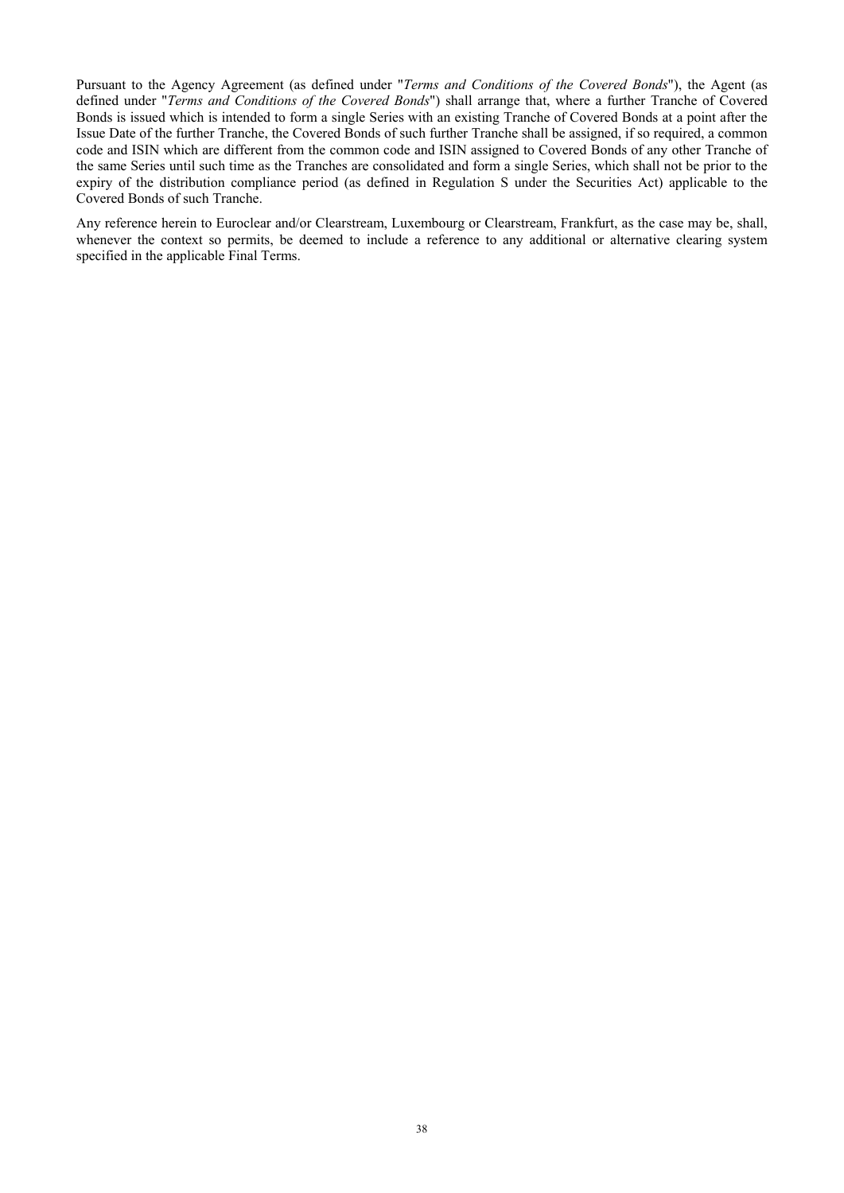Pursuant to the Agency Agreement (as defined under "*Terms and Conditions of the Covered Bonds*"), the Agent (as defined under "*Terms and Conditions of the Covered Bonds*") shall arrange that, where a further Tranche of Covered Bonds is issued which is intended to form a single Series with an existing Tranche of Covered Bonds at a point after the Issue Date of the further Tranche, the Covered Bonds of such further Tranche shall be assigned, if so required, a common code and ISIN which are different from the common code and ISIN assigned to Covered Bonds of any other Tranche of the same Series until such time as the Tranches are consolidated and form a single Series, which shall not be prior to the expiry of the distribution compliance period (as defined in Regulation S under the Securities Act) applicable to the Covered Bonds of such Tranche.

Any reference herein to Euroclear and/or Clearstream, Luxembourg or Clearstream, Frankfurt, as the case may be, shall, whenever the context so permits, be deemed to include a reference to any additional or alternative clearing system specified in the applicable Final Terms.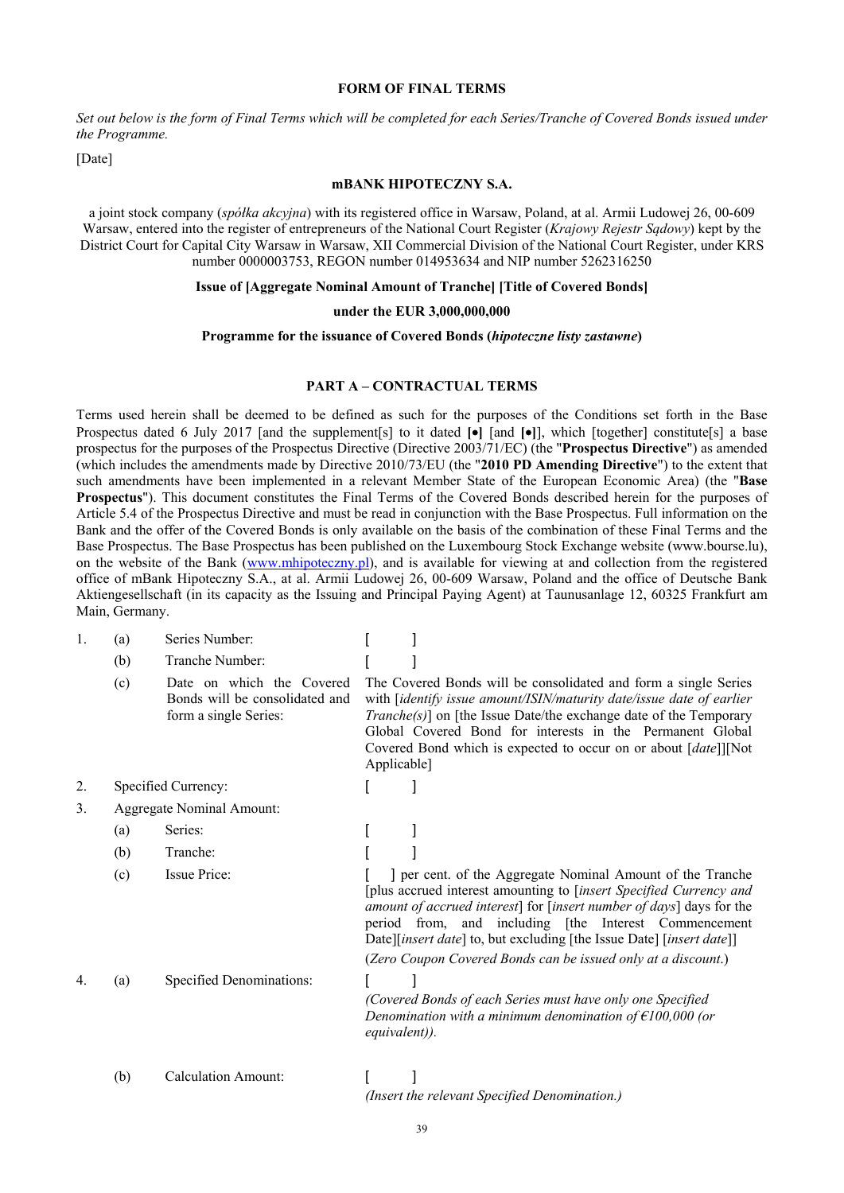#### **FORM OF FINAL TERMS**

*Set out below is the form of Final Terms which will be completed for each Series/Tranche of Covered Bonds issued under the Programme.* 

[Date]

### **mBANK HIPOTECZNY S.A.**

a joint stock company (*spółka akcyjna*) with its registered office in Warsaw, Poland, at al. Armii Ludowej 26, 00-609 Warsaw, entered into the register of entrepreneurs of the National Court Register (*Krajowy Rejestr Sądowy*) kept by the District Court for Capital City Warsaw in Warsaw, XII Commercial Division of the National Court Register, under KRS number 0000003753, REGON number 014953634 and NIP number 5262316250

#### **Issue of [Aggregate Nominal Amount of Tranche] [Title of Covered Bonds]**

### **under the EUR 3,000,000,000**

### **Programme for the issuance of Covered Bonds (***hipoteczne listy zastawne***)**

### **PART A – CONTRACTUAL TERMS**

Terms used herein shall be deemed to be defined as such for the purposes of the Conditions set forth in the Base Prospectus dated 6 July 2017 [and the supplement[s] to it dated **[•**] [and **[•**]], which [together] constitute[s] a base prospectus for the purposes of the Prospectus Directive (Directive 2003/71/EC) (the "**Prospectus Directive**") as amended (which includes the amendments made by Directive 2010/73/EU (the "**2010 PD Amending Directive**") to the extent that such amendments have been implemented in a relevant Member State of the European Economic Area) (the "**Base Prospectus**"). This document constitutes the Final Terms of the Covered Bonds described herein for the purposes of Article 5.4 of the Prospectus Directive and must be read in conjunction with the Base Prospectus. Full information on the Bank and the offer of the Covered Bonds is only available on the basis of the combination of these Final Terms and the Base Prospectus. The Base Prospectus has been published on the Luxembourg Stock Exchange website (www.bourse.lu), on the website of the Bank (www.mhipoteczny.pl), and is available for viewing at and collection from the registered office of mBank Hipoteczny S.A., at al. Armii Ludowej 26, 00-609 Warsaw, Poland and the office of Deutsche Bank Aktiengesellschaft (in its capacity as the Issuing and Principal Paying Agent) at Taunusanlage 12, 60325 Frankfurt am Main, Germany.

| 1. | (a) | Series Number:                                                                       |                                                                                                                                                                                                                                                                                                                                                                                                            |
|----|-----|--------------------------------------------------------------------------------------|------------------------------------------------------------------------------------------------------------------------------------------------------------------------------------------------------------------------------------------------------------------------------------------------------------------------------------------------------------------------------------------------------------|
|    | (b) | Tranche Number:                                                                      |                                                                                                                                                                                                                                                                                                                                                                                                            |
|    | (c) | Date on which the Covered<br>Bonds will be consolidated and<br>form a single Series: | The Covered Bonds will be consolidated and form a single Series<br>with [identify issue amount/ISIN/maturity date/issue date of earlier<br><i>Tranche(s)</i> ] on [the Issue Date/the exchange date of the Temporary<br>Global Covered Bond for interests in the Permanent Global<br>Covered Bond which is expected to occur on or about [date]][Not<br>Applicable]                                        |
|    |     | Specified Currency:                                                                  |                                                                                                                                                                                                                                                                                                                                                                                                            |
| 3. |     | <b>Aggregate Nominal Amount:</b>                                                     |                                                                                                                                                                                                                                                                                                                                                                                                            |
|    | (a) | Series:                                                                              |                                                                                                                                                                                                                                                                                                                                                                                                            |
|    | (b) | Tranche:                                                                             |                                                                                                                                                                                                                                                                                                                                                                                                            |
|    | (c) | Issue Price:                                                                         | ] per cent. of the Aggregate Nominal Amount of the Tranche<br>[plus accrued interest amounting to [insert Specified Currency and<br>amount of accrued interest] for [insert number of days] days for the<br>period from, and including [the Interest Commencement<br>Date][insert date] to, but excluding [the Issue Date] [insert date]]<br>(Zero Coupon Covered Bonds can be issued only at a discount.) |
|    | (a) | Specified Denominations:                                                             | (Covered Bonds of each Series must have only one Specified<br>Denomination with a minimum denomination of $\epsilon$ 100,000 (or<br>equivalent)).                                                                                                                                                                                                                                                          |
|    | (b) | <b>Calculation Amount:</b>                                                           | (Insert the relevant Specified Denomination.)                                                                                                                                                                                                                                                                                                                                                              |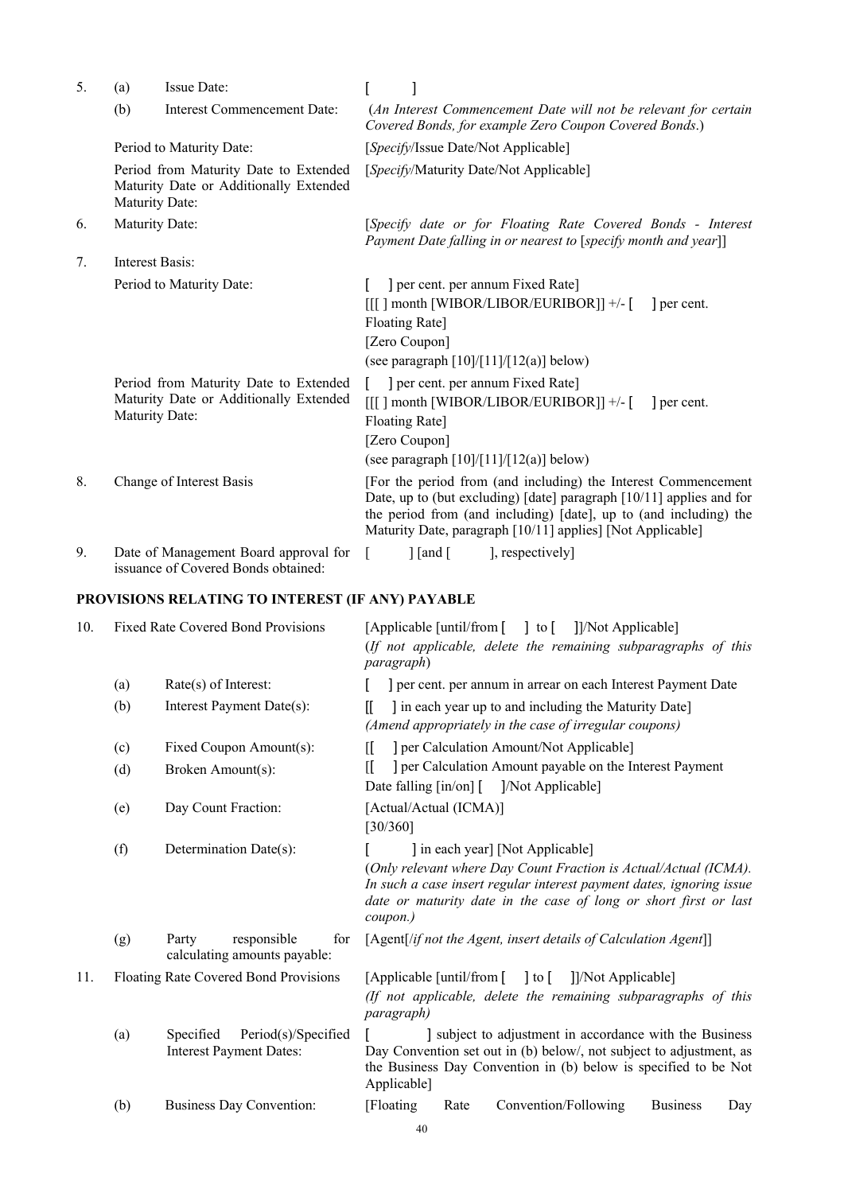| 5. | (a)                                                                                               | Issue Date:                                                                     |                                                                                                                                                                                |                                                                                                                                                                                                                                                                           |  |  |  |
|----|---------------------------------------------------------------------------------------------------|---------------------------------------------------------------------------------|--------------------------------------------------------------------------------------------------------------------------------------------------------------------------------|---------------------------------------------------------------------------------------------------------------------------------------------------------------------------------------------------------------------------------------------------------------------------|--|--|--|
|    | (b)                                                                                               | Interest Commencement Date:                                                     |                                                                                                                                                                                | (An Interest Commencement Date will not be relevant for certain<br>Covered Bonds, for example Zero Coupon Covered Bonds.)                                                                                                                                                 |  |  |  |
|    |                                                                                                   | Period to Maturity Date:                                                        | [Specify/Issue Date/Not Applicable]                                                                                                                                            |                                                                                                                                                                                                                                                                           |  |  |  |
|    | Maturity Date:                                                                                    | Period from Maturity Date to Extended<br>Maturity Date or Additionally Extended | [Specify/Maturity Date/Not Applicable]                                                                                                                                         |                                                                                                                                                                                                                                                                           |  |  |  |
| 6. | Maturity Date:                                                                                    |                                                                                 |                                                                                                                                                                                | [Specify date or for Floating Rate Covered Bonds - Interest<br>Payment Date falling in or nearest to [specify month and year]]                                                                                                                                            |  |  |  |
| 7. | Interest Basis:                                                                                   |                                                                                 |                                                                                                                                                                                |                                                                                                                                                                                                                                                                           |  |  |  |
|    |                                                                                                   | Period to Maturity Date:                                                        |                                                                                                                                                                                | ] per cent. per annum Fixed Rate]<br>$[[[]]$ month [WIBOR/LIBOR/EURIBOR]] +/- $[$<br>l per cent.<br>Floating Rate]<br>[Zero Coupon]<br>(see paragraph $[10]/[11]/[12(a)]$ below)                                                                                          |  |  |  |
|    | Period from Maturity Date to Extended<br>Maturity Date or Additionally Extended<br>Maturity Date: |                                                                                 | ] per cent. per annum Fixed Rate]<br>$[[[]]$ month [WIBOR/LIBOR/EURIBOR]] +/- [<br>l per cent.<br>Floating Rate]<br>[Zero Coupon]<br>(see paragraph $[10]/[11]/[12(a)]$ below) |                                                                                                                                                                                                                                                                           |  |  |  |
| 8. |                                                                                                   | Change of Interest Basis                                                        |                                                                                                                                                                                | [For the period from (and including) the Interest Commencement<br>Date, up to (but excluding) [date] paragraph [10/11] applies and for<br>the period from (and including) [date], up to (and including) the<br>Maturity Date, paragraph [10/11] applies] [Not Applicable] |  |  |  |
| 9. |                                                                                                   | Date of Management Board approval for<br>issuance of Covered Bonds obtained:    |                                                                                                                                                                                | $\int$ [and [<br>], respectively]                                                                                                                                                                                                                                         |  |  |  |

# **PROVISIONS RELATING TO INTEREST (IF ANY) PAYABLE**

| 10. | <b>Fixed Rate Covered Bond Provisions</b> |                                                                    | [Applicable [until/from [ ] to [ ]]/Not Applicable]<br>(If not applicable, delete the remaining subparagraphs of this<br>paragraph)                                                                                                                          |  |  |  |
|-----|-------------------------------------------|--------------------------------------------------------------------|--------------------------------------------------------------------------------------------------------------------------------------------------------------------------------------------------------------------------------------------------------------|--|--|--|
|     | (a)                                       | $Rate(s)$ of Interest:                                             | ] per cent. per annum in arrear on each Interest Payment Date                                                                                                                                                                                                |  |  |  |
|     | (b)                                       | Interest Payment Date(s):                                          | I in each year up to and including the Maturity Date<br>II.<br>(Amend appropriately in the case of irregular coupons)                                                                                                                                        |  |  |  |
|     | (c)                                       | Fixed Coupon Amount(s):                                            | ] per Calculation Amount/Not Applicable]<br>Œ                                                                                                                                                                                                                |  |  |  |
|     | (d)                                       | Broken Amount(s):                                                  | ] per Calculation Amount payable on the Interest Payment<br>ſI<br>Date falling [in/on] [ ]/Not Applicable]                                                                                                                                                   |  |  |  |
|     | (e)                                       | Day Count Fraction:                                                | [Actual/Actual (ICMA)]<br>[30/360]                                                                                                                                                                                                                           |  |  |  |
|     | (f)                                       | Determination Date(s):                                             | ] in each year] [Not Applicable]<br>(Only relevant where Day Count Fraction is Actual/Actual (ICMA).<br>In such a case insert regular interest payment dates, ignoring issue<br>date or maturity date in the case of long or short first or last<br>coupon.) |  |  |  |
|     | (g)                                       | Party<br>responsible<br>for<br>calculating amounts payable:        | [Agent[/if not the Agent, insert details of Calculation Agent]]                                                                                                                                                                                              |  |  |  |
| 11. | Floating Rate Covered Bond Provisions     |                                                                    | [Applicable [until/from [ ] to [ ]]/Not Applicable]<br>(If not applicable, delete the remaining subparagraphs of this<br>paragraph)                                                                                                                          |  |  |  |
|     | (a)                                       | Period(s)/Specified<br>Specified<br><b>Interest Payment Dates:</b> | subject to adjustment in accordance with the Business<br>Day Convention set out in (b) below/, not subject to adjustment, as<br>the Business Day Convention in (b) below is specified to be Not<br>Applicable]                                               |  |  |  |
|     | (b)                                       | <b>Business Day Convention:</b>                                    | Convention/Following<br>[Floating]<br>Rate<br><b>Business</b><br>Day<br>$\overline{A}$                                                                                                                                                                       |  |  |  |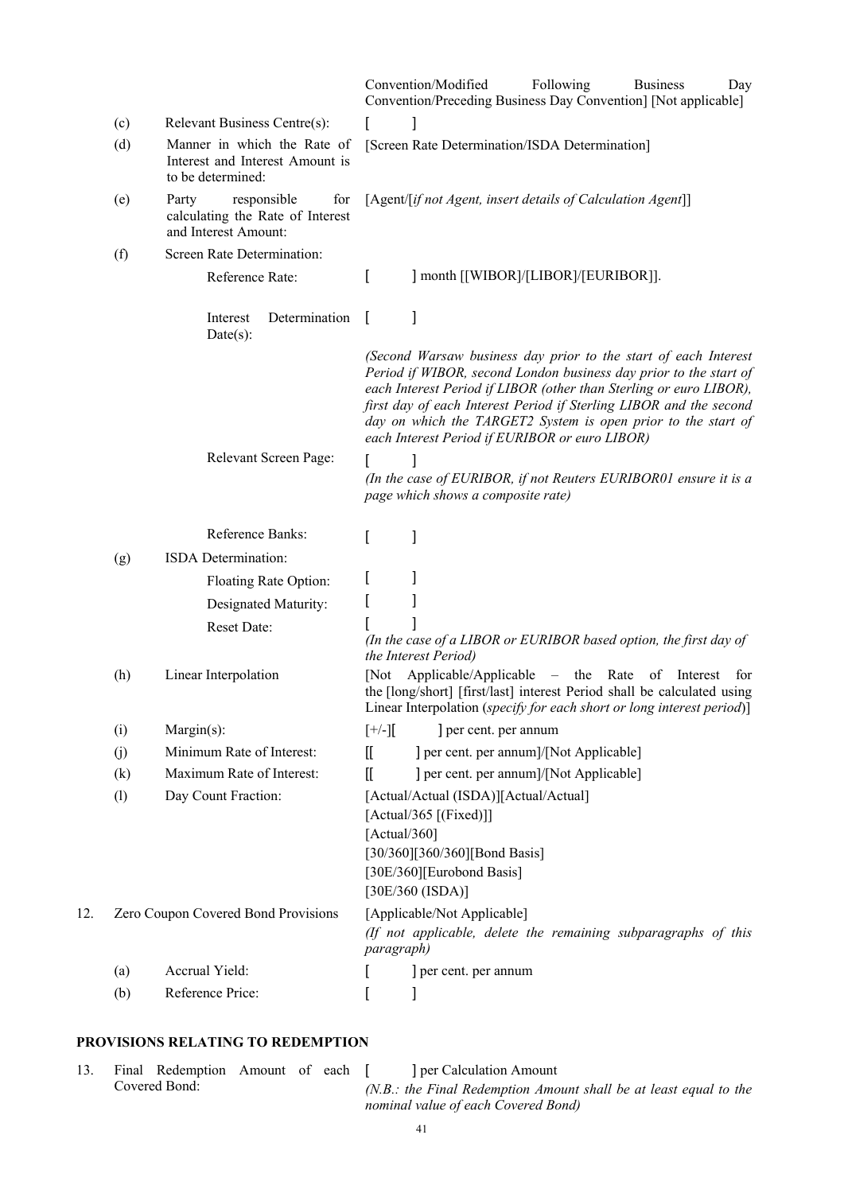|     |     |                                                                                         |              | Convention/Modified<br>Following<br><b>Business</b><br>Day<br>Convention/Preceding Business Day Convention] [Not applicable]                                                                                                                                                                                                                                                                        |
|-----|-----|-----------------------------------------------------------------------------------------|--------------|-----------------------------------------------------------------------------------------------------------------------------------------------------------------------------------------------------------------------------------------------------------------------------------------------------------------------------------------------------------------------------------------------------|
|     | (c) | Relevant Business Centre(s):                                                            |              |                                                                                                                                                                                                                                                                                                                                                                                                     |
|     | (d) | Manner in which the Rate of<br>Interest and Interest Amount is<br>to be determined:     |              | [Screen Rate Determination/ISDA Determination]                                                                                                                                                                                                                                                                                                                                                      |
|     | (e) | responsible<br>Party<br>for<br>calculating the Rate of Interest<br>and Interest Amount: |              | [Agent/[if not Agent, insert details of Calculation Agent]]                                                                                                                                                                                                                                                                                                                                         |
|     | (f) | Screen Rate Determination:                                                              |              |                                                                                                                                                                                                                                                                                                                                                                                                     |
|     |     | Reference Rate:                                                                         | $\mathbf{r}$ | ] month [[WIBOR]/[LIBOR]/[EURIBOR]].                                                                                                                                                                                                                                                                                                                                                                |
|     |     | Determination<br>Interest<br>$Date(s)$ :                                                | $\perp$      | 1                                                                                                                                                                                                                                                                                                                                                                                                   |
|     |     |                                                                                         |              | (Second Warsaw business day prior to the start of each Interest<br>Period if WIBOR, second London business day prior to the start of<br>each Interest Period if LIBOR (other than Sterling or euro LIBOR),<br>first day of each Interest Period if Sterling LIBOR and the second<br>day on which the TARGET2 System is open prior to the start of<br>each Interest Period if EURIBOR or euro LIBOR) |
|     |     | Relevant Screen Page:                                                                   |              | (In the case of EURIBOR, if not Reuters EURIBOR01 ensure it is a<br>page which shows a composite rate)                                                                                                                                                                                                                                                                                              |
|     |     | Reference Banks:                                                                        | I            | 1                                                                                                                                                                                                                                                                                                                                                                                                   |
|     | (g) | ISDA Determination:                                                                     |              |                                                                                                                                                                                                                                                                                                                                                                                                     |
|     |     | Floating Rate Option:                                                                   |              |                                                                                                                                                                                                                                                                                                                                                                                                     |
|     |     | Designated Maturity:                                                                    |              |                                                                                                                                                                                                                                                                                                                                                                                                     |
|     |     | Reset Date:                                                                             |              | (In the case of a LIBOR or EURIBOR based option, the first day of<br>the Interest Period)                                                                                                                                                                                                                                                                                                           |
|     | (h) | Linear Interpolation                                                                    |              | [Not Applicable/Applicable – the Rate of Interest<br>for<br>the [long/short] [first/last] interest Period shall be calculated using<br>Linear Interpolation (specify for each short or long interest period)]                                                                                                                                                                                       |
|     | (i) | $Margin(s)$ :                                                                           | $[+/$ - $]$  | ] per cent. per annum                                                                                                                                                                                                                                                                                                                                                                               |
|     | (i) | Minimum Rate of Interest:                                                               | $\mathbb{I}$ | ] per cent. per annum]/[Not Applicable]                                                                                                                                                                                                                                                                                                                                                             |
|     | (k) | Maximum Rate of Interest:                                                               | Œ            | ] per cent. per annum]/[Not Applicable]                                                                                                                                                                                                                                                                                                                                                             |
|     | (1) | Day Count Fraction:                                                                     | [Actual/360] | [Actual/Actual (ISDA)][Actual/Actual]<br>[Actual/365 [(Fixed)]]<br>[30/360][360/360][Bond Basis]<br>[30E/360][Eurobond Basis]<br>[30E/360 (ISDA)]                                                                                                                                                                                                                                                   |
| 12. |     | Zero Coupon Covered Bond Provisions                                                     | paragraph)   | [Applicable/Not Applicable]<br>(If not applicable, delete the remaining subparagraphs of this                                                                                                                                                                                                                                                                                                       |
|     | (a) | Accrual Yield:                                                                          |              | ] per cent. per annum                                                                                                                                                                                                                                                                                                                                                                               |
|     | (b) | Reference Price:                                                                        | L            | I                                                                                                                                                                                                                                                                                                                                                                                                   |

# **PROVISIONS RELATING TO REDEMPTION**

13. Final Redemption Amount of each Covered Bond:

[ ] per Calculation Amount *(N.B.: the Final Redemption Amount shall be at least equal to the nominal value of each Covered Bond)*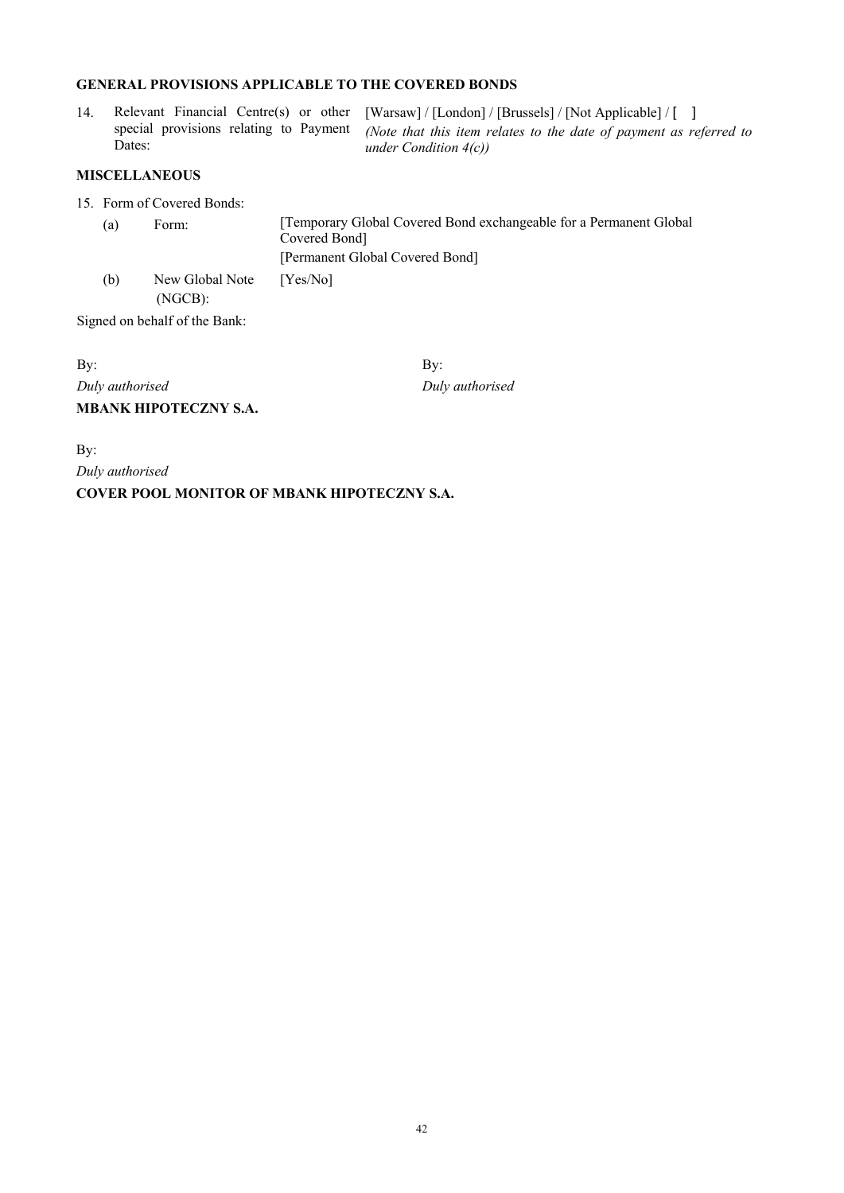# **GENERAL PROVISIONS APPLICABLE TO THE COVERED BONDS**

|        | 14. Relevant Financial Centre(s) or other [Warsaw] / [London] / [Brussels] / [Not Applicable] / [1]       |
|--------|-----------------------------------------------------------------------------------------------------------|
|        | special provisions relating to Payment (Note that this item relates to the date of payment as referred to |
| Dates: | under Condition $4(c)$                                                                                    |

# **MISCELLANEOUS**

15. Form of Covered Bonds:

| (a) | Form:                      | [Temporary Global Covered Bond exchangeable for a Permanent Global]<br>Covered Bond |  |
|-----|----------------------------|-------------------------------------------------------------------------------------|--|
|     |                            | [Permanent Global Covered Bond]                                                     |  |
| (b) | New Global Note<br>(NGCB): | [Yes/No]                                                                            |  |

Signed on behalf of the Bank:

By: By: *Duly authorised Duly authorised*  **MBANK HIPOTECZNY S.A.** 

By:

*Duly authorised* 

**COVER POOL MONITOR OF MBANK HIPOTECZNY S.A.**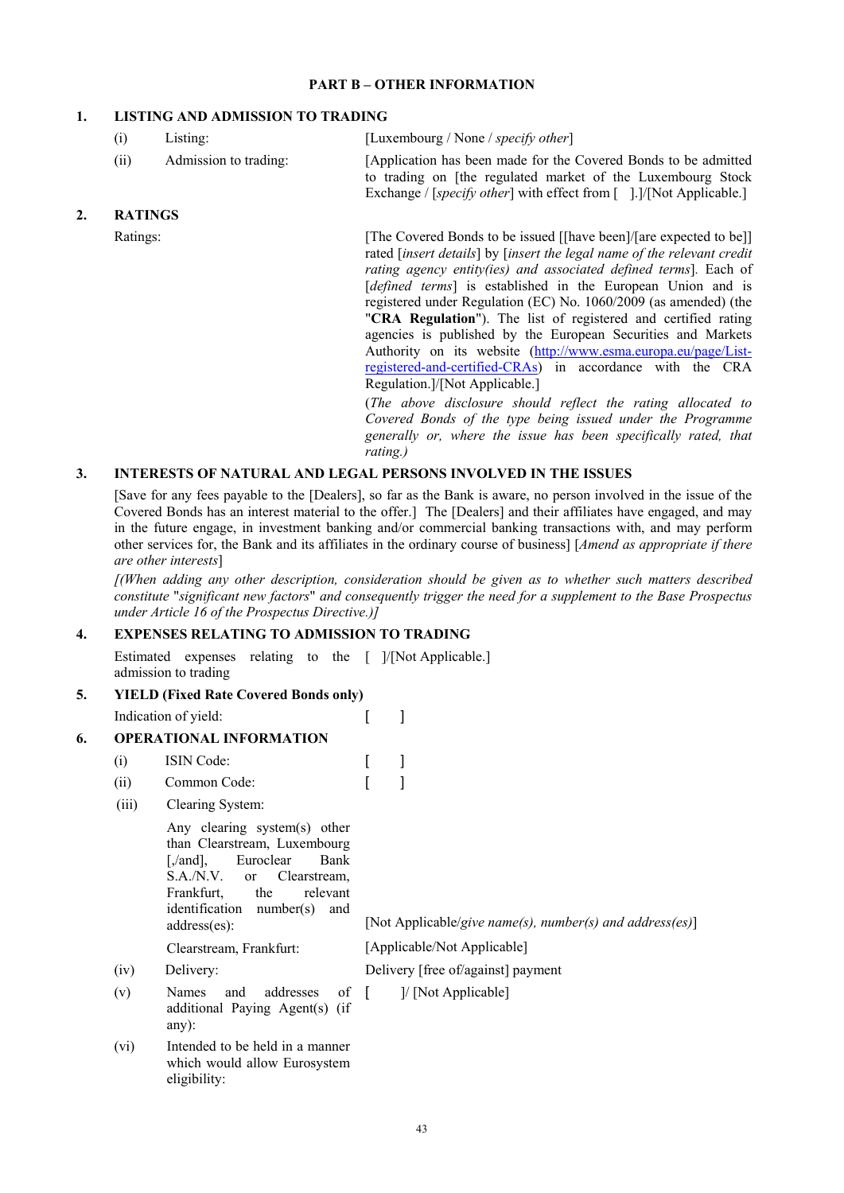### **PART B – OTHER INFORMATION**

# **1. LISTING AND ADMISSION TO TRADING**

|    | (i)            | Listing:              | [Luxembourg / None / specify other]                                                                                                                                                                                                                                                                                                                                                                                                                                                                                                                                                                                                                                                                                                                                                            |
|----|----------------|-----------------------|------------------------------------------------------------------------------------------------------------------------------------------------------------------------------------------------------------------------------------------------------------------------------------------------------------------------------------------------------------------------------------------------------------------------------------------------------------------------------------------------------------------------------------------------------------------------------------------------------------------------------------------------------------------------------------------------------------------------------------------------------------------------------------------------|
|    | (ii)           | Admission to trading: | [Application has been made for the Covered Bonds to be admitted<br>to trading on [the regulated market of the Luxembourg Stock<br>Exchange / [specify other] with effect from [].]/[Not Applicable.]                                                                                                                                                                                                                                                                                                                                                                                                                                                                                                                                                                                           |
| 2. | <b>RATINGS</b> |                       |                                                                                                                                                                                                                                                                                                                                                                                                                                                                                                                                                                                                                                                                                                                                                                                                |
|    | Ratings:       |                       | [The Covered Bonds to be issued [[have been]/[are expected to be]]<br>rated [insert details] by [insert the legal name of the relevant credit<br>rating agency entity(ies) and associated defined terms]. Each of<br>[defined terms] is established in the European Union and is<br>registered under Regulation (EC) No. 1060/2009 (as amended) (the<br>" <b>CRA Regulation</b> "). The list of registered and certified rating<br>agencies is published by the European Securities and Markets<br>Authority on its website (http://www.esma.europa.eu/page/List-<br>registered-and-certified-CRAs) in accordance with the CRA<br>Regulation.]/[Not Applicable.]<br>(The above disclosure should reflect the rating allocated to<br>Covered Ronds of the type being issued under the Programme |

*Covered Bonds of the type being issued under the Programme generally or, where the issue has been specifically rated, that rating.)* 

# **3. INTERESTS OF NATURAL AND LEGAL PERSONS INVOLVED IN THE ISSUES**

[Save for any fees payable to the [Dealers], so far as the Bank is aware, no person involved in the issue of the Covered Bonds has an interest material to the offer.] The [Dealers] and their affiliates have engaged, and may in the future engage, in investment banking and/or commercial banking transactions with, and may perform other services for, the Bank and its affiliates in the ordinary course of business] [*Amend as appropriate if there are other interests*]

*[(When adding any other description, consideration should be given as to whether such matters described constitute* "*significant new factors*" *and consequently trigger the need for a supplement to the Base Prospectus under Article 16 of the Prospectus Directive.)]* 

# **4. EXPENSES RELATING TO ADMISSION TO TRADING**

Estimated expenses relating to the [ ]/[Not Applicable.] admission to trading **5. YIELD (Fixed Rate Covered Bonds only)** 

| э. |                                | YIELD (FIXEG RATE COVETEG BONGS ONLY)                                                                                                                                                                                             |        |                                                          |
|----|--------------------------------|-----------------------------------------------------------------------------------------------------------------------------------------------------------------------------------------------------------------------------------|--------|----------------------------------------------------------|
|    |                                | Indication of yield:                                                                                                                                                                                                              |        |                                                          |
| 6. | <b>OPERATIONAL INFORMATION</b> |                                                                                                                                                                                                                                   |        |                                                          |
|    | (i)                            | <b>ISIN</b> Code:                                                                                                                                                                                                                 |        |                                                          |
|    | (ii)                           | Common Code:                                                                                                                                                                                                                      |        |                                                          |
|    | (iii)                          | Clearing System:                                                                                                                                                                                                                  |        |                                                          |
|    |                                | Any clearing system(s) other<br>than Clearstream, Luxembourg<br>[,/and],<br>Euroclear<br>Bank<br>S.A.N.V.<br>Clearstream,<br><sub>or</sub><br>Frankfurt,<br>the<br>relevant<br>identification<br>number(s)<br>and<br>address(es): |        | [Not Applicable/give name(s), number(s) and address(es)] |
|    |                                | Clearstream, Frankfurt:                                                                                                                                                                                                           |        | [Applicable/Not Applicable]                              |
|    | (iv)                           | Delivery:                                                                                                                                                                                                                         |        | Delivery [free of/against] payment                       |
|    | (v)                            | addresses<br>and<br>of<br>Names<br>additional Paying Agent(s) (if<br>any $)$ :                                                                                                                                                    | $\Box$ | ]/ [Not Applicable]                                      |
|    | (vi)                           | Intended to be held in a manner<br>which would allow Eurosystem<br>eligibility:                                                                                                                                                   |        |                                                          |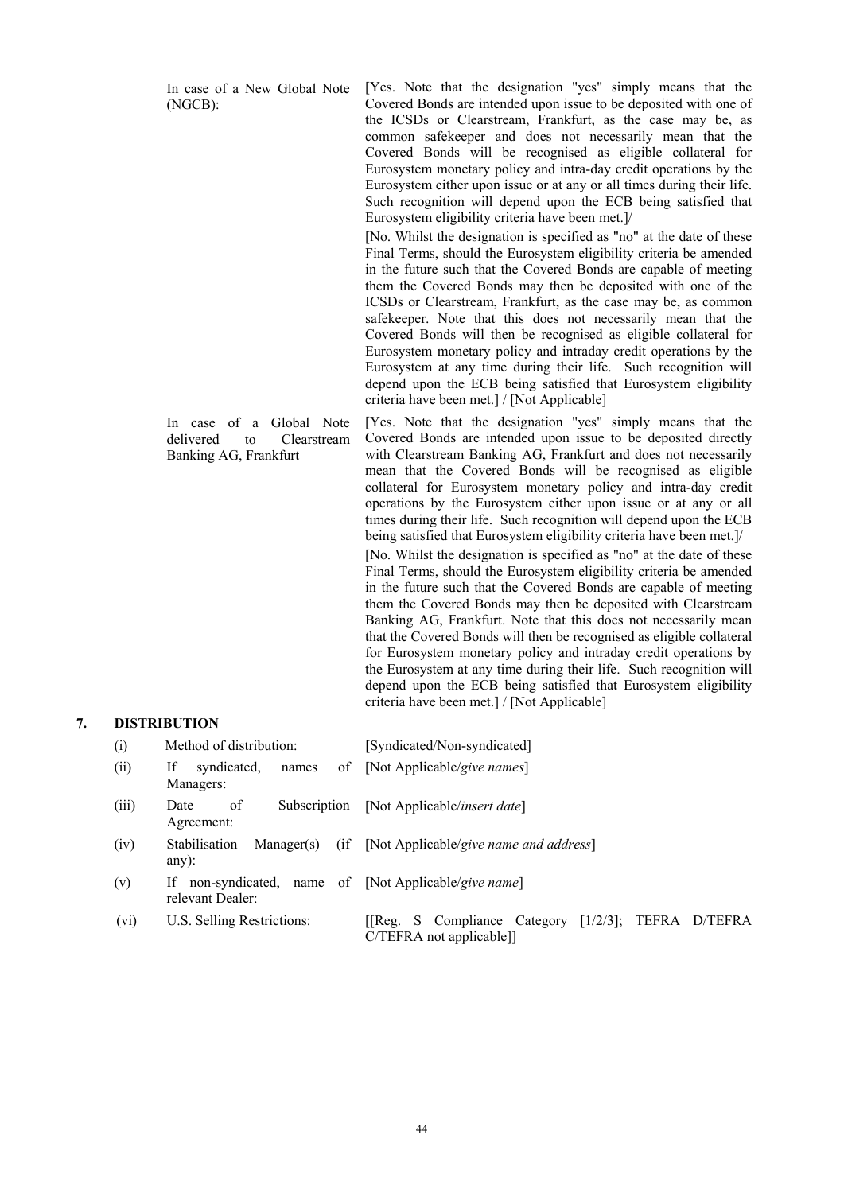In case of a New Global Note (NGCB): [Yes. Note that the designation "yes" simply means that the Covered Bonds are intended upon issue to be deposited with one of the ICSDs or Clearstream, Frankfurt, as the case may be, as common safekeeper and does not necessarily mean that the Covered Bonds will be recognised as eligible collateral for Eurosystem monetary policy and intra-day credit operations by the Eurosystem either upon issue or at any or all times during their life. Such recognition will depend upon the ECB being satisfied that Eurosystem eligibility criteria have been met.]/ [No. Whilst the designation is specified as "no" at the date of these Final Terms, should the Eurosystem eligibility criteria be amended in the future such that the Covered Bonds are capable of meeting them the Covered Bonds may then be deposited with one of the ICSDs or Clearstream, Frankfurt, as the case may be, as common safekeeper. Note that this does not necessarily mean that the Covered Bonds will then be recognised as eligible collateral for Eurosystem monetary policy and intraday credit operations by the Eurosystem at any time during their life. Such recognition will depend upon the ECB being satisfied that Eurosystem eligibility criteria have been met.] / [Not Applicable]

 In case of a Global Note delivered to Clearstream Banking AG, Frankfurt [Yes. Note that the designation "yes" simply means that the Covered Bonds are intended upon issue to be deposited directly

with Clearstream Banking AG, Frankfurt and does not necessarily mean that the Covered Bonds will be recognised as eligible collateral for Eurosystem monetary policy and intra-day credit operations by the Eurosystem either upon issue or at any or all times during their life. Such recognition will depend upon the ECB being satisfied that Eurosystem eligibility criteria have been met.]/ [No. Whilst the designation is specified as "no" at the date of these Final Terms, should the Eurosystem eligibility criteria be amended in the future such that the Covered Bonds are capable of meeting them the Covered Bonds may then be deposited with Clearstream Banking AG, Frankfurt. Note that this does not necessarily mean that the Covered Bonds will then be recognised as eligible collateral for Eurosystem monetary policy and intraday credit operations by the Eurosystem at any time during their life. Such recognition will depend upon the ECB being satisfied that Eurosystem eligibility criteria have been met.] / [Not Applicable]

#### **7. DISTRIBUTION**

| (i)   | Method of distribution:                                                   | [Syndicated/Non-syndicated]                                                            |
|-------|---------------------------------------------------------------------------|----------------------------------------------------------------------------------------|
| (ii)  | syndicated,<br>If<br>of<br>names<br>Managers:                             | [Not Applicable/give names]                                                            |
| (iii) | of<br>Subscription<br>Date<br>Agreement:                                  | [Not Applicable/ <i>insert date</i> ]                                                  |
| (iv)  | (if<br>Stabilisation<br>Manager(s)<br>$any)$ :                            | [Not Applicable/give name and address]                                                 |
| (v)   | If non-syndicated, name of [Not Applicable/give name]<br>relevant Dealer: |                                                                                        |
| (vi)  | U.S. Selling Restrictions:                                                | [[Reg. S Compliance Category $[1/2/3]$ ;<br>TEFRA D/TEFRA<br>$C/TEFRA$ not applicable] |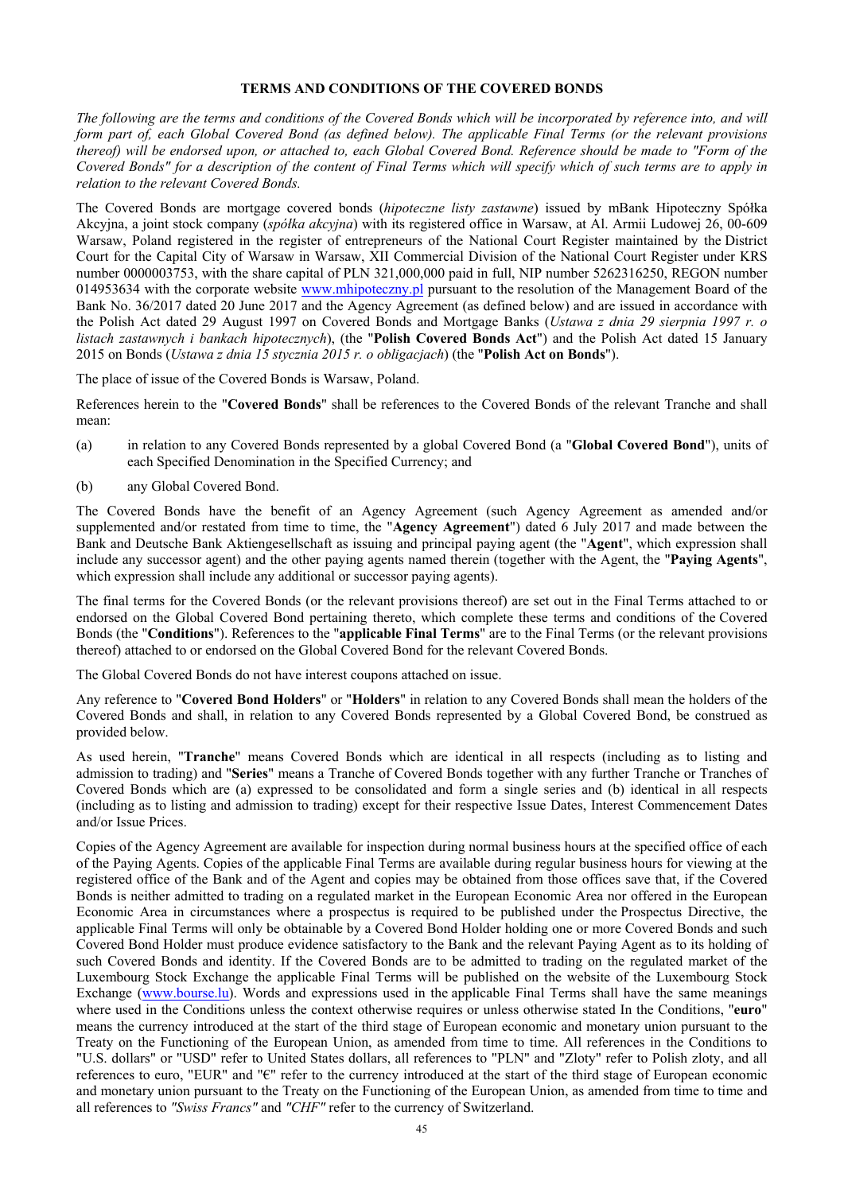### **TERMS AND CONDITIONS OF THE COVERED BONDS**

*The following are the terms and conditions of the Covered Bonds which will be incorporated by reference into, and will form part of, each Global Covered Bond (as defined below). The applicable Final Terms (or the relevant provisions thereof) will be endorsed upon, or attached to, each Global Covered Bond. Reference should be made to "Form of the Covered Bonds" for a description of the content of Final Terms which will specify which of such terms are to apply in relation to the relevant Covered Bonds.* 

The Covered Bonds are mortgage covered bonds (*hipoteczne listy zastawne*) issued by mBank Hipoteczny Spółka Akcyjna, a joint stock company (*spółka akcyjna*) with its registered office in Warsaw, at Al. Armii Ludowej 26, 00-609 Warsaw, Poland registered in the register of entrepreneurs of the National Court Register maintained by the District Court for the Capital City of Warsaw in Warsaw, XII Commercial Division of the National Court Register under KRS number 0000003753, with the share capital of PLN 321,000,000 paid in full, NIP number 5262316250, REGON number 014953634 with the corporate website www.mhipoteczny.pl pursuant to the resolution of the Management Board of the Bank No. 36/2017 dated 20 June 2017 and the Agency Agreement (as defined below) and are issued in accordance with the Polish Act dated 29 August 1997 on Covered Bonds and Mortgage Banks (*Ustawa z dnia 29 sierpnia 1997 r. o listach zastawnych i bankach hipotecznych*), (the "**Polish Covered Bonds Act**") and the Polish Act dated 15 January 2015 on Bonds (*Ustawa z dnia 15 stycznia 2015 r. o obligacjach*) (the "**Polish Act on Bonds**").

The place of issue of the Covered Bonds is Warsaw, Poland.

References herein to the "**Covered Bonds**" shall be references to the Covered Bonds of the relevant Tranche and shall mean:

- (a) in relation to any Covered Bonds represented by a global Covered Bond (a "**Global Covered Bond**"), units of each Specified Denomination in the Specified Currency; and
- (b) any Global Covered Bond.

The Covered Bonds have the benefit of an Agency Agreement (such Agency Agreement as amended and/or supplemented and/or restated from time to time, the "**Agency Agreement**") dated 6 July 2017 and made between the Bank and Deutsche Bank Aktiengesellschaft as issuing and principal paying agent (the "**Agent**", which expression shall include any successor agent) and the other paying agents named therein (together with the Agent, the "**Paying Agents**", which expression shall include any additional or successor paying agents).

The final terms for the Covered Bonds (or the relevant provisions thereof) are set out in the Final Terms attached to or endorsed on the Global Covered Bond pertaining thereto, which complete these terms and conditions of the Covered Bonds (the "**Conditions**"). References to the "**applicable Final Terms**" are to the Final Terms (or the relevant provisions thereof) attached to or endorsed on the Global Covered Bond for the relevant Covered Bonds.

The Global Covered Bonds do not have interest coupons attached on issue.

Any reference to "**Covered Bond Holders**" or "**Holders**" in relation to any Covered Bonds shall mean the holders of the Covered Bonds and shall, in relation to any Covered Bonds represented by a Global Covered Bond, be construed as provided below.

As used herein, "**Tranche**" means Covered Bonds which are identical in all respects (including as to listing and admission to trading) and "**Series**" means a Tranche of Covered Bonds together with any further Tranche or Tranches of Covered Bonds which are (a) expressed to be consolidated and form a single series and (b) identical in all respects (including as to listing and admission to trading) except for their respective Issue Dates, Interest Commencement Dates and/or Issue Prices.

Copies of the Agency Agreement are available for inspection during normal business hours at the specified office of each of the Paying Agents. Copies of the applicable Final Terms are available during regular business hours for viewing at the registered office of the Bank and of the Agent and copies may be obtained from those offices save that, if the Covered Bonds is neither admitted to trading on a regulated market in the European Economic Area nor offered in the European Economic Area in circumstances where a prospectus is required to be published under the Prospectus Directive, the applicable Final Terms will only be obtainable by a Covered Bond Holder holding one or more Covered Bonds and such Covered Bond Holder must produce evidence satisfactory to the Bank and the relevant Paying Agent as to its holding of such Covered Bonds and identity. If the Covered Bonds are to be admitted to trading on the regulated market of the Luxembourg Stock Exchange the applicable Final Terms will be published on the website of the Luxembourg Stock Exchange (www.bourse.lu). Words and expressions used in the applicable Final Terms shall have the same meanings where used in the Conditions unless the context otherwise requires or unless otherwise stated In the Conditions, "**euro**" means the currency introduced at the start of the third stage of European economic and monetary union pursuant to the Treaty on the Functioning of the European Union, as amended from time to time. All references in the Conditions to "U.S. dollars" or "USD" refer to United States dollars, all references to "PLN" and "Zloty" refer to Polish zloty, and all references to euro, "EUR" and "€" refer to the currency introduced at the start of the third stage of European economic and monetary union pursuant to the Treaty on the Functioning of the European Union, as amended from time to time and all references to *"Swiss Francs"* and *"CHF"* refer to the currency of Switzerland.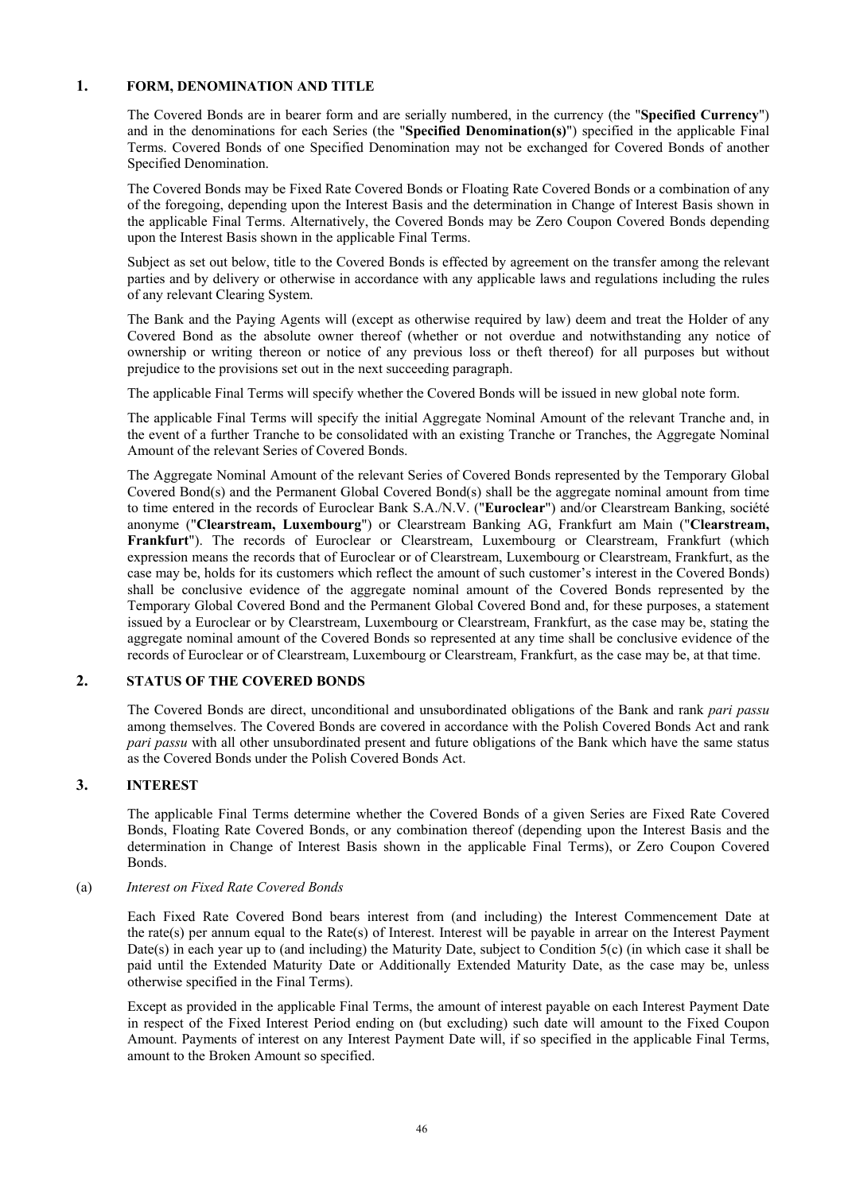### **1. FORM, DENOMINATION AND TITLE**

The Covered Bonds are in bearer form and are serially numbered, in the currency (the "**Specified Currency**") and in the denominations for each Series (the "**Specified Denomination(s)**") specified in the applicable Final Terms. Covered Bonds of one Specified Denomination may not be exchanged for Covered Bonds of another Specified Denomination.

The Covered Bonds may be Fixed Rate Covered Bonds or Floating Rate Covered Bonds or a combination of any of the foregoing, depending upon the Interest Basis and the determination in Change of Interest Basis shown in the applicable Final Terms. Alternatively, the Covered Bonds may be Zero Coupon Covered Bonds depending upon the Interest Basis shown in the applicable Final Terms.

Subject as set out below, title to the Covered Bonds is effected by agreement on the transfer among the relevant parties and by delivery or otherwise in accordance with any applicable laws and regulations including the rules of any relevant Clearing System.

The Bank and the Paying Agents will (except as otherwise required by law) deem and treat the Holder of any Covered Bond as the absolute owner thereof (whether or not overdue and notwithstanding any notice of ownership or writing thereon or notice of any previous loss or theft thereof) for all purposes but without prejudice to the provisions set out in the next succeeding paragraph.

The applicable Final Terms will specify whether the Covered Bonds will be issued in new global note form.

The applicable Final Terms will specify the initial Aggregate Nominal Amount of the relevant Tranche and, in the event of a further Tranche to be consolidated with an existing Tranche or Tranches, the Aggregate Nominal Amount of the relevant Series of Covered Bonds.

The Aggregate Nominal Amount of the relevant Series of Covered Bonds represented by the Temporary Global Covered Bond(s) and the Permanent Global Covered Bond(s) shall be the aggregate nominal amount from time to time entered in the records of Euroclear Bank S.A./N.V. ("**Euroclear**") and/or Clearstream Banking, société anonyme ("**Clearstream, Luxembourg**") or Clearstream Banking AG, Frankfurt am Main ("**Clearstream, Frankfurt**"). The records of Euroclear or Clearstream, Luxembourg or Clearstream, Frankfurt (which expression means the records that of Euroclear or of Clearstream, Luxembourg or Clearstream, Frankfurt, as the case may be, holds for its customers which reflect the amount of such customer's interest in the Covered Bonds) shall be conclusive evidence of the aggregate nominal amount of the Covered Bonds represented by the Temporary Global Covered Bond and the Permanent Global Covered Bond and, for these purposes, a statement issued by a Euroclear or by Clearstream, Luxembourg or Clearstream, Frankfurt, as the case may be, stating the aggregate nominal amount of the Covered Bonds so represented at any time shall be conclusive evidence of the records of Euroclear or of Clearstream, Luxembourg or Clearstream, Frankfurt, as the case may be, at that time.

# **2. STATUS OF THE COVERED BONDS**

The Covered Bonds are direct, unconditional and unsubordinated obligations of the Bank and rank *pari passu* among themselves. The Covered Bonds are covered in accordance with the Polish Covered Bonds Act and rank *pari passu* with all other unsubordinated present and future obligations of the Bank which have the same status as the Covered Bonds under the Polish Covered Bonds Act.

# **3. INTEREST**

The applicable Final Terms determine whether the Covered Bonds of a given Series are Fixed Rate Covered Bonds, Floating Rate Covered Bonds, or any combination thereof (depending upon the Interest Basis and the determination in Change of Interest Basis shown in the applicable Final Terms), or Zero Coupon Covered Bonds.

### (a) *Interest on Fixed Rate Covered Bonds*

Each Fixed Rate Covered Bond bears interest from (and including) the Interest Commencement Date at the rate(s) per annum equal to the Rate(s) of Interest. Interest will be payable in arrear on the Interest Payment Date(s) in each year up to (and including) the Maturity Date, subject to Condition 5(c) (in which case it shall be paid until the Extended Maturity Date or Additionally Extended Maturity Date, as the case may be, unless otherwise specified in the Final Terms).

Except as provided in the applicable Final Terms, the amount of interest payable on each Interest Payment Date in respect of the Fixed Interest Period ending on (but excluding) such date will amount to the Fixed Coupon Amount. Payments of interest on any Interest Payment Date will, if so specified in the applicable Final Terms, amount to the Broken Amount so specified.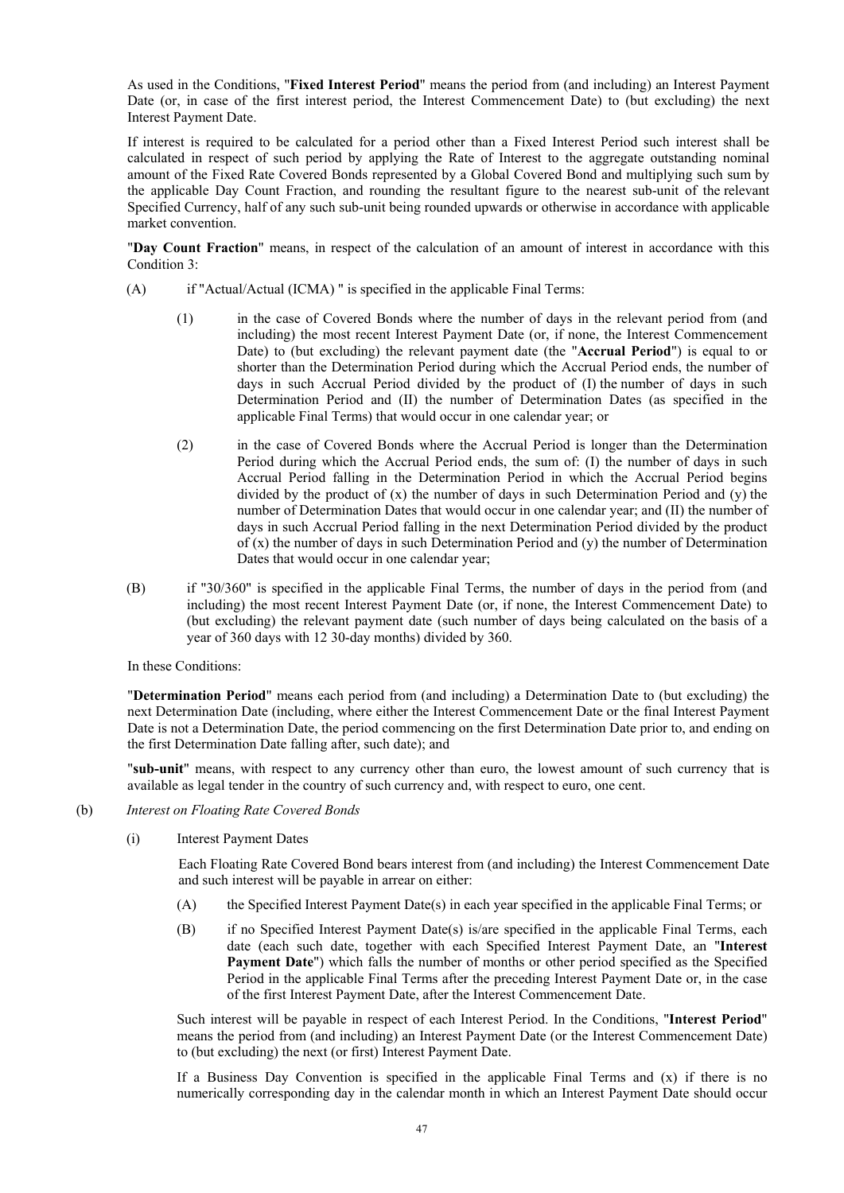As used in the Conditions, "**Fixed Interest Period**" means the period from (and including) an Interest Payment Date (or, in case of the first interest period, the Interest Commencement Date) to (but excluding) the next Interest Payment Date.

If interest is required to be calculated for a period other than a Fixed Interest Period such interest shall be calculated in respect of such period by applying the Rate of Interest to the aggregate outstanding nominal amount of the Fixed Rate Covered Bonds represented by a Global Covered Bond and multiplying such sum by the applicable Day Count Fraction, and rounding the resultant figure to the nearest sub-unit of the relevant Specified Currency, half of any such sub-unit being rounded upwards or otherwise in accordance with applicable market convention.

"**Day Count Fraction**" means, in respect of the calculation of an amount of interest in accordance with this Condition 3:

- (A) if "Actual/Actual (ICMA) " is specified in the applicable Final Terms:
	- (1) in the case of Covered Bonds where the number of days in the relevant period from (and including) the most recent Interest Payment Date (or, if none, the Interest Commencement Date) to (but excluding) the relevant payment date (the "**Accrual Period**") is equal to or shorter than the Determination Period during which the Accrual Period ends, the number of days in such Accrual Period divided by the product of (I) the number of days in such Determination Period and (II) the number of Determination Dates (as specified in the applicable Final Terms) that would occur in one calendar year; or
	- (2) in the case of Covered Bonds where the Accrual Period is longer than the Determination Period during which the Accrual Period ends, the sum of: (I) the number of days in such Accrual Period falling in the Determination Period in which the Accrual Period begins divided by the product of  $(x)$  the number of days in such Determination Period and  $(y)$  the number of Determination Dates that would occur in one calendar year; and (II) the number of days in such Accrual Period falling in the next Determination Period divided by the product of  $(x)$  the number of days in such Determination Period and  $(y)$  the number of Determination Dates that would occur in one calendar year;
- (B) if "30/360" is specified in the applicable Final Terms, the number of days in the period from (and including) the most recent Interest Payment Date (or, if none, the Interest Commencement Date) to (but excluding) the relevant payment date (such number of days being calculated on the basis of a year of 360 days with 12 30-day months) divided by 360.

In these Conditions:

"**Determination Period**" means each period from (and including) a Determination Date to (but excluding) the next Determination Date (including, where either the Interest Commencement Date or the final Interest Payment Date is not a Determination Date, the period commencing on the first Determination Date prior to, and ending on the first Determination Date falling after, such date); and

"**sub-unit**" means, with respect to any currency other than euro, the lowest amount of such currency that is available as legal tender in the country of such currency and, with respect to euro, one cent.

- (b) *Interest on Floating Rate Covered Bonds* 
	- (i) Interest Payment Dates

Each Floating Rate Covered Bond bears interest from (and including) the Interest Commencement Date and such interest will be payable in arrear on either:

- (A) the Specified Interest Payment Date(s) in each year specified in the applicable Final Terms; or
- (B) if no Specified Interest Payment Date(s) is/are specified in the applicable Final Terms, each date (each such date, together with each Specified Interest Payment Date, an "**Interest Payment Date**") which falls the number of months or other period specified as the Specified Period in the applicable Final Terms after the preceding Interest Payment Date or, in the case of the first Interest Payment Date, after the Interest Commencement Date.

Such interest will be payable in respect of each Interest Period. In the Conditions, "**Interest Period**" means the period from (and including) an Interest Payment Date (or the Interest Commencement Date) to (but excluding) the next (or first) Interest Payment Date.

If a Business Day Convention is specified in the applicable Final Terms and  $(x)$  if there is no numerically corresponding day in the calendar month in which an Interest Payment Date should occur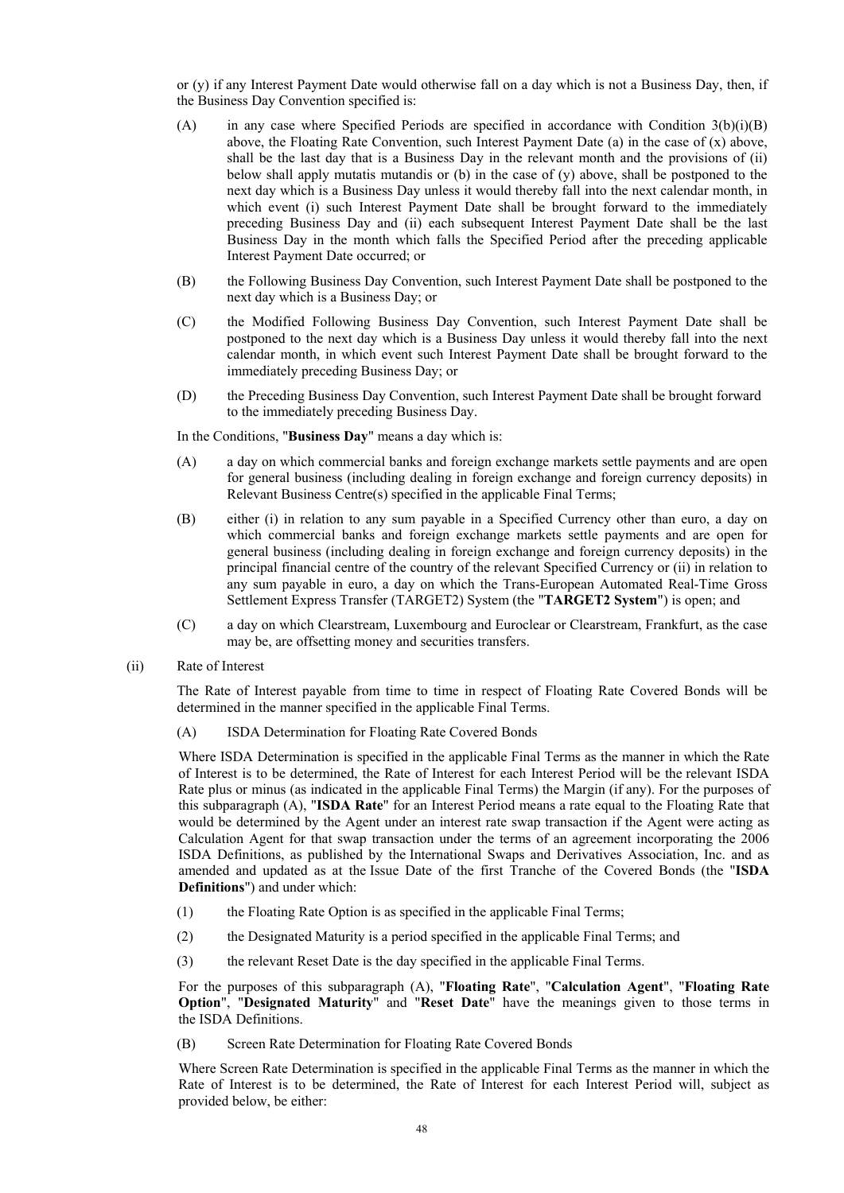or (y) if any Interest Payment Date would otherwise fall on a day which is not a Business Day, then, if the Business Day Convention specified is:

- (A) in any case where Specified Periods are specified in accordance with Condition  $3(b)(i)(B)$ above, the Floating Rate Convention, such Interest Payment Date (a) in the case of  $(x)$  above, shall be the last day that is a Business Day in the relevant month and the provisions of (ii) below shall apply mutatis mutandis or (b) in the case of  $(y)$  above, shall be postponed to the next day which is a Business Day unless it would thereby fall into the next calendar month, in which event (i) such Interest Payment Date shall be brought forward to the immediately preceding Business Day and (ii) each subsequent Interest Payment Date shall be the last Business Day in the month which falls the Specified Period after the preceding applicable Interest Payment Date occurred; or
- (B) the Following Business Day Convention, such Interest Payment Date shall be postponed to the next day which is a Business Day; or
- (C) the Modified Following Business Day Convention, such Interest Payment Date shall be postponed to the next day which is a Business Day unless it would thereby fall into the next calendar month, in which event such Interest Payment Date shall be brought forward to the immediately preceding Business Day; or
- (D) the Preceding Business Day Convention, such Interest Payment Date shall be brought forward to the immediately preceding Business Day.

In the Conditions, "**Business Day**" means a day which is:

- (A) a day on which commercial banks and foreign exchange markets settle payments and are open for general business (including dealing in foreign exchange and foreign currency deposits) in Relevant Business Centre(s) specified in the applicable Final Terms;
- (B) either (i) in relation to any sum payable in a Specified Currency other than euro, a day on which commercial banks and foreign exchange markets settle payments and are open for general business (including dealing in foreign exchange and foreign currency deposits) in the principal financial centre of the country of the relevant Specified Currency or (ii) in relation to any sum payable in euro, a day on which the Trans-European Automated Real-Time Gross Settlement Express Transfer (TARGET2) System (the "**TARGET2 System**") is open; and
- (C) a day on which Clearstream, Luxembourg and Euroclear or Clearstream, Frankfurt, as the case may be, are offsetting money and securities transfers.
- (ii) Rate of Interest

The Rate of Interest payable from time to time in respect of Floating Rate Covered Bonds will be determined in the manner specified in the applicable Final Terms.

(A) ISDA Determination for Floating Rate Covered Bonds

Where ISDA Determination is specified in the applicable Final Terms as the manner in which the Rate of Interest is to be determined, the Rate of Interest for each Interest Period will be the relevant ISDA Rate plus or minus (as indicated in the applicable Final Terms) the Margin (if any). For the purposes of this subparagraph (A), "**ISDA Rate**" for an Interest Period means a rate equal to the Floating Rate that would be determined by the Agent under an interest rate swap transaction if the Agent were acting as Calculation Agent for that swap transaction under the terms of an agreement incorporating the 2006 ISDA Definitions, as published by the International Swaps and Derivatives Association, Inc. and as amended and updated as at the Issue Date of the first Tranche of the Covered Bonds (the "**ISDA Definitions**") and under which:

- (1) the Floating Rate Option is as specified in the applicable Final Terms;
- (2) the Designated Maturity is a period specified in the applicable Final Terms; and
- (3) the relevant Reset Date is the day specified in the applicable Final Terms.

For the purposes of this subparagraph (A), "**Floating Rate**", "**Calculation Agent**", "**Floating Rate Option**", "**Designated Maturity**" and "**Reset Date**" have the meanings given to those terms in the ISDA Definitions.

(B) Screen Rate Determination for Floating Rate Covered Bonds

Where Screen Rate Determination is specified in the applicable Final Terms as the manner in which the Rate of Interest is to be determined, the Rate of Interest for each Interest Period will, subject as provided below, be either: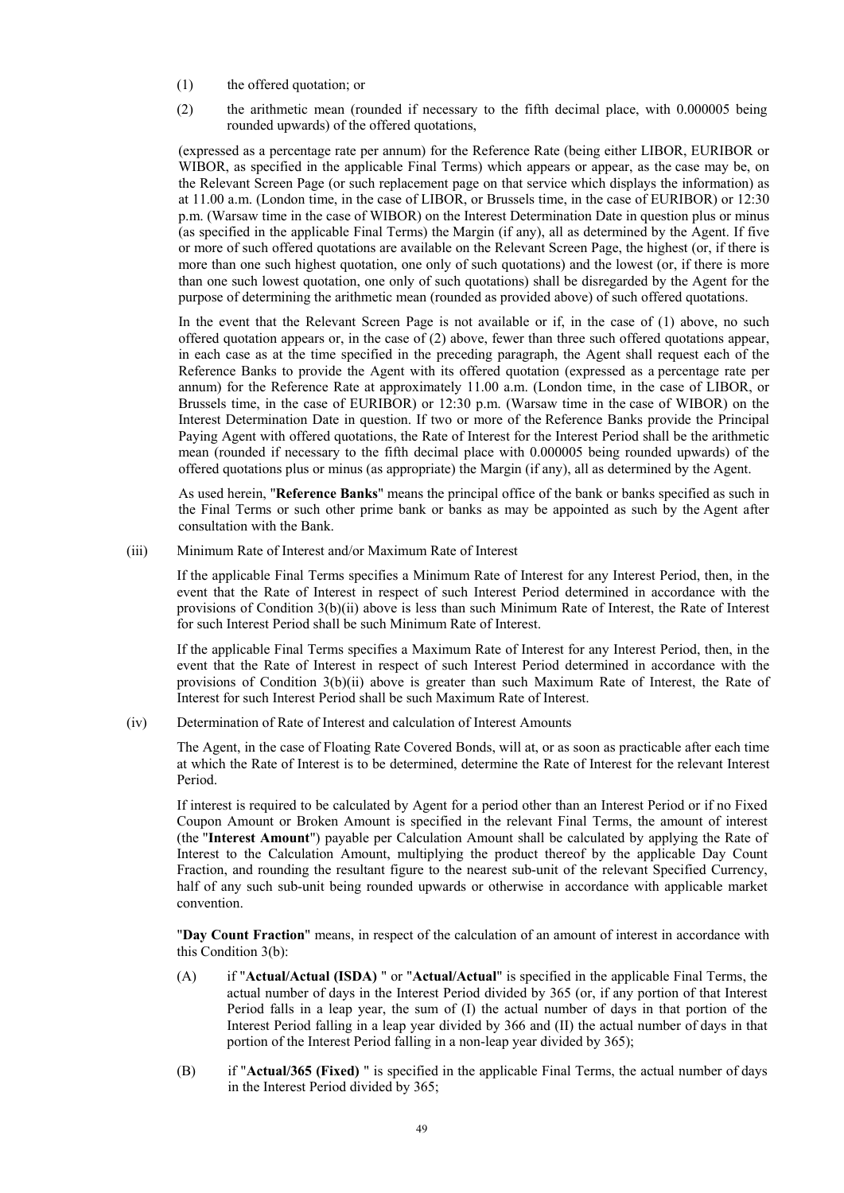- (1) the offered quotation; or
- (2) the arithmetic mean (rounded if necessary to the fifth decimal place, with 0.000005 being rounded upwards) of the offered quotations,

(expressed as a percentage rate per annum) for the Reference Rate (being either LIBOR, EURIBOR or WIBOR, as specified in the applicable Final Terms) which appears or appear, as the case may be, on the Relevant Screen Page (or such replacement page on that service which displays the information) as at 11.00 a.m. (London time, in the case of LIBOR, or Brussels time, in the case of EURIBOR) or 12:30 p.m. (Warsaw time in the case of WIBOR) on the Interest Determination Date in question plus or minus (as specified in the applicable Final Terms) the Margin (if any), all as determined by the Agent. If five or more of such offered quotations are available on the Relevant Screen Page, the highest (or, if there is more than one such highest quotation, one only of such quotations) and the lowest (or, if there is more than one such lowest quotation, one only of such quotations) shall be disregarded by the Agent for the purpose of determining the arithmetic mean (rounded as provided above) of such offered quotations.

In the event that the Relevant Screen Page is not available or if, in the case of (1) above, no such offered quotation appears or, in the case of (2) above, fewer than three such offered quotations appear, in each case as at the time specified in the preceding paragraph, the Agent shall request each of the Reference Banks to provide the Agent with its offered quotation (expressed as a percentage rate per annum) for the Reference Rate at approximately 11.00 a.m. (London time, in the case of LIBOR, or Brussels time, in the case of EURIBOR) or 12:30 p.m. (Warsaw time in the case of WIBOR) on the Interest Determination Date in question. If two or more of the Reference Banks provide the Principal Paying Agent with offered quotations, the Rate of Interest for the Interest Period shall be the arithmetic mean (rounded if necessary to the fifth decimal place with 0.000005 being rounded upwards) of the offered quotations plus or minus (as appropriate) the Margin (if any), all as determined by the Agent.

As used herein, "**Reference Banks**" means the principal office of the bank or banks specified as such in the Final Terms or such other prime bank or banks as may be appointed as such by the Agent after consultation with the Bank.

(iii) Minimum Rate of Interest and/or Maximum Rate of Interest

If the applicable Final Terms specifies a Minimum Rate of Interest for any Interest Period, then, in the event that the Rate of Interest in respect of such Interest Period determined in accordance with the provisions of Condition 3(b)(ii) above is less than such Minimum Rate of Interest, the Rate of Interest for such Interest Period shall be such Minimum Rate of Interest.

If the applicable Final Terms specifies a Maximum Rate of Interest for any Interest Period, then, in the event that the Rate of Interest in respect of such Interest Period determined in accordance with the provisions of Condition 3(b)(ii) above is greater than such Maximum Rate of Interest, the Rate of Interest for such Interest Period shall be such Maximum Rate of Interest.

(iv) Determination of Rate of Interest and calculation of Interest Amounts

The Agent, in the case of Floating Rate Covered Bonds, will at, or as soon as practicable after each time at which the Rate of Interest is to be determined, determine the Rate of Interest for the relevant Interest Period.

If interest is required to be calculated by Agent for a period other than an Interest Period or if no Fixed Coupon Amount or Broken Amount is specified in the relevant Final Terms, the amount of interest (the "**Interest Amount**") payable per Calculation Amount shall be calculated by applying the Rate of Interest to the Calculation Amount, multiplying the product thereof by the applicable Day Count Fraction, and rounding the resultant figure to the nearest sub-unit of the relevant Specified Currency, half of any such sub-unit being rounded upwards or otherwise in accordance with applicable market convention.

"**Day Count Fraction**" means, in respect of the calculation of an amount of interest in accordance with this Condition 3(b):

- (A) if "**Actual/Actual (ISDA)** " or "**Actual/Actual**" is specified in the applicable Final Terms, the actual number of days in the Interest Period divided by 365 (or, if any portion of that Interest Period falls in a leap year, the sum of (I) the actual number of days in that portion of the Interest Period falling in a leap year divided by 366 and (II) the actual number of days in that portion of the Interest Period falling in a non-leap year divided by 365);
- (B) if "**Actual/365 (Fixed)** " is specified in the applicable Final Terms, the actual number of days in the Interest Period divided by 365;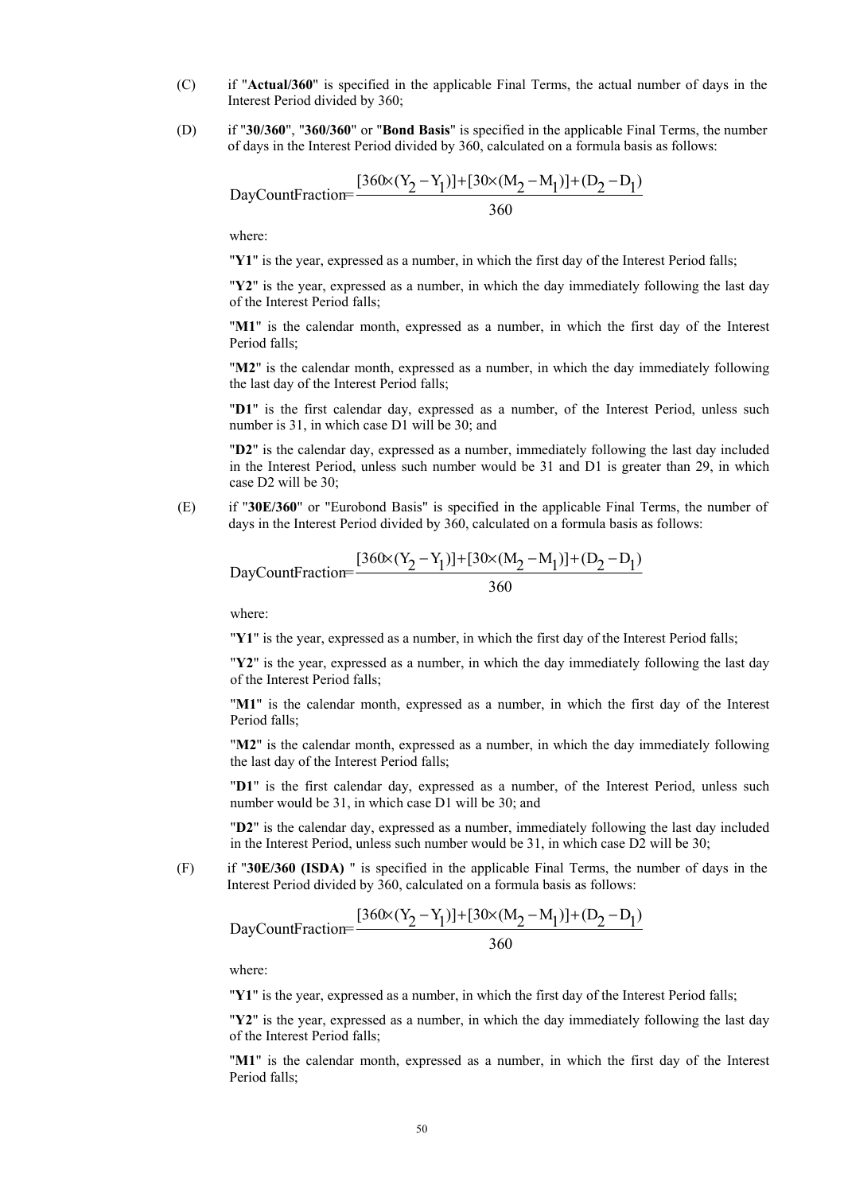- (C) if "**Actual/360**" is specified in the applicable Final Terms, the actual number of days in the Interest Period divided by 360;
- (D) if "**30/360**", "**360/360**" or "**Bond Basis**" is specified in the applicable Final Terms, the number of days in the Interest Period divided by 360, calculated on a formula basis as follows:

DayCountFraction=
$$
\frac{[360 \times (Y_2 - Y_1)] + [30 \times (M_2 - M_1)] + (D_2 - D_1)}{360}
$$

where:

"**Y1**" is the year, expressed as a number, in which the first day of the Interest Period falls;

"**Y2**" is the year, expressed as a number, in which the day immediately following the last day of the Interest Period falls;

"**M1**" is the calendar month, expressed as a number, in which the first day of the Interest Period falls:

"**M2**" is the calendar month, expressed as a number, in which the day immediately following the last day of the Interest Period falls;

"**D1**" is the first calendar day, expressed as a number, of the Interest Period, unless such number is 31, in which case D1 will be 30; and

"**D2**" is the calendar day, expressed as a number, immediately following the last day included in the Interest Period, unless such number would be 31 and D1 is greater than 29, in which case D2 will be 30;

(E) if "**30E/360**" or "Eurobond Basis" is specified in the applicable Final Terms, the number of days in the Interest Period divided by 360, calculated on a formula basis as follows:

DayCountFraction=
$$
\frac{[360 \times (Y_2 - Y_1)] + [30 \times (M_2 - M_1)] + (D_2 - D_1)}{360}
$$

where:

"**Y1**" is the year, expressed as a number, in which the first day of the Interest Period falls;

"**Y2**" is the year, expressed as a number, in which the day immediately following the last day of the Interest Period falls;

"**M1**" is the calendar month, expressed as a number, in which the first day of the Interest Period falls;

"**M2**" is the calendar month, expressed as a number, in which the day immediately following the last day of the Interest Period falls;

"**D1**" is the first calendar day, expressed as a number, of the Interest Period, unless such number would be 31, in which case D1 will be 30; and

"**D2**" is the calendar day, expressed as a number, immediately following the last day included in the Interest Period, unless such number would be 31, in which case D2 will be 30;

(F) if "**30E/360 (ISDA)** " is specified in the applicable Final Terms, the number of days in the Interest Period divided by 360, calculated on a formula basis as follows:

DayCountFraction=
$$
\frac{[360 \times (Y_2 - Y_1)] + [30 \times (M_2 - M_1)] + (D_2 - D_1)}{360}
$$

where:

"**Y1**" is the year, expressed as a number, in which the first day of the Interest Period falls;

"**Y2**" is the year, expressed as a number, in which the day immediately following the last day of the Interest Period falls;

"**M1**" is the calendar month, expressed as a number, in which the first day of the Interest Period falls;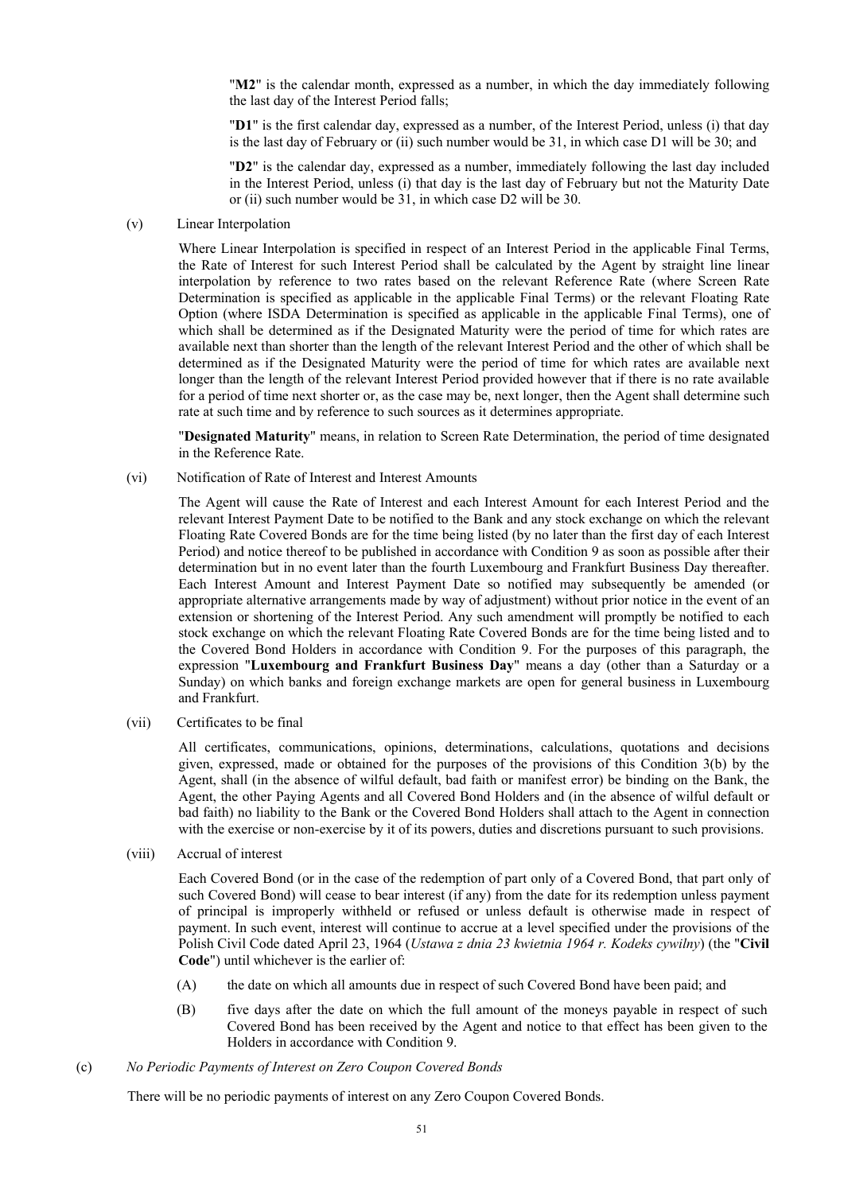"**M2**" is the calendar month, expressed as a number, in which the day immediately following the last day of the Interest Period falls;

"**D1**" is the first calendar day, expressed as a number, of the Interest Period, unless (i) that day is the last day of February or (ii) such number would be 31, in which case D1 will be 30; and

"**D2**" is the calendar day, expressed as a number, immediately following the last day included in the Interest Period, unless (i) that day is the last day of February but not the Maturity Date or (ii) such number would be 31, in which case D2 will be 30.

(v) Linear Interpolation

Where Linear Interpolation is specified in respect of an Interest Period in the applicable Final Terms, the Rate of Interest for such Interest Period shall be calculated by the Agent by straight line linear interpolation by reference to two rates based on the relevant Reference Rate (where Screen Rate Determination is specified as applicable in the applicable Final Terms) or the relevant Floating Rate Option (where ISDA Determination is specified as applicable in the applicable Final Terms), one of which shall be determined as if the Designated Maturity were the period of time for which rates are available next than shorter than the length of the relevant Interest Period and the other of which shall be determined as if the Designated Maturity were the period of time for which rates are available next longer than the length of the relevant Interest Period provided however that if there is no rate available for a period of time next shorter or, as the case may be, next longer, then the Agent shall determine such rate at such time and by reference to such sources as it determines appropriate.

"**Designated Maturity**" means, in relation to Screen Rate Determination, the period of time designated in the Reference Rate.

(vi) Notification of Rate of Interest and Interest Amounts

The Agent will cause the Rate of Interest and each Interest Amount for each Interest Period and the relevant Interest Payment Date to be notified to the Bank and any stock exchange on which the relevant Floating Rate Covered Bonds are for the time being listed (by no later than the first day of each Interest Period) and notice thereof to be published in accordance with Condition 9 as soon as possible after their determination but in no event later than the fourth Luxembourg and Frankfurt Business Day thereafter. Each Interest Amount and Interest Payment Date so notified may subsequently be amended (or appropriate alternative arrangements made by way of adjustment) without prior notice in the event of an extension or shortening of the Interest Period. Any such amendment will promptly be notified to each stock exchange on which the relevant Floating Rate Covered Bonds are for the time being listed and to the Covered Bond Holders in accordance with Condition 9. For the purposes of this paragraph, the expression "**Luxembourg and Frankfurt Business Day**" means a day (other than a Saturday or a Sunday) on which banks and foreign exchange markets are open for general business in Luxembourg and Frankfurt.

(vii) Certificates to be final

All certificates, communications, opinions, determinations, calculations, quotations and decisions given, expressed, made or obtained for the purposes of the provisions of this Condition 3(b) by the Agent, shall (in the absence of wilful default, bad faith or manifest error) be binding on the Bank, the Agent, the other Paying Agents and all Covered Bond Holders and (in the absence of wilful default or bad faith) no liability to the Bank or the Covered Bond Holders shall attach to the Agent in connection with the exercise or non-exercise by it of its powers, duties and discretions pursuant to such provisions.

(viii) Accrual of interest

Each Covered Bond (or in the case of the redemption of part only of a Covered Bond, that part only of such Covered Bond) will cease to bear interest (if any) from the date for its redemption unless payment of principal is improperly withheld or refused or unless default is otherwise made in respect of payment. In such event, interest will continue to accrue at a level specified under the provisions of the Polish Civil Code dated April 23, 1964 (*Ustawa z dnia 23 kwietnia 1964 r. Kodeks cywilny*) (the "**Civil Code**") until whichever is the earlier of:

- (A) the date on which all amounts due in respect of such Covered Bond have been paid; and
- (B) five days after the date on which the full amount of the moneys payable in respect of such Covered Bond has been received by the Agent and notice to that effect has been given to the Holders in accordance with Condition 9.
- (c) *No Periodic Payments of Interest on Zero Coupon Covered Bonds*

There will be no periodic payments of interest on any Zero Coupon Covered Bonds.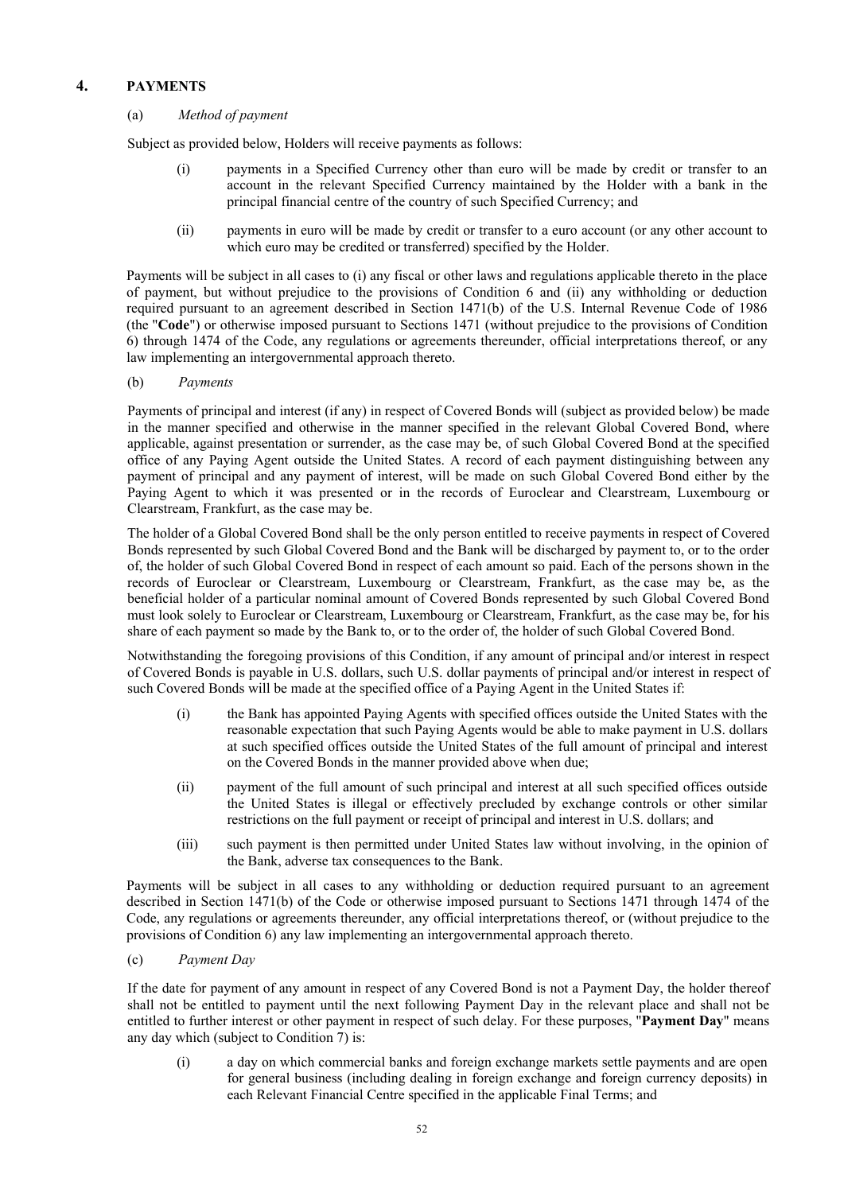# **4. PAYMENTS**

(a) *Method of payment* 

Subject as provided below, Holders will receive payments as follows:

- (i) payments in a Specified Currency other than euro will be made by credit or transfer to an account in the relevant Specified Currency maintained by the Holder with a bank in the principal financial centre of the country of such Specified Currency; and
- (ii) payments in euro will be made by credit or transfer to a euro account (or any other account to which euro may be credited or transferred) specified by the Holder.

Payments will be subject in all cases to (i) any fiscal or other laws and regulations applicable thereto in the place of payment, but without prejudice to the provisions of Condition 6 and (ii) any withholding or deduction required pursuant to an agreement described in Section 1471(b) of the U.S. Internal Revenue Code of 1986 (the "**Code**") or otherwise imposed pursuant to Sections 1471 (without prejudice to the provisions of Condition 6) through 1474 of the Code, any regulations or agreements thereunder, official interpretations thereof, or any law implementing an intergovernmental approach thereto.

(b) *Payments* 

Payments of principal and interest (if any) in respect of Covered Bonds will (subject as provided below) be made in the manner specified and otherwise in the manner specified in the relevant Global Covered Bond, where applicable, against presentation or surrender, as the case may be, of such Global Covered Bond at the specified office of any Paying Agent outside the United States. A record of each payment distinguishing between any payment of principal and any payment of interest, will be made on such Global Covered Bond either by the Paying Agent to which it was presented or in the records of Euroclear and Clearstream, Luxembourg or Clearstream, Frankfurt, as the case may be.

The holder of a Global Covered Bond shall be the only person entitled to receive payments in respect of Covered Bonds represented by such Global Covered Bond and the Bank will be discharged by payment to, or to the order of, the holder of such Global Covered Bond in respect of each amount so paid. Each of the persons shown in the records of Euroclear or Clearstream, Luxembourg or Clearstream, Frankfurt, as the case may be, as the beneficial holder of a particular nominal amount of Covered Bonds represented by such Global Covered Bond must look solely to Euroclear or Clearstream, Luxembourg or Clearstream, Frankfurt, as the case may be, for his share of each payment so made by the Bank to, or to the order of, the holder of such Global Covered Bond.

Notwithstanding the foregoing provisions of this Condition, if any amount of principal and/or interest in respect of Covered Bonds is payable in U.S. dollars, such U.S. dollar payments of principal and/or interest in respect of such Covered Bonds will be made at the specified office of a Paying Agent in the United States if:

- (i) the Bank has appointed Paying Agents with specified offices outside the United States with the reasonable expectation that such Paying Agents would be able to make payment in U.S. dollars at such specified offices outside the United States of the full amount of principal and interest on the Covered Bonds in the manner provided above when due;
- (ii) payment of the full amount of such principal and interest at all such specified offices outside the United States is illegal or effectively precluded by exchange controls or other similar restrictions on the full payment or receipt of principal and interest in U.S. dollars; and
- (iii) such payment is then permitted under United States law without involving, in the opinion of the Bank, adverse tax consequences to the Bank.

Payments will be subject in all cases to any withholding or deduction required pursuant to an agreement described in Section 1471(b) of the Code or otherwise imposed pursuant to Sections 1471 through 1474 of the Code, any regulations or agreements thereunder, any official interpretations thereof, or (without prejudice to the provisions of Condition 6) any law implementing an intergovernmental approach thereto.

(c) *Payment Day* 

If the date for payment of any amount in respect of any Covered Bond is not a Payment Day, the holder thereof shall not be entitled to payment until the next following Payment Day in the relevant place and shall not be entitled to further interest or other payment in respect of such delay. For these purposes, "**Payment Day**" means any day which (subject to Condition 7) is:

(i) a day on which commercial banks and foreign exchange markets settle payments and are open for general business (including dealing in foreign exchange and foreign currency deposits) in each Relevant Financial Centre specified in the applicable Final Terms; and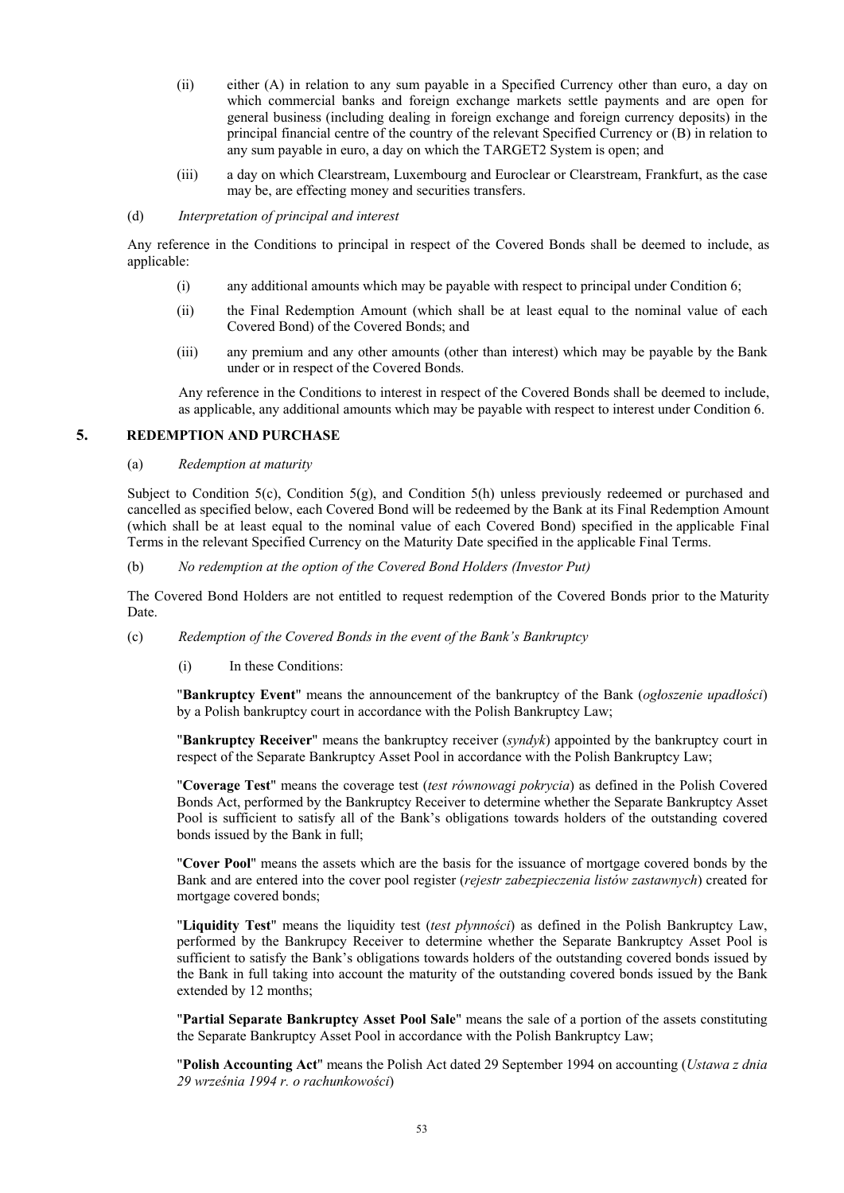- (ii) either (A) in relation to any sum payable in a Specified Currency other than euro, a day on which commercial banks and foreign exchange markets settle payments and are open for general business (including dealing in foreign exchange and foreign currency deposits) in the principal financial centre of the country of the relevant Specified Currency or (B) in relation to any sum payable in euro, a day on which the TARGET2 System is open; and
- (iii) a day on which Clearstream, Luxembourg and Euroclear or Clearstream, Frankfurt, as the case may be, are effecting money and securities transfers.

### (d) *Interpretation of principal and interest*

Any reference in the Conditions to principal in respect of the Covered Bonds shall be deemed to include, as applicable:

- (i) any additional amounts which may be payable with respect to principal under Condition 6;
- (ii) the Final Redemption Amount (which shall be at least equal to the nominal value of each Covered Bond) of the Covered Bonds; and
- (iii) any premium and any other amounts (other than interest) which may be payable by the Bank under or in respect of the Covered Bonds.

Any reference in the Conditions to interest in respect of the Covered Bonds shall be deemed to include, as applicable, any additional amounts which may be payable with respect to interest under Condition 6.

### **5. REDEMPTION AND PURCHASE**

(a) *Redemption at maturity* 

Subject to Condition 5(c), Condition 5(g), and Condition 5(h) unless previously redeemed or purchased and cancelled as specified below, each Covered Bond will be redeemed by the Bank at its Final Redemption Amount (which shall be at least equal to the nominal value of each Covered Bond) specified in the applicable Final Terms in the relevant Specified Currency on the Maturity Date specified in the applicable Final Terms.

(b) *No redemption at the option of the Covered Bond Holders (Investor Put)* 

The Covered Bond Holders are not entitled to request redemption of the Covered Bonds prior to the Maturity Date.

- (c) *Redemption of the Covered Bonds in the event of the Bank's Bankruptcy* 
	- (i) In these Conditions:

"**Bankruptcy Event**" means the announcement of the bankruptcy of the Bank (*ogłoszenie upadłości*) by a Polish bankruptcy court in accordance with the Polish Bankruptcy Law;

"**Bankruptcy Receiver**" means the bankruptcy receiver (*syndyk*) appointed by the bankruptcy court in respect of the Separate Bankruptcy Asset Pool in accordance with the Polish Bankruptcy Law;

"**Coverage Test**" means the coverage test (*test równowagi pokrycia*) as defined in the Polish Covered Bonds Act, performed by the Bankruptcy Receiver to determine whether the Separate Bankruptcy Asset Pool is sufficient to satisfy all of the Bank's obligations towards holders of the outstanding covered bonds issued by the Bank in full;

"**Cover Pool**" means the assets which are the basis for the issuance of mortgage covered bonds by the Bank and are entered into the cover pool register (*rejestr zabezpieczenia listów zastawnych*) created for mortgage covered bonds;

"**Liquidity Test**" means the liquidity test (*test płynności*) as defined in the Polish Bankruptcy Law, performed by the Bankrupcy Receiver to determine whether the Separate Bankruptcy Asset Pool is sufficient to satisfy the Bank's obligations towards holders of the outstanding covered bonds issued by the Bank in full taking into account the maturity of the outstanding covered bonds issued by the Bank extended by 12 months;

"**Partial Separate Bankruptcy Asset Pool Sale**" means the sale of a portion of the assets constituting the Separate Bankruptcy Asset Pool in accordance with the Polish Bankruptcy Law;

"**Polish Accounting Act**" means the Polish Act dated 29 September 1994 on accounting (*Ustawa z dnia 29 września 1994 r. o rachunkowości*)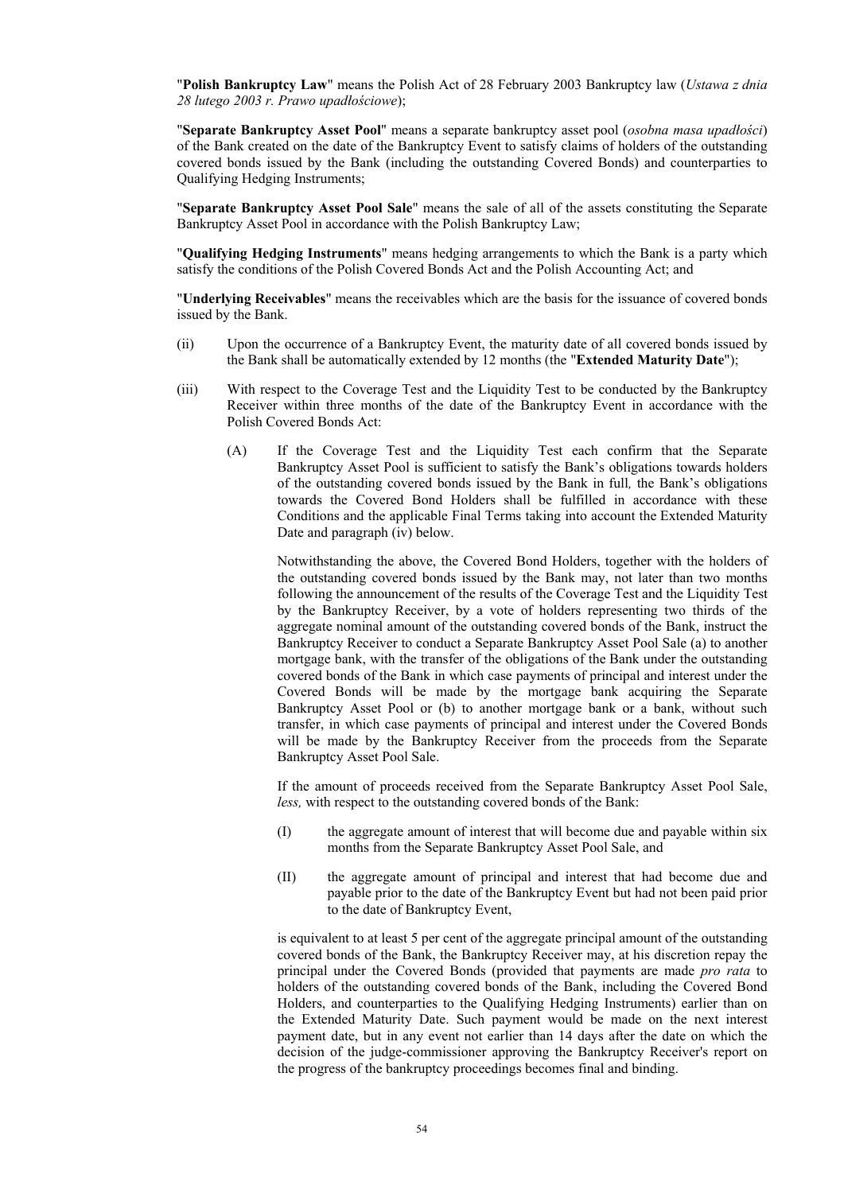"**Polish Bankruptcy Law**" means the Polish Act of 28 February 2003 Bankruptcy law (*Ustawa z dnia 28 lutego 2003 r. Prawo upadłościowe*);

"**Separate Bankruptcy Asset Pool**" means a separate bankruptcy asset pool (*osobna masa upadłości*) of the Bank created on the date of the Bankruptcy Event to satisfy claims of holders of the outstanding covered bonds issued by the Bank (including the outstanding Covered Bonds) and counterparties to Qualifying Hedging Instruments;

"**Separate Bankruptcy Asset Pool Sale**" means the sale of all of the assets constituting the Separate Bankruptcy Asset Pool in accordance with the Polish Bankruptcy Law;

"**Qualifying Hedging Instruments**" means hedging arrangements to which the Bank is a party which satisfy the conditions of the Polish Covered Bonds Act and the Polish Accounting Act; and

"**Underlying Receivables**" means the receivables which are the basis for the issuance of covered bonds issued by the Bank.

- (ii) Upon the occurrence of a Bankruptcy Event, the maturity date of all covered bonds issued by the Bank shall be automatically extended by 12 months (the "**Extended Maturity Date**");
- (iii) With respect to the Coverage Test and the Liquidity Test to be conducted by the Bankruptcy Receiver within three months of the date of the Bankruptcy Event in accordance with the Polish Covered Bonds Act:
	- (A) If the Coverage Test and the Liquidity Test each confirm that the Separate Bankruptcy Asset Pool is sufficient to satisfy the Bank's obligations towards holders of the outstanding covered bonds issued by the Bank in full*,* the Bank's obligations towards the Covered Bond Holders shall be fulfilled in accordance with these Conditions and the applicable Final Terms taking into account the Extended Maturity Date and paragraph (iv) below.

Notwithstanding the above, the Covered Bond Holders, together with the holders of the outstanding covered bonds issued by the Bank may, not later than two months following the announcement of the results of the Coverage Test and the Liquidity Test by the Bankruptcy Receiver, by a vote of holders representing two thirds of the aggregate nominal amount of the outstanding covered bonds of the Bank, instruct the Bankruptcy Receiver to conduct a Separate Bankruptcy Asset Pool Sale (a) to another mortgage bank, with the transfer of the obligations of the Bank under the outstanding covered bonds of the Bank in which case payments of principal and interest under the Covered Bonds will be made by the mortgage bank acquiring the Separate Bankruptcy Asset Pool or (b) to another mortgage bank or a bank, without such transfer, in which case payments of principal and interest under the Covered Bonds will be made by the Bankruptcy Receiver from the proceeds from the Separate Bankruptcy Asset Pool Sale.

If the amount of proceeds received from the Separate Bankruptcy Asset Pool Sale, *less,* with respect to the outstanding covered bonds of the Bank:

- (I) the aggregate amount of interest that will become due and payable within six months from the Separate Bankruptcy Asset Pool Sale, and
- (II) the aggregate amount of principal and interest that had become due and payable prior to the date of the Bankruptcy Event but had not been paid prior to the date of Bankruptcy Event,

is equivalent to at least 5 per cent of the aggregate principal amount of the outstanding covered bonds of the Bank, the Bankruptcy Receiver may, at his discretion repay the principal under the Covered Bonds (provided that payments are made *pro rata* to holders of the outstanding covered bonds of the Bank, including the Covered Bond Holders, and counterparties to the Qualifying Hedging Instruments) earlier than on the Extended Maturity Date. Such payment would be made on the next interest payment date, but in any event not earlier than 14 days after the date on which the decision of the judge-commissioner approving the Bankruptcy Receiver's report on the progress of the bankruptcy proceedings becomes final and binding.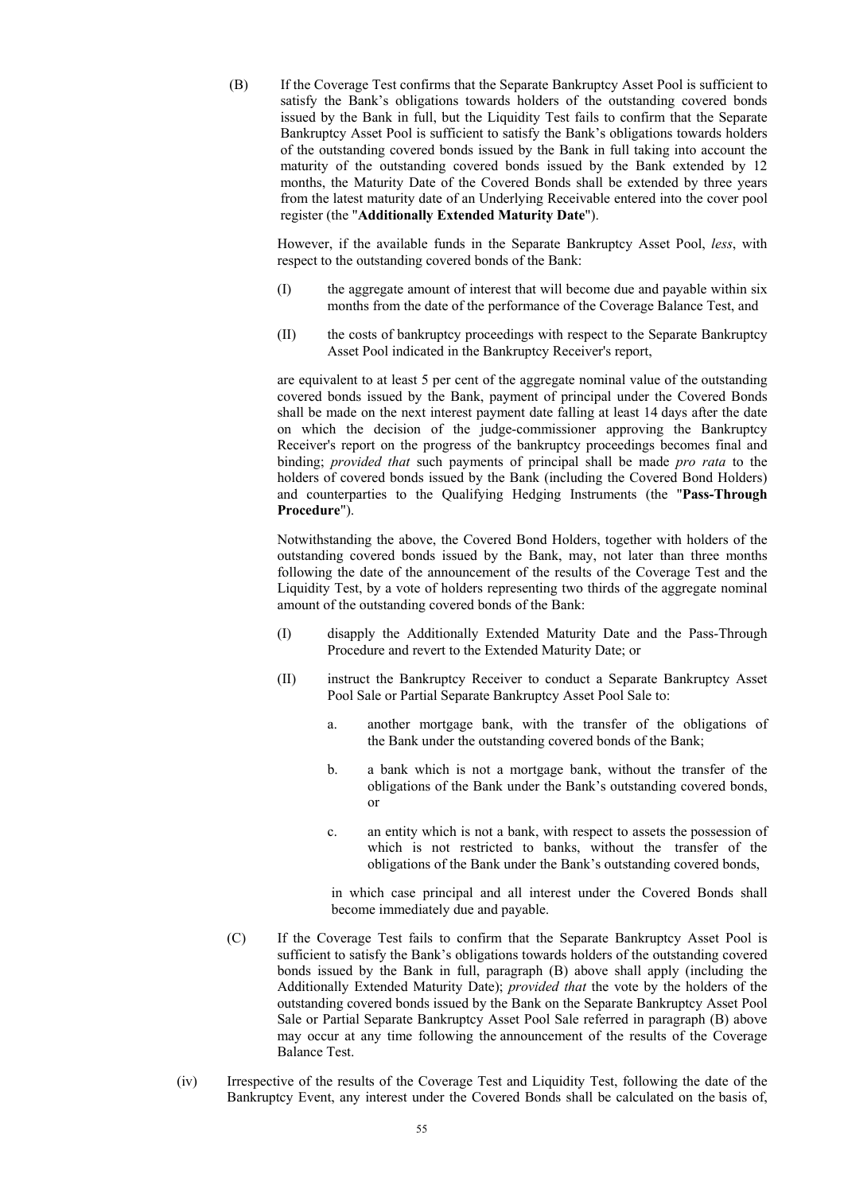(B) If the Coverage Test confirms that the Separate Bankruptcy Asset Pool is sufficient to satisfy the Bank's obligations towards holders of the outstanding covered bonds issued by the Bank in full, but the Liquidity Test fails to confirm that the Separate Bankruptcy Asset Pool is sufficient to satisfy the Bank's obligations towards holders of the outstanding covered bonds issued by the Bank in full taking into account the maturity of the outstanding covered bonds issued by the Bank extended by 12 months, the Maturity Date of the Covered Bonds shall be extended by three years from the latest maturity date of an Underlying Receivable entered into the cover pool register (the "**Additionally Extended Maturity Date**").

However, if the available funds in the Separate Bankruptcy Asset Pool, *less*, with respect to the outstanding covered bonds of the Bank:

- (I) the aggregate amount of interest that will become due and payable within six months from the date of the performance of the Coverage Balance Test, and
- (II) the costs of bankruptcy proceedings with respect to the Separate Bankruptcy Asset Pool indicated in the Bankruptcy Receiver's report,

are equivalent to at least 5 per cent of the aggregate nominal value of the outstanding covered bonds issued by the Bank, payment of principal under the Covered Bonds shall be made on the next interest payment date falling at least 14 days after the date on which the decision of the judge-commissioner approving the Bankruptcy Receiver's report on the progress of the bankruptcy proceedings becomes final and binding; *provided that* such payments of principal shall be made *pro rata* to the holders of covered bonds issued by the Bank (including the Covered Bond Holders) and counterparties to the Qualifying Hedging Instruments (the "**Pass-Through Procedure**").

Notwithstanding the above, the Covered Bond Holders, together with holders of the outstanding covered bonds issued by the Bank, may, not later than three months following the date of the announcement of the results of the Coverage Test and the Liquidity Test, by a vote of holders representing two thirds of the aggregate nominal amount of the outstanding covered bonds of the Bank:

- (I) disapply the Additionally Extended Maturity Date and the Pass-Through Procedure and revert to the Extended Maturity Date; or
- (II) instruct the Bankruptcy Receiver to conduct a Separate Bankruptcy Asset Pool Sale or Partial Separate Bankruptcy Asset Pool Sale to:
	- a. another mortgage bank, with the transfer of the obligations of the Bank under the outstanding covered bonds of the Bank;
	- b. a bank which is not a mortgage bank, without the transfer of the obligations of the Bank under the Bank's outstanding covered bonds, or
	- c. an entity which is not a bank, with respect to assets the possession of which is not restricted to banks, without the transfer of the obligations of the Bank under the Bank's outstanding covered bonds,

in which case principal and all interest under the Covered Bonds shall become immediately due and payable.

- (C) If the Coverage Test fails to confirm that the Separate Bankruptcy Asset Pool is sufficient to satisfy the Bank's obligations towards holders of the outstanding covered bonds issued by the Bank in full, paragraph (B) above shall apply (including the Additionally Extended Maturity Date); *provided that* the vote by the holders of the outstanding covered bonds issued by the Bank on the Separate Bankruptcy Asset Pool Sale or Partial Separate Bankruptcy Asset Pool Sale referred in paragraph (B) above may occur at any time following the announcement of the results of the Coverage Balance Test.
- (iv) Irrespective of the results of the Coverage Test and Liquidity Test, following the date of the Bankruptcy Event, any interest under the Covered Bonds shall be calculated on the basis of,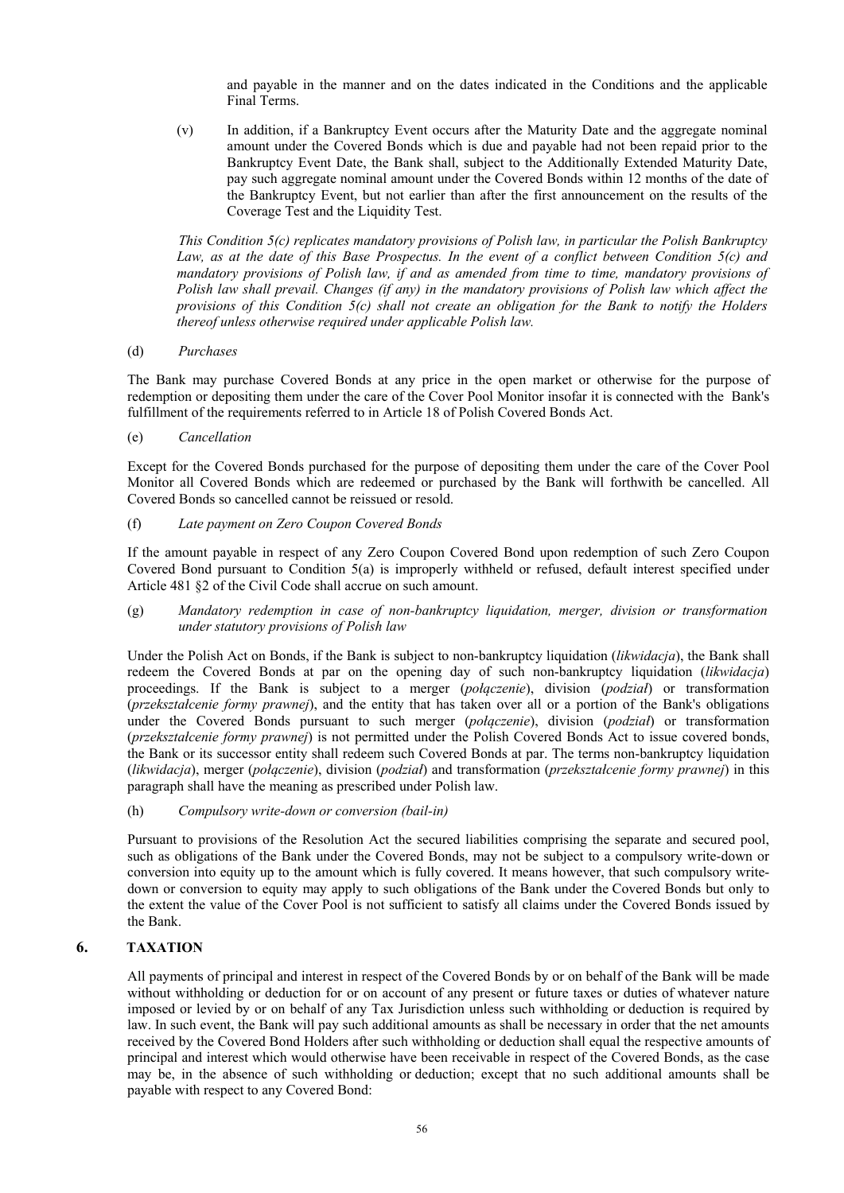and payable in the manner and on the dates indicated in the Conditions and the applicable Final Terms.

(v) In addition, if a Bankruptcy Event occurs after the Maturity Date and the aggregate nominal amount under the Covered Bonds which is due and payable had not been repaid prior to the Bankruptcy Event Date, the Bank shall, subject to the Additionally Extended Maturity Date, pay such aggregate nominal amount under the Covered Bonds within 12 months of the date of the Bankruptcy Event, but not earlier than after the first announcement on the results of the Coverage Test and the Liquidity Test.

*This Condition 5(c) replicates mandatory provisions of Polish law, in particular the Polish Bankruptcy Law, as at the date of this Base Prospectus. In the event of a conflict between Condition 5(c) and mandatory provisions of Polish law, if and as amended from time to time, mandatory provisions of Polish law shall prevail. Changes (if any) in the mandatory provisions of Polish law which affect the provisions of this Condition 5(c) shall not create an obligation for the Bank to notify the Holders thereof unless otherwise required under applicable Polish law.*

### (d) *Purchases*

The Bank may purchase Covered Bonds at any price in the open market or otherwise for the purpose of redemption or depositing them under the care of the Cover Pool Monitor insofar it is connected with the Bank's fulfillment of the requirements referred to in Article 18 of Polish Covered Bonds Act.

(e) *Cancellation* 

Except for the Covered Bonds purchased for the purpose of depositing them under the care of the Cover Pool Monitor all Covered Bonds which are redeemed or purchased by the Bank will forthwith be cancelled. All Covered Bonds so cancelled cannot be reissued or resold.

### (f) *Late payment on Zero Coupon Covered Bonds*

If the amount payable in respect of any Zero Coupon Covered Bond upon redemption of such Zero Coupon Covered Bond pursuant to Condition 5(a) is improperly withheld or refused, default interest specified under Article 481 §2 of the Civil Code shall accrue on such amount.

(g) *Mandatory redemption in case of non-bankruptcy liquidation, merger, division or transformation under statutory provisions of Polish law* 

Under the Polish Act on Bonds, if the Bank is subject to non-bankruptcy liquidation (*likwidacja*), the Bank shall redeem the Covered Bonds at par on the opening day of such non-bankruptcy liquidation (*likwidacja*) proceedings. If the Bank is subject to a merger (*połączenie*), division (*podział*) or transformation (*przekształcenie formy prawnej*), and the entity that has taken over all or a portion of the Bank's obligations under the Covered Bonds pursuant to such merger (*połączenie*), division (*podział*) or transformation (*przekształcenie formy prawnej*) is not permitted under the Polish Covered Bonds Act to issue covered bonds, the Bank or its successor entity shall redeem such Covered Bonds at par. The terms non-bankruptcy liquidation (*likwidacja*), merger (*połączenie*), division (*podział*) and transformation (*przekształcenie formy prawnej*) in this paragraph shall have the meaning as prescribed under Polish law.

### (h) *Compulsory write-down or conversion (bail-in)*

Pursuant to provisions of the Resolution Act the secured liabilities comprising the separate and secured pool, such as obligations of the Bank under the Covered Bonds, may not be subject to a compulsory write-down or conversion into equity up to the amount which is fully covered. It means however, that such compulsory writedown or conversion to equity may apply to such obligations of the Bank under the Covered Bonds but only to the extent the value of the Cover Pool is not sufficient to satisfy all claims under the Covered Bonds issued by the Bank.

### **6. TAXATION**

All payments of principal and interest in respect of the Covered Bonds by or on behalf of the Bank will be made without withholding or deduction for or on account of any present or future taxes or duties of whatever nature imposed or levied by or on behalf of any Tax Jurisdiction unless such withholding or deduction is required by law. In such event, the Bank will pay such additional amounts as shall be necessary in order that the net amounts received by the Covered Bond Holders after such withholding or deduction shall equal the respective amounts of principal and interest which would otherwise have been receivable in respect of the Covered Bonds, as the case may be, in the absence of such withholding or deduction; except that no such additional amounts shall be payable with respect to any Covered Bond: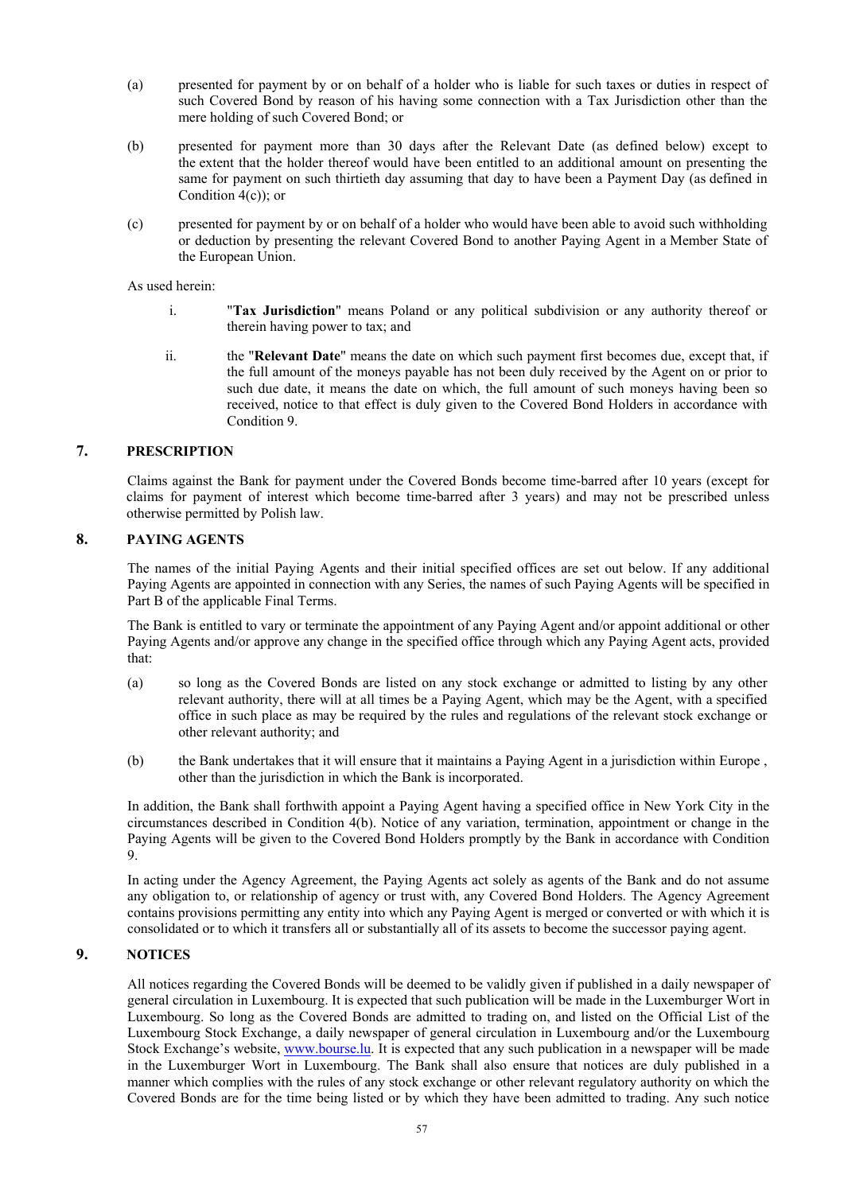- (a) presented for payment by or on behalf of a holder who is liable for such taxes or duties in respect of such Covered Bond by reason of his having some connection with a Tax Jurisdiction other than the mere holding of such Covered Bond; or
- (b) presented for payment more than 30 days after the Relevant Date (as defined below) except to the extent that the holder thereof would have been entitled to an additional amount on presenting the same for payment on such thirtieth day assuming that day to have been a Payment Day (as defined in Condition  $4(c)$ ; or
- (c) presented for payment by or on behalf of a holder who would have been able to avoid such withholding or deduction by presenting the relevant Covered Bond to another Paying Agent in a Member State of the European Union.

As used herein:

- i. "**Tax Jurisdiction**" means Poland or any political subdivision or any authority thereof or therein having power to tax; and
- ii. the "**Relevant Date**" means the date on which such payment first becomes due, except that, if the full amount of the moneys payable has not been duly received by the Agent on or prior to such due date, it means the date on which, the full amount of such moneys having been so received, notice to that effect is duly given to the Covered Bond Holders in accordance with Condition 9.

### **7. PRESCRIPTION**

Claims against the Bank for payment under the Covered Bonds become time-barred after 10 years (except for claims for payment of interest which become time-barred after 3 years) and may not be prescribed unless otherwise permitted by Polish law.

### **8. PAYING AGENTS**

The names of the initial Paying Agents and their initial specified offices are set out below. If any additional Paying Agents are appointed in connection with any Series, the names of such Paying Agents will be specified in Part B of the applicable Final Terms.

The Bank is entitled to vary or terminate the appointment of any Paying Agent and/or appoint additional or other Paying Agents and/or approve any change in the specified office through which any Paying Agent acts, provided that:

- (a) so long as the Covered Bonds are listed on any stock exchange or admitted to listing by any other relevant authority, there will at all times be a Paying Agent, which may be the Agent, with a specified office in such place as may be required by the rules and regulations of the relevant stock exchange or other relevant authority; and
- (b) the Bank undertakes that it will ensure that it maintains a Paying Agent in a jurisdiction within Europe , other than the jurisdiction in which the Bank is incorporated.

In addition, the Bank shall forthwith appoint a Paying Agent having a specified office in New York City in the circumstances described in Condition 4(b). Notice of any variation, termination, appointment or change in the Paying Agents will be given to the Covered Bond Holders promptly by the Bank in accordance with Condition 9.

In acting under the Agency Agreement, the Paying Agents act solely as agents of the Bank and do not assume any obligation to, or relationship of agency or trust with, any Covered Bond Holders. The Agency Agreement contains provisions permitting any entity into which any Paying Agent is merged or converted or with which it is consolidated or to which it transfers all or substantially all of its assets to become the successor paying agent.

# **9. NOTICES**

All notices regarding the Covered Bonds will be deemed to be validly given if published in a daily newspaper of general circulation in Luxembourg. It is expected that such publication will be made in the Luxemburger Wort in Luxembourg. So long as the Covered Bonds are admitted to trading on, and listed on the Official List of the Luxembourg Stock Exchange, a daily newspaper of general circulation in Luxembourg and/or the Luxembourg Stock Exchange's website, www.bourse.lu. It is expected that any such publication in a newspaper will be made in the Luxemburger Wort in Luxembourg. The Bank shall also ensure that notices are duly published in a manner which complies with the rules of any stock exchange or other relevant regulatory authority on which the Covered Bonds are for the time being listed or by which they have been admitted to trading. Any such notice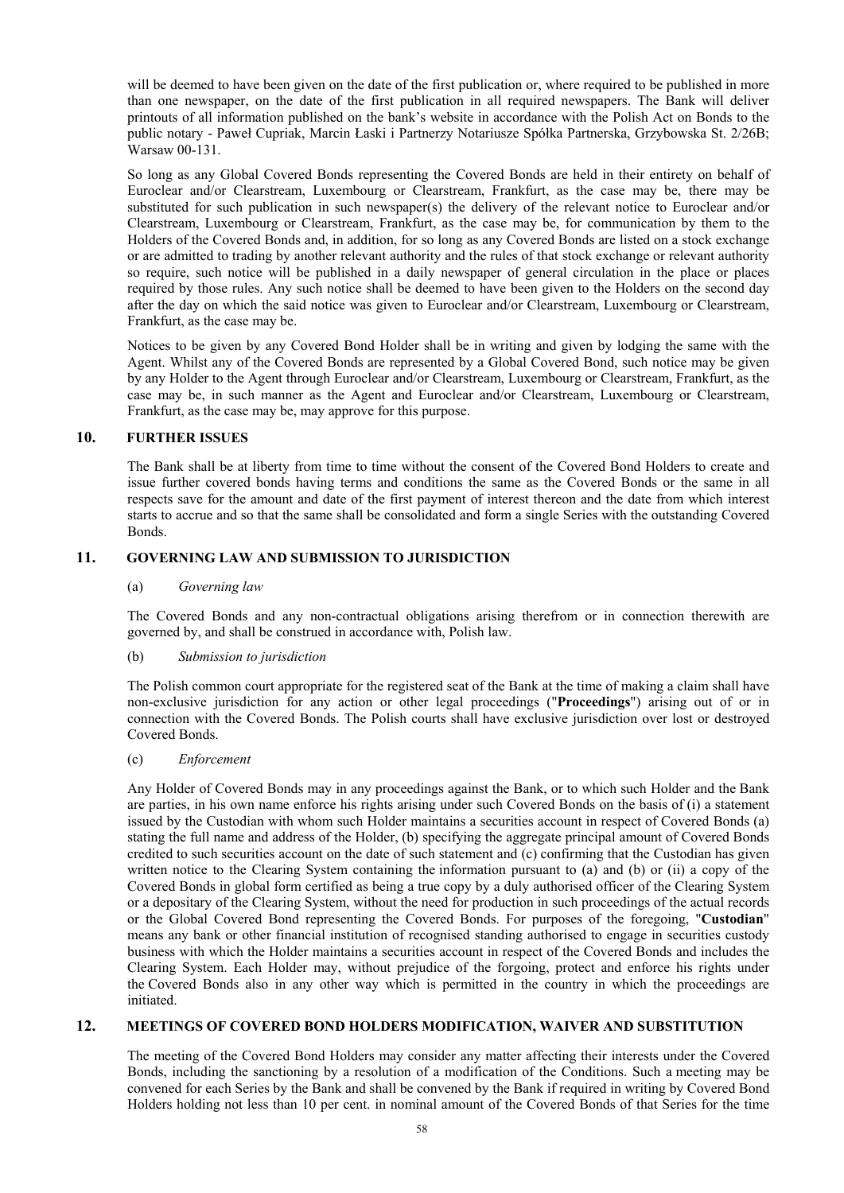will be deemed to have been given on the date of the first publication or, where required to be published in more than one newspaper, on the date of the first publication in all required newspapers. The Bank will deliver printouts of all information published on the bank's website in accordance with the Polish Act on Bonds to the public notary - Paweł Cupriak, Marcin Łaski i Partnerzy Notariusze Spółka Partnerska, Grzybowska St. 2/26B; Warsaw 00-131.

So long as any Global Covered Bonds representing the Covered Bonds are held in their entirety on behalf of Euroclear and/or Clearstream, Luxembourg or Clearstream, Frankfurt, as the case may be, there may be substituted for such publication in such newspaper(s) the delivery of the relevant notice to Euroclear and/or Clearstream, Luxembourg or Clearstream, Frankfurt, as the case may be, for communication by them to the Holders of the Covered Bonds and, in addition, for so long as any Covered Bonds are listed on a stock exchange or are admitted to trading by another relevant authority and the rules of that stock exchange or relevant authority so require, such notice will be published in a daily newspaper of general circulation in the place or places required by those rules. Any such notice shall be deemed to have been given to the Holders on the second day after the day on which the said notice was given to Euroclear and/or Clearstream, Luxembourg or Clearstream, Frankfurt, as the case may be.

Notices to be given by any Covered Bond Holder shall be in writing and given by lodging the same with the Agent. Whilst any of the Covered Bonds are represented by a Global Covered Bond, such notice may be given by any Holder to the Agent through Euroclear and/or Clearstream, Luxembourg or Clearstream, Frankfurt, as the case may be, in such manner as the Agent and Euroclear and/or Clearstream, Luxembourg or Clearstream, Frankfurt, as the case may be, may approve for this purpose.

### **10. FURTHER ISSUES**

The Bank shall be at liberty from time to time without the consent of the Covered Bond Holders to create and issue further covered bonds having terms and conditions the same as the Covered Bonds or the same in all respects save for the amount and date of the first payment of interest thereon and the date from which interest starts to accrue and so that the same shall be consolidated and form a single Series with the outstanding Covered Bonds.

### **11. GOVERNING LAW AND SUBMISSION TO JURISDICTION**

### (a) *Governing law*

The Covered Bonds and any non-contractual obligations arising therefrom or in connection therewith are governed by, and shall be construed in accordance with, Polish law.

#### (b) *Submission to jurisdiction*

The Polish common court appropriate for the registered seat of the Bank at the time of making a claim shall have non-exclusive jurisdiction for any action or other legal proceedings ("**Proceedings**") arising out of or in connection with the Covered Bonds. The Polish courts shall have exclusive jurisdiction over lost or destroyed Covered Bonds.

#### (c) *Enforcement*

Any Holder of Covered Bonds may in any proceedings against the Bank, or to which such Holder and the Bank are parties, in his own name enforce his rights arising under such Covered Bonds on the basis of (i) a statement issued by the Custodian with whom such Holder maintains a securities account in respect of Covered Bonds (a) stating the full name and address of the Holder, (b) specifying the aggregate principal amount of Covered Bonds credited to such securities account on the date of such statement and (c) confirming that the Custodian has given written notice to the Clearing System containing the information pursuant to (a) and (b) or (ii) a copy of the Covered Bonds in global form certified as being a true copy by a duly authorised officer of the Clearing System or a depositary of the Clearing System, without the need for production in such proceedings of the actual records or the Global Covered Bond representing the Covered Bonds. For purposes of the foregoing, "**Custodian**" means any bank or other financial institution of recognised standing authorised to engage in securities custody business with which the Holder maintains a securities account in respect of the Covered Bonds and includes the Clearing System. Each Holder may, without prejudice of the forgoing, protect and enforce his rights under the Covered Bonds also in any other way which is permitted in the country in which the proceedings are initiated.

### **12. MEETINGS OF COVERED BOND HOLDERS MODIFICATION, WAIVER AND SUBSTITUTION**

The meeting of the Covered Bond Holders may consider any matter affecting their interests under the Covered Bonds, including the sanctioning by a resolution of a modification of the Conditions. Such a meeting may be convened for each Series by the Bank and shall be convened by the Bank if required in writing by Covered Bond Holders holding not less than 10 per cent. in nominal amount of the Covered Bonds of that Series for the time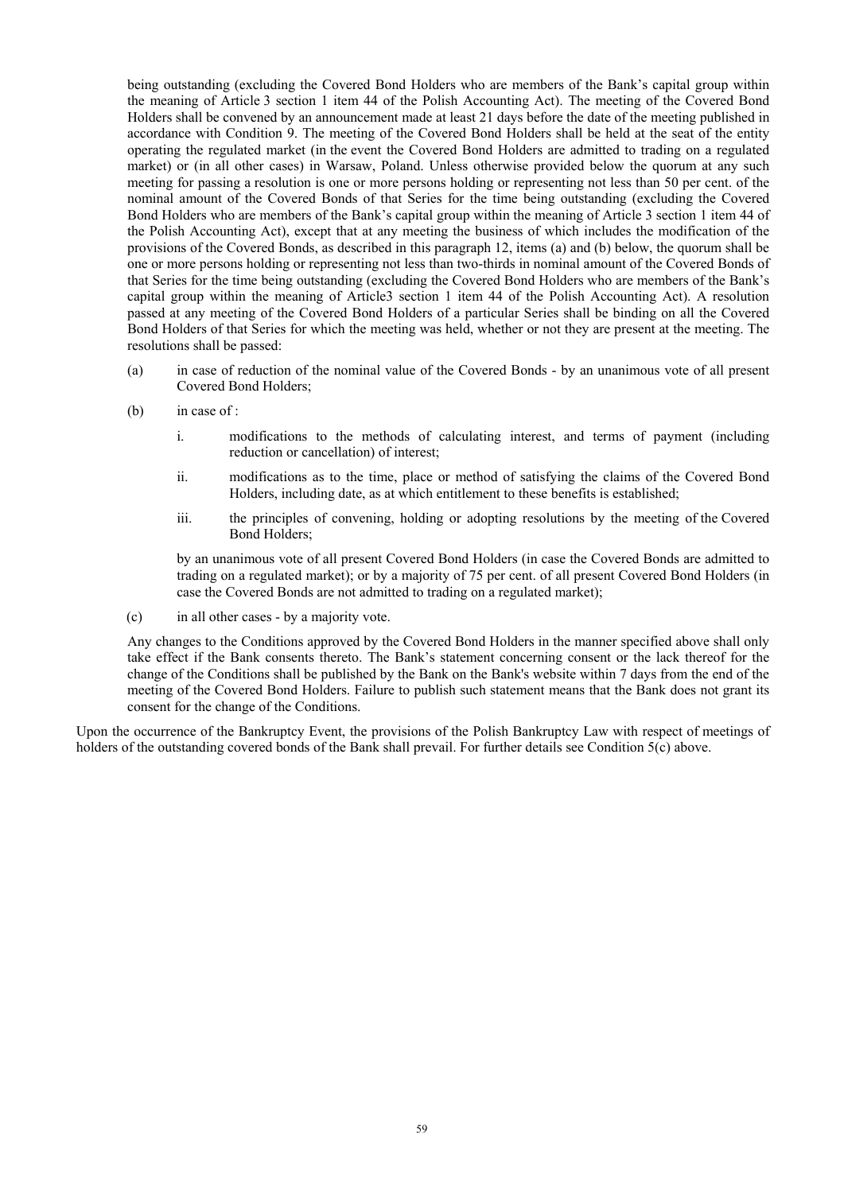being outstanding (excluding the Covered Bond Holders who are members of the Bank's capital group within the meaning of Article 3 section 1 item 44 of the Polish Accounting Act). The meeting of the Covered Bond Holders shall be convened by an announcement made at least 21 days before the date of the meeting published in accordance with Condition 9. The meeting of the Covered Bond Holders shall be held at the seat of the entity operating the regulated market (in the event the Covered Bond Holders are admitted to trading on a regulated market) or (in all other cases) in Warsaw, Poland. Unless otherwise provided below the quorum at any such meeting for passing a resolution is one or more persons holding or representing not less than 50 per cent. of the nominal amount of the Covered Bonds of that Series for the time being outstanding (excluding the Covered Bond Holders who are members of the Bank's capital group within the meaning of Article 3 section 1 item 44 of the Polish Accounting Act), except that at any meeting the business of which includes the modification of the provisions of the Covered Bonds, as described in this paragraph 12, items (a) and (b) below, the quorum shall be one or more persons holding or representing not less than two-thirds in nominal amount of the Covered Bonds of that Series for the time being outstanding (excluding the Covered Bond Holders who are members of the Bank's capital group within the meaning of Article3 section 1 item 44 of the Polish Accounting Act). A resolution passed at any meeting of the Covered Bond Holders of a particular Series shall be binding on all the Covered Bond Holders of that Series for which the meeting was held, whether or not they are present at the meeting. The resolutions shall be passed:

- (a) in case of reduction of the nominal value of the Covered Bonds by an unanimous vote of all present Covered Bond Holders;
- (b) in case of :
	- i. modifications to the methods of calculating interest, and terms of payment (including reduction or cancellation) of interest;
	- ii. modifications as to the time, place or method of satisfying the claims of the Covered Bond Holders, including date, as at which entitlement to these benefits is established;
	- iii. the principles of convening, holding or adopting resolutions by the meeting of the Covered Bond Holders;

by an unanimous vote of all present Covered Bond Holders (in case the Covered Bonds are admitted to trading on a regulated market); or by a majority of 75 per cent. of all present Covered Bond Holders (in case the Covered Bonds are not admitted to trading on a regulated market);

(c) in all other cases - by a majority vote.

Any changes to the Conditions approved by the Covered Bond Holders in the manner specified above shall only take effect if the Bank consents thereto. The Bank's statement concerning consent or the lack thereof for the change of the Conditions shall be published by the Bank on the Bank's website within 7 days from the end of the meeting of the Covered Bond Holders. Failure to publish such statement means that the Bank does not grant its consent for the change of the Conditions.

Upon the occurrence of the Bankruptcy Event, the provisions of the Polish Bankruptcy Law with respect of meetings of holders of the outstanding covered bonds of the Bank shall prevail. For further details see Condition 5(c) above.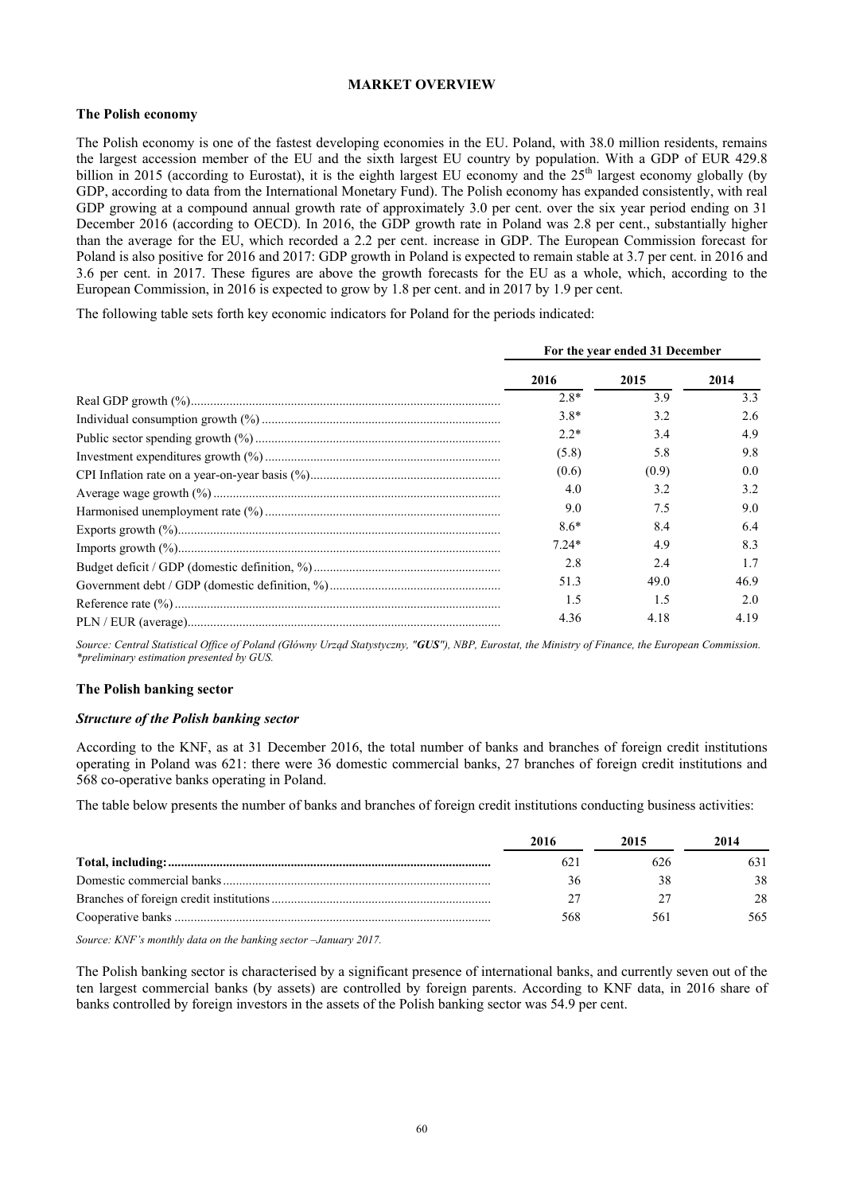### **MARKET OVERVIEW**

### **The Polish economy**

The Polish economy is one of the fastest developing economies in the EU. Poland, with 38.0 million residents, remains the largest accession member of the EU and the sixth largest EU country by population. With a GDP of EUR 429.8 billion in 2015 (according to Eurostat), it is the eighth largest EU economy and the  $25<sup>th</sup>$  largest economy globally (by GDP, according to data from the International Monetary Fund). The Polish economy has expanded consistently, with real GDP growing at a compound annual growth rate of approximately 3.0 per cent. over the six year period ending on 31 December 2016 (according to OECD). In 2016, the GDP growth rate in Poland was 2.8 per cent., substantially higher than the average for the EU, which recorded a 2.2 per cent. increase in GDP. The European Commission forecast for Poland is also positive for 2016 and 2017: GDP growth in Poland is expected to remain stable at 3.7 per cent. in 2016 and 3.6 per cent. in 2017. These figures are above the growth forecasts for the EU as a whole, which, according to the European Commission, in 2016 is expected to grow by 1.8 per cent. and in 2017 by 1.9 per cent.

The following table sets forth key economic indicators for Poland for the periods indicated:

|         | For the year ended 31 December |      |
|---------|--------------------------------|------|
| 2016    | 2015                           | 2014 |
| $2.8*$  | 3.9                            | 3.3  |
| $3.8*$  | 3.2                            | 2.6  |
| $2.2*$  | 3.4                            | 4.9  |
| (5.8)   | 5.8                            | 9.8  |
| (0.6)   | (0.9)                          | 0.0  |
| 4.0     | 3.2                            | 3.2  |
| 9.0     | 7.5                            | 9.0  |
| $8.6*$  | 8.4                            | 6.4  |
| $7.24*$ | 49                             | 8.3  |
| 2.8     | 2.4                            |      |
| 51.3    | 49.0                           | 46.9 |
| 1.5     | 1.5                            | 2.0  |
| 4.36    | 4.18                           | 4.19 |

*Source: Central Statistical Office of Poland (Główny Urząd Statystyczny, "GUS"), NBP, Eurostat, the Ministry of Finance, the European Commission. \*preliminary estimation presented by GUS.*

#### **The Polish banking sector**

### *Structure of the Polish banking sector*

According to the KNF, as at 31 December 2016, the total number of banks and branches of foreign credit institutions operating in Poland was 621: there were 36 domestic commercial banks, 27 branches of foreign credit institutions and 568 co-operative banks operating in Poland.

The table below presents the number of banks and branches of foreign credit institutions conducting business activities:

| 2016 | 2015 | 2014 |
|------|------|------|
| 62.1 | 626  | 631  |
|      |      | 38   |
|      |      | 28   |
| 568  |      | 565. |

*Source: KNF's monthly data on the banking sector –January 2017.* 

The Polish banking sector is characterised by a significant presence of international banks, and currently seven out of the ten largest commercial banks (by assets) are controlled by foreign parents. According to KNF data, in 2016 share of banks controlled by foreign investors in the assets of the Polish banking sector was 54.9 per cent.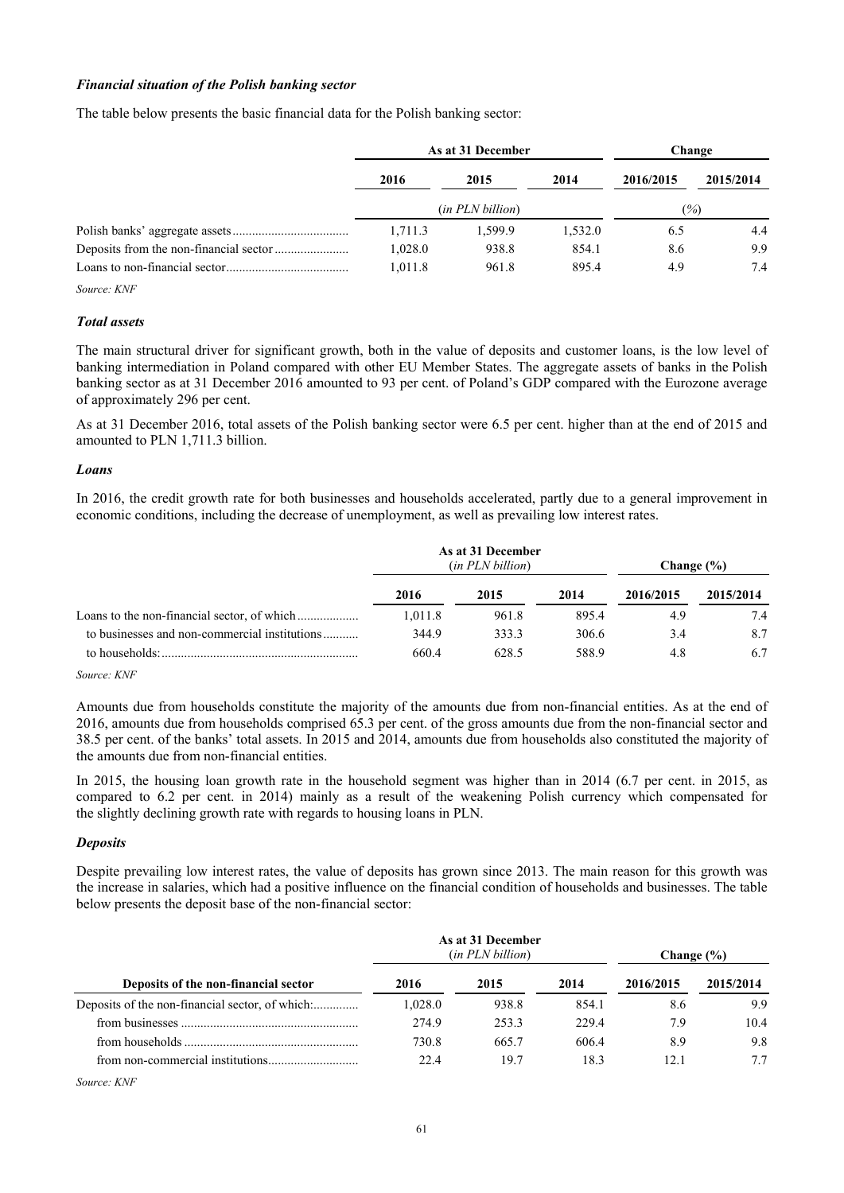### *Financial situation of the Polish banking sector*

The table below presents the basic financial data for the Polish banking sector:

| As at 31 December         |         |         | Change                   |           |
|---------------------------|---------|---------|--------------------------|-----------|
| 2016                      | 2015    | 2014    | 2016/2015                | 2015/2014 |
| ( <i>in PLN billion</i> ) |         |         | $\frac{\binom{6}{2}}{2}$ |           |
| 1,711.3                   | 1.599.9 | 1,532.0 | 6.5                      | 4.4       |
| 1,028.0                   | 938.8   | 854.1   | 8.6                      | 9.9       |
| 1,011.8                   | 961.8   | 895.4   | 4.9                      | 7.4       |

*Source: KNF* 

#### *Total assets*

The main structural driver for significant growth, both in the value of deposits and customer loans, is the low level of banking intermediation in Poland compared with other EU Member States. The aggregate assets of banks in the Polish banking sector as at 31 December 2016 amounted to 93 per cent. of Poland's GDP compared with the Eurozone average of approximately 296 per cent.

As at 31 December 2016, total assets of the Polish banking sector were 6.5 per cent. higher than at the end of 2015 and amounted to PLN 1,711.3 billion.

#### *Loans*

In 2016, the credit growth rate for both businesses and households accelerated, partly due to a general improvement in economic conditions, including the decrease of unemployment, as well as prevailing low interest rates.

|                                               | As at 31 December<br>( <i>in PLN billion</i> ) |       |       | Change (%) |           |  |
|-----------------------------------------------|------------------------------------------------|-------|-------|------------|-----------|--|
|                                               | 2016                                           | 2015  | 2014  | 2016/2015  | 2015/2014 |  |
|                                               | 1,011.8                                        | 961.8 | 895.4 | 4.9        | 7.4       |  |
| to businesses and non-commercial institutions | 344.9                                          | 333.3 | 306.6 | 3.4        | 8.7       |  |
| to households:                                | 660.4                                          | 628.5 | 588.9 | 4.8        | 6.7       |  |

*Source: KNF* 

Amounts due from households constitute the majority of the amounts due from non-financial entities. As at the end of 2016, amounts due from households comprised 65.3 per cent. of the gross amounts due from the non-financial sector and 38.5 per cent. of the banks' total assets. In 2015 and 2014, amounts due from households also constituted the majority of the amounts due from non-financial entities.

In 2015, the housing loan growth rate in the household segment was higher than in 2014 (6.7 per cent. in 2015, as compared to 6.2 per cent. in 2014) mainly as a result of the weakening Polish currency which compensated for the slightly declining growth rate with regards to housing loans in PLN.

#### *Deposits*

Despite prevailing low interest rates, the value of deposits has grown since 2013. The main reason for this growth was the increase in salaries, which had a positive influence on the financial condition of households and businesses. The table below presents the deposit base of the non-financial sector:

| Deposits of the non-financial sector |         | As at 31 December<br>( <i>in PLN billion</i> ) | Change $(\% )$ |           |           |
|--------------------------------------|---------|------------------------------------------------|----------------|-----------|-----------|
|                                      | 2016    | 2015                                           | 2014           | 2016/2015 | 2015/2014 |
|                                      | 1.028.0 | 938.8                                          | 854.1          | 8.6       | 9.9       |
|                                      | 274.9   | 253.3                                          | 229.4          | 7.9       | 10.4      |
| from households                      | 730.8   | 665.7                                          | 6064           | 8.9       | 9.8       |
| from non-commercial institutions     | 22.4    | 19.7                                           | 18.3           | 12.1      | 7.7       |

*Source: KNF*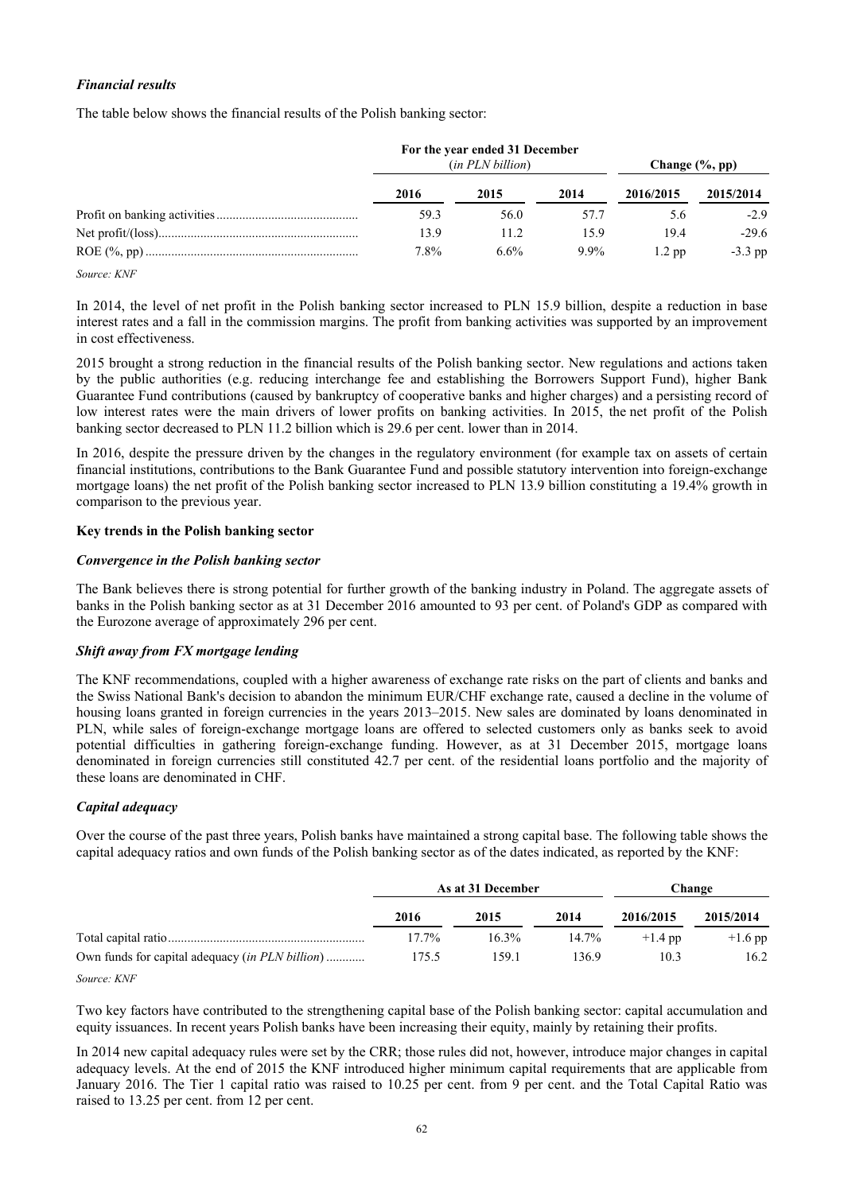# *Financial results*

The table below shows the financial results of the Polish banking sector:

|                                | For the year ended 31 December<br>( <i>in PLN billion</i> ) |         |         | Change $(\%$ , pp) |           |  |
|--------------------------------|-------------------------------------------------------------|---------|---------|--------------------|-----------|--|
|                                | 2016                                                        | 2015    | 2014    | 2016/2015          | 2015/2014 |  |
|                                | 59.3                                                        | 56.0    | 57.7    | 5.6                | $-2.9$    |  |
|                                | 13.9                                                        | 11.2    | 15.9    | 19.4               | $-29.6$   |  |
| $\sim$ $\sim$<br><b>FEXTER</b> | 7.8%                                                        | $6.6\%$ | $9.9\%$ | $1.2$ pp           | $-3.3$ pp |  |

*Source: KNF* 

In 2014, the level of net profit in the Polish banking sector increased to PLN 15.9 billion, despite a reduction in base interest rates and a fall in the commission margins. The profit from banking activities was supported by an improvement in cost effectiveness.

2015 brought a strong reduction in the financial results of the Polish banking sector. New regulations and actions taken by the public authorities (e.g. reducing interchange fee and establishing the Borrowers Support Fund), higher Bank Guarantee Fund contributions (caused by bankruptcy of cooperative banks and higher charges) and a persisting record of low interest rates were the main drivers of lower profits on banking activities. In 2015, the net profit of the Polish banking sector decreased to PLN 11.2 billion which is 29.6 per cent. lower than in 2014.

In 2016, despite the pressure driven by the changes in the regulatory environment (for example tax on assets of certain financial institutions, contributions to the Bank Guarantee Fund and possible statutory intervention into foreign-exchange mortgage loans) the net profit of the Polish banking sector increased to PLN 13.9 billion constituting a 19.4% growth in comparison to the previous year.

### **Key trends in the Polish banking sector**

### *Convergence in the Polish banking sector*

The Bank believes there is strong potential for further growth of the banking industry in Poland. The aggregate assets of banks in the Polish banking sector as at 31 December 2016 amounted to 93 per cent. of Poland's GDP as compared with the Eurozone average of approximately 296 per cent.

### *Shift away from FX mortgage lending*

The KNF recommendations, coupled with a higher awareness of exchange rate risks on the part of clients and banks and the Swiss National Bank's decision to abandon the minimum EUR/CHF exchange rate, caused a decline in the volume of housing loans granted in foreign currencies in the years 2013–2015. New sales are dominated by loans denominated in PLN, while sales of foreign-exchange mortgage loans are offered to selected customers only as banks seek to avoid potential difficulties in gathering foreign-exchange funding. However, as at 31 December 2015, mortgage loans denominated in foreign currencies still constituted 42.7 per cent. of the residential loans portfolio and the majority of these loans are denominated in CHF.

# *Capital adequacy*

Over the course of the past three years, Polish banks have maintained a strong capital base. The following table shows the capital adequacy ratios and own funds of the Polish banking sector as of the dates indicated, as reported by the KNF:

|                                                        | As at 31 December |       |       | Change    |           |
|--------------------------------------------------------|-------------------|-------|-------|-----------|-----------|
|                                                        | 2016              | 2015  | 2014  | 2016/2015 | 2015/2014 |
|                                                        | $17.7\%$          | 16.3% | 14.7% | $+1.4$ pp | $+1.6$ pp |
| Own funds for capital adequacy <i>(in PLN billion)</i> | 175.5             | 159.1 | 1369  | 10.3      | 16.2      |

*Source: KNF* 

Two key factors have contributed to the strengthening capital base of the Polish banking sector: capital accumulation and equity issuances. In recent years Polish banks have been increasing their equity, mainly by retaining their profits.

In 2014 new capital adequacy rules were set by the CRR; those rules did not, however, introduce major changes in capital adequacy levels. At the end of 2015 the KNF introduced higher minimum capital requirements that are applicable from January 2016. The Tier 1 capital ratio was raised to 10.25 per cent. from 9 per cent. and the Total Capital Ratio was raised to 13.25 per cent. from 12 per cent.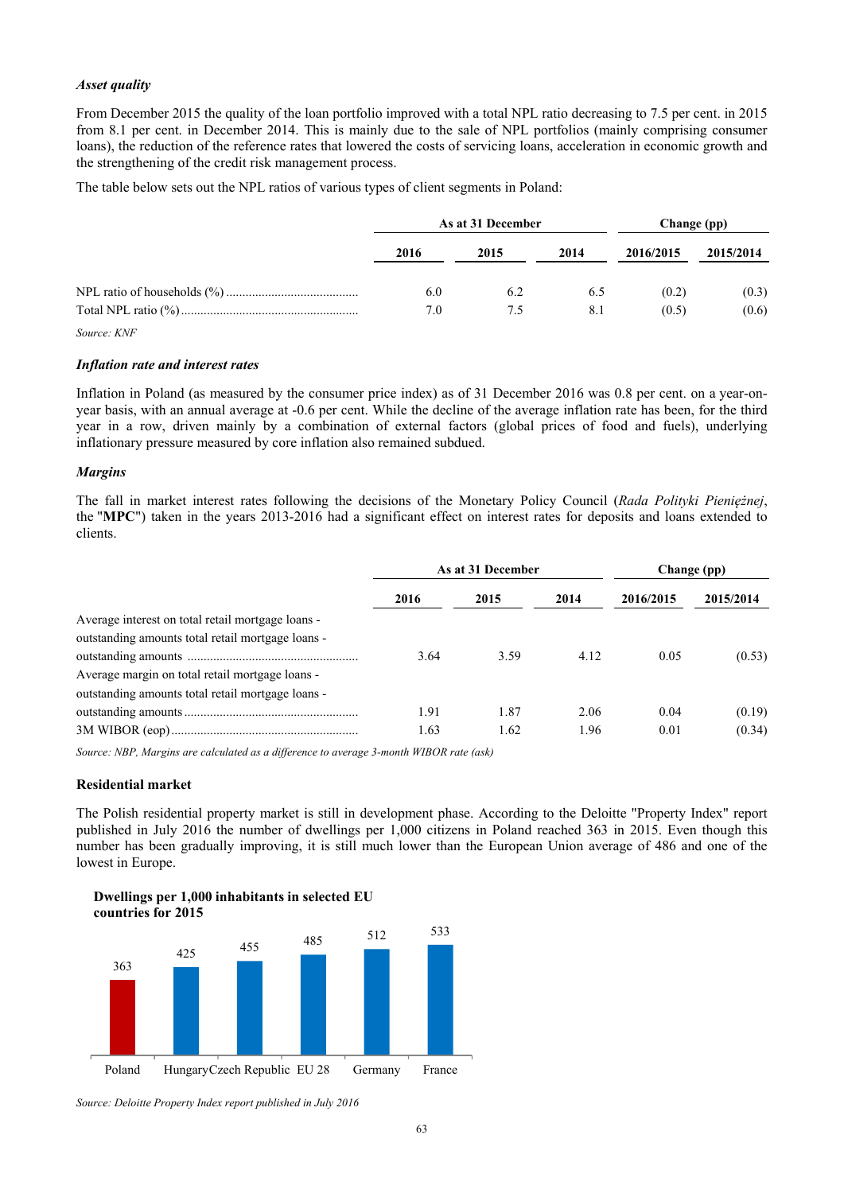### *Asset quality*

From December 2015 the quality of the loan portfolio improved with a total NPL ratio decreasing to 7.5 per cent. in 2015 from 8.1 per cent. in December 2014. This is mainly due to the sale of NPL portfolios (mainly comprising consumer loans), the reduction of the reference rates that lowered the costs of servicing loans, acceleration in economic growth and the strengthening of the credit risk management process.

The table below sets out the NPL ratios of various types of client segments in Poland:

| As at 31 December |      |      | Change (pp) |           |
|-------------------|------|------|-------------|-----------|
| 2016              | 2015 | 2014 | 2016/2015   | 2015/2014 |
| 6.0               | 6.2  | 6.5  | (0.2)       | (0.3)     |
| 7.0               | 7.5  | 8.1  | (0.5)       | (0.6)     |

*Source: KNF* 

### *Inflation rate and interest rates*

Inflation in Poland (as measured by the consumer price index) as of 31 December 2016 was 0.8 per cent. on a year-onyear basis, with an annual average at -0.6 per cent. While the decline of the average inflation rate has been, for the third year in a row, driven mainly by a combination of external factors (global prices of food and fuels), underlying inflationary pressure measured by core inflation also remained subdued.

### *Margins*

The fall in market interest rates following the decisions of the Monetary Policy Council (*Rada Polityki Pieniężnej*, the "**MPC**") taken in the years 2013-2016 had a significant effect on interest rates for deposits and loans extended to clients.

|                                                   | As at 31 December |      |      | Change (pp) |           |
|---------------------------------------------------|-------------------|------|------|-------------|-----------|
|                                                   | 2016              | 2015 | 2014 | 2016/2015   | 2015/2014 |
| Average interest on total retail mortgage loans - |                   |      |      |             |           |
| outstanding amounts total retail mortgage loans - |                   |      |      |             |           |
|                                                   | 3.64              | 3.59 | 4.12 | 0.05        | (0.53)    |
| Average margin on total retail mortgage loans -   |                   |      |      |             |           |
| outstanding amounts total retail mortgage loans - |                   |      |      |             |           |
|                                                   | 1.91              | 1.87 | 2.06 | 0.04        | (0.19)    |
|                                                   | 1.63              | 1.62 | 1.96 | 0.01        | (0.34)    |

*Source: NBP, Margins are calculated as a difference to average 3-month WIBOR rate (ask)* 

### **Residential market**

The Polish residential property market is still in development phase. According to the Deloitte "Property Index" report published in July 2016 the number of dwellings per 1,000 citizens in Poland reached 363 in 2015. Even though this number has been gradually improving, it is still much lower than the European Union average of 486 and one of the lowest in Europe.





*Source: Deloitte Property Index report published in July 2016*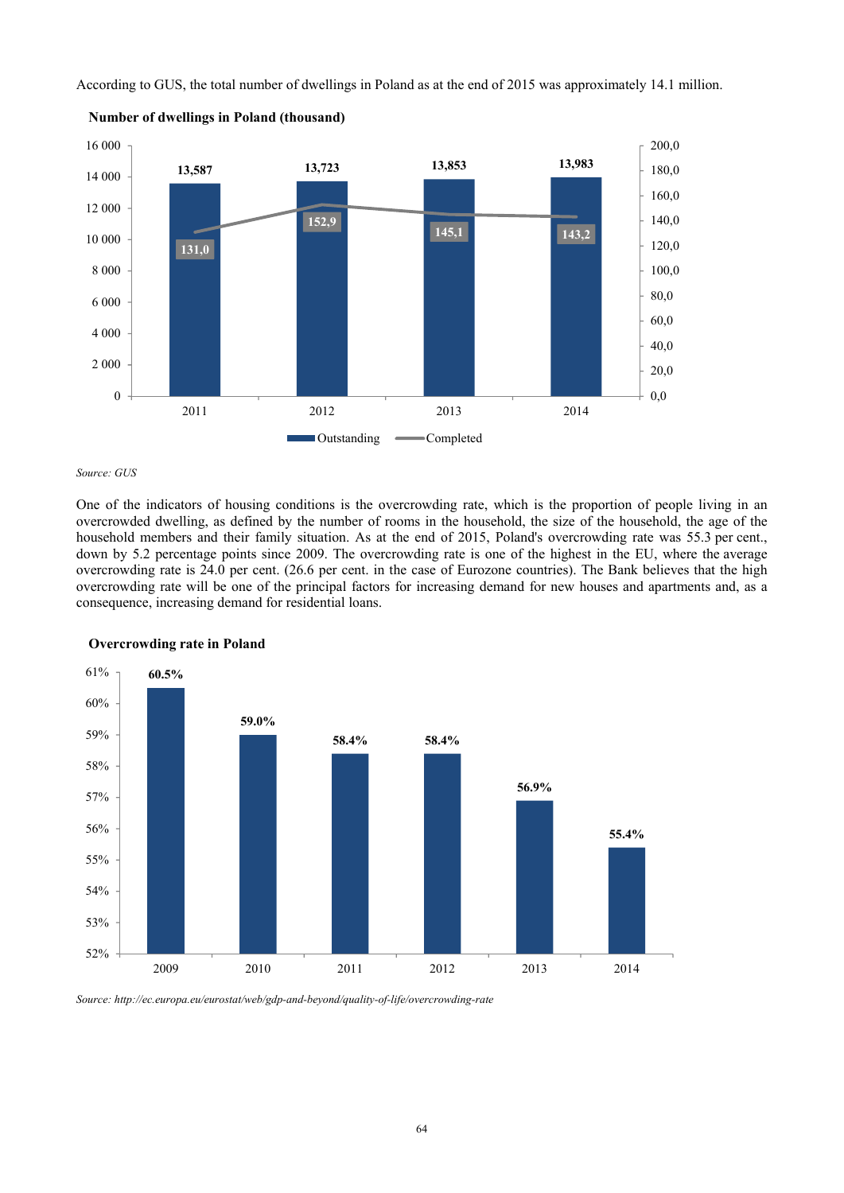According to GUS, the total number of dwellings in Poland as at the end of 2015 was approximately 14.1 million.



**Number of dwellings in Poland (thousand)**

#### *Source: GUS*

One of the indicators of housing conditions is the overcrowding rate, which is the proportion of people living in an overcrowded dwelling, as defined by the number of rooms in the household, the size of the household, the age of the household members and their family situation. As at the end of 2015, Poland's overcrowding rate was 55.3 per cent., down by 5.2 percentage points since 2009. The overcrowding rate is one of the highest in the EU, where the average overcrowding rate is 24.0 per cent. (26.6 per cent. in the case of Eurozone countries). The Bank believes that the high overcrowding rate will be one of the principal factors for increasing demand for new houses and apartments and, as a consequence, increasing demand for residential loans.



**Overcrowding rate in Poland**

*Source: http://ec.europa.eu/eurostat/web/gdp-and-beyond/quality-of-life/overcrowding-rate*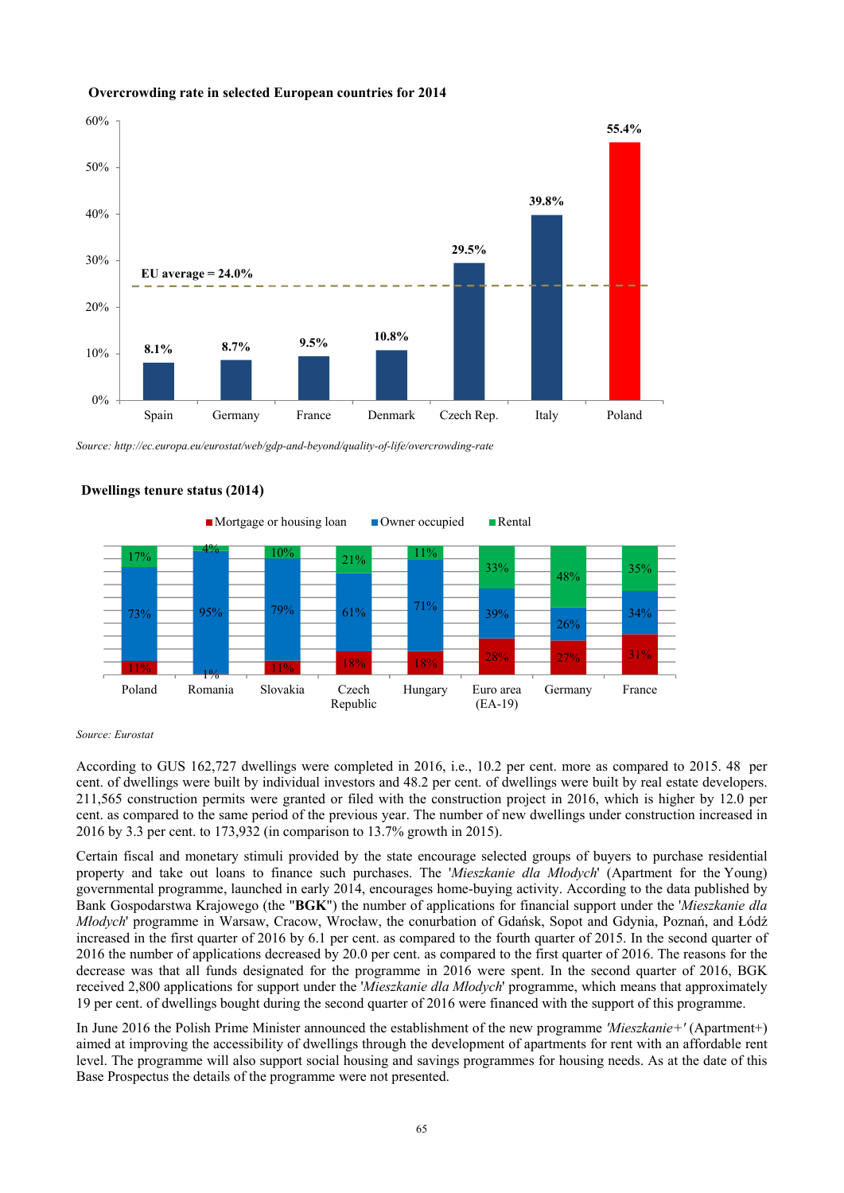

#### **Overcrowding rate in selected European countries for 2014**

*Source: http://ec.europa.eu/eurostat/web/gdp-and-beyond/quality-of-life/overcrowding-rate* 



### **Dwellings tenure status (2014)**

#### *Source: Eurostat*

According to GUS 162,727 dwellings were completed in 2016, i.e., 10.2 per cent. more as compared to 2015. 48 per cent. of dwellings were built by individual investors and 48.2 per cent. of dwellings were built by real estate developers. 211,565 construction permits were granted or filed with the construction project in 2016, which is higher by 12.0 per cent. as compared to the same period of the previous year. The number of new dwellings under construction increased in 2016 by 3.3 per cent. to 173,932 (in comparison to 13.7% growth in 2015).

Certain fiscal and monetary stimuli provided by the state encourage selected groups of buyers to purchase residential property and take out loans to finance such purchases. The '*Mieszkanie dla Młodych*' (Apartment for the Young) governmental programme, launched in early 2014, encourages home-buying activity. According to the data published by Bank Gospodarstwa Krajowego (the "**BGK**") the number of applications for financial support under the '*Mieszkanie dla Młodych*' programme in Warsaw, Cracow, Wrocław, the conurbation of Gdańsk, Sopot and Gdynia, Poznań, and Łódź increased in the first quarter of 2016 by 6.1 per cent. as compared to the fourth quarter of 2015. In the second quarter of 2016 the number of applications decreased by 20.0 per cent. as compared to the first quarter of 2016. The reasons for the decrease was that all funds designated for the programme in 2016 were spent. In the second quarter of 2016, BGK received 2,800 applications for support under the '*Mieszkanie dla Młodych*' programme, which means that approximately 19 per cent. of dwellings bought during the second quarter of 2016 were financed with the support of this programme.

In June 2016 the Polish Prime Minister announced the establishment of the new programme *'Mieszkanie+'* (Apartment+) aimed at improving the accessibility of dwellings through the development of apartments for rent with an affordable rent level. The programme will also support social housing and savings programmes for housing needs. As at the date of this Base Prospectus the details of the programme were not presented.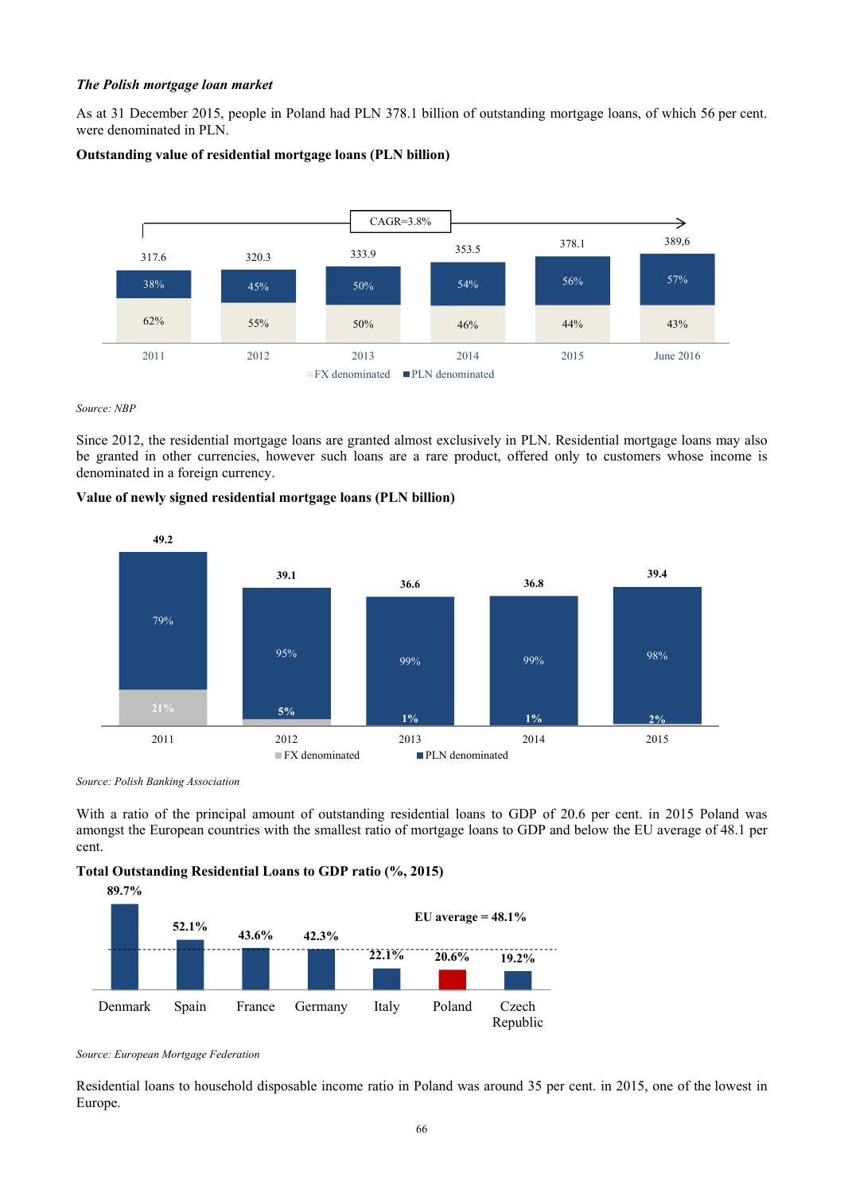### *The Polish mortgage loan market*

As at 31 December 2015, people in Poland had PLN 378.1 billion of outstanding mortgage loans, of which 56 per cent. were denominated in PLN.

### **Outstanding value of residential mortgage loans (PLN billion)**



*Source: NBP* 

Since 2012, the residential mortgage loans are granted almost exclusively in PLN. Residential mortgage loans may also be granted in other currencies, however such loans are a rare product, offered only to customers whose income is denominated in a foreign currency.

### **Value of newly signed residential mortgage loans (PLN billion)**



*Source: Polish Banking Association* 

With a ratio of the principal amount of outstanding residential loans to GDP of 20.6 per cent. in 2015 Poland was amongst the European countries with the smallest ratio of mortgage loans to GDP and below the EU average of 48.1 per cent.

**Total Outstanding Residential Loans to GDP ratio (%, 2015)** 



*Source: European Mortgage Federation* 

Residential loans to household disposable income ratio in Poland was around 35 per cent. in 2015, one of the lowest in Europe.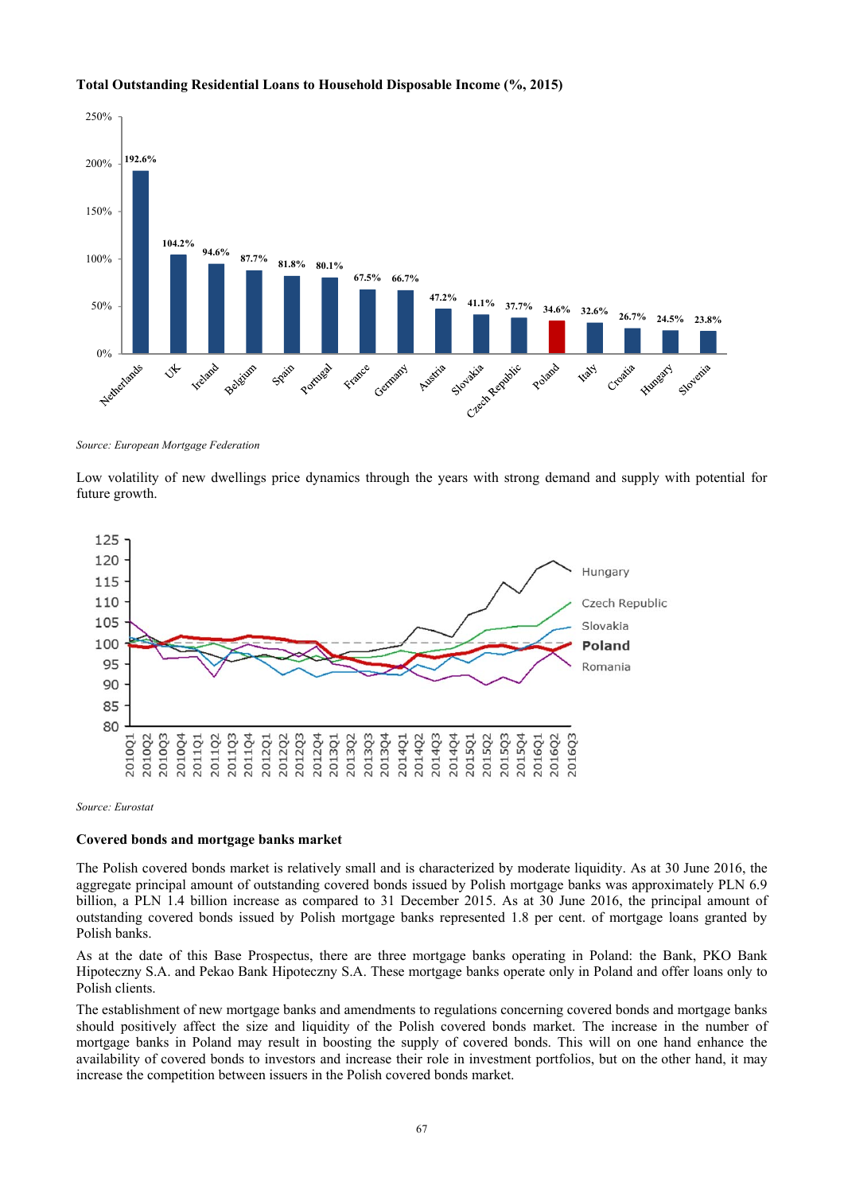

# **Total Outstanding Residential Loans to Household Disposable Income (%, 2015)**

*Source: European Mortgage Federation* 

Low volatility of new dwellings price dynamics through the years with strong demand and supply with potential for future growth.



*Source: Eurostat* 

#### **Covered bonds and mortgage banks market**

The Polish covered bonds market is relatively small and is characterized by moderate liquidity. As at 30 June 2016, the aggregate principal amount of outstanding covered bonds issued by Polish mortgage banks was approximately PLN 6.9 billion, a PLN 1.4 billion increase as compared to 31 December 2015. As at 30 June 2016, the principal amount of outstanding covered bonds issued by Polish mortgage banks represented 1.8 per cent. of mortgage loans granted by Polish banks.

As at the date of this Base Prospectus, there are three mortgage banks operating in Poland: the Bank, PKO Bank Hipoteczny S.A. and Pekao Bank Hipoteczny S.A. These mortgage banks operate only in Poland and offer loans only to Polish clients.

The establishment of new mortgage banks and amendments to regulations concerning covered bonds and mortgage banks should positively affect the size and liquidity of the Polish covered bonds market. The increase in the number of mortgage banks in Poland may result in boosting the supply of covered bonds. This will on one hand enhance the availability of covered bonds to investors and increase their role in investment portfolios, but on the other hand, it may increase the competition between issuers in the Polish covered bonds market.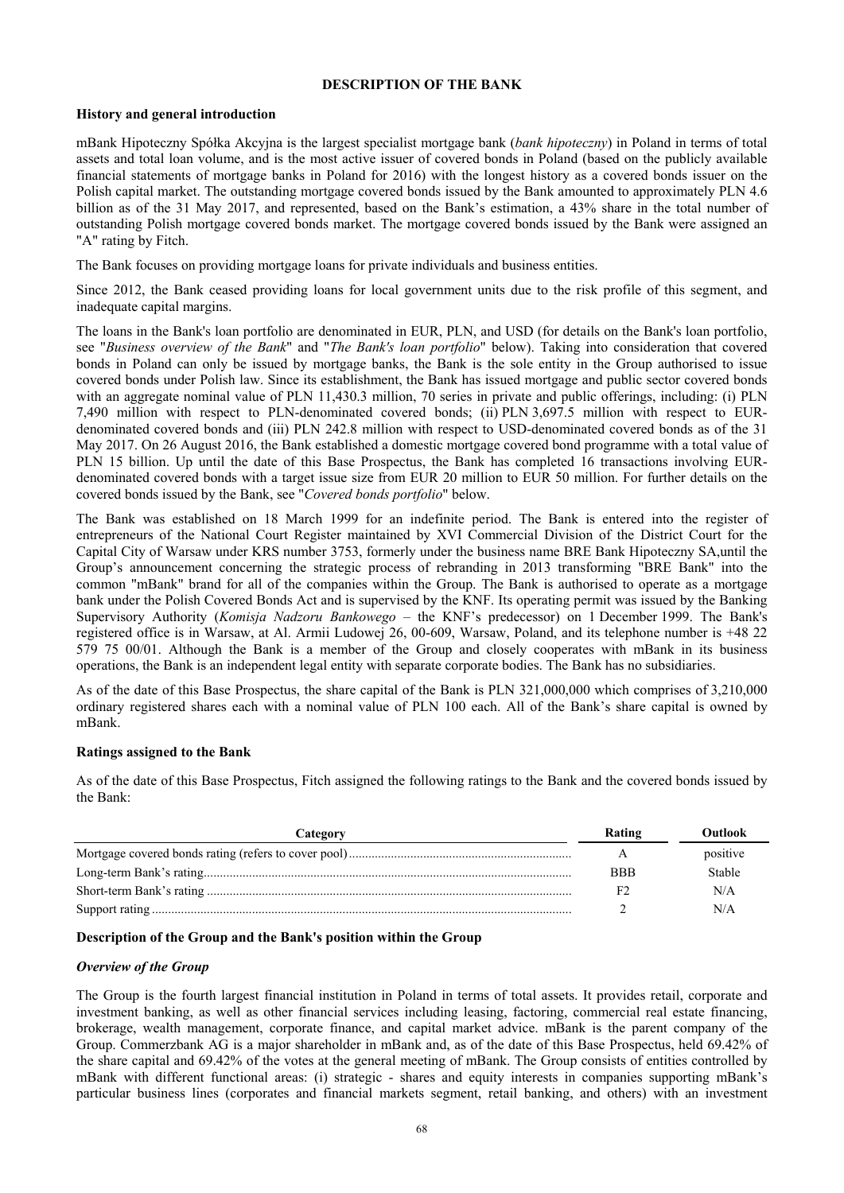# **DESCRIPTION OF THE BANK**

### **History and general introduction**

mBank Hipoteczny Spółka Akcyjna is the largest specialist mortgage bank (*bank hipoteczny*) in Poland in terms of total assets and total loan volume, and is the most active issuer of covered bonds in Poland (based on the publicly available financial statements of mortgage banks in Poland for 2016) with the longest history as a covered bonds issuer on the Polish capital market. The outstanding mortgage covered bonds issued by the Bank amounted to approximately PLN 4.6 billion as of the 31 May 2017, and represented, based on the Bank's estimation, a 43% share in the total number of outstanding Polish mortgage covered bonds market. The mortgage covered bonds issued by the Bank were assigned an "A" rating by Fitch.

The Bank focuses on providing mortgage loans for private individuals and business entities.

Since 2012, the Bank ceased providing loans for local government units due to the risk profile of this segment, and inadequate capital margins.

The loans in the Bank's loan portfolio are denominated in EUR, PLN, and USD (for details on the Bank's loan portfolio, see "*Business overview of the Bank*" and "*The Bank's loan portfolio*" below). Taking into consideration that covered bonds in Poland can only be issued by mortgage banks, the Bank is the sole entity in the Group authorised to issue covered bonds under Polish law. Since its establishment, the Bank has issued mortgage and public sector covered bonds with an aggregate nominal value of PLN 11,430.3 million, 70 series in private and public offerings, including: (i) PLN 7,490 million with respect to PLN-denominated covered bonds; (ii) PLN 3,697.5 million with respect to EURdenominated covered bonds and (iii) PLN 242.8 million with respect to USD-denominated covered bonds as of the 31 May 2017. On 26 August 2016, the Bank established a domestic mortgage covered bond programme with a total value of PLN 15 billion. Up until the date of this Base Prospectus, the Bank has completed 16 transactions involving EURdenominated covered bonds with a target issue size from EUR 20 million to EUR 50 million. For further details on the covered bonds issued by the Bank, see "*Covered bonds portfolio*" below.

The Bank was established on 18 March 1999 for an indefinite period. The Bank is entered into the register of entrepreneurs of the National Court Register maintained by XVI Commercial Division of the District Court for the Capital City of Warsaw under KRS number 3753, formerly under the business name BRE Bank Hipoteczny SA,until the Group's announcement concerning the strategic process of rebranding in 2013 transforming "BRE Bank" into the common "mBank" brand for all of the companies within the Group. The Bank is authorised to operate as a mortgage bank under the Polish Covered Bonds Act and is supervised by the KNF. Its operating permit was issued by the Banking Supervisory Authority (*Komisja Nadzoru Bankowego* – the KNF's predecessor) on 1 December 1999. The Bank's registered office is in Warsaw, at Al. Armii Ludowej 26, 00-609, Warsaw, Poland, and its telephone number is +48 22 579 75 00/01. Although the Bank is a member of the Group and closely cooperates with mBank in its business operations, the Bank is an independent legal entity with separate corporate bodies. The Bank has no subsidiaries.

As of the date of this Base Prospectus, the share capital of the Bank is PLN 321,000,000 which comprises of 3,210,000 ordinary registered shares each with a nominal value of PLN 100 each. All of the Bank's share capital is owned by mBank.

## **Ratings assigned to the Bank**

As of the date of this Base Prospectus, Fitch assigned the following ratings to the Bank and the covered bonds issued by the Bank:

| Category | <b>Rating</b> | <b>Outlook</b> |
|----------|---------------|----------------|
|          | A             | positive       |
|          | <b>BBB</b>    | <b>Stable</b>  |
|          |               | N/A            |
|          |               | N/A            |

## **Description of the Group and the Bank's position within the Group**

#### *Overview of the Group*

The Group is the fourth largest financial institution in Poland in terms of total assets. It provides retail, corporate and investment banking, as well as other financial services including leasing, factoring, commercial real estate financing, brokerage, wealth management, corporate finance, and capital market advice. mBank is the parent company of the Group. Commerzbank AG is a major shareholder in mBank and, as of the date of this Base Prospectus, held 69.42% of the share capital and 69.42% of the votes at the general meeting of mBank. The Group consists of entities controlled by mBank with different functional areas: (i) strategic - shares and equity interests in companies supporting mBank's particular business lines (corporates and financial markets segment, retail banking, and others) with an investment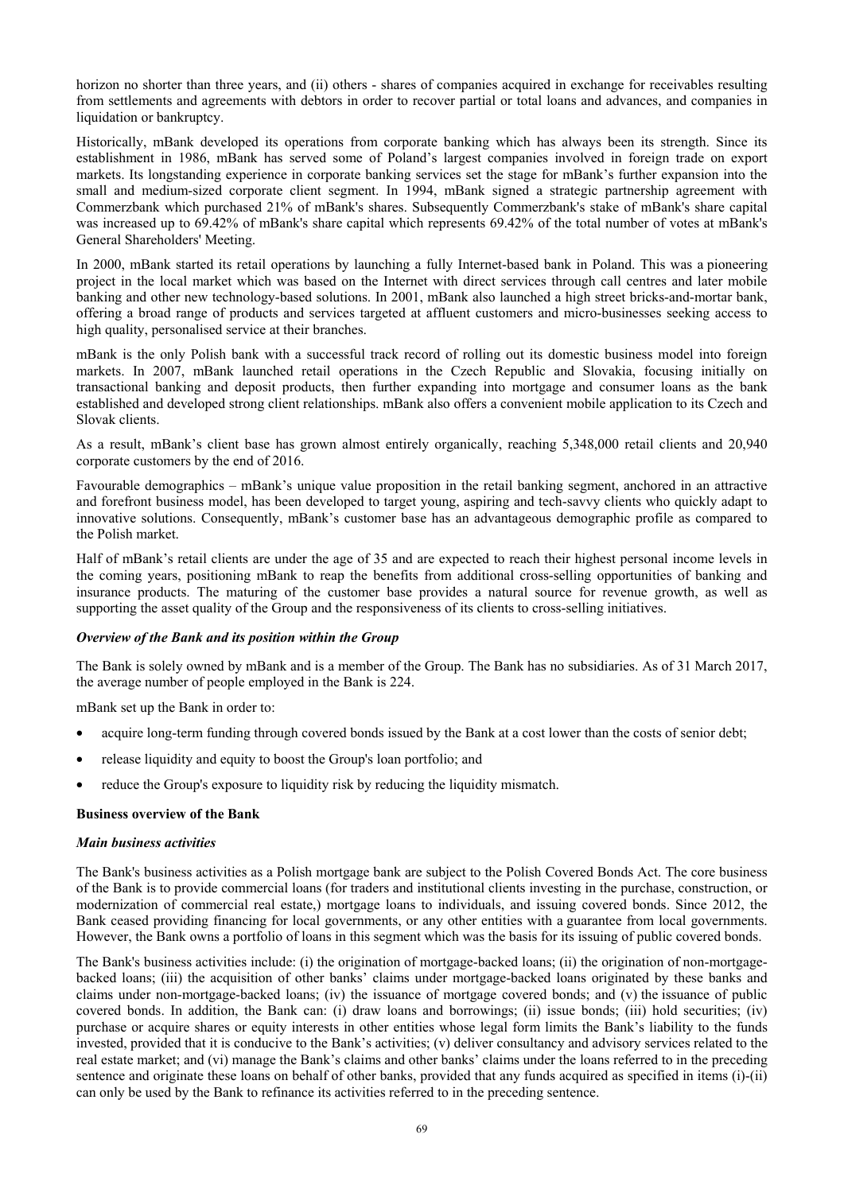horizon no shorter than three years, and (ii) others - shares of companies acquired in exchange for receivables resulting from settlements and agreements with debtors in order to recover partial or total loans and advances, and companies in liquidation or bankruptcy.

Historically, mBank developed its operations from corporate banking which has always been its strength. Since its establishment in 1986, mBank has served some of Poland's largest companies involved in foreign trade on export markets. Its longstanding experience in corporate banking services set the stage for mBank's further expansion into the small and medium-sized corporate client segment. In 1994, mBank signed a strategic partnership agreement with Commerzbank which purchased 21% of mBank's shares. Subsequently Commerzbank's stake of mBank's share capital was increased up to 69.42% of mBank's share capital which represents 69.42% of the total number of votes at mBank's General Shareholders' Meeting.

In 2000, mBank started its retail operations by launching a fully Internet-based bank in Poland. This was a pioneering project in the local market which was based on the Internet with direct services through call centres and later mobile banking and other new technology-based solutions. In 2001, mBank also launched a high street bricks-and-mortar bank, offering a broad range of products and services targeted at affluent customers and micro-businesses seeking access to high quality, personalised service at their branches.

mBank is the only Polish bank with a successful track record of rolling out its domestic business model into foreign markets. In 2007, mBank launched retail operations in the Czech Republic and Slovakia, focusing initially on transactional banking and deposit products, then further expanding into mortgage and consumer loans as the bank established and developed strong client relationships. mBank also offers a convenient mobile application to its Czech and Slovak clients.

As a result, mBank's client base has grown almost entirely organically, reaching 5,348,000 retail clients and 20,940 corporate customers by the end of 2016.

Favourable demographics – mBank's unique value proposition in the retail banking segment, anchored in an attractive and forefront business model, has been developed to target young, aspiring and tech-savvy clients who quickly adapt to innovative solutions. Consequently, mBank's customer base has an advantageous demographic profile as compared to the Polish market.

Half of mBank's retail clients are under the age of 35 and are expected to reach their highest personal income levels in the coming years, positioning mBank to reap the benefits from additional cross-selling opportunities of banking and insurance products. The maturing of the customer base provides a natural source for revenue growth, as well as supporting the asset quality of the Group and the responsiveness of its clients to cross-selling initiatives.

## *Overview of the Bank and its position within the Group*

The Bank is solely owned by mBank and is a member of the Group. The Bank has no subsidiaries. As of 31 March 2017, the average number of people employed in the Bank is 224.

mBank set up the Bank in order to:

- acquire long-term funding through covered bonds issued by the Bank at a cost lower than the costs of senior debt;
- release liquidity and equity to boost the Group's loan portfolio; and
- reduce the Group's exposure to liquidity risk by reducing the liquidity mismatch.

#### **Business overview of the Bank**

#### *Main business activities*

The Bank's business activities as a Polish mortgage bank are subject to the Polish Covered Bonds Act. The core business of the Bank is to provide commercial loans (for traders and institutional clients investing in the purchase, construction, or modernization of commercial real estate,) mortgage loans to individuals, and issuing covered bonds. Since 2012, the Bank ceased providing financing for local governments, or any other entities with a guarantee from local governments. However, the Bank owns a portfolio of loans in this segment which was the basis for its issuing of public covered bonds.

The Bank's business activities include: (i) the origination of mortgage-backed loans; (ii) the origination of non-mortgagebacked loans; (iii) the acquisition of other banks' claims under mortgage-backed loans originated by these banks and claims under non-mortgage-backed loans; (iv) the issuance of mortgage covered bonds; and (v) the issuance of public covered bonds. In addition, the Bank can: (i) draw loans and borrowings; (ii) issue bonds; (iii) hold securities; (iv) purchase or acquire shares or equity interests in other entities whose legal form limits the Bank's liability to the funds invested, provided that it is conducive to the Bank's activities; (v) deliver consultancy and advisory services related to the real estate market; and (vi) manage the Bank's claims and other banks' claims under the loans referred to in the preceding sentence and originate these loans on behalf of other banks, provided that any funds acquired as specified in items (i)-(ii) can only be used by the Bank to refinance its activities referred to in the preceding sentence.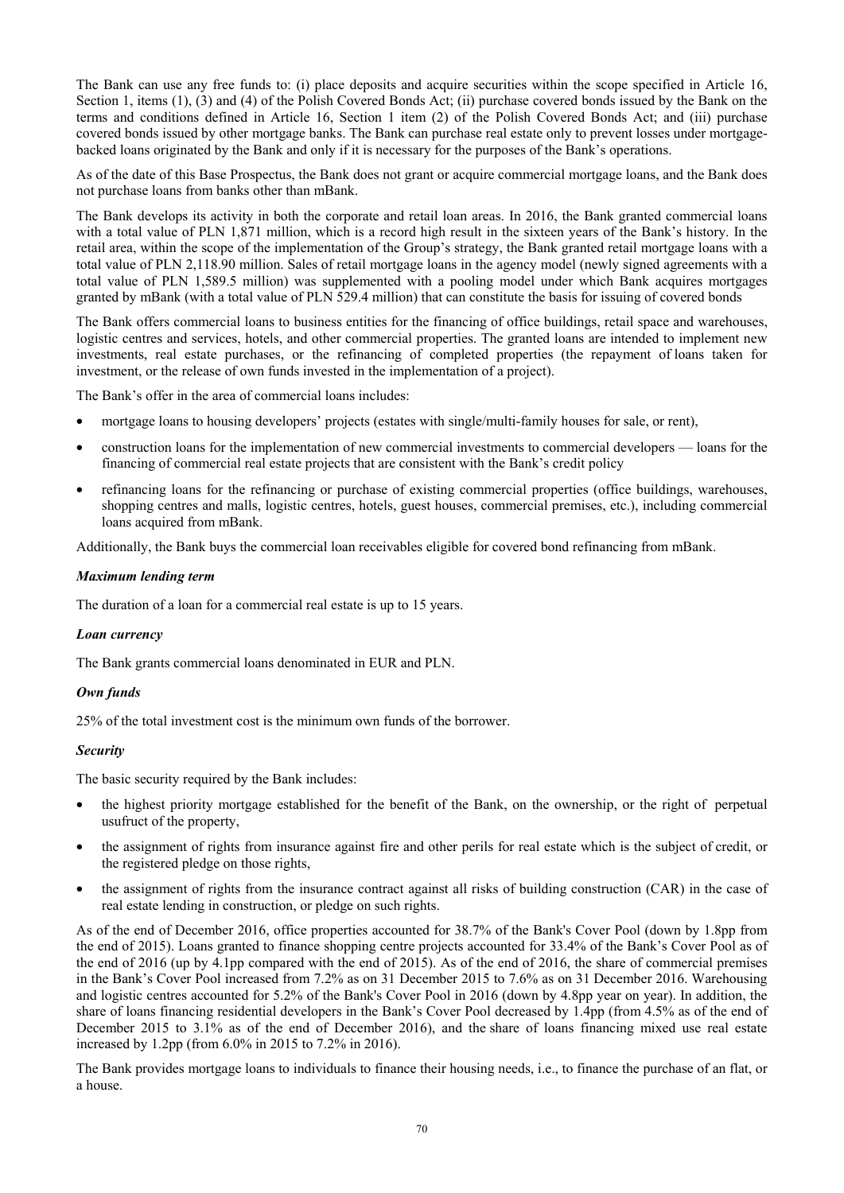The Bank can use any free funds to: (i) place deposits and acquire securities within the scope specified in Article 16, Section 1, items (1), (3) and (4) of the Polish Covered Bonds Act; (ii) purchase covered bonds issued by the Bank on the terms and conditions defined in Article 16, Section 1 item (2) of the Polish Covered Bonds Act; and (iii) purchase covered bonds issued by other mortgage banks. The Bank can purchase real estate only to prevent losses under mortgagebacked loans originated by the Bank and only if it is necessary for the purposes of the Bank's operations.

As of the date of this Base Prospectus, the Bank does not grant or acquire commercial mortgage loans, and the Bank does not purchase loans from banks other than mBank.

The Bank develops its activity in both the corporate and retail loan areas. In 2016, the Bank granted commercial loans with a total value of PLN 1,871 million, which is a record high result in the sixteen years of the Bank's history. In the retail area, within the scope of the implementation of the Group's strategy, the Bank granted retail mortgage loans with a total value of PLN 2,118.90 million. Sales of retail mortgage loans in the agency model (newly signed agreements with a total value of PLN 1,589.5 million) was supplemented with a pooling model under which Bank acquires mortgages granted by mBank (with a total value of PLN 529.4 million) that can constitute the basis for issuing of covered bonds

The Bank offers commercial loans to business entities for the financing of office buildings, retail space and warehouses, logistic centres and services, hotels, and other commercial properties. The granted loans are intended to implement new investments, real estate purchases, or the refinancing of completed properties (the repayment of loans taken for investment, or the release of own funds invested in the implementation of a project).

The Bank's offer in the area of commercial loans includes:

- mortgage loans to housing developers' projects (estates with single/multi-family houses for sale, or rent),
- construction loans for the implementation of new commercial investments to commercial developers loans for the financing of commercial real estate projects that are consistent with the Bank's credit policy
- refinancing loans for the refinancing or purchase of existing commercial properties (office buildings, warehouses, shopping centres and malls, logistic centres, hotels, guest houses, commercial premises, etc.), including commercial loans acquired from mBank.

Additionally, the Bank buys the commercial loan receivables eligible for covered bond refinancing from mBank.

### *Maximum lending term*

The duration of a loan for a commercial real estate is up to 15 years.

#### *Loan currency*

The Bank grants commercial loans denominated in EUR and PLN.

#### *Own funds*

25% of the total investment cost is the minimum own funds of the borrower.

#### *Security*

The basic security required by the Bank includes:

- the highest priority mortgage established for the benefit of the Bank, on the ownership, or the right of perpetual usufruct of the property,
- the assignment of rights from insurance against fire and other perils for real estate which is the subject of credit, or the registered pledge on those rights,
- the assignment of rights from the insurance contract against all risks of building construction (CAR) in the case of real estate lending in construction, or pledge on such rights.

As of the end of December 2016, office properties accounted for 38.7% of the Bank's Cover Pool (down by 1.8pp from the end of 2015). Loans granted to finance shopping centre projects accounted for 33.4% of the Bank's Cover Pool as of the end of 2016 (up by 4.1pp compared with the end of 2015). As of the end of 2016, the share of commercial premises in the Bank's Cover Pool increased from 7.2% as on 31 December 2015 to 7.6% as on 31 December 2016. Warehousing and logistic centres accounted for 5.2% of the Bank's Cover Pool in 2016 (down by 4.8pp year on year). In addition, the share of loans financing residential developers in the Bank's Cover Pool decreased by 1.4pp (from 4.5% as of the end of December 2015 to 3.1% as of the end of December 2016), and the share of loans financing mixed use real estate increased by 1.2pp (from 6.0% in 2015 to 7.2% in 2016).

The Bank provides mortgage loans to individuals to finance their housing needs, i.e., to finance the purchase of an flat, or a house.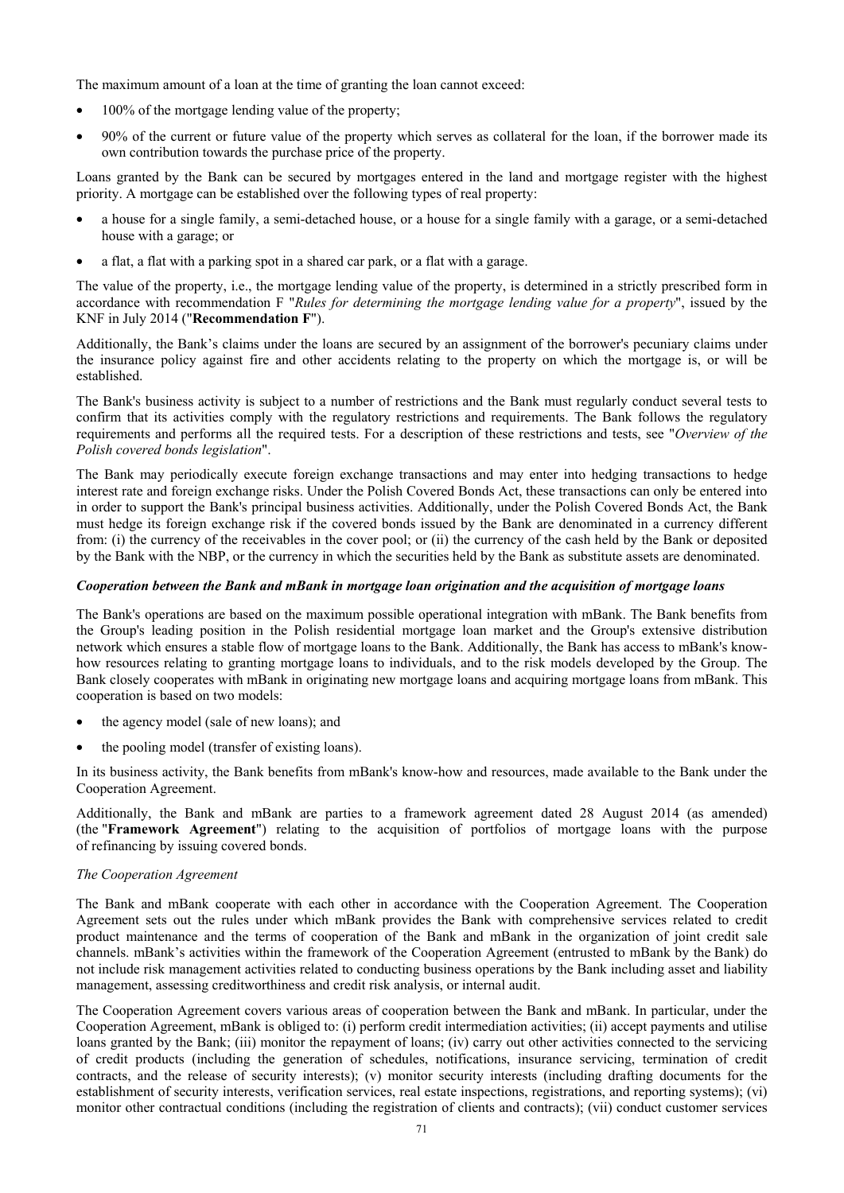The maximum amount of a loan at the time of granting the loan cannot exceed:

- 100% of the mortgage lending value of the property;
- 90% of the current or future value of the property which serves as collateral for the loan, if the borrower made its own contribution towards the purchase price of the property.

Loans granted by the Bank can be secured by mortgages entered in the land and mortgage register with the highest priority. A mortgage can be established over the following types of real property:

- a house for a single family, a semi-detached house, or a house for a single family with a garage, or a semi-detached house with a garage; or
- a flat, a flat with a parking spot in a shared car park, or a flat with a garage.

The value of the property, i.e., the mortgage lending value of the property, is determined in a strictly prescribed form in accordance with recommendation F "*Rules for determining the mortgage lending value for a property*", issued by the KNF in July 2014 ("**Recommendation F**").

Additionally, the Bank's claims under the loans are secured by an assignment of the borrower's pecuniary claims under the insurance policy against fire and other accidents relating to the property on which the mortgage is, or will be established.

The Bank's business activity is subject to a number of restrictions and the Bank must regularly conduct several tests to confirm that its activities comply with the regulatory restrictions and requirements. The Bank follows the regulatory requirements and performs all the required tests. For a description of these restrictions and tests, see "*Overview of the Polish covered bonds legislation*".

The Bank may periodically execute foreign exchange transactions and may enter into hedging transactions to hedge interest rate and foreign exchange risks. Under the Polish Covered Bonds Act, these transactions can only be entered into in order to support the Bank's principal business activities. Additionally, under the Polish Covered Bonds Act, the Bank must hedge its foreign exchange risk if the covered bonds issued by the Bank are denominated in a currency different from: (i) the currency of the receivables in the cover pool; or (ii) the currency of the cash held by the Bank or deposited by the Bank with the NBP, or the currency in which the securities held by the Bank as substitute assets are denominated.

## *Cooperation between the Bank and mBank in mortgage loan origination and the acquisition of mortgage loans*

The Bank's operations are based on the maximum possible operational integration with mBank. The Bank benefits from the Group's leading position in the Polish residential mortgage loan market and the Group's extensive distribution network which ensures a stable flow of mortgage loans to the Bank. Additionally, the Bank has access to mBank's knowhow resources relating to granting mortgage loans to individuals, and to the risk models developed by the Group. The Bank closely cooperates with mBank in originating new mortgage loans and acquiring mortgage loans from mBank. This cooperation is based on two models:

- the agency model (sale of new loans); and
- the pooling model (transfer of existing loans).

In its business activity, the Bank benefits from mBank's know-how and resources, made available to the Bank under the Cooperation Agreement.

Additionally, the Bank and mBank are parties to a framework agreement dated 28 August 2014 (as amended) (the "**Framework Agreement**") relating to the acquisition of portfolios of mortgage loans with the purpose of refinancing by issuing covered bonds.

### *The Cooperation Agreement*

The Bank and mBank cooperate with each other in accordance with the Cooperation Agreement. The Cooperation Agreement sets out the rules under which mBank provides the Bank with comprehensive services related to credit product maintenance and the terms of cooperation of the Bank and mBank in the organization of joint credit sale channels. mBank's activities within the framework of the Cooperation Agreement (entrusted to mBank by the Bank) do not include risk management activities related to conducting business operations by the Bank including asset and liability management, assessing creditworthiness and credit risk analysis, or internal audit.

The Cooperation Agreement covers various areas of cooperation between the Bank and mBank. In particular, under the Cooperation Agreement, mBank is obliged to: (i) perform credit intermediation activities; (ii) accept payments and utilise loans granted by the Bank; (iii) monitor the repayment of loans; (iv) carry out other activities connected to the servicing of credit products (including the generation of schedules, notifications, insurance servicing, termination of credit contracts, and the release of security interests); (v) monitor security interests (including drafting documents for the establishment of security interests, verification services, real estate inspections, registrations, and reporting systems); (vi) monitor other contractual conditions (including the registration of clients and contracts); (vii) conduct customer services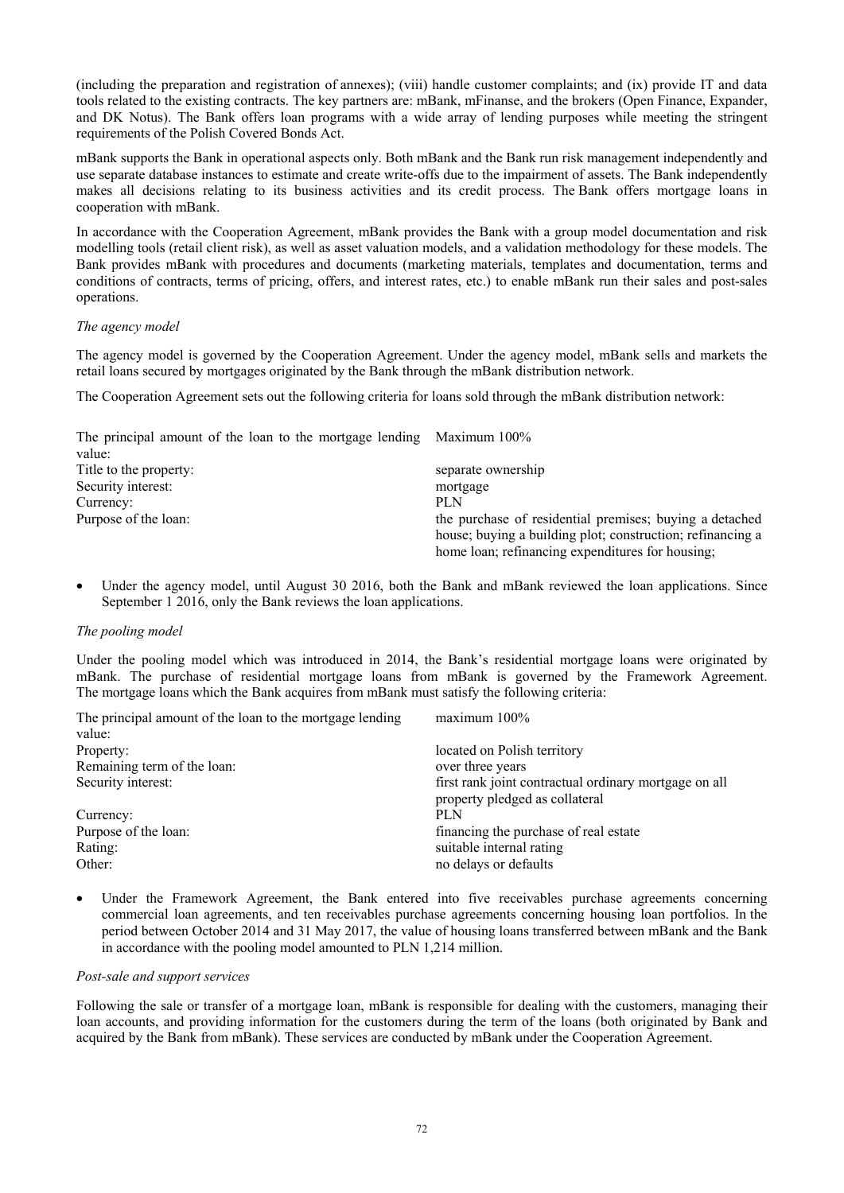(including the preparation and registration of annexes); (viii) handle customer complaints; and (ix) provide IT and data tools related to the existing contracts. The key partners are: mBank, mFinanse, and the brokers (Open Finance, Expander, and DK Notus). The Bank offers loan programs with a wide array of lending purposes while meeting the stringent requirements of the Polish Covered Bonds Act.

mBank supports the Bank in operational aspects only. Both mBank and the Bank run risk management independently and use separate database instances to estimate and create write-offs due to the impairment of assets. The Bank independently makes all decisions relating to its business activities and its credit process. The Bank offers mortgage loans in cooperation with mBank.

In accordance with the Cooperation Agreement, mBank provides the Bank with a group model documentation and risk modelling tools (retail client risk), as well as asset valuation models, and a validation methodology for these models. The Bank provides mBank with procedures and documents (marketing materials, templates and documentation, terms and conditions of contracts, terms of pricing, offers, and interest rates, etc.) to enable mBank run their sales and post-sales operations.

## *The agency model*

The agency model is governed by the Cooperation Agreement. Under the agency model, mBank sells and markets the retail loans secured by mortgages originated by the Bank through the mBank distribution network.

The Cooperation Agreement sets out the following criteria for loans sold through the mBank distribution network:

| The principal amount of the loan to the mortgage lending Maximum 100% |                                                            |
|-----------------------------------------------------------------------|------------------------------------------------------------|
| value:                                                                |                                                            |
| Title to the property:                                                | separate ownership                                         |
| Security interest:                                                    | mortgage                                                   |
| Currency:                                                             | <b>PLN</b>                                                 |
| Purpose of the loan:                                                  | the purchase of residential premises; buying a detached    |
|                                                                       | house; buying a building plot; construction; refinancing a |
|                                                                       | home loan; refinancing expenditures for housing;           |

Under the agency model, until August 30 2016, both the Bank and mBank reviewed the loan applications. Since September 1 2016, only the Bank reviews the loan applications.

## *The pooling model*

Under the pooling model which was introduced in 2014, the Bank's residential mortgage loans were originated by mBank. The purchase of residential mortgage loans from mBank is governed by the Framework Agreement. The mortgage loans which the Bank acquires from mBank must satisfy the following criteria:

| The principal amount of the loan to the mortgage lending | $maximum 100\%$                                       |
|----------------------------------------------------------|-------------------------------------------------------|
| value:                                                   |                                                       |
| Property:                                                | located on Polish territory                           |
| Remaining term of the loan:                              | over three years                                      |
| Security interest:                                       | first rank joint contractual ordinary mortgage on all |
|                                                          | property pledged as collateral                        |
| Currency:                                                | PLN                                                   |
| Purpose of the loan:                                     | financing the purchase of real estate                 |
| Rating:                                                  | suitable internal rating                              |
| Other:                                                   | no delays or defaults                                 |

Under the Framework Agreement, the Bank entered into five receivables purchase agreements concerning commercial loan agreements, and ten receivables purchase agreements concerning housing loan portfolios. In the period between October 2014 and 31 May 2017, the value of housing loans transferred between mBank and the Bank in accordance with the pooling model amounted to PLN 1,214 million.

## *Post-sale and support services*

Following the sale or transfer of a mortgage loan, mBank is responsible for dealing with the customers, managing their loan accounts, and providing information for the customers during the term of the loans (both originated by Bank and acquired by the Bank from mBank). These services are conducted by mBank under the Cooperation Agreement.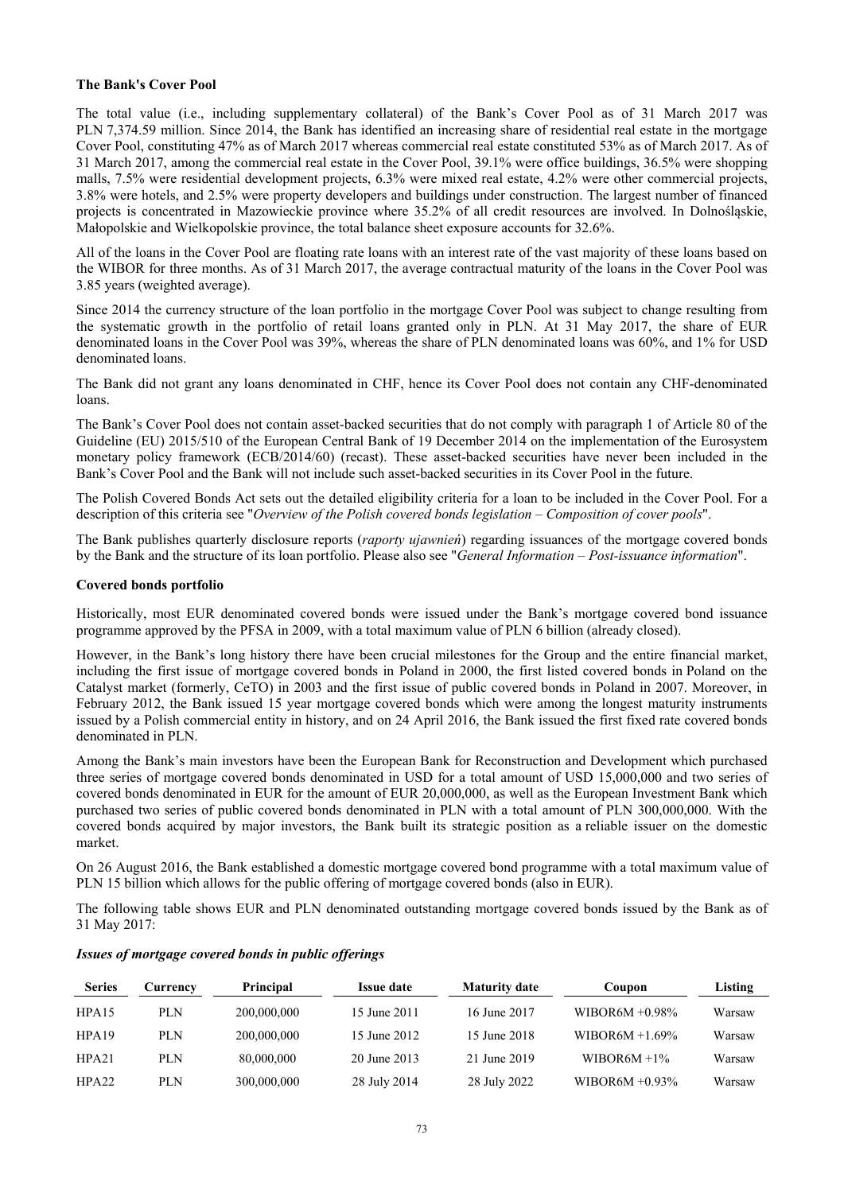## **The Bank's Cover Pool**

The total value (i.e., including supplementary collateral) of the Bank's Cover Pool as of 31 March 2017 was PLN 7,374.59 million. Since 2014, the Bank has identified an increasing share of residential real estate in the mortgage Cover Pool, constituting 47% as of March 2017 whereas commercial real estate constituted 53% as of March 2017. As of 31 March 2017, among the commercial real estate in the Cover Pool, 39.1% were office buildings, 36.5% were shopping malls, 7.5% were residential development projects, 6.3% were mixed real estate, 4.2% were other commercial projects, 3.8% were hotels, and 2.5% were property developers and buildings under construction. The largest number of financed projects is concentrated in Mazowieckie province where 35.2% of all credit resources are involved. In Dolnośląskie, Małopolskie and Wielkopolskie province, the total balance sheet exposure accounts for 32.6%.

All of the loans in the Cover Pool are floating rate loans with an interest rate of the vast majority of these loans based on the WIBOR for three months. As of 31 March 2017, the average contractual maturity of the loans in the Cover Pool was 3.85 years (weighted average).

Since 2014 the currency structure of the loan portfolio in the mortgage Cover Pool was subject to change resulting from the systematic growth in the portfolio of retail loans granted only in PLN. At 31 May 2017, the share of EUR denominated loans in the Cover Pool was 39%, whereas the share of PLN denominated loans was 60%, and 1% for USD denominated loans.

The Bank did not grant any loans denominated in CHF, hence its Cover Pool does not contain any CHF-denominated loans.

The Bank's Cover Pool does not contain asset-backed securities that do not comply with paragraph 1 of Article 80 of the Guideline (EU) 2015/510 of the European Central Bank of 19 December 2014 on the implementation of the Eurosystem monetary policy framework (ECB/2014/60) (recast). These asset-backed securities have never been included in the Bank's Cover Pool and the Bank will not include such asset-backed securities in its Cover Pool in the future.

The Polish Covered Bonds Act sets out the detailed eligibility criteria for a loan to be included in the Cover Pool. For a description of this criteria see "*Overview of the Polish covered bonds legislation – Composition of cover pools*".

The Bank publishes quarterly disclosure reports (*raporty ujawnień*) regarding issuances of the mortgage covered bonds by the Bank and the structure of its loan portfolio. Please also see "*General Information – Post-issuance information*".

## **Covered bonds portfolio**

Historically, most EUR denominated covered bonds were issued under the Bank's mortgage covered bond issuance programme approved by the PFSA in 2009, with a total maximum value of PLN 6 billion (already closed).

However, in the Bank's long history there have been crucial milestones for the Group and the entire financial market, including the first issue of mortgage covered bonds in Poland in 2000, the first listed covered bonds in Poland on the Catalyst market (formerly, CeTO) in 2003 and the first issue of public covered bonds in Poland in 2007. Moreover, in February 2012, the Bank issued 15 year mortgage covered bonds which were among the longest maturity instruments issued by a Polish commercial entity in history, and on 24 April 2016, the Bank issued the first fixed rate covered bonds denominated in PLN.

Among the Bank's main investors have been the European Bank for Reconstruction and Development which purchased three series of mortgage covered bonds denominated in USD for a total amount of USD 15,000,000 and two series of covered bonds denominated in EUR for the amount of EUR 20,000,000, as well as the European Investment Bank which purchased two series of public covered bonds denominated in PLN with a total amount of PLN 300,000,000. With the covered bonds acquired by major investors, the Bank built its strategic position as a reliable issuer on the domestic market.

On 26 August 2016, the Bank established a domestic mortgage covered bond programme with a total maximum value of PLN 15 billion which allows for the public offering of mortgage covered bonds (also in EUR).

The following table shows EUR and PLN denominated outstanding mortgage covered bonds issued by the Bank as of 31 May 2017:

| <b>Series</b> | Currency   | Principal   | <b>Issue date</b> | <b>Maturity date</b> | Coupon             | Listing |
|---------------|------------|-------------|-------------------|----------------------|--------------------|---------|
| HPA15         | PLN        | 200,000,000 | 15 June 2011      | 16 June 2017         | WIBOR6M $+0.98\%$  | Warsaw  |
| HPA19         | PLN        | 200,000,000 | 15 June 2012      | 15 June 2018         | $WIBOR6M + 1.69\%$ | Warsaw  |
| HPA21         | <b>PLN</b> | 80,000,000  | 20 June 2013      | 21 June 2019         | WIBOR6M $+1\%$     | Warsaw  |
| HPA22         | PLN        | 300,000,000 | 28 July 2014      | 28 July 2022         | WIBOR6M $+0.93\%$  | Warsaw  |

#### *Issues of mortgage covered bonds in public offerings*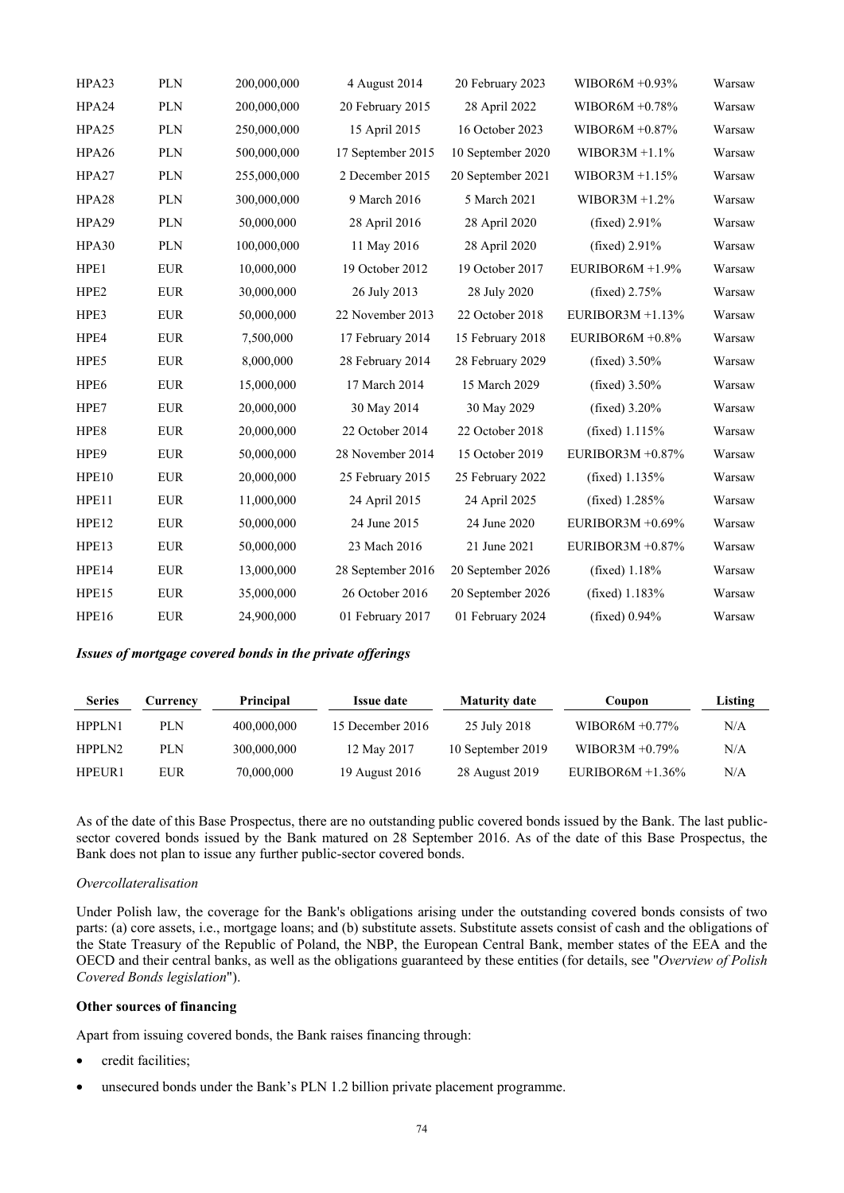| HPA23            | <b>PLN</b> | 200,000,000 | 4 August 2014     | 20 February 2023  | WIBOR6M $+0.93\%$   | Warsaw |
|------------------|------------|-------------|-------------------|-------------------|---------------------|--------|
| HPA24            | <b>PLN</b> | 200,000,000 | 20 February 2015  | 28 April 2022     | WIBOR6M $+0.78%$    | Warsaw |
| HPA25            | <b>PLN</b> | 250,000,000 | 15 April 2015     | 16 October 2023   | WIBOR6M $+0.87\%$   | Warsaw |
| HPA26            | <b>PLN</b> | 500,000,000 | 17 September 2015 | 10 September 2020 | WIBOR3M $+1.1\%$    | Warsaw |
| HPA27            | <b>PLN</b> | 255,000,000 | 2 December 2015   | 20 September 2021 | WIBOR3M $+1.15%$    | Warsaw |
| HPA28            | <b>PLN</b> | 300,000,000 | 9 March 2016      | 5 March 2021      | WIBOR3M $+1.2\%$    | Warsaw |
| HPA29            | <b>PLN</b> | 50,000,000  | 28 April 2016     | 28 April 2020     | (fixed) 2.91%       | Warsaw |
| HPA30            | <b>PLN</b> | 100,000,000 | 11 May 2016       | 28 April 2020     | (fixed) $2.91\%$    | Warsaw |
| HPE1             | <b>EUR</b> | 10,000,000  | 19 October 2012   | 19 October 2017   | EURIBOR6M $+1.9%$   | Warsaw |
| HPE <sub>2</sub> | <b>EUR</b> | 30,000,000  | 26 July 2013      | 28 July 2020      | (fixed) $2.75%$     | Warsaw |
| HPE3             | <b>EUR</b> | 50,000,000  | 22 November 2013  | 22 October 2018   | EURIBOR3M $+1.13\%$ | Warsaw |
| HPE4             | <b>EUR</b> | 7,500,000   | 17 February 2014  | 15 February 2018  | EURIBOR6M +0.8%     | Warsaw |
| HPE5             | <b>EUR</b> | 8,000,000   | 28 February 2014  | 28 February 2029  | (fixed) $3.50\%$    | Warsaw |
| HPE6             | <b>EUR</b> | 15,000,000  | 17 March 2014     | 15 March 2029     | (fixed) $3.50%$     | Warsaw |
| HPE7             | <b>EUR</b> | 20,000,000  | 30 May 2014       | 30 May 2029       | (fixed) $3.20%$     | Warsaw |
| HPE8             | <b>EUR</b> | 20,000,000  | 22 October 2014   | 22 October 2018   | (fixed) $1.115%$    | Warsaw |
| HPE9             | <b>EUR</b> | 50,000,000  | 28 November 2014  | 15 October 2019   | EURIBOR3M $+0.87\%$ | Warsaw |
| HPE10            | <b>EUR</b> | 20,000,000  | 25 February 2015  | 25 February 2022  | (fixed) $1.135%$    | Warsaw |
| HPE11            | <b>EUR</b> | 11,000,000  | 24 April 2015     | 24 April 2025     | (fixed) 1.285%      | Warsaw |
| HPE12            | <b>EUR</b> | 50,000,000  | 24 June 2015      | 24 June 2020      | EURIBOR3M +0.69%    | Warsaw |
| HPE13            | <b>EUR</b> | 50,000,000  | 23 Mach 2016      | 21 June 2021      | EURIBOR3M $+0.87\%$ | Warsaw |
| HPE14            | <b>EUR</b> | 13,000,000  | 28 September 2016 | 20 September 2026 | (fixed) $1.18%$     | Warsaw |
| HPE15            | <b>EUR</b> | 35,000,000  | 26 October 2016   | 20 September 2026 | (fixed) $1.183%$    | Warsaw |
| HPE16            | <b>EUR</b> | 24,900,000  | 01 February 2017  | 01 February 2024  | (fixed) $0.94\%$    | Warsaw |

*Issues of mortgage covered bonds in the private offerings* 

| <b>Series</b> | Currency | <b>Principal</b> | <b>Issue date</b> | <b>Maturity date</b> | Coupon              | Listing |
|---------------|----------|------------------|-------------------|----------------------|---------------------|---------|
| HPPLN1        | PLN      | 400,000,000      | 15 December 2016  | 25 July 2018         | WIBOR6M $+0.77\%$   | N/A     |
| HPPLN2        | PLN.     | 300,000,000      | 12 May 2017       | 10 September 2019    | WIBOR3M $+0.79\%$   | N/A     |
| HPEUR1        | EUR      | 70,000,000       | 19 August 2016    | 28 August 2019       | EURIBOR6M $+1.36\%$ | N/A     |

As of the date of this Base Prospectus, there are no outstanding public covered bonds issued by the Bank. The last publicsector covered bonds issued by the Bank matured on 28 September 2016. As of the date of this Base Prospectus, the Bank does not plan to issue any further public-sector covered bonds.

## *Overcollateralisation*

Under Polish law, the coverage for the Bank's obligations arising under the outstanding covered bonds consists of two parts: (a) core assets, i.e., mortgage loans; and (b) substitute assets. Substitute assets consist of cash and the obligations of the State Treasury of the Republic of Poland, the NBP, the European Central Bank, member states of the EEA and the OECD and their central banks, as well as the obligations guaranteed by these entities (for details, see "*Overview of Polish Covered Bonds legislation*").

### **Other sources of financing**

Apart from issuing covered bonds, the Bank raises financing through:

- credit facilities;
- unsecured bonds under the Bank's PLN 1.2 billion private placement programme.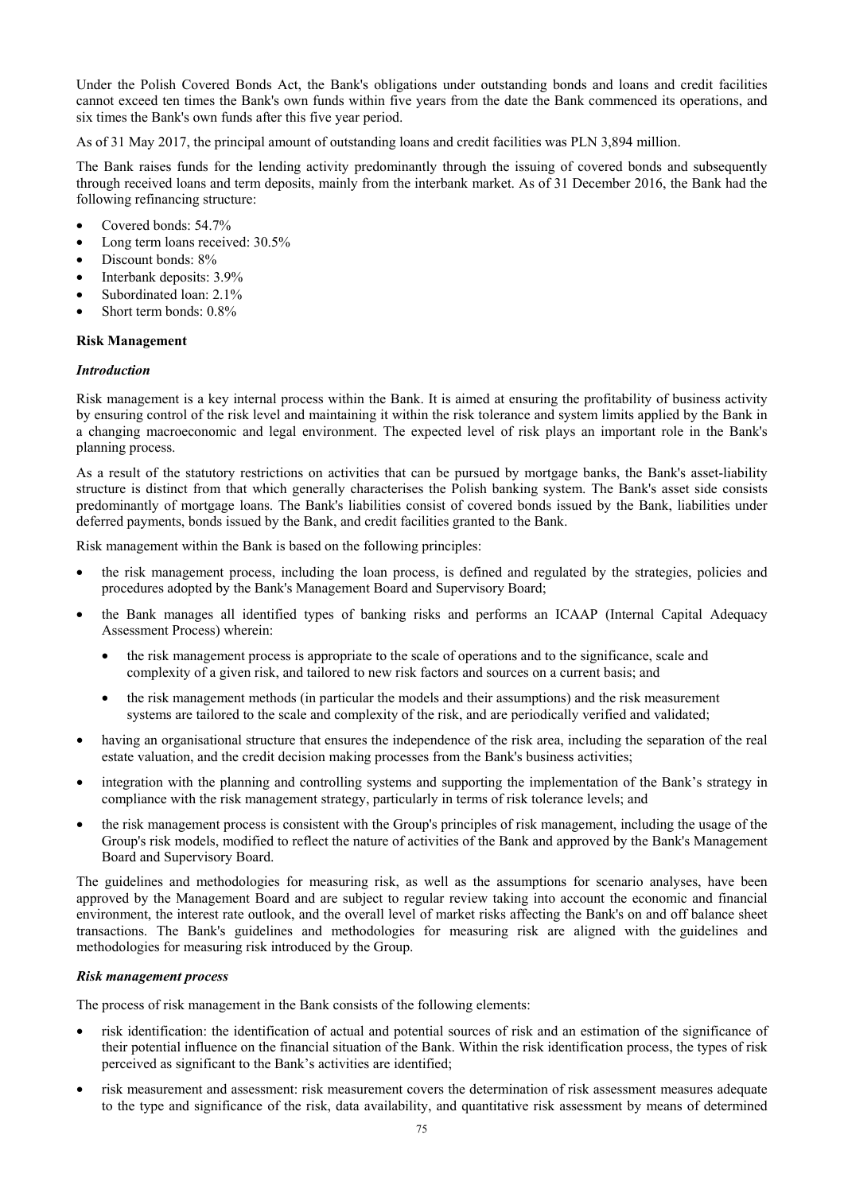Under the Polish Covered Bonds Act, the Bank's obligations under outstanding bonds and loans and credit facilities cannot exceed ten times the Bank's own funds within five years from the date the Bank commenced its operations, and six times the Bank's own funds after this five year period.

As of 31 May 2017, the principal amount of outstanding loans and credit facilities was PLN 3,894 million.

The Bank raises funds for the lending activity predominantly through the issuing of covered bonds and subsequently through received loans and term deposits, mainly from the interbank market. As of 31 December 2016, the Bank had the following refinancing structure:

- Covered bonds: 54.7%
- Long term loans received:  $30.5\%$
- Discount bonds:  $8\%$
- Interbank deposits: 3.9%
- Subordinated loan: 2.1%
- Short term bonds: 0.8%

### **Risk Management**

### *Introduction*

Risk management is a key internal process within the Bank. It is aimed at ensuring the profitability of business activity by ensuring control of the risk level and maintaining it within the risk tolerance and system limits applied by the Bank in a changing macroeconomic and legal environment. The expected level of risk plays an important role in the Bank's planning process.

As a result of the statutory restrictions on activities that can be pursued by mortgage banks, the Bank's asset-liability structure is distinct from that which generally characterises the Polish banking system. The Bank's asset side consists predominantly of mortgage loans. The Bank's liabilities consist of covered bonds issued by the Bank, liabilities under deferred payments, bonds issued by the Bank, and credit facilities granted to the Bank.

Risk management within the Bank is based on the following principles:

- the risk management process, including the loan process, is defined and regulated by the strategies, policies and procedures adopted by the Bank's Management Board and Supervisory Board;
- the Bank manages all identified types of banking risks and performs an ICAAP (Internal Capital Adequacy Assessment Process) wherein:
	- the risk management process is appropriate to the scale of operations and to the significance, scale and complexity of a given risk, and tailored to new risk factors and sources on a current basis; and
	- the risk management methods (in particular the models and their assumptions) and the risk measurement systems are tailored to the scale and complexity of the risk, and are periodically verified and validated;
- having an organisational structure that ensures the independence of the risk area, including the separation of the real estate valuation, and the credit decision making processes from the Bank's business activities;
- integration with the planning and controlling systems and supporting the implementation of the Bank's strategy in compliance with the risk management strategy, particularly in terms of risk tolerance levels; and
- the risk management process is consistent with the Group's principles of risk management, including the usage of the Group's risk models, modified to reflect the nature of activities of the Bank and approved by the Bank's Management Board and Supervisory Board.

The guidelines and methodologies for measuring risk, as well as the assumptions for scenario analyses, have been approved by the Management Board and are subject to regular review taking into account the economic and financial environment, the interest rate outlook, and the overall level of market risks affecting the Bank's on and off balance sheet transactions. The Bank's guidelines and methodologies for measuring risk are aligned with the guidelines and methodologies for measuring risk introduced by the Group.

## *Risk management process*

The process of risk management in the Bank consists of the following elements:

- risk identification: the identification of actual and potential sources of risk and an estimation of the significance of their potential influence on the financial situation of the Bank. Within the risk identification process, the types of risk perceived as significant to the Bank's activities are identified;
- risk measurement and assessment: risk measurement covers the determination of risk assessment measures adequate to the type and significance of the risk, data availability, and quantitative risk assessment by means of determined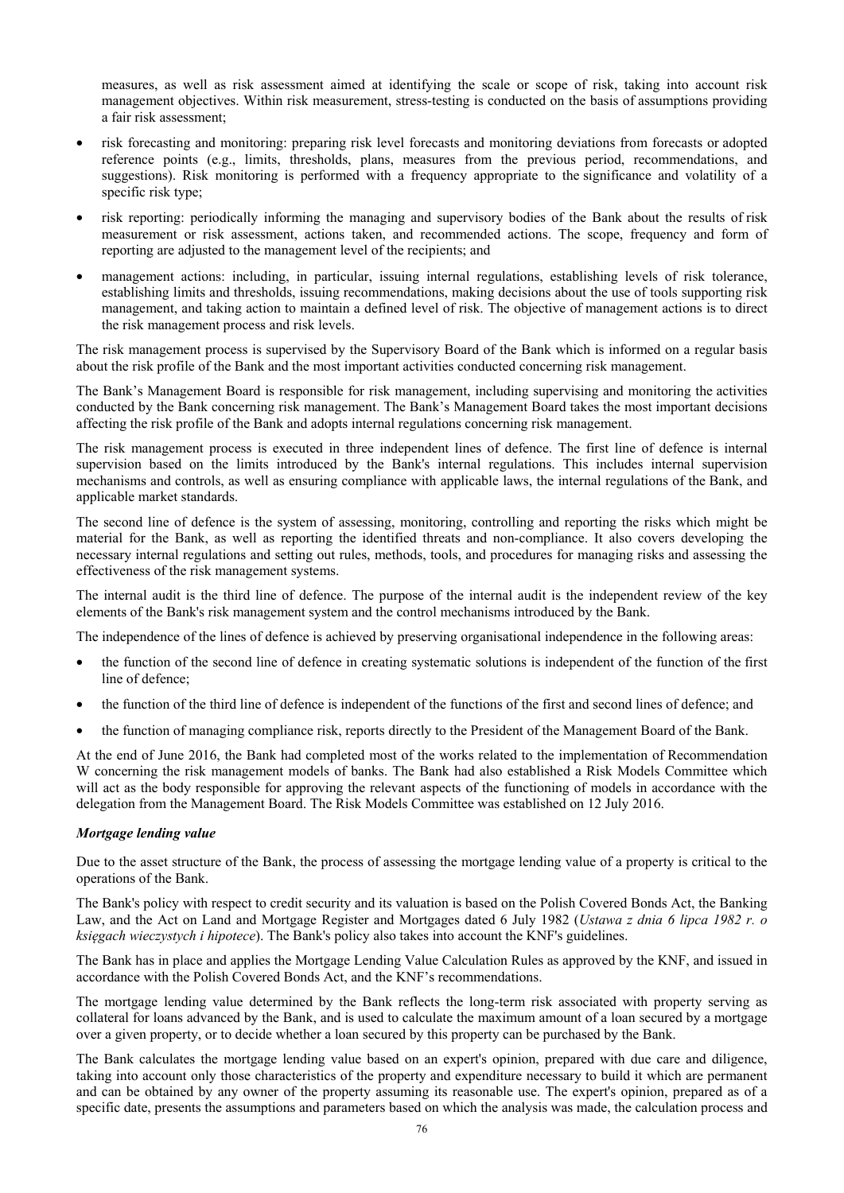measures, as well as risk assessment aimed at identifying the scale or scope of risk, taking into account risk management objectives. Within risk measurement, stress-testing is conducted on the basis of assumptions providing a fair risk assessment;

- risk forecasting and monitoring: preparing risk level forecasts and monitoring deviations from forecasts or adopted reference points (e.g., limits, thresholds, plans, measures from the previous period, recommendations, and suggestions). Risk monitoring is performed with a frequency appropriate to the significance and volatility of a specific risk type;
- risk reporting: periodically informing the managing and supervisory bodies of the Bank about the results of risk measurement or risk assessment, actions taken, and recommended actions. The scope, frequency and form of reporting are adjusted to the management level of the recipients; and
- management actions: including, in particular, issuing internal regulations, establishing levels of risk tolerance, establishing limits and thresholds, issuing recommendations, making decisions about the use of tools supporting risk management, and taking action to maintain a defined level of risk. The objective of management actions is to direct the risk management process and risk levels.

The risk management process is supervised by the Supervisory Board of the Bank which is informed on a regular basis about the risk profile of the Bank and the most important activities conducted concerning risk management.

The Bank's Management Board is responsible for risk management, including supervising and monitoring the activities conducted by the Bank concerning risk management. The Bank's Management Board takes the most important decisions affecting the risk profile of the Bank and adopts internal regulations concerning risk management.

The risk management process is executed in three independent lines of defence. The first line of defence is internal supervision based on the limits introduced by the Bank's internal regulations. This includes internal supervision mechanisms and controls, as well as ensuring compliance with applicable laws, the internal regulations of the Bank, and applicable market standards.

The second line of defence is the system of assessing, monitoring, controlling and reporting the risks which might be material for the Bank, as well as reporting the identified threats and non-compliance. It also covers developing the necessary internal regulations and setting out rules, methods, tools, and procedures for managing risks and assessing the effectiveness of the risk management systems.

The internal audit is the third line of defence. The purpose of the internal audit is the independent review of the key elements of the Bank's risk management system and the control mechanisms introduced by the Bank.

The independence of the lines of defence is achieved by preserving organisational independence in the following areas:

- the function of the second line of defence in creating systematic solutions is independent of the function of the first line of defence;
- the function of the third line of defence is independent of the functions of the first and second lines of defence; and
- the function of managing compliance risk, reports directly to the President of the Management Board of the Bank.

At the end of June 2016, the Bank had completed most of the works related to the implementation of Recommendation W concerning the risk management models of banks. The Bank had also established a Risk Models Committee which will act as the body responsible for approving the relevant aspects of the functioning of models in accordance with the delegation from the Management Board. The Risk Models Committee was established on 12 July 2016.

## *Mortgage lending value*

Due to the asset structure of the Bank, the process of assessing the mortgage lending value of a property is critical to the operations of the Bank.

The Bank's policy with respect to credit security and its valuation is based on the Polish Covered Bonds Act, the Banking Law, and the Act on Land and Mortgage Register and Mortgages dated 6 July 1982 (*Ustawa z dnia 6 lipca 1982 r. o księgach wieczystych i hipotece*). The Bank's policy also takes into account the KNF's guidelines.

The Bank has in place and applies the Mortgage Lending Value Calculation Rules as approved by the KNF, and issued in accordance with the Polish Covered Bonds Act, and the KNF's recommendations.

The mortgage lending value determined by the Bank reflects the long-term risk associated with property serving as collateral for loans advanced by the Bank, and is used to calculate the maximum amount of a loan secured by a mortgage over a given property, or to decide whether a loan secured by this property can be purchased by the Bank.

The Bank calculates the mortgage lending value based on an expert's opinion, prepared with due care and diligence, taking into account only those characteristics of the property and expenditure necessary to build it which are permanent and can be obtained by any owner of the property assuming its reasonable use. The expert's opinion, prepared as of a specific date, presents the assumptions and parameters based on which the analysis was made, the calculation process and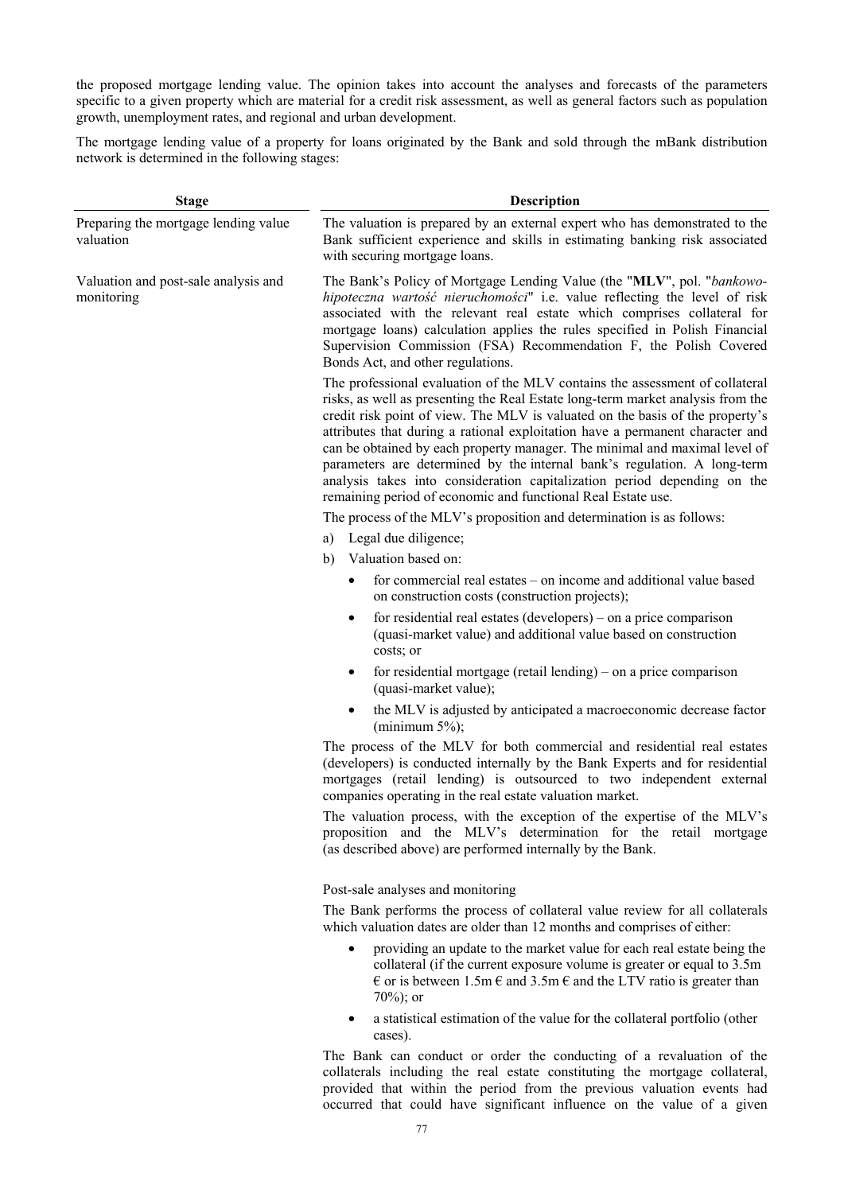the proposed mortgage lending value. The opinion takes into account the analyses and forecasts of the parameters specific to a given property which are material for a credit risk assessment, as well as general factors such as population growth, unemployment rates, and regional and urban development.

The mortgage lending value of a property for loans originated by the Bank and sold through the mBank distribution network is determined in the following stages:

| <b>Stage</b>                                       | <b>Description</b>                                                                                                                                                                                                                                                                                                                                                                                                                                                                                                                                                                                                                      |  |  |  |  |
|----------------------------------------------------|-----------------------------------------------------------------------------------------------------------------------------------------------------------------------------------------------------------------------------------------------------------------------------------------------------------------------------------------------------------------------------------------------------------------------------------------------------------------------------------------------------------------------------------------------------------------------------------------------------------------------------------------|--|--|--|--|
| Preparing the mortgage lending value<br>valuation  | The valuation is prepared by an external expert who has demonstrated to the<br>Bank sufficient experience and skills in estimating banking risk associated<br>with securing mortgage loans.                                                                                                                                                                                                                                                                                                                                                                                                                                             |  |  |  |  |
| Valuation and post-sale analysis and<br>monitoring | The Bank's Policy of Mortgage Lending Value (the "MLV", pol. "bankowo-<br>hipoteczna wartość nieruchomości" i.e. value reflecting the level of risk<br>associated with the relevant real estate which comprises collateral for<br>mortgage loans) calculation applies the rules specified in Polish Financial<br>Supervision Commission (FSA) Recommendation F, the Polish Covered<br>Bonds Act, and other regulations.                                                                                                                                                                                                                 |  |  |  |  |
|                                                    | The professional evaluation of the MLV contains the assessment of collateral<br>risks, as well as presenting the Real Estate long-term market analysis from the<br>credit risk point of view. The MLV is valuated on the basis of the property's<br>attributes that during a rational exploitation have a permanent character and<br>can be obtained by each property manager. The minimal and maximal level of<br>parameters are determined by the internal bank's regulation. A long-term<br>analysis takes into consideration capitalization period depending on the<br>remaining period of economic and functional Real Estate use. |  |  |  |  |
|                                                    | The process of the MLV's proposition and determination is as follows:                                                                                                                                                                                                                                                                                                                                                                                                                                                                                                                                                                   |  |  |  |  |
|                                                    | Legal due diligence;<br>a)<br>Valuation based on:<br>b)                                                                                                                                                                                                                                                                                                                                                                                                                                                                                                                                                                                 |  |  |  |  |
|                                                    | for commercial real estates – on income and additional value based<br>on construction costs (construction projects);                                                                                                                                                                                                                                                                                                                                                                                                                                                                                                                    |  |  |  |  |
|                                                    | for residential real estates (developers) – on a price comparison<br>٠<br>(quasi-market value) and additional value based on construction<br>costs; or                                                                                                                                                                                                                                                                                                                                                                                                                                                                                  |  |  |  |  |
|                                                    | for residential mortgage (retail lending) – on a price comparison<br>(quasi-market value);                                                                                                                                                                                                                                                                                                                                                                                                                                                                                                                                              |  |  |  |  |
|                                                    | the MLV is adjusted by anticipated a macroeconomic decrease factor<br>(minimum $5\%$ );                                                                                                                                                                                                                                                                                                                                                                                                                                                                                                                                                 |  |  |  |  |
|                                                    | The process of the MLV for both commercial and residential real estates<br>(developers) is conducted internally by the Bank Experts and for residential<br>mortgages (retail lending) is outsourced to two independent external<br>companies operating in the real estate valuation market.                                                                                                                                                                                                                                                                                                                                             |  |  |  |  |
|                                                    | The valuation process, with the exception of the expertise of the MLV's<br>proposition and the MLV's determination for the retail mortgage<br>(as described above) are performed internally by the Bank.                                                                                                                                                                                                                                                                                                                                                                                                                                |  |  |  |  |
|                                                    | Post-sale analyses and monitoring                                                                                                                                                                                                                                                                                                                                                                                                                                                                                                                                                                                                       |  |  |  |  |
|                                                    | The Bank performs the process of collateral value review for all collaterals<br>which valuation dates are older than 12 months and comprises of either:                                                                                                                                                                                                                                                                                                                                                                                                                                                                                 |  |  |  |  |
|                                                    | providing an update to the market value for each real estate being the<br>٠<br>collateral (if the current exposure volume is greater or equal to 3.5m)<br>$\epsilon$ or is between 1.5m $\epsilon$ and 3.5m $\epsilon$ and the LTV ratio is greater than<br>$70\%$ ; or                                                                                                                                                                                                                                                                                                                                                                 |  |  |  |  |
|                                                    | a statistical estimation of the value for the collateral portfolio (other<br>cases).                                                                                                                                                                                                                                                                                                                                                                                                                                                                                                                                                    |  |  |  |  |

The Bank can conduct or order the conducting of a revaluation of the collaterals including the real estate constituting the mortgage collateral, provided that within the period from the previous valuation events had occurred that could have significant influence on the value of a given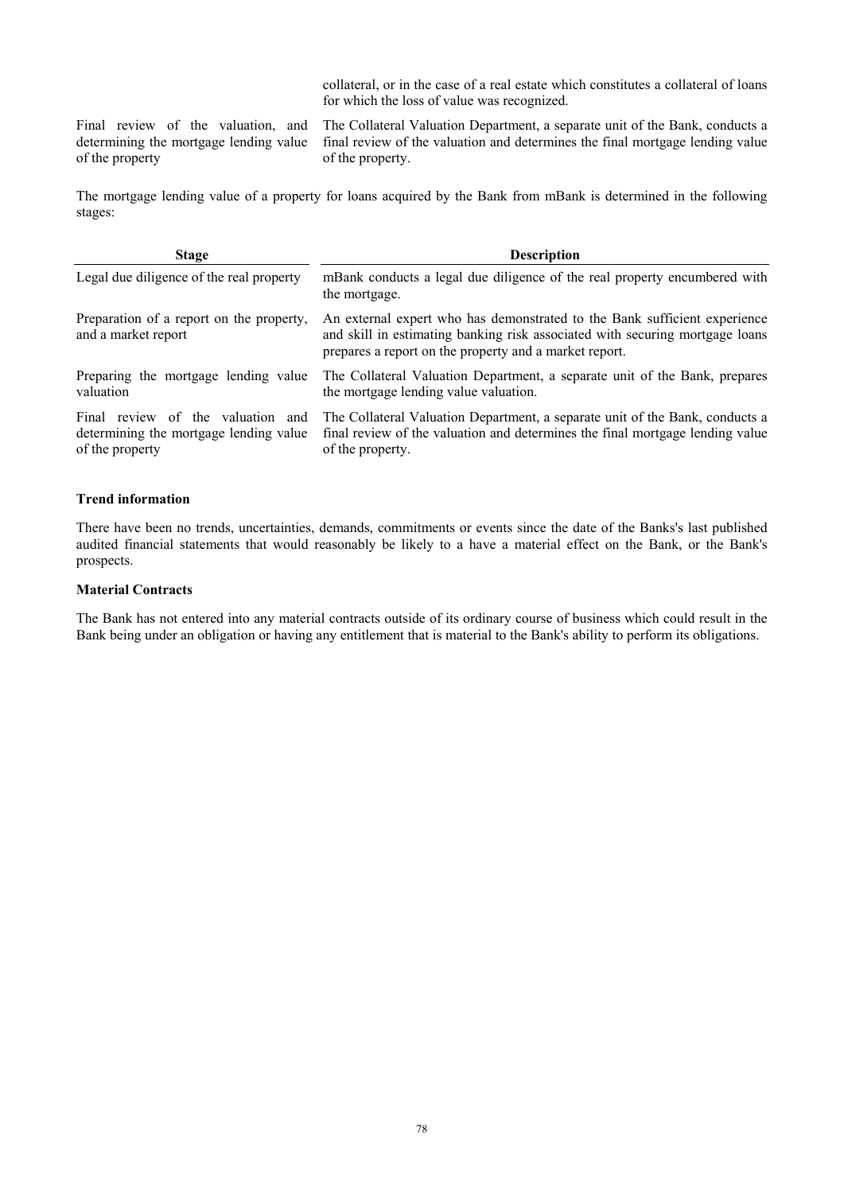collateral, or in the case of a real estate which constitutes a collateral of loans for which the loss of value was recognized.

Final review of the valuation, and determining the mortgage lending value of the property

The Collateral Valuation Department, a separate unit of the Bank, conducts a final review of the valuation and determines the final mortgage lending value of the property.

The mortgage lending value of a property for loans acquired by the Bank from mBank is determined in the following stages:

| <b>Stage</b>                                                                                      | <b>Description</b>                                                                                                                                                                                                  |
|---------------------------------------------------------------------------------------------------|---------------------------------------------------------------------------------------------------------------------------------------------------------------------------------------------------------------------|
| Legal due diligence of the real property                                                          | mBank conducts a legal due diligence of the real property encumbered with<br>the mortgage.                                                                                                                          |
| Preparation of a report on the property,<br>and a market report                                   | An external expert who has demonstrated to the Bank sufficient experience<br>and skill in estimating banking risk associated with securing mortgage loans<br>prepares a report on the property and a market report. |
| Preparing the mortgage lending value<br>valuation                                                 | The Collateral Valuation Department, a separate unit of the Bank, prepares<br>the mortgage lending value valuation.                                                                                                 |
| Final review of the valuation<br>and<br>determining the mortgage lending value<br>of the property | The Collateral Valuation Department, a separate unit of the Bank, conducts a<br>final review of the valuation and determines the final mortgage lending value<br>of the property.                                   |

### **Trend information**

There have been no trends, uncertainties, demands, commitments or events since the date of the Banks's last published audited financial statements that would reasonably be likely to a have a material effect on the Bank, or the Bank's prospects.

## **Material Contracts**

The Bank has not entered into any material contracts outside of its ordinary course of business which could result in the Bank being under an obligation or having any entitlement that is material to the Bank's ability to perform its obligations.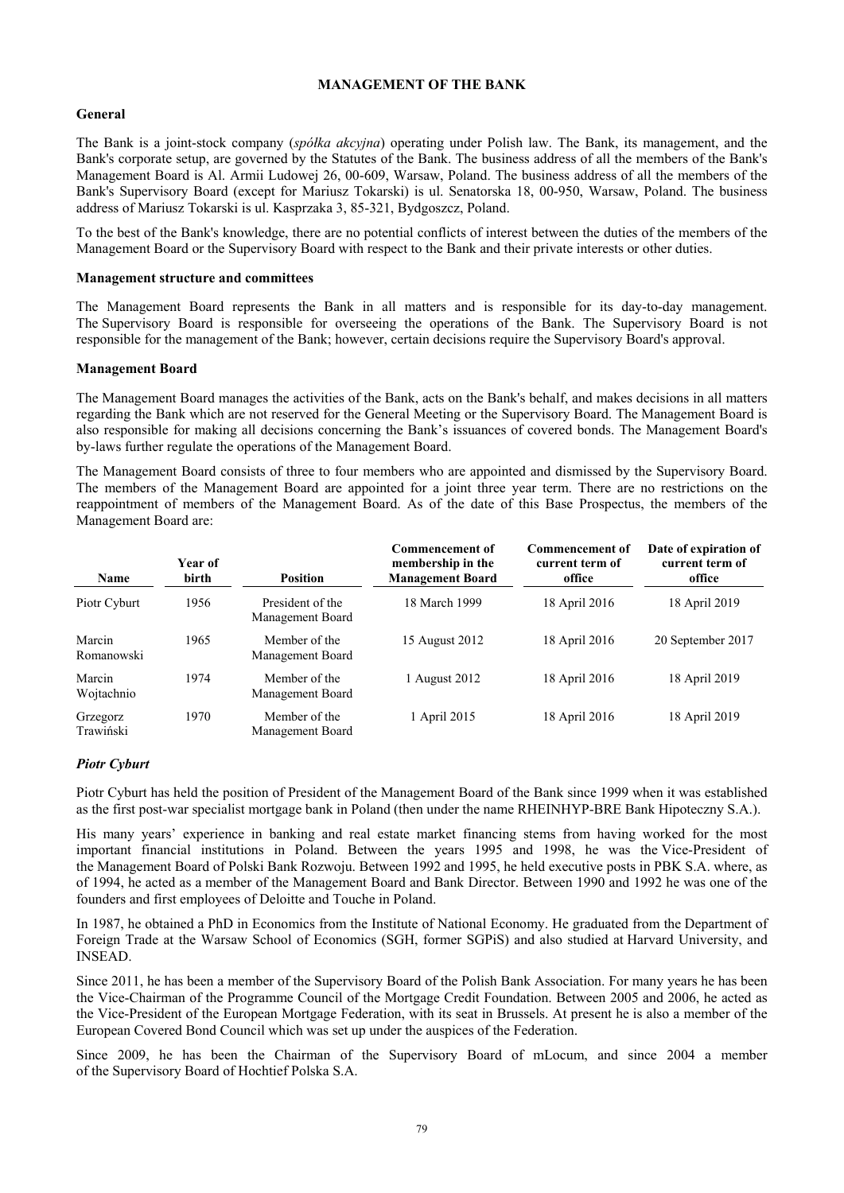# **MANAGEMENT OF THE BANK**

## **General**

The Bank is a joint-stock company (*spółka akcyjna*) operating under Polish law. The Bank, its management, and the Bank's corporate setup, are governed by the Statutes of the Bank. The business address of all the members of the Bank's Management Board is Al. Armii Ludowej 26, 00-609, Warsaw, Poland. The business address of all the members of the Bank's Supervisory Board (except for Mariusz Tokarski) is ul. Senatorska 18, 00-950, Warsaw, Poland. The business address of Mariusz Tokarski is ul. Kasprzaka 3, 85-321, Bydgoszcz, Poland.

To the best of the Bank's knowledge, there are no potential conflicts of interest between the duties of the members of the Management Board or the Supervisory Board with respect to the Bank and their private interests or other duties.

### **Management structure and committees**

The Management Board represents the Bank in all matters and is responsible for its day-to-day management. The Supervisory Board is responsible for overseeing the operations of the Bank. The Supervisory Board is not responsible for the management of the Bank; however, certain decisions require the Supervisory Board's approval.

### **Management Board**

The Management Board manages the activities of the Bank, acts on the Bank's behalf, and makes decisions in all matters regarding the Bank which are not reserved for the General Meeting or the Supervisory Board. The Management Board is also responsible for making all decisions concerning the Bank's issuances of covered bonds. The Management Board's by-laws further regulate the operations of the Management Board.

The Management Board consists of three to four members who are appointed and dismissed by the Supervisory Board. The members of the Management Board are appointed for a joint three year term. There are no restrictions on the reappointment of members of the Management Board. As of the date of this Base Prospectus, the members of the Management Board are:

| Name                  | Year of<br>birth | <b>Position</b>                      | <b>Commencement of</b><br>membership in the<br><b>Management Board</b> | <b>Commencement of</b><br>current term of<br>office | Date of expiration of<br>current term of<br>office |
|-----------------------|------------------|--------------------------------------|------------------------------------------------------------------------|-----------------------------------------------------|----------------------------------------------------|
| Piotr Cyburt          | 1956             | President of the<br>Management Board | 18 March 1999                                                          | 18 April 2016                                       | 18 April 2019                                      |
| Marcin<br>Romanowski  | 1965             | Member of the<br>Management Board    | 15 August 2012                                                         | 18 April 2016                                       | 20 September 2017                                  |
| Marcin<br>Wojtachnio  | 1974             | Member of the<br>Management Board    | 1 August 2012                                                          | 18 April 2016                                       | 18 April 2019                                      |
| Grzegorz<br>Trawiński | 1970             | Member of the<br>Management Board    | 1 April 2015                                                           | 18 April 2016                                       | 18 April 2019                                      |

## *Piotr Cyburt*

Piotr Cyburt has held the position of President of the Management Board of the Bank since 1999 when it was established as the first post-war specialist mortgage bank in Poland (then under the name RHEINHYP-BRE Bank Hipoteczny S.A.).

His many years' experience in banking and real estate market financing stems from having worked for the most important financial institutions in Poland. Between the years 1995 and 1998, he was the Vice-President of the Management Board of Polski Bank Rozwoju. Between 1992 and 1995, he held executive posts in PBK S.A. where, as of 1994, he acted as a member of the Management Board and Bank Director. Between 1990 and 1992 he was one of the founders and first employees of Deloitte and Touche in Poland.

In 1987, he obtained a PhD in Economics from the Institute of National Economy. He graduated from the Department of Foreign Trade at the Warsaw School of Economics (SGH, former SGPiS) and also studied at Harvard University, and INSEAD.

Since 2011, he has been a member of the Supervisory Board of the Polish Bank Association. For many years he has been the Vice-Chairman of the Programme Council of the Mortgage Credit Foundation. Between 2005 and 2006, he acted as the Vice-President of the European Mortgage Federation, with its seat in Brussels. At present he is also a member of the European Covered Bond Council which was set up under the auspices of the Federation.

Since 2009, he has been the Chairman of the Supervisory Board of mLocum, and since 2004 a member of the Supervisory Board of Hochtief Polska S.A.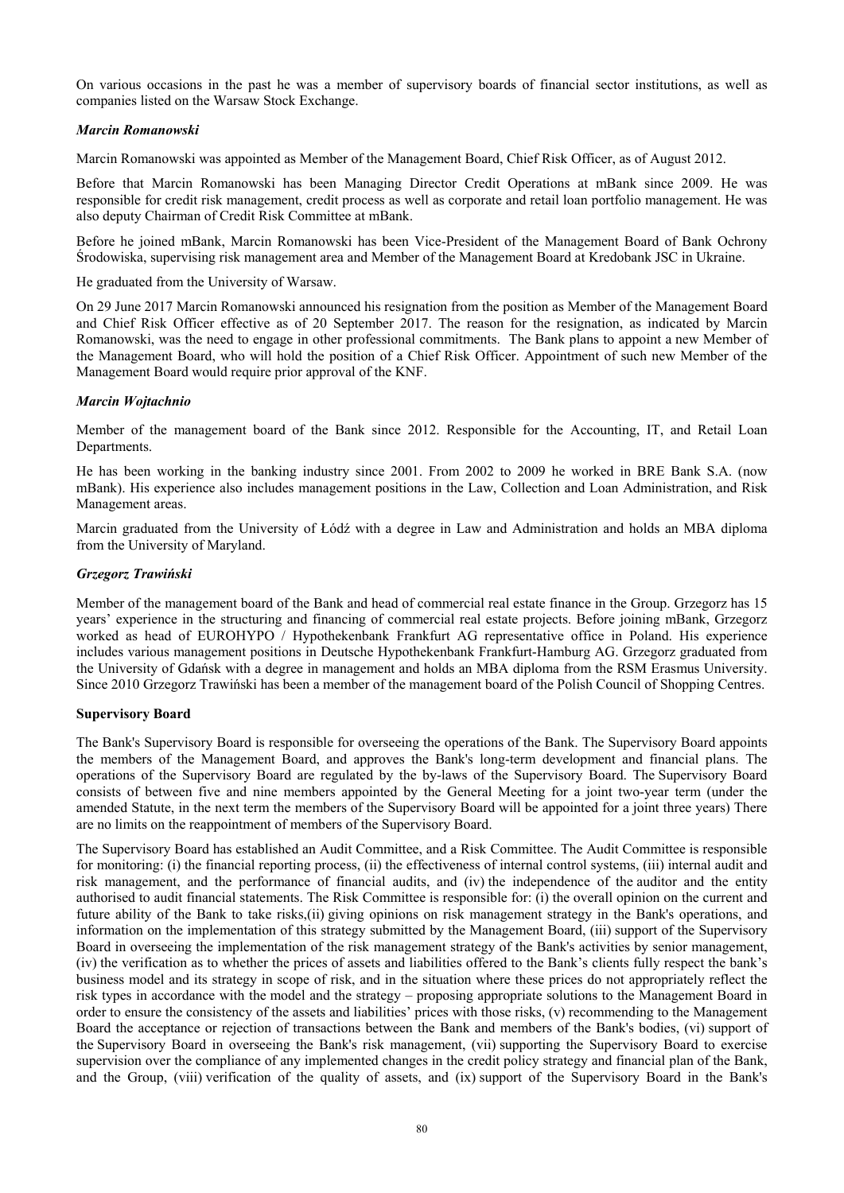On various occasions in the past he was a member of supervisory boards of financial sector institutions, as well as companies listed on the Warsaw Stock Exchange.

## *Marcin Romanowski*

Marcin Romanowski was appointed as Member of the Management Board, Chief Risk Officer, as of August 2012.

Before that Marcin Romanowski has been Managing Director Credit Operations at mBank since 2009. He was responsible for credit risk management, credit process as well as corporate and retail loan portfolio management. He was also deputy Chairman of Credit Risk Committee at mBank.

Before he joined mBank, Marcin Romanowski has been Vice-President of the Management Board of Bank Ochrony Środowiska, supervising risk management area and Member of the Management Board at Kredobank JSC in Ukraine.

He graduated from the University of Warsaw.

On 29 June 2017 Marcin Romanowski announced his resignation from the position as Member of the Management Board and Chief Risk Officer effective as of 20 September 2017. The reason for the resignation, as indicated by Marcin Romanowski, was the need to engage in other professional commitments. The Bank plans to appoint a new Member of the Management Board, who will hold the position of a Chief Risk Officer. Appointment of such new Member of the Management Board would require prior approval of the KNF.

### *Marcin Wojtachnio*

Member of the management board of the Bank since 2012. Responsible for the Accounting, IT, and Retail Loan Departments.

He has been working in the banking industry since 2001. From 2002 to 2009 he worked in BRE Bank S.A. (now mBank). His experience also includes management positions in the Law, Collection and Loan Administration, and Risk Management areas.

Marcin graduated from the University of Łódź with a degree in Law and Administration and holds an MBA diploma from the University of Maryland.

## *Grzegorz Trawiński*

Member of the management board of the Bank and head of commercial real estate finance in the Group. Grzegorz has 15 years' experience in the structuring and financing of commercial real estate projects. Before joining mBank, Grzegorz worked as head of EUROHYPO / Hypothekenbank Frankfurt AG representative office in Poland. His experience includes various management positions in Deutsche Hypothekenbank Frankfurt-Hamburg AG. Grzegorz graduated from the University of Gdańsk with a degree in management and holds an MBA diploma from the RSM Erasmus University. Since 2010 Grzegorz Trawiński has been a member of the management board of the Polish Council of Shopping Centres.

#### **Supervisory Board**

The Bank's Supervisory Board is responsible for overseeing the operations of the Bank. The Supervisory Board appoints the members of the Management Board, and approves the Bank's long-term development and financial plans. The operations of the Supervisory Board are regulated by the by-laws of the Supervisory Board. The Supervisory Board consists of between five and nine members appointed by the General Meeting for a joint two-year term (under the amended Statute, in the next term the members of the Supervisory Board will be appointed for a joint three years) There are no limits on the reappointment of members of the Supervisory Board.

The Supervisory Board has established an Audit Committee, and a Risk Committee. The Audit Committee is responsible for monitoring: (i) the financial reporting process, (ii) the effectiveness of internal control systems, (iii) internal audit and risk management, and the performance of financial audits, and (iv) the independence of the auditor and the entity authorised to audit financial statements. The Risk Committee is responsible for: (i) the overall opinion on the current and future ability of the Bank to take risks,(ii) giving opinions on risk management strategy in the Bank's operations, and information on the implementation of this strategy submitted by the Management Board, (iii) support of the Supervisory Board in overseeing the implementation of the risk management strategy of the Bank's activities by senior management, (iv) the verification as to whether the prices of assets and liabilities offered to the Bank's clients fully respect the bank's business model and its strategy in scope of risk, and in the situation where these prices do not appropriately reflect the risk types in accordance with the model and the strategy – proposing appropriate solutions to the Management Board in order to ensure the consistency of the assets and liabilities' prices with those risks, (v) recommending to the Management Board the acceptance or rejection of transactions between the Bank and members of the Bank's bodies, (vi) support of the Supervisory Board in overseeing the Bank's risk management, (vii) supporting the Supervisory Board to exercise supervision over the compliance of any implemented changes in the credit policy strategy and financial plan of the Bank, and the Group, (viii) verification of the quality of assets, and (ix) support of the Supervisory Board in the Bank's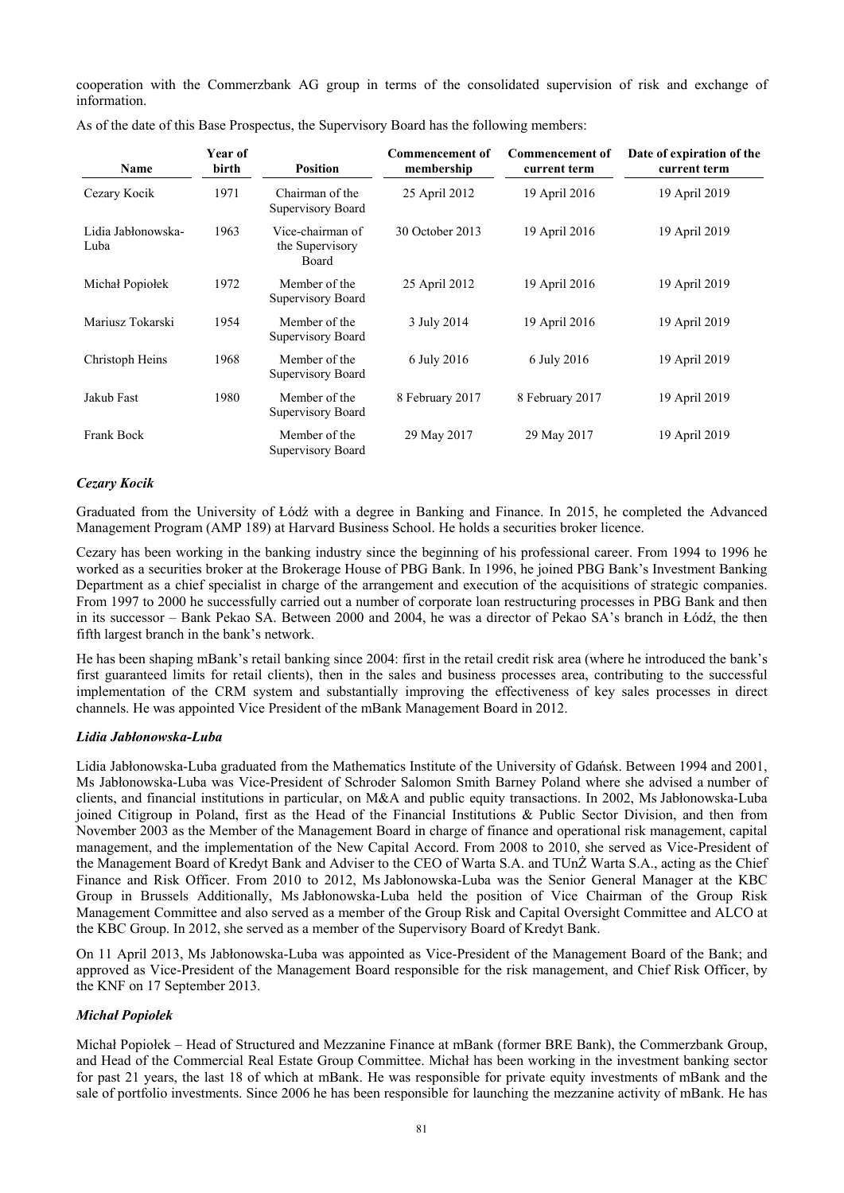cooperation with the Commerzbank AG group in terms of the consolidated supervision of risk and exchange of information.

| Name                       | Year of<br>birth | <b>Position</b>                              | <b>Commencement of</b><br>membership | <b>Commencement of</b><br>current term | Date of expiration of the<br>current term |
|----------------------------|------------------|----------------------------------------------|--------------------------------------|----------------------------------------|-------------------------------------------|
| Cezary Kocik               | 1971             | Chairman of the<br>Supervisory Board         | 25 April 2012                        | 19 April 2016                          | 19 April 2019                             |
| Lidia Jabłonowska-<br>Luba | 1963             | Vice-chairman of<br>the Supervisory<br>Board | 30 October 2013                      | 19 April 2016                          | 19 April 2019                             |
| Michał Popiołek            | 1972             | Member of the<br>Supervisory Board           | 25 April 2012                        | 19 April 2016                          | 19 April 2019                             |
| Mariusz Tokarski           | 1954             | Member of the<br>Supervisory Board           | 3 July 2014                          | 19 April 2016                          | 19 April 2019                             |
| Christoph Heins            | 1968             | Member of the<br>Supervisory Board           | 6 July 2016                          | 6 July 2016                            | 19 April 2019                             |
| Jakub Fast                 | 1980             | Member of the<br>Supervisory Board           | 8 February 2017                      | 8 February 2017                        | 19 April 2019                             |
| Frank Bock                 |                  | Member of the<br>Supervisory Board           | 29 May 2017                          | 29 May 2017                            | 19 April 2019                             |

As of the date of this Base Prospectus, the Supervisory Board has the following members:

### *Cezary Kocik*

Graduated from the University of Łódź with a degree in Banking and Finance. In 2015, he completed the Advanced Management Program (AMP 189) at Harvard Business School. He holds a securities broker licence.

Cezary has been working in the banking industry since the beginning of his professional career. From 1994 to 1996 he worked as a securities broker at the Brokerage House of PBG Bank. In 1996, he joined PBG Bank's Investment Banking Department as a chief specialist in charge of the arrangement and execution of the acquisitions of strategic companies. From 1997 to 2000 he successfully carried out a number of corporate loan restructuring processes in PBG Bank and then in its successor – Bank Pekao SA. Between 2000 and 2004, he was a director of Pekao SA's branch in Łódź, the then fifth largest branch in the bank's network.

He has been shaping mBank's retail banking since 2004: first in the retail credit risk area (where he introduced the bank's first guaranteed limits for retail clients), then in the sales and business processes area, contributing to the successful implementation of the CRM system and substantially improving the effectiveness of key sales processes in direct channels. He was appointed Vice President of the mBank Management Board in 2012.

#### *Lidia Jabłonowska-Luba*

Lidia Jabłonowska-Luba graduated from the Mathematics Institute of the University of Gdańsk. Between 1994 and 2001, Ms Jabłonowska-Luba was Vice-President of Schroder Salomon Smith Barney Poland where she advised a number of clients, and financial institutions in particular, on M&A and public equity transactions. In 2002, Ms Jabłonowska-Luba joined Citigroup in Poland, first as the Head of the Financial Institutions & Public Sector Division, and then from November 2003 as the Member of the Management Board in charge of finance and operational risk management, capital management, and the implementation of the New Capital Accord. From 2008 to 2010, she served as Vice-President of the Management Board of Kredyt Bank and Adviser to the CEO of Warta S.A. and TUnŻ Warta S.A., acting as the Chief Finance and Risk Officer. From 2010 to 2012, Ms Jabłonowska-Luba was the Senior General Manager at the KBC Group in Brussels Additionally, Ms Jabłonowska-Luba held the position of Vice Chairman of the Group Risk Management Committee and also served as a member of the Group Risk and Capital Oversight Committee and ALCO at the KBC Group. In 2012, she served as a member of the Supervisory Board of Kredyt Bank.

On 11 April 2013, Ms Jabłonowska-Luba was appointed as Vice-President of the Management Board of the Bank; and approved as Vice-President of the Management Board responsible for the risk management, and Chief Risk Officer, by the KNF on 17 September 2013.

## *Michał Popiołek*

Michał Popiołek – Head of Structured and Mezzanine Finance at mBank (former BRE Bank), the Commerzbank Group, and Head of the Commercial Real Estate Group Committee. Michał has been working in the investment banking sector for past 21 years, the last 18 of which at mBank. He was responsible for private equity investments of mBank and the sale of portfolio investments. Since 2006 he has been responsible for launching the mezzanine activity of mBank. He has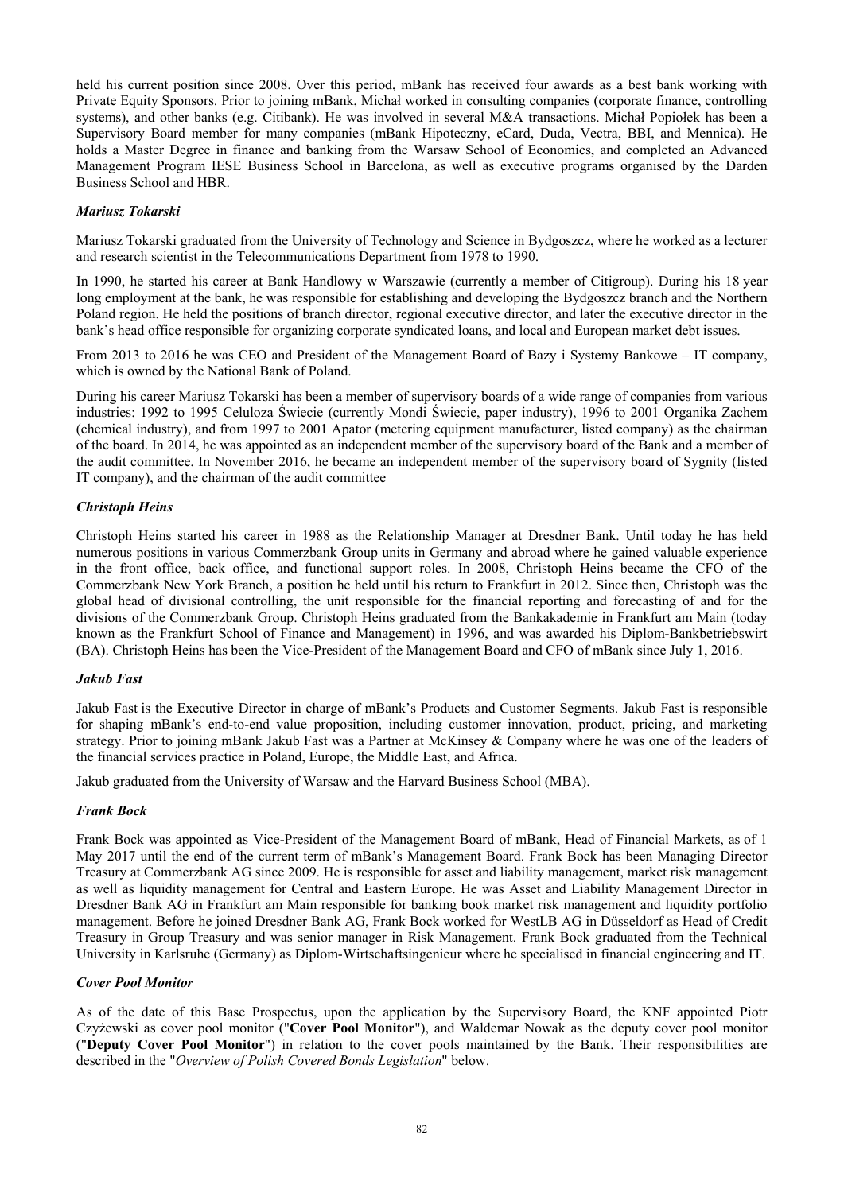held his current position since 2008. Over this period, mBank has received four awards as a best bank working with Private Equity Sponsors. Prior to joining mBank, Michał worked in consulting companies (corporate finance, controlling systems), and other banks (e.g. Citibank). He was involved in several M&A transactions. Michał Popiołek has been a Supervisory Board member for many companies (mBank Hipoteczny, eCard, Duda, Vectra, BBI, and Mennica). He holds a Master Degree in finance and banking from the Warsaw School of Economics, and completed an Advanced Management Program IESE Business School in Barcelona, as well as executive programs organised by the Darden Business School and HBR.

# *Mariusz Tokarski*

Mariusz Tokarski graduated from the University of Technology and Science in Bydgoszcz, where he worked as a lecturer and research scientist in the Telecommunications Department from 1978 to 1990.

In 1990, he started his career at Bank Handlowy w Warszawie (currently a member of Citigroup). During his 18 year long employment at the bank, he was responsible for establishing and developing the Bydgoszcz branch and the Northern Poland region. He held the positions of branch director, regional executive director, and later the executive director in the bank's head office responsible for organizing corporate syndicated loans, and local and European market debt issues.

From 2013 to 2016 he was CEO and President of the Management Board of Bazy i Systemy Bankowe – IT company, which is owned by the National Bank of Poland.

During his career Mariusz Tokarski has been a member of supervisory boards of a wide range of companies from various industries: 1992 to 1995 Celuloza Świecie (currently Mondi Świecie, paper industry), 1996 to 2001 Organika Zachem (chemical industry), and from 1997 to 2001 Apator (metering equipment manufacturer, listed company) as the chairman of the board. In 2014, he was appointed as an independent member of the supervisory board of the Bank and a member of the audit committee. In November 2016, he became an independent member of the supervisory board of Sygnity (listed IT company), and the chairman of the audit committee

# *Christoph Heins*

Christoph Heins started his career in 1988 as the Relationship Manager at Dresdner Bank. Until today he has held numerous positions in various Commerzbank Group units in Germany and abroad where he gained valuable experience in the front office, back office, and functional support roles. In 2008, Christoph Heins became the CFO of the Commerzbank New York Branch, a position he held until his return to Frankfurt in 2012. Since then, Christoph was the global head of divisional controlling, the unit responsible for the financial reporting and forecasting of and for the divisions of the Commerzbank Group. Christoph Heins graduated from the Bankakademie in Frankfurt am Main (today known as the Frankfurt School of Finance and Management) in 1996, and was awarded his Diplom-Bankbetriebswirt (BA). Christoph Heins has been the Vice-President of the Management Board and CFO of mBank since July 1, 2016.

## *Jakub Fast*

Jakub Fast is the Executive Director in charge of mBank's Products and Customer Segments. Jakub Fast is responsible for shaping mBank's end-to-end value proposition, including customer innovation, product, pricing, and marketing strategy. Prior to joining mBank Jakub Fast was a Partner at McKinsey & Company where he was one of the leaders of the financial services practice in Poland, Europe, the Middle East, and Africa.

Jakub graduated from the University of Warsaw and the Harvard Business School (MBA).

## *Frank Bock*

Frank Bock was appointed as Vice-President of the Management Board of mBank, Head of Financial Markets, as of 1 May 2017 until the end of the current term of mBank's Management Board. Frank Bock has been Managing Director Treasury at Commerzbank AG since 2009. He is responsible for asset and liability management, market risk management as well as liquidity management for Central and Eastern Europe. He was Asset and Liability Management Director in Dresdner Bank AG in Frankfurt am Main responsible for banking book market risk management and liquidity portfolio management. Before he joined Dresdner Bank AG, Frank Bock worked for WestLB AG in Düsseldorf as Head of Credit Treasury in Group Treasury and was senior manager in Risk Management. Frank Bock graduated from the Technical University in Karlsruhe (Germany) as Diplom-Wirtschaftsingenieur where he specialised in financial engineering and IT.

## *Cover Pool Monitor*

As of the date of this Base Prospectus, upon the application by the Supervisory Board, the KNF appointed Piotr Czyżewski as cover pool monitor ("**Cover Pool Monitor**"), and Waldemar Nowak as the deputy cover pool monitor ("**Deputy Cover Pool Monitor**") in relation to the cover pools maintained by the Bank. Their responsibilities are described in the "*Overview of Polish Covered Bonds Legislation*" below.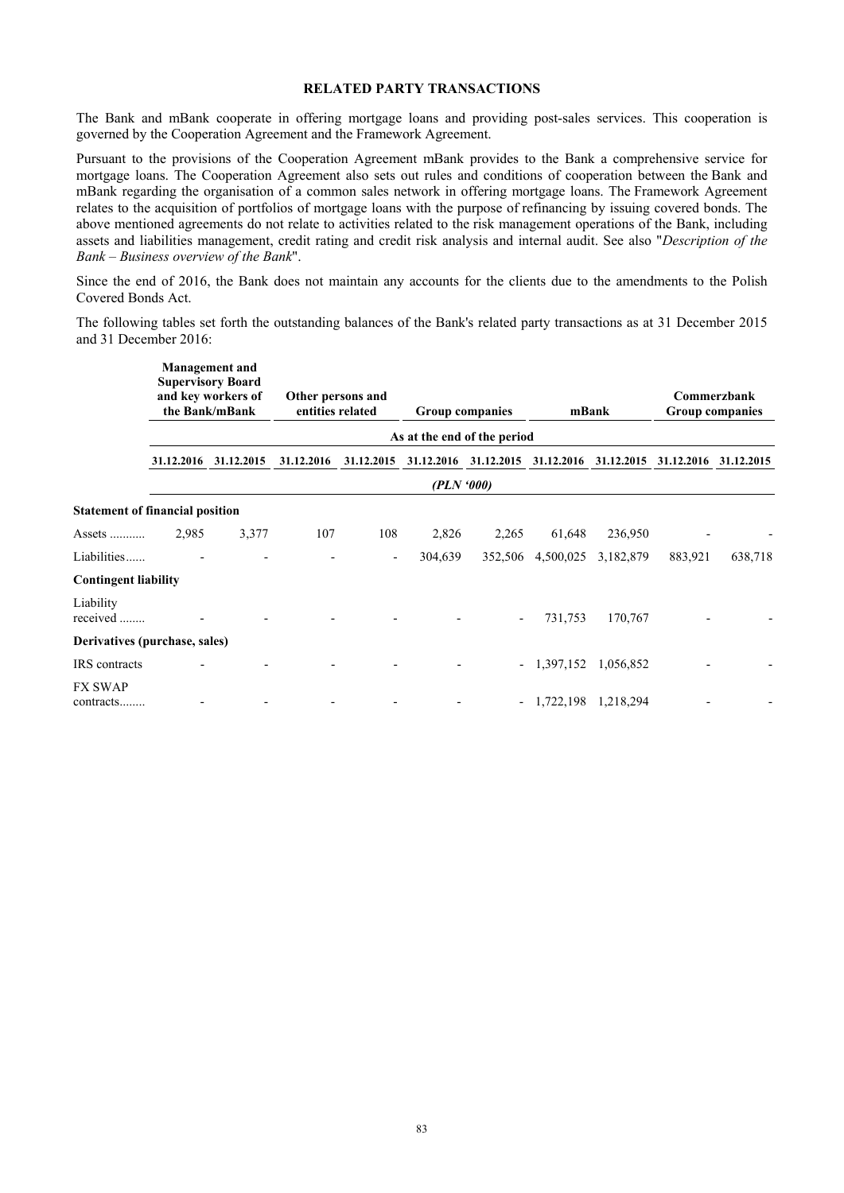## **RELATED PARTY TRANSACTIONS**

The Bank and mBank cooperate in offering mortgage loans and providing post-sales services. This cooperation is governed by the Cooperation Agreement and the Framework Agreement.

Pursuant to the provisions of the Cooperation Agreement mBank provides to the Bank a comprehensive service for mortgage loans. The Cooperation Agreement also sets out rules and conditions of cooperation between the Bank and mBank regarding the organisation of a common sales network in offering mortgage loans. The Framework Agreement relates to the acquisition of portfolios of mortgage loans with the purpose of refinancing by issuing covered bonds. The above mentioned agreements do not relate to activities related to the risk management operations of the Bank, including assets and liabilities management, credit rating and credit risk analysis and internal audit. See also "*Description of the Bank – Business overview of the Bank*".

Since the end of 2016, the Bank does not maintain any accounts for the clients due to the amendments to the Polish Covered Bonds Act.

The following tables set forth the outstanding balances of the Bank's related party transactions as at 31 December 2015 and 31 December 2016:

|                                        |            | <b>Management</b> and<br><b>Supervisory Board</b><br>and key workers of<br>the Bank/mBank | Other persons and<br>entities related |                          |            | Group companies |              | mBank      |            | Commerzbank<br><b>Group companies</b> |
|----------------------------------------|------------|-------------------------------------------------------------------------------------------|---------------------------------------|--------------------------|------------|-----------------|--------------|------------|------------|---------------------------------------|
|                                        |            | As at the end of the period                                                               |                                       |                          |            |                 |              |            |            |                                       |
|                                        | 31.12.2016 | 31.12.2015                                                                                | 31.12.2016                            | 31.12.2015               | 31.12.2016 | 31.12.2015      | 31.12.2016   | 31.12.2015 | 31.12.2016 | 31.12.2015                            |
|                                        |            | (PLN'000)                                                                                 |                                       |                          |            |                 |              |            |            |                                       |
| <b>Statement of financial position</b> |            |                                                                                           |                                       |                          |            |                 |              |            |            |                                       |
| Assets                                 | 2,985      | 3,377                                                                                     | 107                                   | 108                      | 2,826      | 2,265           | 61,648       | 236,950    |            |                                       |
| Liabilities                            |            |                                                                                           |                                       | $\overline{\phantom{a}}$ | 304,639    | 352,506         | 4,500,025    | 3,182,879  | 883,921    | 638,718                               |
| <b>Contingent liability</b>            |            |                                                                                           |                                       |                          |            |                 |              |            |            |                                       |
| Liability<br>received                  |            |                                                                                           |                                       |                          |            |                 | 731,753      | 170,767    |            |                                       |
| Derivatives (purchase, sales)          |            |                                                                                           |                                       |                          |            |                 |              |            |            |                                       |
| <b>IRS</b> contracts                   |            |                                                                                           |                                       |                          |            |                 | $-1,397,152$ | 1,056,852  |            |                                       |
| <b>FX SWAP</b><br>contracts            |            |                                                                                           |                                       |                          |            |                 | $-1,722,198$ | 1,218,294  |            |                                       |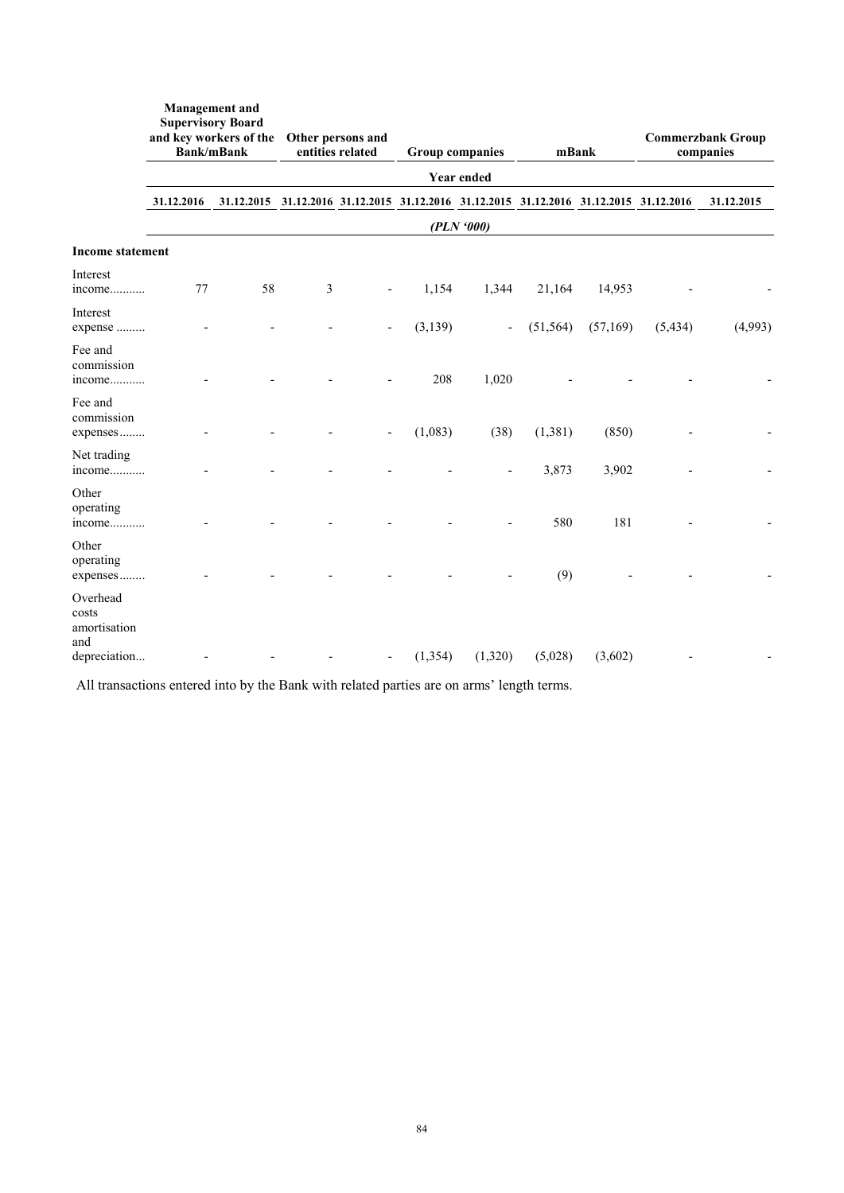|                                                          | <b>Supervisory Board</b><br>and key workers of the Other persons and<br><b>Bank/mBank</b> |    |   | entities related<br><b>Group companies</b> |          | mBank                    |                                                                                         | <b>Commerzbank Group</b><br>companies |          |            |
|----------------------------------------------------------|-------------------------------------------------------------------------------------------|----|---|--------------------------------------------|----------|--------------------------|-----------------------------------------------------------------------------------------|---------------------------------------|----------|------------|
|                                                          |                                                                                           |    |   |                                            |          | <b>Year ended</b>        |                                                                                         |                                       |          |            |
|                                                          | 31.12.2016                                                                                |    |   |                                            |          |                          | 31.12.2015 31.12.2016 31.12.2015 31.12.2016 31.12.2015 31.12.2016 31.12.2015 31.12.2016 |                                       |          | 31.12.2015 |
|                                                          |                                                                                           |    |   |                                            |          | (PLN'000)                |                                                                                         |                                       |          |            |
| <b>Income statement</b>                                  |                                                                                           |    |   |                                            |          |                          |                                                                                         |                                       |          |            |
| Interest<br>income                                       | 77                                                                                        | 58 | 3 |                                            | 1,154    | 1,344                    | 21,164                                                                                  | 14,953                                |          |            |
| Interest<br>expense                                      |                                                                                           |    |   |                                            | (3,139)  | $\overline{\phantom{a}}$ | (51, 564)                                                                               | (57,169)                              | (5, 434) | (4,993)    |
| Fee and<br>commission<br>income                          |                                                                                           |    |   |                                            | 208      | 1,020                    |                                                                                         |                                       |          |            |
| Fee and<br>commission<br>expenses                        |                                                                                           |    |   |                                            | (1,083)  | (38)                     | (1, 381)                                                                                | (850)                                 |          |            |
| Net trading<br>income                                    |                                                                                           |    |   |                                            |          |                          | 3,873                                                                                   | 3,902                                 |          |            |
| Other<br>operating<br>income                             |                                                                                           |    |   |                                            |          |                          | 580                                                                                     | 181                                   |          |            |
| Other<br>operating<br>expenses                           |                                                                                           |    |   |                                            |          |                          | (9)                                                                                     |                                       |          |            |
| Overhead<br>costs<br>amortisation<br>and<br>depreciation |                                                                                           |    |   |                                            | (1, 354) | (1,320)                  | (5,028)                                                                                 | (3,602)                               |          |            |

All transactions entered into by the Bank with related parties are on arms' length terms.

**Management and**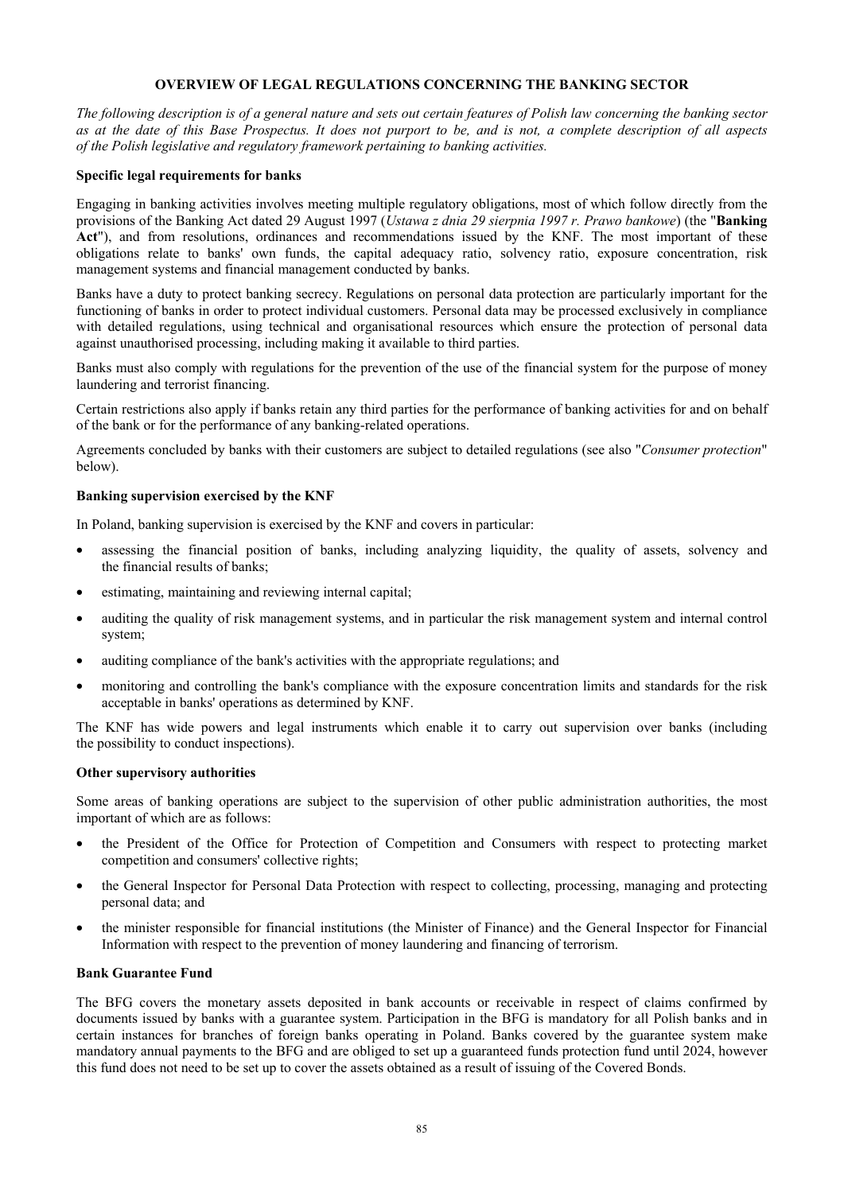# **OVERVIEW OF LEGAL REGULATIONS CONCERNING THE BANKING SECTOR**

*The following description is of a general nature and sets out certain features of Polish law concerning the banking sector as at the date of this Base Prospectus. It does not purport to be, and is not, a complete description of all aspects of the Polish legislative and regulatory framework pertaining to banking activities.* 

#### **Specific legal requirements for banks**

Engaging in banking activities involves meeting multiple regulatory obligations, most of which follow directly from the provisions of the Banking Act dated 29 August 1997 (*Ustawa z dnia 29 sierpnia 1997 r. Prawo bankowe*) (the "**Banking Act**"), and from resolutions, ordinances and recommendations issued by the KNF. The most important of these obligations relate to banks' own funds, the capital adequacy ratio, solvency ratio, exposure concentration, risk management systems and financial management conducted by banks.

Banks have a duty to protect banking secrecy. Regulations on personal data protection are particularly important for the functioning of banks in order to protect individual customers. Personal data may be processed exclusively in compliance with detailed regulations, using technical and organisational resources which ensure the protection of personal data against unauthorised processing, including making it available to third parties.

Banks must also comply with regulations for the prevention of the use of the financial system for the purpose of money laundering and terrorist financing.

Certain restrictions also apply if banks retain any third parties for the performance of banking activities for and on behalf of the bank or for the performance of any banking-related operations.

Agreements concluded by banks with their customers are subject to detailed regulations (see also "*Consumer protection*" below).

### **Banking supervision exercised by the KNF**

In Poland, banking supervision is exercised by the KNF and covers in particular:

- assessing the financial position of banks, including analyzing liquidity, the quality of assets, solvency and the financial results of banks;
- estimating, maintaining and reviewing internal capital;
- auditing the quality of risk management systems, and in particular the risk management system and internal control system;
- auditing compliance of the bank's activities with the appropriate regulations; and
- monitoring and controlling the bank's compliance with the exposure concentration limits and standards for the risk acceptable in banks' operations as determined by KNF.

The KNF has wide powers and legal instruments which enable it to carry out supervision over banks (including the possibility to conduct inspections).

### **Other supervisory authorities**

Some areas of banking operations are subject to the supervision of other public administration authorities, the most important of which are as follows:

- the President of the Office for Protection of Competition and Consumers with respect to protecting market competition and consumers' collective rights;
- the General Inspector for Personal Data Protection with respect to collecting, processing, managing and protecting personal data; and
- the minister responsible for financial institutions (the Minister of Finance) and the General Inspector for Financial Information with respect to the prevention of money laundering and financing of terrorism.

#### **Bank Guarantee Fund**

The BFG covers the monetary assets deposited in bank accounts or receivable in respect of claims confirmed by documents issued by banks with a guarantee system. Participation in the BFG is mandatory for all Polish banks and in certain instances for branches of foreign banks operating in Poland. Banks covered by the guarantee system make mandatory annual payments to the BFG and are obliged to set up a guaranteed funds protection fund until 2024, however this fund does not need to be set up to cover the assets obtained as a result of issuing of the Covered Bonds.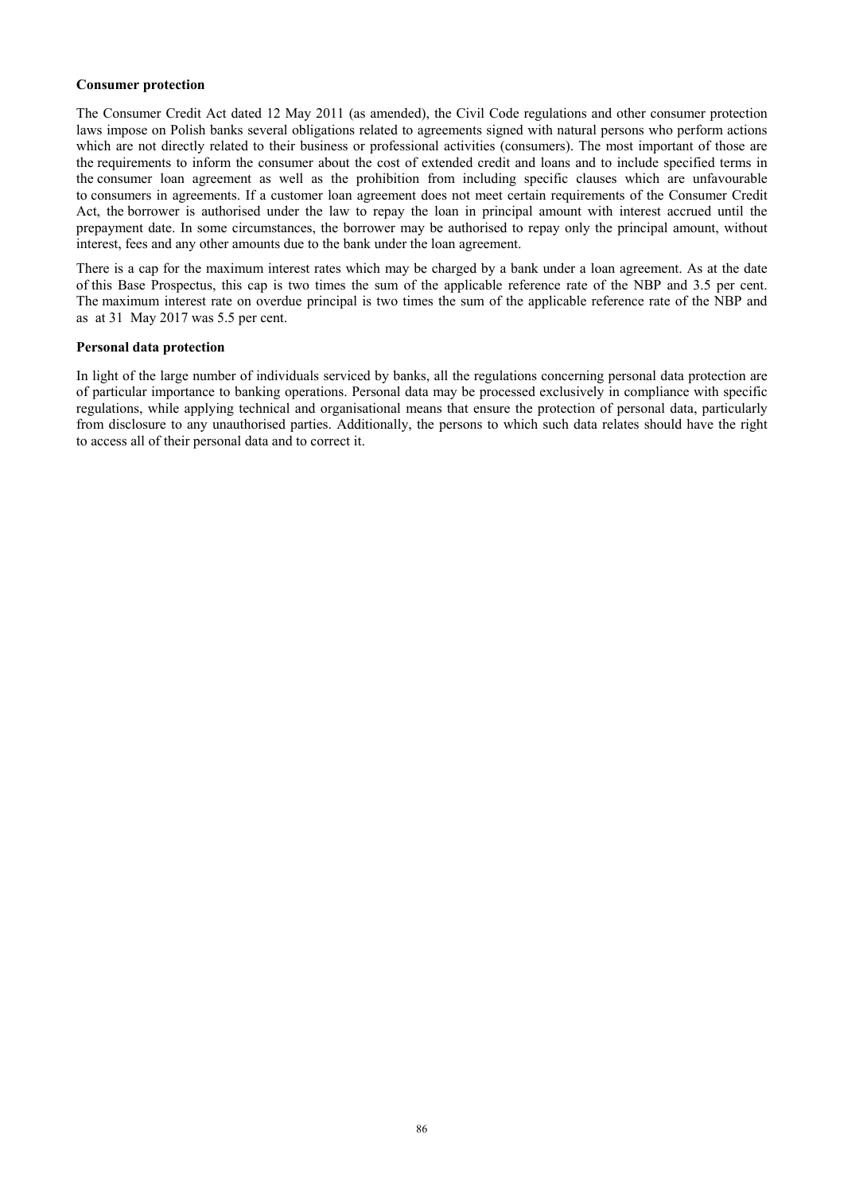## **Consumer protection**

The Consumer Credit Act dated 12 May 2011 (as amended), the Civil Code regulations and other consumer protection laws impose on Polish banks several obligations related to agreements signed with natural persons who perform actions which are not directly related to their business or professional activities (consumers). The most important of those are the requirements to inform the consumer about the cost of extended credit and loans and to include specified terms in the consumer loan agreement as well as the prohibition from including specific clauses which are unfavourable to consumers in agreements. If a customer loan agreement does not meet certain requirements of the Consumer Credit Act, the borrower is authorised under the law to repay the loan in principal amount with interest accrued until the prepayment date. In some circumstances, the borrower may be authorised to repay only the principal amount, without interest, fees and any other amounts due to the bank under the loan agreement.

There is a cap for the maximum interest rates which may be charged by a bank under a loan agreement. As at the date of this Base Prospectus, this cap is two times the sum of the applicable reference rate of the NBP and 3.5 per cent. The maximum interest rate on overdue principal is two times the sum of the applicable reference rate of the NBP and as at 31 May 2017 was 5.5 per cent.

### **Personal data protection**

In light of the large number of individuals serviced by banks, all the regulations concerning personal data protection are of particular importance to banking operations. Personal data may be processed exclusively in compliance with specific regulations, while applying technical and organisational means that ensure the protection of personal data, particularly from disclosure to any unauthorised parties. Additionally, the persons to which such data relates should have the right to access all of their personal data and to correct it.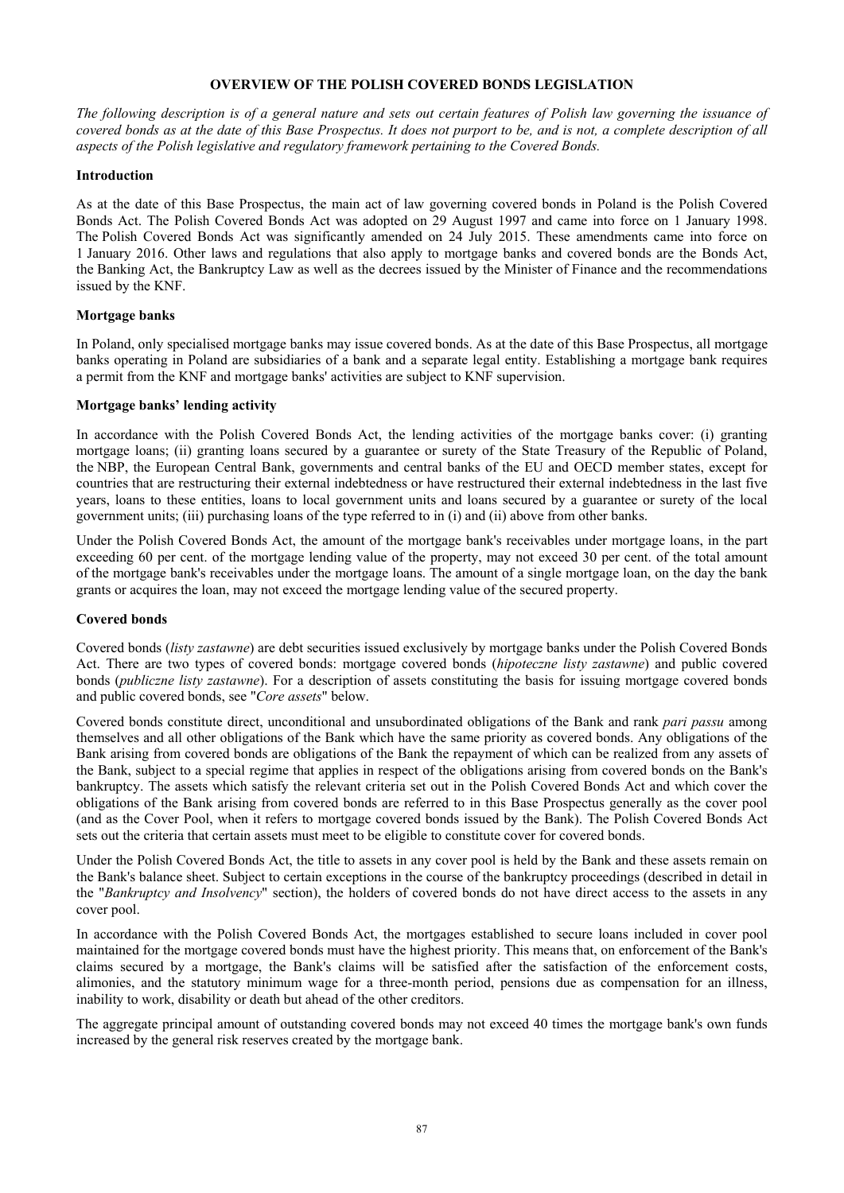## **OVERVIEW OF THE POLISH COVERED BONDS LEGISLATION**

*The following description is of a general nature and sets out certain features of Polish law governing the issuance of covered bonds as at the date of this Base Prospectus. It does not purport to be, and is not, a complete description of all aspects of the Polish legislative and regulatory framework pertaining to the Covered Bonds.* 

## **Introduction**

As at the date of this Base Prospectus, the main act of law governing covered bonds in Poland is the Polish Covered Bonds Act. The Polish Covered Bonds Act was adopted on 29 August 1997 and came into force on 1 January 1998. The Polish Covered Bonds Act was significantly amended on 24 July 2015. These amendments came into force on 1 January 2016. Other laws and regulations that also apply to mortgage banks and covered bonds are the Bonds Act, the Banking Act, the Bankruptcy Law as well as the decrees issued by the Minister of Finance and the recommendations issued by the KNF.

### **Mortgage banks**

In Poland, only specialised mortgage banks may issue covered bonds. As at the date of this Base Prospectus, all mortgage banks operating in Poland are subsidiaries of a bank and a separate legal entity. Establishing a mortgage bank requires a permit from the KNF and mortgage banks' activities are subject to KNF supervision.

#### **Mortgage banks' lending activity**

In accordance with the Polish Covered Bonds Act, the lending activities of the mortgage banks cover: (i) granting mortgage loans; (ii) granting loans secured by a guarantee or surety of the State Treasury of the Republic of Poland, the NBP, the European Central Bank, governments and central banks of the EU and OECD member states, except for countries that are restructuring their external indebtedness or have restructured their external indebtedness in the last five years, loans to these entities, loans to local government units and loans secured by a guarantee or surety of the local government units; (iii) purchasing loans of the type referred to in (i) and (ii) above from other banks.

Under the Polish Covered Bonds Act, the amount of the mortgage bank's receivables under mortgage loans, in the part exceeding 60 per cent. of the mortgage lending value of the property, may not exceed 30 per cent. of the total amount of the mortgage bank's receivables under the mortgage loans. The amount of a single mortgage loan, on the day the bank grants or acquires the loan, may not exceed the mortgage lending value of the secured property.

#### **Covered bonds**

Covered bonds (*listy zastawne*) are debt securities issued exclusively by mortgage banks under the Polish Covered Bonds Act. There are two types of covered bonds: mortgage covered bonds (*hipoteczne listy zastawne*) and public covered bonds (*publiczne listy zastawne*). For a description of assets constituting the basis for issuing mortgage covered bonds and public covered bonds, see "*Core assets*" below.

Covered bonds constitute direct, unconditional and unsubordinated obligations of the Bank and rank *pari passu* among themselves and all other obligations of the Bank which have the same priority as covered bonds. Any obligations of the Bank arising from covered bonds are obligations of the Bank the repayment of which can be realized from any assets of the Bank, subject to a special regime that applies in respect of the obligations arising from covered bonds on the Bank's bankruptcy. The assets which satisfy the relevant criteria set out in the Polish Covered Bonds Act and which cover the obligations of the Bank arising from covered bonds are referred to in this Base Prospectus generally as the cover pool (and as the Cover Pool, when it refers to mortgage covered bonds issued by the Bank). The Polish Covered Bonds Act sets out the criteria that certain assets must meet to be eligible to constitute cover for covered bonds.

Under the Polish Covered Bonds Act, the title to assets in any cover pool is held by the Bank and these assets remain on the Bank's balance sheet. Subject to certain exceptions in the course of the bankruptcy proceedings (described in detail in the "*Bankruptcy and Insolvency*" section), the holders of covered bonds do not have direct access to the assets in any cover pool.

In accordance with the Polish Covered Bonds Act, the mortgages established to secure loans included in cover pool maintained for the mortgage covered bonds must have the highest priority. This means that, on enforcement of the Bank's claims secured by a mortgage, the Bank's claims will be satisfied after the satisfaction of the enforcement costs, alimonies, and the statutory minimum wage for a three-month period, pensions due as compensation for an illness, inability to work, disability or death but ahead of the other creditors.

The aggregate principal amount of outstanding covered bonds may not exceed 40 times the mortgage bank's own funds increased by the general risk reserves created by the mortgage bank.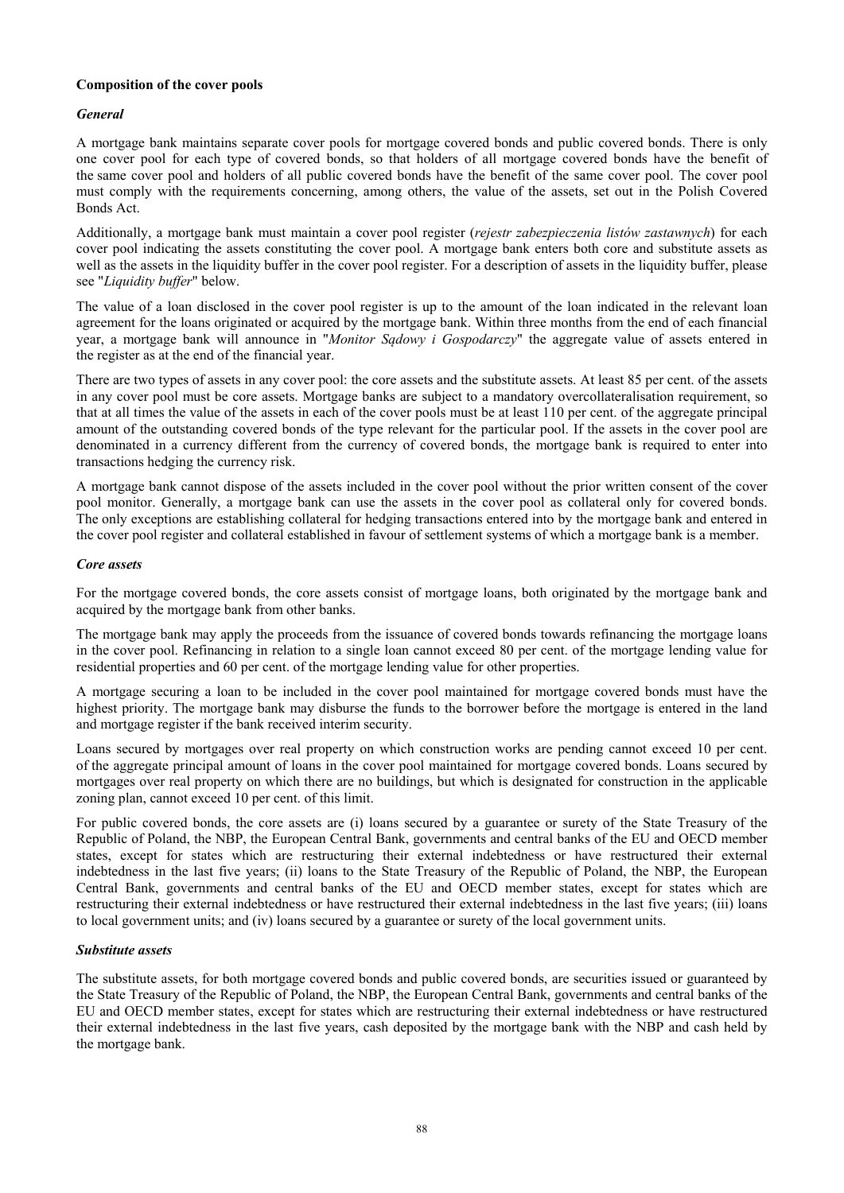# **Composition of the cover pools**

# *General*

A mortgage bank maintains separate cover pools for mortgage covered bonds and public covered bonds. There is only one cover pool for each type of covered bonds, so that holders of all mortgage covered bonds have the benefit of the same cover pool and holders of all public covered bonds have the benefit of the same cover pool. The cover pool must comply with the requirements concerning, among others, the value of the assets, set out in the Polish Covered Bonds Act.

Additionally, a mortgage bank must maintain a cover pool register (*rejestr zabezpieczenia listów zastawnych*) for each cover pool indicating the assets constituting the cover pool. A mortgage bank enters both core and substitute assets as well as the assets in the liquidity buffer in the cover pool register. For a description of assets in the liquidity buffer, please see "*Liquidity buffer*" below.

The value of a loan disclosed in the cover pool register is up to the amount of the loan indicated in the relevant loan agreement for the loans originated or acquired by the mortgage bank. Within three months from the end of each financial year, a mortgage bank will announce in "*Monitor Sądowy i Gospodarczy*" the aggregate value of assets entered in the register as at the end of the financial year.

There are two types of assets in any cover pool: the core assets and the substitute assets. At least 85 per cent. of the assets in any cover pool must be core assets. Mortgage banks are subject to a mandatory overcollateralisation requirement, so that at all times the value of the assets in each of the cover pools must be at least 110 per cent. of the aggregate principal amount of the outstanding covered bonds of the type relevant for the particular pool. If the assets in the cover pool are denominated in a currency different from the currency of covered bonds, the mortgage bank is required to enter into transactions hedging the currency risk.

A mortgage bank cannot dispose of the assets included in the cover pool without the prior written consent of the cover pool monitor. Generally, a mortgage bank can use the assets in the cover pool as collateral only for covered bonds. The only exceptions are establishing collateral for hedging transactions entered into by the mortgage bank and entered in the cover pool register and collateral established in favour of settlement systems of which a mortgage bank is a member.

## *Core assets*

For the mortgage covered bonds, the core assets consist of mortgage loans, both originated by the mortgage bank and acquired by the mortgage bank from other banks.

The mortgage bank may apply the proceeds from the issuance of covered bonds towards refinancing the mortgage loans in the cover pool. Refinancing in relation to a single loan cannot exceed 80 per cent. of the mortgage lending value for residential properties and 60 per cent. of the mortgage lending value for other properties.

A mortgage securing a loan to be included in the cover pool maintained for mortgage covered bonds must have the highest priority. The mortgage bank may disburse the funds to the borrower before the mortgage is entered in the land and mortgage register if the bank received interim security.

Loans secured by mortgages over real property on which construction works are pending cannot exceed 10 per cent. of the aggregate principal amount of loans in the cover pool maintained for mortgage covered bonds. Loans secured by mortgages over real property on which there are no buildings, but which is designated for construction in the applicable zoning plan, cannot exceed 10 per cent. of this limit.

For public covered bonds, the core assets are (i) loans secured by a guarantee or surety of the State Treasury of the Republic of Poland, the NBP, the European Central Bank, governments and central banks of the EU and OECD member states, except for states which are restructuring their external indebtedness or have restructured their external indebtedness in the last five years; (ii) loans to the State Treasury of the Republic of Poland, the NBP, the European Central Bank, governments and central banks of the EU and OECD member states, except for states which are restructuring their external indebtedness or have restructured their external indebtedness in the last five years; (iii) loans to local government units; and (iv) loans secured by a guarantee or surety of the local government units.

## *Substitute assets*

The substitute assets, for both mortgage covered bonds and public covered bonds, are securities issued or guaranteed by the State Treasury of the Republic of Poland, the NBP, the European Central Bank, governments and central banks of the EU and OECD member states, except for states which are restructuring their external indebtedness or have restructured their external indebtedness in the last five years, cash deposited by the mortgage bank with the NBP and cash held by the mortgage bank.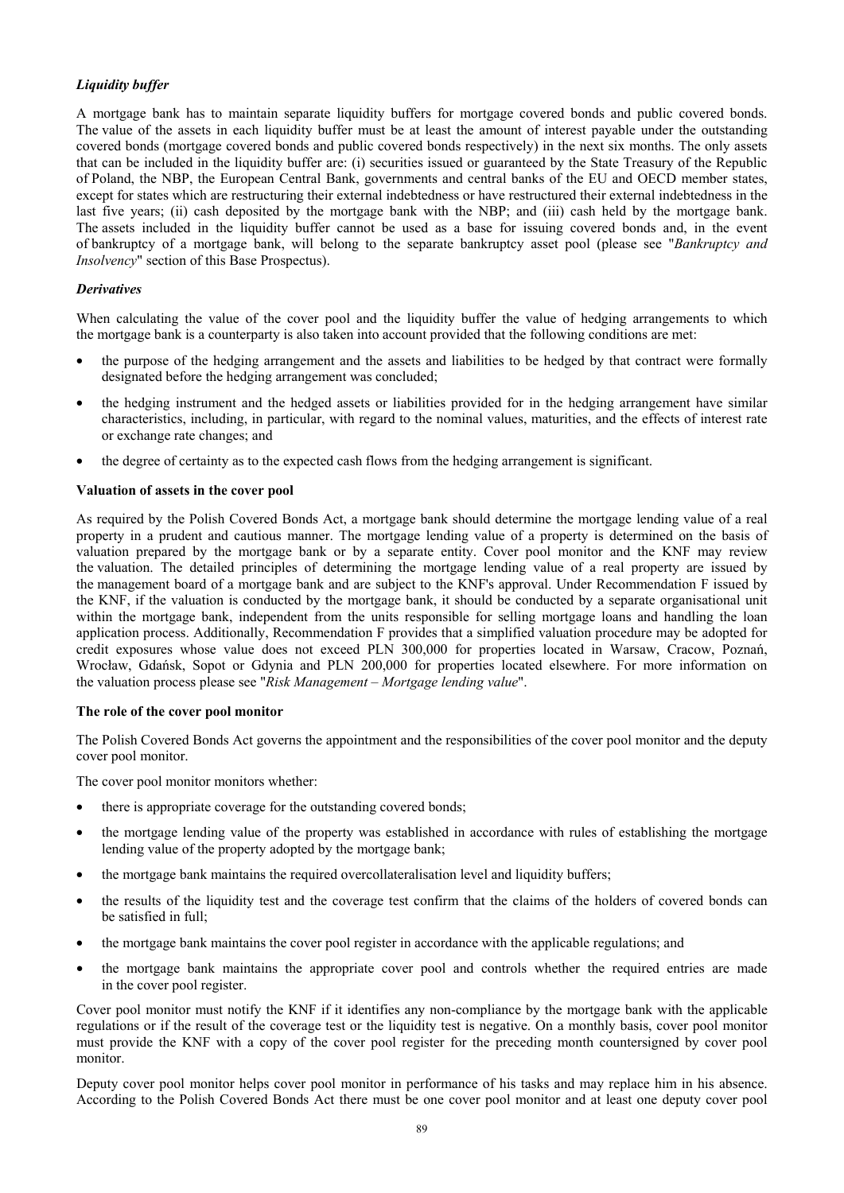# *Liquidity buffer*

A mortgage bank has to maintain separate liquidity buffers for mortgage covered bonds and public covered bonds. The value of the assets in each liquidity buffer must be at least the amount of interest payable under the outstanding covered bonds (mortgage covered bonds and public covered bonds respectively) in the next six months. The only assets that can be included in the liquidity buffer are: (i) securities issued or guaranteed by the State Treasury of the Republic of Poland, the NBP, the European Central Bank, governments and central banks of the EU and OECD member states, except for states which are restructuring their external indebtedness or have restructured their external indebtedness in the last five years; (ii) cash deposited by the mortgage bank with the NBP; and (iii) cash held by the mortgage bank. The assets included in the liquidity buffer cannot be used as a base for issuing covered bonds and, in the event of bankruptcy of a mortgage bank, will belong to the separate bankruptcy asset pool (please see "*Bankruptcy and Insolvency*" section of this Base Prospectus).

## *Derivatives*

When calculating the value of the cover pool and the liquidity buffer the value of hedging arrangements to which the mortgage bank is a counterparty is also taken into account provided that the following conditions are met:

- the purpose of the hedging arrangement and the assets and liabilities to be hedged by that contract were formally designated before the hedging arrangement was concluded;
- the hedging instrument and the hedged assets or liabilities provided for in the hedging arrangement have similar characteristics, including, in particular, with regard to the nominal values, maturities, and the effects of interest rate or exchange rate changes; and
- the degree of certainty as to the expected cash flows from the hedging arrangement is significant.

## **Valuation of assets in the cover pool**

As required by the Polish Covered Bonds Act, a mortgage bank should determine the mortgage lending value of a real property in a prudent and cautious manner. The mortgage lending value of a property is determined on the basis of valuation prepared by the mortgage bank or by a separate entity. Cover pool monitor and the KNF may review the valuation. The detailed principles of determining the mortgage lending value of a real property are issued by the management board of a mortgage bank and are subject to the KNF's approval. Under Recommendation F issued by the KNF, if the valuation is conducted by the mortgage bank, it should be conducted by a separate organisational unit within the mortgage bank, independent from the units responsible for selling mortgage loans and handling the loan application process. Additionally, Recommendation F provides that a simplified valuation procedure may be adopted for credit exposures whose value does not exceed PLN 300,000 for properties located in Warsaw, Cracow, Poznań, Wrocław, Gdańsk, Sopot or Gdynia and PLN 200,000 for properties located elsewhere. For more information on the valuation process please see "*Risk Management – Mortgage lending value*".

#### **The role of the cover pool monitor**

The Polish Covered Bonds Act governs the appointment and the responsibilities of the cover pool monitor and the deputy cover pool monitor.

The cover pool monitor monitors whether:

- there is appropriate coverage for the outstanding covered bonds;
- the mortgage lending value of the property was established in accordance with rules of establishing the mortgage lending value of the property adopted by the mortgage bank;
- the mortgage bank maintains the required overcollateralisation level and liquidity buffers;
- the results of the liquidity test and the coverage test confirm that the claims of the holders of covered bonds can be satisfied in full;
- the mortgage bank maintains the cover pool register in accordance with the applicable regulations; and
- the mortgage bank maintains the appropriate cover pool and controls whether the required entries are made in the cover pool register.

Cover pool monitor must notify the KNF if it identifies any non-compliance by the mortgage bank with the applicable regulations or if the result of the coverage test or the liquidity test is negative. On a monthly basis, cover pool monitor must provide the KNF with a copy of the cover pool register for the preceding month countersigned by cover pool monitor.

Deputy cover pool monitor helps cover pool monitor in performance of his tasks and may replace him in his absence. According to the Polish Covered Bonds Act there must be one cover pool monitor and at least one deputy cover pool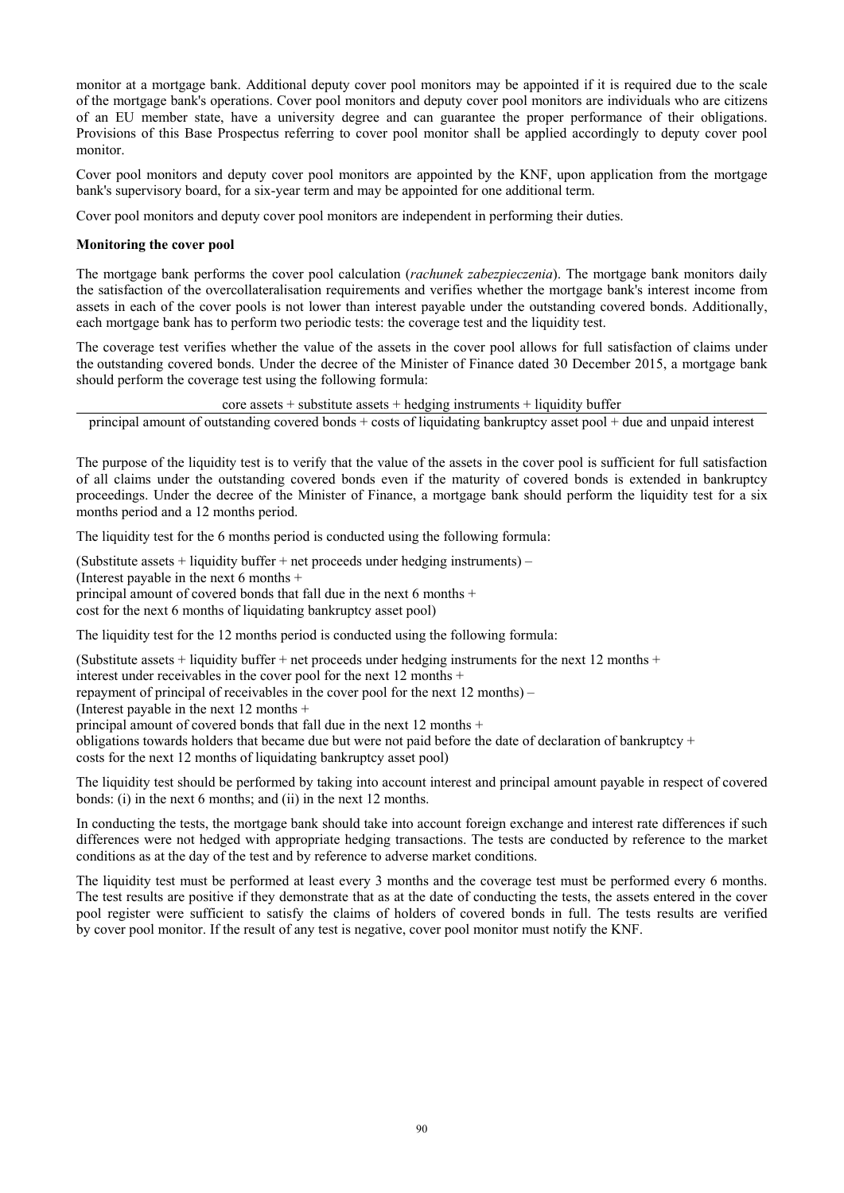monitor at a mortgage bank. Additional deputy cover pool monitors may be appointed if it is required due to the scale of the mortgage bank's operations. Cover pool monitors and deputy cover pool monitors are individuals who are citizens of an EU member state, have a university degree and can guarantee the proper performance of their obligations. Provisions of this Base Prospectus referring to cover pool monitor shall be applied accordingly to deputy cover pool monitor.

Cover pool monitors and deputy cover pool monitors are appointed by the KNF, upon application from the mortgage bank's supervisory board, for a six-year term and may be appointed for one additional term.

Cover pool monitors and deputy cover pool monitors are independent in performing their duties.

## **Monitoring the cover pool**

The mortgage bank performs the cover pool calculation (*rachunek zabezpieczenia*). The mortgage bank monitors daily the satisfaction of the overcollateralisation requirements and verifies whether the mortgage bank's interest income from assets in each of the cover pools is not lower than interest payable under the outstanding covered bonds. Additionally, each mortgage bank has to perform two periodic tests: the coverage test and the liquidity test.

The coverage test verifies whether the value of the assets in the cover pool allows for full satisfaction of claims under the outstanding covered bonds. Under the decree of the Minister of Finance dated 30 December 2015, a mortgage bank should perform the coverage test using the following formula:

 $\csc$  assets + substitute assets + hedging instruments + liquidity buffer

principal amount of outstanding covered bonds  $+$  costs of liquidating bankruptcy asset pool  $+$  due and unpaid interest

The purpose of the liquidity test is to verify that the value of the assets in the cover pool is sufficient for full satisfaction of all claims under the outstanding covered bonds even if the maturity of covered bonds is extended in bankruptcy proceedings. Under the decree of the Minister of Finance, a mortgage bank should perform the liquidity test for a six months period and a 12 months period.

The liquidity test for the 6 months period is conducted using the following formula:

(Substitute assets  $+$  liquidity buffer  $+$  net proceeds under hedging instruments) –

(Interest payable in the next 6 months +

principal amount of covered bonds that fall due in the next 6 months +

cost for the next 6 months of liquidating bankruptcy asset pool)

The liquidity test for the 12 months period is conducted using the following formula:

(Substitute assets + liquidity buffer + net proceeds under hedging instruments for the next 12 months + interest under receivables in the cover pool for the next 12 months + repayment of principal of receivables in the cover pool for the next  $12$  months) – (Interest payable in the next 12 months + principal amount of covered bonds that fall due in the next 12 months + obligations towards holders that became due but were not paid before the date of declaration of bankruptcy  $+$ costs for the next 12 months of liquidating bankruptcy asset pool)

The liquidity test should be performed by taking into account interest and principal amount payable in respect of covered bonds: (i) in the next 6 months; and (ii) in the next 12 months.

In conducting the tests, the mortgage bank should take into account foreign exchange and interest rate differences if such differences were not hedged with appropriate hedging transactions. The tests are conducted by reference to the market conditions as at the day of the test and by reference to adverse market conditions.

The liquidity test must be performed at least every 3 months and the coverage test must be performed every 6 months. The test results are positive if they demonstrate that as at the date of conducting the tests, the assets entered in the cover pool register were sufficient to satisfy the claims of holders of covered bonds in full. The tests results are verified by cover pool monitor. If the result of any test is negative, cover pool monitor must notify the KNF.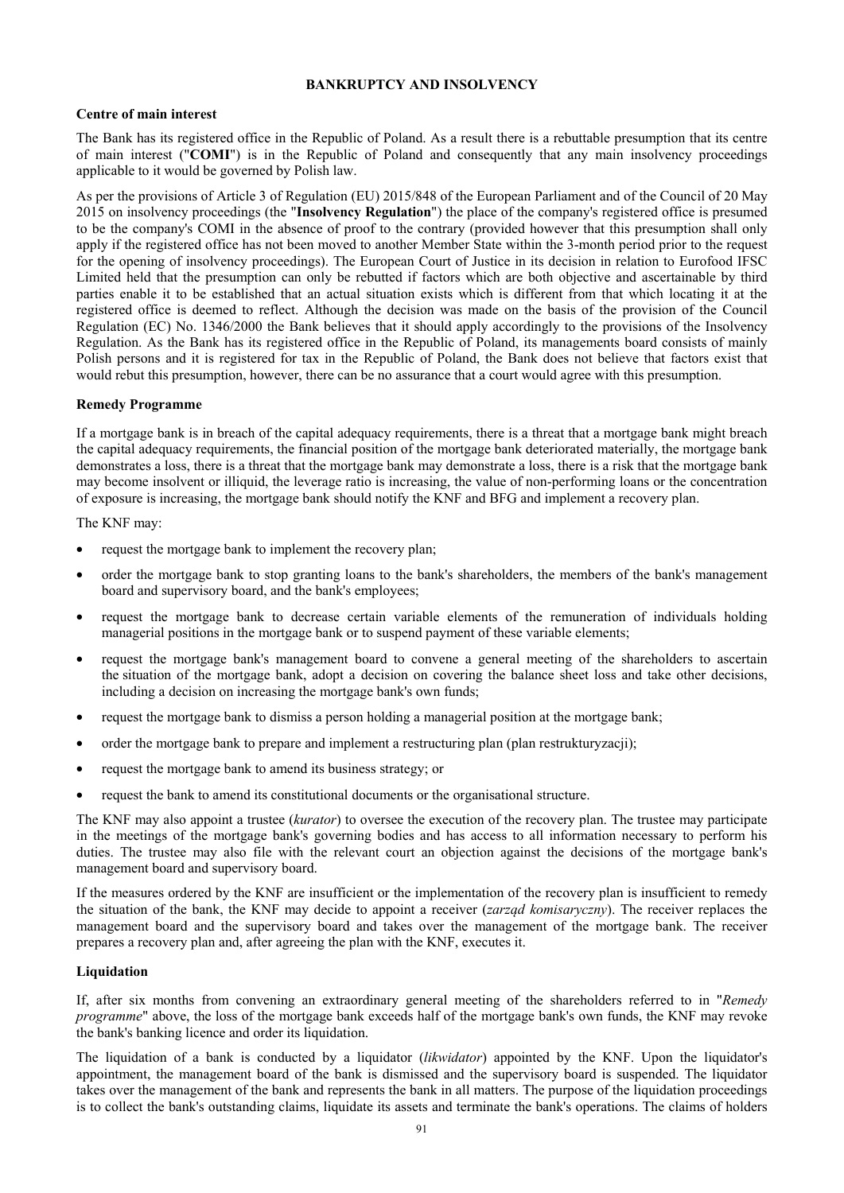# **BANKRUPTCY AND INSOLVENCY**

## **Centre of main interest**

The Bank has its registered office in the Republic of Poland. As a result there is a rebuttable presumption that its centre of main interest ("**COMI**") is in the Republic of Poland and consequently that any main insolvency proceedings applicable to it would be governed by Polish law.

As per the provisions of Article 3 of Regulation (EU) 2015/848 of the European Parliament and of the Council of 20 May 2015 on insolvency proceedings (the "**Insolvency Regulation**") the place of the company's registered office is presumed to be the company's COMI in the absence of proof to the contrary (provided however that this presumption shall only apply if the registered office has not been moved to another Member State within the 3-month period prior to the request for the opening of insolvency proceedings). The European Court of Justice in its decision in relation to Eurofood IFSC Limited held that the presumption can only be rebutted if factors which are both objective and ascertainable by third parties enable it to be established that an actual situation exists which is different from that which locating it at the registered office is deemed to reflect. Although the decision was made on the basis of the provision of the Council Regulation (EC) No. 1346/2000 the Bank believes that it should apply accordingly to the provisions of the Insolvency Regulation. As the Bank has its registered office in the Republic of Poland, its managements board consists of mainly Polish persons and it is registered for tax in the Republic of Poland, the Bank does not believe that factors exist that would rebut this presumption, however, there can be no assurance that a court would agree with this presumption.

### **Remedy Programme**

If a mortgage bank is in breach of the capital adequacy requirements, there is a threat that a mortgage bank might breach the capital adequacy requirements, the financial position of the mortgage bank deteriorated materially, the mortgage bank demonstrates a loss, there is a threat that the mortgage bank may demonstrate a loss, there is a risk that the mortgage bank may become insolvent or illiquid, the leverage ratio is increasing, the value of non-performing loans or the concentration of exposure is increasing, the mortgage bank should notify the KNF and BFG and implement a recovery plan.

The KNF may:

- request the mortgage bank to implement the recovery plan;
- order the mortgage bank to stop granting loans to the bank's shareholders, the members of the bank's management board and supervisory board, and the bank's employees;
- request the mortgage bank to decrease certain variable elements of the remuneration of individuals holding managerial positions in the mortgage bank or to suspend payment of these variable elements;
- request the mortgage bank's management board to convene a general meeting of the shareholders to ascertain the situation of the mortgage bank, adopt a decision on covering the balance sheet loss and take other decisions, including a decision on increasing the mortgage bank's own funds;
- request the mortgage bank to dismiss a person holding a managerial position at the mortgage bank;
- order the mortgage bank to prepare and implement a restructuring plan (plan restrukturyzacji);
- request the mortgage bank to amend its business strategy; or
- request the bank to amend its constitutional documents or the organisational structure.

The KNF may also appoint a trustee (*kurator*) to oversee the execution of the recovery plan. The trustee may participate in the meetings of the mortgage bank's governing bodies and has access to all information necessary to perform his duties. The trustee may also file with the relevant court an objection against the decisions of the mortgage bank's management board and supervisory board.

If the measures ordered by the KNF are insufficient or the implementation of the recovery plan is insufficient to remedy the situation of the bank, the KNF may decide to appoint a receiver (*zarząd komisaryczny*). The receiver replaces the management board and the supervisory board and takes over the management of the mortgage bank. The receiver prepares a recovery plan and, after agreeing the plan with the KNF, executes it.

## **Liquidation**

If, after six months from convening an extraordinary general meeting of the shareholders referred to in "*Remedy programme*" above, the loss of the mortgage bank exceeds half of the mortgage bank's own funds, the KNF may revoke the bank's banking licence and order its liquidation.

The liquidation of a bank is conducted by a liquidator (*likwidator*) appointed by the KNF. Upon the liquidator's appointment, the management board of the bank is dismissed and the supervisory board is suspended. The liquidator takes over the management of the bank and represents the bank in all matters. The purpose of the liquidation proceedings is to collect the bank's outstanding claims, liquidate its assets and terminate the bank's operations. The claims of holders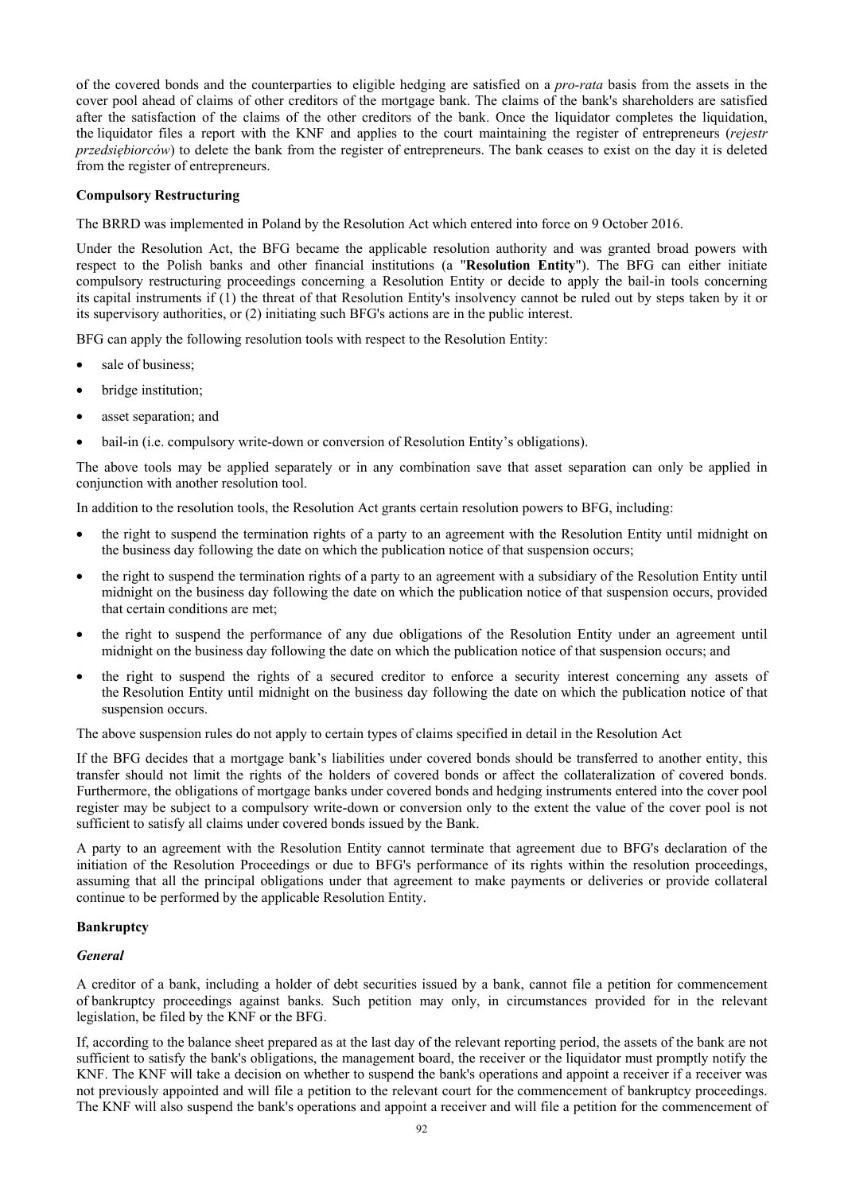of the covered bonds and the counterparties to eligible hedging are satisfied on a *pro-rata* basis from the assets in the cover pool ahead of claims of other creditors of the mortgage bank. The claims of the bank's shareholders are satisfied after the satisfaction of the claims of the other creditors of the bank. Once the liquidator completes the liquidation, the liquidator files a report with the KNF and applies to the court maintaining the register of entrepreneurs (*rejestr przedsiebiorców*) to delete the bank from the register of entrepreneurs. The bank ceases to exist on the day it is deleted from the register of entrepreneurs.

## **Compulsory Restructuring**

The BRRD was implemented in Poland by the Resolution Act which entered into force on 9 October 2016.

Under the Resolution Act, the BFG became the applicable resolution authority and was granted broad powers with respect to the Polish banks and other financial institutions (a "**Resolution Entity**"). The BFG can either initiate compulsory restructuring proceedings concerning a Resolution Entity or decide to apply the bail-in tools concerning its capital instruments if (1) the threat of that Resolution Entity's insolvency cannot be ruled out by steps taken by it or its supervisory authorities, or (2) initiating such BFG's actions are in the public interest.

BFG can apply the following resolution tools with respect to the Resolution Entity:

- sale of business;
- bridge institution;
- asset separation; and
- bail-in (i.e. compulsory write-down or conversion of Resolution Entity's obligations).

The above tools may be applied separately or in any combination save that asset separation can only be applied in conjunction with another resolution tool.

In addition to the resolution tools, the Resolution Act grants certain resolution powers to BFG, including:

- the right to suspend the termination rights of a party to an agreement with the Resolution Entity until midnight on the business day following the date on which the publication notice of that suspension occurs;
- the right to suspend the termination rights of a party to an agreement with a subsidiary of the Resolution Entity until midnight on the business day following the date on which the publication notice of that suspension occurs, provided that certain conditions are met;
- the right to suspend the performance of any due obligations of the Resolution Entity under an agreement until midnight on the business day following the date on which the publication notice of that suspension occurs; and
- the right to suspend the rights of a secured creditor to enforce a security interest concerning any assets of the Resolution Entity until midnight on the business day following the date on which the publication notice of that suspension occurs.

The above suspension rules do not apply to certain types of claims specified in detail in the Resolution Act

If the BFG decides that a mortgage bank's liabilities under covered bonds should be transferred to another entity, this transfer should not limit the rights of the holders of covered bonds or affect the collateralization of covered bonds. Furthermore, the obligations of mortgage banks under covered bonds and hedging instruments entered into the cover pool register may be subject to a compulsory write-down or conversion only to the extent the value of the cover pool is not sufficient to satisfy all claims under covered bonds issued by the Bank.

A party to an agreement with the Resolution Entity cannot terminate that agreement due to BFG's declaration of the initiation of the Resolution Proceedings or due to BFG's performance of its rights within the resolution proceedings, assuming that all the principal obligations under that agreement to make payments or deliveries or provide collateral continue to be performed by the applicable Resolution Entity.

## **Bankruptcy**

### *General*

A creditor of a bank, including a holder of debt securities issued by a bank, cannot file a petition for commencement of bankruptcy proceedings against banks. Such petition may only, in circumstances provided for in the relevant legislation, be filed by the KNF or the BFG.

If, according to the balance sheet prepared as at the last day of the relevant reporting period, the assets of the bank are not sufficient to satisfy the bank's obligations, the management board, the receiver or the liquidator must promptly notify the KNF. The KNF will take a decision on whether to suspend the bank's operations and appoint a receiver if a receiver was not previously appointed and will file a petition to the relevant court for the commencement of bankruptcy proceedings. The KNF will also suspend the bank's operations and appoint a receiver and will file a petition for the commencement of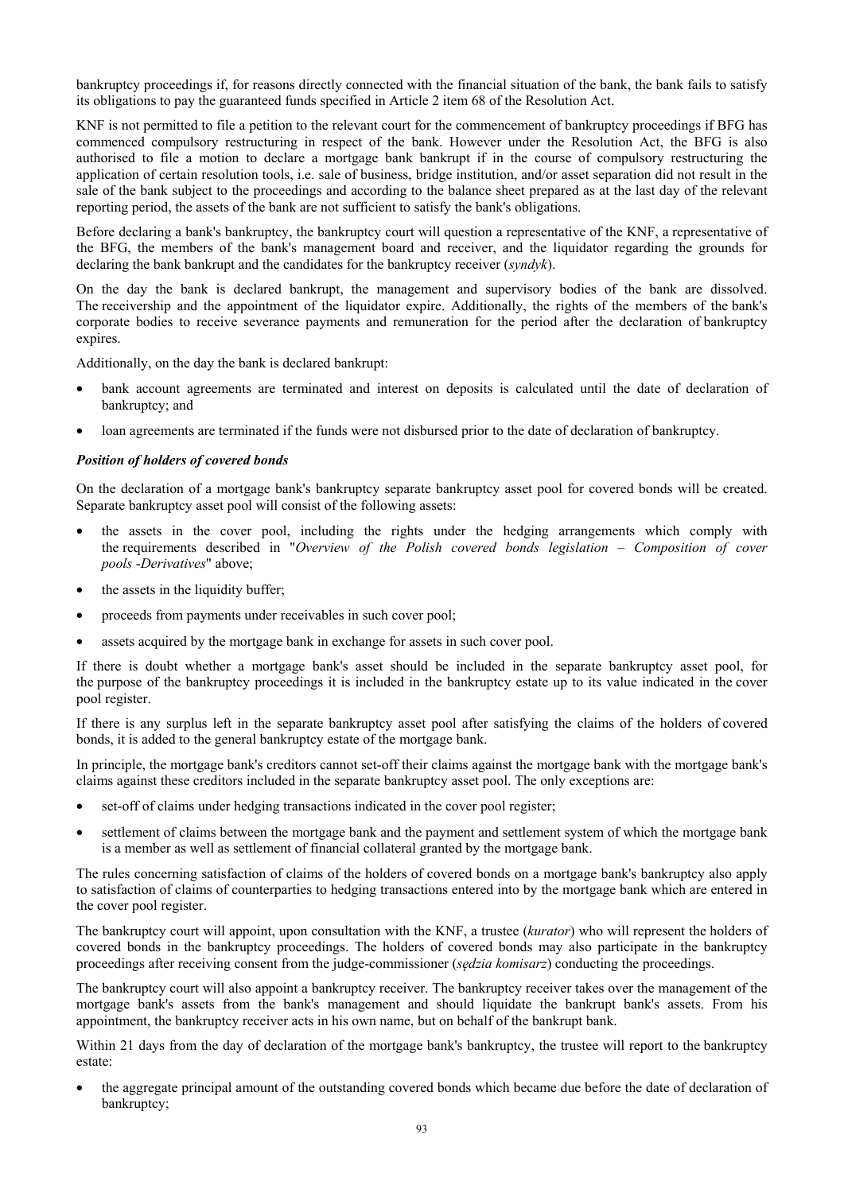bankruptcy proceedings if, for reasons directly connected with the financial situation of the bank, the bank fails to satisfy its obligations to pay the guaranteed funds specified in Article 2 item 68 of the Resolution Act.

KNF is not permitted to file a petition to the relevant court for the commencement of bankruptcy proceedings if BFG has commenced compulsory restructuring in respect of the bank. However under the Resolution Act, the BFG is also authorised to file a motion to declare a mortgage bank bankrupt if in the course of compulsory restructuring the application of certain resolution tools, i.e. sale of business, bridge institution, and/or asset separation did not result in the sale of the bank subject to the proceedings and according to the balance sheet prepared as at the last day of the relevant reporting period, the assets of the bank are not sufficient to satisfy the bank's obligations.

Before declaring a bank's bankruptcy, the bankruptcy court will question a representative of the KNF, a representative of the BFG, the members of the bank's management board and receiver, and the liquidator regarding the grounds for declaring the bank bankrupt and the candidates for the bankruptcy receiver (*syndyk*).

On the day the bank is declared bankrupt, the management and supervisory bodies of the bank are dissolved. The receivership and the appointment of the liquidator expire. Additionally, the rights of the members of the bank's corporate bodies to receive severance payments and remuneration for the period after the declaration of bankruptcy expires.

Additionally, on the day the bank is declared bankrupt:

- bank account agreements are terminated and interest on deposits is calculated until the date of declaration of bankruptcy; and
- loan agreements are terminated if the funds were not disbursed prior to the date of declaration of bankruptcy.

## *Position of holders of covered bonds*

On the declaration of a mortgage bank's bankruptcy separate bankruptcy asset pool for covered bonds will be created. Separate bankruptcy asset pool will consist of the following assets:

- the assets in the cover pool, including the rights under the hedging arrangements which comply with the requirements described in "*Overview of the Polish covered bonds legislation – Composition of cover pools* -*Derivatives*" above;
- the assets in the liquidity buffer;
- proceeds from payments under receivables in such cover pool;
- assets acquired by the mortgage bank in exchange for assets in such cover pool.

If there is doubt whether a mortgage bank's asset should be included in the separate bankruptcy asset pool, for the purpose of the bankruptcy proceedings it is included in the bankruptcy estate up to its value indicated in the cover pool register.

If there is any surplus left in the separate bankruptcy asset pool after satisfying the claims of the holders of covered bonds, it is added to the general bankruptcy estate of the mortgage bank.

In principle, the mortgage bank's creditors cannot set-off their claims against the mortgage bank with the mortgage bank's claims against these creditors included in the separate bankruptcy asset pool. The only exceptions are:

- set-off of claims under hedging transactions indicated in the cover pool register;
- settlement of claims between the mortgage bank and the payment and settlement system of which the mortgage bank is a member as well as settlement of financial collateral granted by the mortgage bank.

The rules concerning satisfaction of claims of the holders of covered bonds on a mortgage bank's bankruptcy also apply to satisfaction of claims of counterparties to hedging transactions entered into by the mortgage bank which are entered in the cover pool register.

The bankruptcy court will appoint, upon consultation with the KNF, a trustee (*kurator*) who will represent the holders of covered bonds in the bankruptcy proceedings. The holders of covered bonds may also participate in the bankruptcy proceedings after receiving consent from the judge-commissioner (*sędzia komisarz*) conducting the proceedings.

The bankruptcy court will also appoint a bankruptcy receiver. The bankruptcy receiver takes over the management of the mortgage bank's assets from the bank's management and should liquidate the bankrupt bank's assets. From his appointment, the bankruptcy receiver acts in his own name, but on behalf of the bankrupt bank.

Within 21 days from the day of declaration of the mortgage bank's bankruptcy, the trustee will report to the bankruptcy estate:

• the aggregate principal amount of the outstanding covered bonds which became due before the date of declaration of bankruptcy;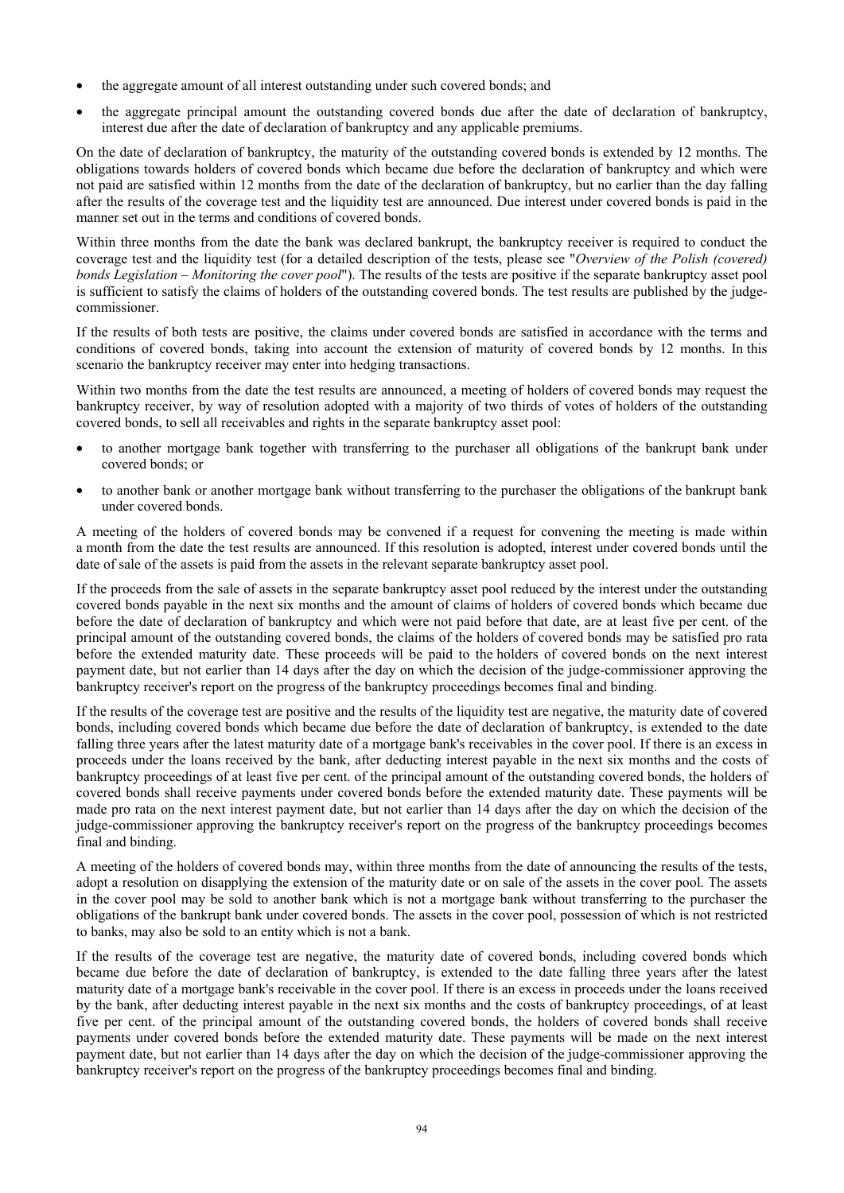- the aggregate amount of all interest outstanding under such covered bonds; and
- the aggregate principal amount the outstanding covered bonds due after the date of declaration of bankruptcy, interest due after the date of declaration of bankruptcy and any applicable premiums.

On the date of declaration of bankruptcy, the maturity of the outstanding covered bonds is extended by 12 months. The obligations towards holders of covered bonds which became due before the declaration of bankruptcy and which were not paid are satisfied within 12 months from the date of the declaration of bankruptcy, but no earlier than the day falling after the results of the coverage test and the liquidity test are announced. Due interest under covered bonds is paid in the manner set out in the terms and conditions of covered bonds.

Within three months from the date the bank was declared bankrupt, the bankruptcy receiver is required to conduct the coverage test and the liquidity test (for a detailed description of the tests, please see "*Overview of the Polish (covered) bonds Legislation – Monitoring the cover pool*"). The results of the tests are positive if the separate bankruptcy asset pool is sufficient to satisfy the claims of holders of the outstanding covered bonds. The test results are published by the judgecommissioner.

If the results of both tests are positive, the claims under covered bonds are satisfied in accordance with the terms and conditions of covered bonds, taking into account the extension of maturity of covered bonds by 12 months. In this scenario the bankruptcy receiver may enter into hedging transactions.

Within two months from the date the test results are announced, a meeting of holders of covered bonds may request the bankruptcy receiver, by way of resolution adopted with a majority of two thirds of votes of holders of the outstanding covered bonds, to sell all receivables and rights in the separate bankruptcy asset pool:

- to another mortgage bank together with transferring to the purchaser all obligations of the bankrupt bank under covered bonds; or
- to another bank or another mortgage bank without transferring to the purchaser the obligations of the bankrupt bank under covered bonds.

A meeting of the holders of covered bonds may be convened if a request for convening the meeting is made within a month from the date the test results are announced. If this resolution is adopted, interest under covered bonds until the date of sale of the assets is paid from the assets in the relevant separate bankruptcy asset pool.

If the proceeds from the sale of assets in the separate bankruptcy asset pool reduced by the interest under the outstanding covered bonds payable in the next six months and the amount of claims of holders of covered bonds which became due before the date of declaration of bankruptcy and which were not paid before that date, are at least five per cent. of the principal amount of the outstanding covered bonds, the claims of the holders of covered bonds may be satisfied pro rata before the extended maturity date. These proceeds will be paid to the holders of covered bonds on the next interest payment date, but not earlier than 14 days after the day on which the decision of the judge-commissioner approving the bankruptcy receiver's report on the progress of the bankruptcy proceedings becomes final and binding.

If the results of the coverage test are positive and the results of the liquidity test are negative, the maturity date of covered bonds, including covered bonds which became due before the date of declaration of bankruptcy, is extended to the date falling three years after the latest maturity date of a mortgage bank's receivables in the cover pool. If there is an excess in proceeds under the loans received by the bank, after deducting interest payable in the next six months and the costs of bankruptcy proceedings of at least five per cent. of the principal amount of the outstanding covered bonds, the holders of covered bonds shall receive payments under covered bonds before the extended maturity date. These payments will be made pro rata on the next interest payment date, but not earlier than 14 days after the day on which the decision of the judge-commissioner approving the bankruptcy receiver's report on the progress of the bankruptcy proceedings becomes final and binding.

A meeting of the holders of covered bonds may, within three months from the date of announcing the results of the tests, adopt a resolution on disapplying the extension of the maturity date or on sale of the assets in the cover pool. The assets in the cover pool may be sold to another bank which is not a mortgage bank without transferring to the purchaser the obligations of the bankrupt bank under covered bonds. The assets in the cover pool, possession of which is not restricted to banks, may also be sold to an entity which is not a bank.

If the results of the coverage test are negative, the maturity date of covered bonds, including covered bonds which became due before the date of declaration of bankruptcy, is extended to the date falling three years after the latest maturity date of a mortgage bank's receivable in the cover pool. If there is an excess in proceeds under the loans received by the bank, after deducting interest payable in the next six months and the costs of bankruptcy proceedings, of at least five per cent. of the principal amount of the outstanding covered bonds, the holders of covered bonds shall receive payments under covered bonds before the extended maturity date. These payments will be made on the next interest payment date, but not earlier than 14 days after the day on which the decision of the judge-commissioner approving the bankruptcy receiver's report on the progress of the bankruptcy proceedings becomes final and binding.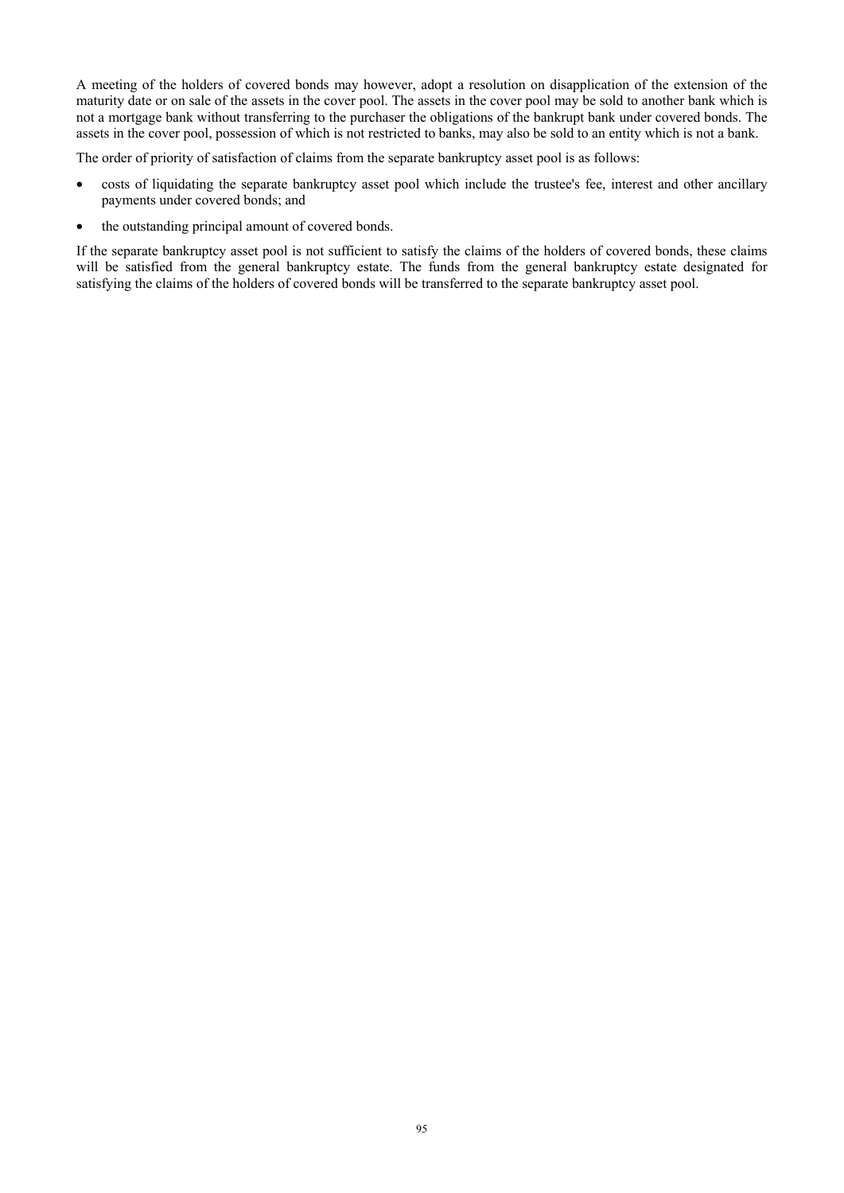A meeting of the holders of covered bonds may however, adopt a resolution on disapplication of the extension of the maturity date or on sale of the assets in the cover pool. The assets in the cover pool may be sold to another bank which is not a mortgage bank without transferring to the purchaser the obligations of the bankrupt bank under covered bonds. The assets in the cover pool, possession of which is not restricted to banks, may also be sold to an entity which is not a bank.

The order of priority of satisfaction of claims from the separate bankruptcy asset pool is as follows:

- costs of liquidating the separate bankruptcy asset pool which include the trustee's fee, interest and other ancillary payments under covered bonds; and
- the outstanding principal amount of covered bonds.

If the separate bankruptcy asset pool is not sufficient to satisfy the claims of the holders of covered bonds, these claims will be satisfied from the general bankruptcy estate. The funds from the general bankruptcy estate designated for satisfying the claims of the holders of covered bonds will be transferred to the separate bankruptcy asset pool.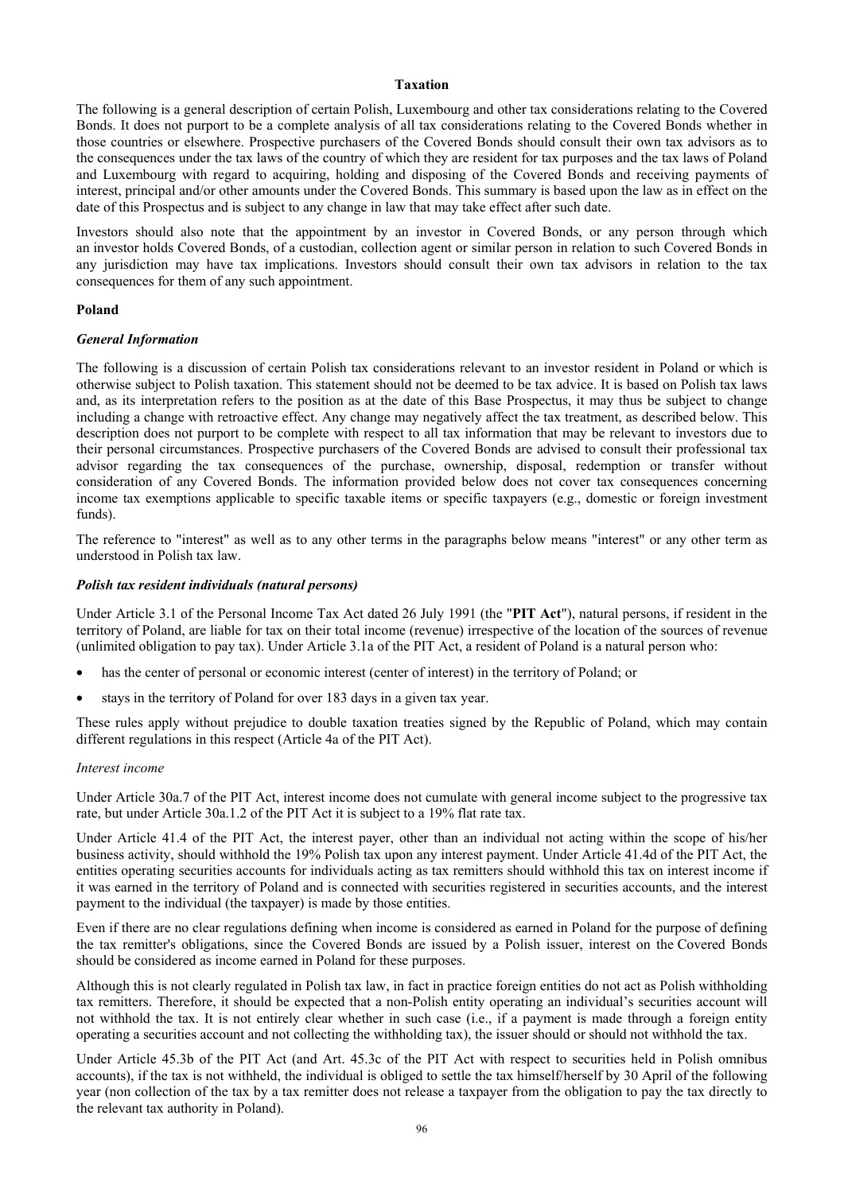## **Taxation**

The following is a general description of certain Polish, Luxembourg and other tax considerations relating to the Covered Bonds. It does not purport to be a complete analysis of all tax considerations relating to the Covered Bonds whether in those countries or elsewhere. Prospective purchasers of the Covered Bonds should consult their own tax advisors as to the consequences under the tax laws of the country of which they are resident for tax purposes and the tax laws of Poland and Luxembourg with regard to acquiring, holding and disposing of the Covered Bonds and receiving payments of interest, principal and/or other amounts under the Covered Bonds. This summary is based upon the law as in effect on the date of this Prospectus and is subject to any change in law that may take effect after such date.

Investors should also note that the appointment by an investor in Covered Bonds, or any person through which an investor holds Covered Bonds, of a custodian, collection agent or similar person in relation to such Covered Bonds in any jurisdiction may have tax implications. Investors should consult their own tax advisors in relation to the tax consequences for them of any such appointment.

## **Poland**

### *General Information*

The following is a discussion of certain Polish tax considerations relevant to an investor resident in Poland or which is otherwise subject to Polish taxation. This statement should not be deemed to be tax advice. It is based on Polish tax laws and, as its interpretation refers to the position as at the date of this Base Prospectus, it may thus be subject to change including a change with retroactive effect. Any change may negatively affect the tax treatment, as described below. This description does not purport to be complete with respect to all tax information that may be relevant to investors due to their personal circumstances. Prospective purchasers of the Covered Bonds are advised to consult their professional tax advisor regarding the tax consequences of the purchase, ownership, disposal, redemption or transfer without consideration of any Covered Bonds. The information provided below does not cover tax consequences concerning income tax exemptions applicable to specific taxable items or specific taxpayers (e.g., domestic or foreign investment funds).

The reference to "interest" as well as to any other terms in the paragraphs below means "interest" or any other term as understood in Polish tax law.

## *Polish tax resident individuals (natural persons)*

Under Article 3.1 of the Personal Income Tax Act dated 26 July 1991 (the "**PIT Act**"), natural persons, if resident in the territory of Poland, are liable for tax on their total income (revenue) irrespective of the location of the sources of revenue (unlimited obligation to pay tax). Under Article 3.1a of the PIT Act, a resident of Poland is a natural person who:

- has the center of personal or economic interest (center of interest) in the territory of Poland; or
- stays in the territory of Poland for over 183 days in a given tax year.

These rules apply without prejudice to double taxation treaties signed by the Republic of Poland, which may contain different regulations in this respect (Article 4a of the PIT Act).

#### *Interest income*

Under Article 30a.7 of the PIT Act, interest income does not cumulate with general income subject to the progressive tax rate, but under Article 30a.1.2 of the PIT Act it is subject to a 19% flat rate tax.

Under Article 41.4 of the PIT Act, the interest payer, other than an individual not acting within the scope of his/her business activity, should withhold the 19% Polish tax upon any interest payment. Under Article 41.4d of the PIT Act, the entities operating securities accounts for individuals acting as tax remitters should withhold this tax on interest income if it was earned in the territory of Poland and is connected with securities registered in securities accounts, and the interest payment to the individual (the taxpayer) is made by those entities.

Even if there are no clear regulations defining when income is considered as earned in Poland for the purpose of defining the tax remitter's obligations, since the Covered Bonds are issued by a Polish issuer, interest on the Covered Bonds should be considered as income earned in Poland for these purposes.

Although this is not clearly regulated in Polish tax law, in fact in practice foreign entities do not act as Polish withholding tax remitters. Therefore, it should be expected that a non-Polish entity operating an individual's securities account will not withhold the tax. It is not entirely clear whether in such case (i.e., if a payment is made through a foreign entity operating a securities account and not collecting the withholding tax), the issuer should or should not withhold the tax.

Under Article 45.3b of the PIT Act (and Art. 45.3c of the PIT Act with respect to securities held in Polish omnibus accounts), if the tax is not withheld, the individual is obliged to settle the tax himself/herself by 30 April of the following year (non collection of the tax by a tax remitter does not release a taxpayer from the obligation to pay the tax directly to the relevant tax authority in Poland).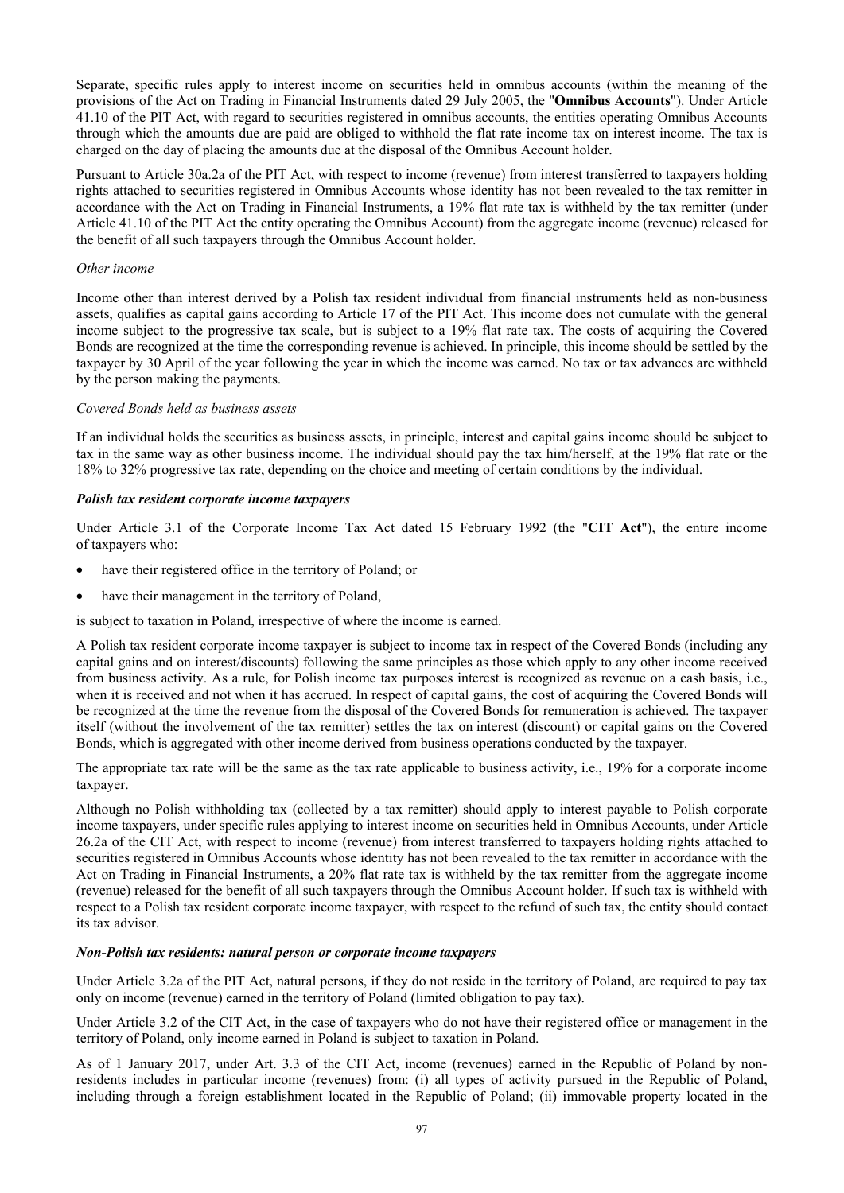Separate, specific rules apply to interest income on securities held in omnibus accounts (within the meaning of the provisions of the Act on Trading in Financial Instruments dated 29 July 2005, the "**Omnibus Accounts**"). Under Article 41.10 of the PIT Act, with regard to securities registered in omnibus accounts, the entities operating Omnibus Accounts through which the amounts due are paid are obliged to withhold the flat rate income tax on interest income. The tax is charged on the day of placing the amounts due at the disposal of the Omnibus Account holder.

Pursuant to Article 30a.2a of the PIT Act, with respect to income (revenue) from interest transferred to taxpayers holding rights attached to securities registered in Omnibus Accounts whose identity has not been revealed to the tax remitter in accordance with the Act on Trading in Financial Instruments, a 19% flat rate tax is withheld by the tax remitter (under Article 41.10 of the PIT Act the entity operating the Omnibus Account) from the aggregate income (revenue) released for the benefit of all such taxpayers through the Omnibus Account holder.

## *Other income*

Income other than interest derived by a Polish tax resident individual from financial instruments held as non-business assets, qualifies as capital gains according to Article 17 of the PIT Act. This income does not cumulate with the general income subject to the progressive tax scale, but is subject to a 19% flat rate tax. The costs of acquiring the Covered Bonds are recognized at the time the corresponding revenue is achieved. In principle, this income should be settled by the taxpayer by 30 April of the year following the year in which the income was earned. No tax or tax advances are withheld by the person making the payments.

### *Covered Bonds held as business assets*

If an individual holds the securities as business assets, in principle, interest and capital gains income should be subject to tax in the same way as other business income. The individual should pay the tax him/herself, at the 19% flat rate or the 18% to 32% progressive tax rate, depending on the choice and meeting of certain conditions by the individual.

### *Polish tax resident corporate income taxpayers*

Under Article 3.1 of the Corporate Income Tax Act dated 15 February 1992 (the "**CIT Act**"), the entire income of taxpayers who:

- have their registered office in the territory of Poland; or
- have their management in the territory of Poland,

is subject to taxation in Poland, irrespective of where the income is earned.

A Polish tax resident corporate income taxpayer is subject to income tax in respect of the Covered Bonds (including any capital gains and on interest/discounts) following the same principles as those which apply to any other income received from business activity. As a rule, for Polish income tax purposes interest is recognized as revenue on a cash basis, i.e., when it is received and not when it has accrued. In respect of capital gains, the cost of acquiring the Covered Bonds will be recognized at the time the revenue from the disposal of the Covered Bonds for remuneration is achieved. The taxpayer itself (without the involvement of the tax remitter) settles the tax on interest (discount) or capital gains on the Covered Bonds, which is aggregated with other income derived from business operations conducted by the taxpayer.

The appropriate tax rate will be the same as the tax rate applicable to business activity, i.e., 19% for a corporate income taxpayer.

Although no Polish withholding tax (collected by a tax remitter) should apply to interest payable to Polish corporate income taxpayers, under specific rules applying to interest income on securities held in Omnibus Accounts, under Article 26.2a of the CIT Act, with respect to income (revenue) from interest transferred to taxpayers holding rights attached to securities registered in Omnibus Accounts whose identity has not been revealed to the tax remitter in accordance with the Act on Trading in Financial Instruments, a 20% flat rate tax is withheld by the tax remitter from the aggregate income (revenue) released for the benefit of all such taxpayers through the Omnibus Account holder. If such tax is withheld with respect to a Polish tax resident corporate income taxpayer, with respect to the refund of such tax, the entity should contact its tax advisor.

#### *Non-Polish tax residents: natural person or corporate income taxpayers*

Under Article 3.2a of the PIT Act, natural persons, if they do not reside in the territory of Poland, are required to pay tax only on income (revenue) earned in the territory of Poland (limited obligation to pay tax).

Under Article 3.2 of the CIT Act, in the case of taxpayers who do not have their registered office or management in the territory of Poland, only income earned in Poland is subject to taxation in Poland.

As of 1 January 2017, under Art. 3.3 of the CIT Act, income (revenues) earned in the Republic of Poland by nonresidents includes in particular income (revenues) from: (i) all types of activity pursued in the Republic of Poland, including through a foreign establishment located in the Republic of Poland; (ii) immovable property located in the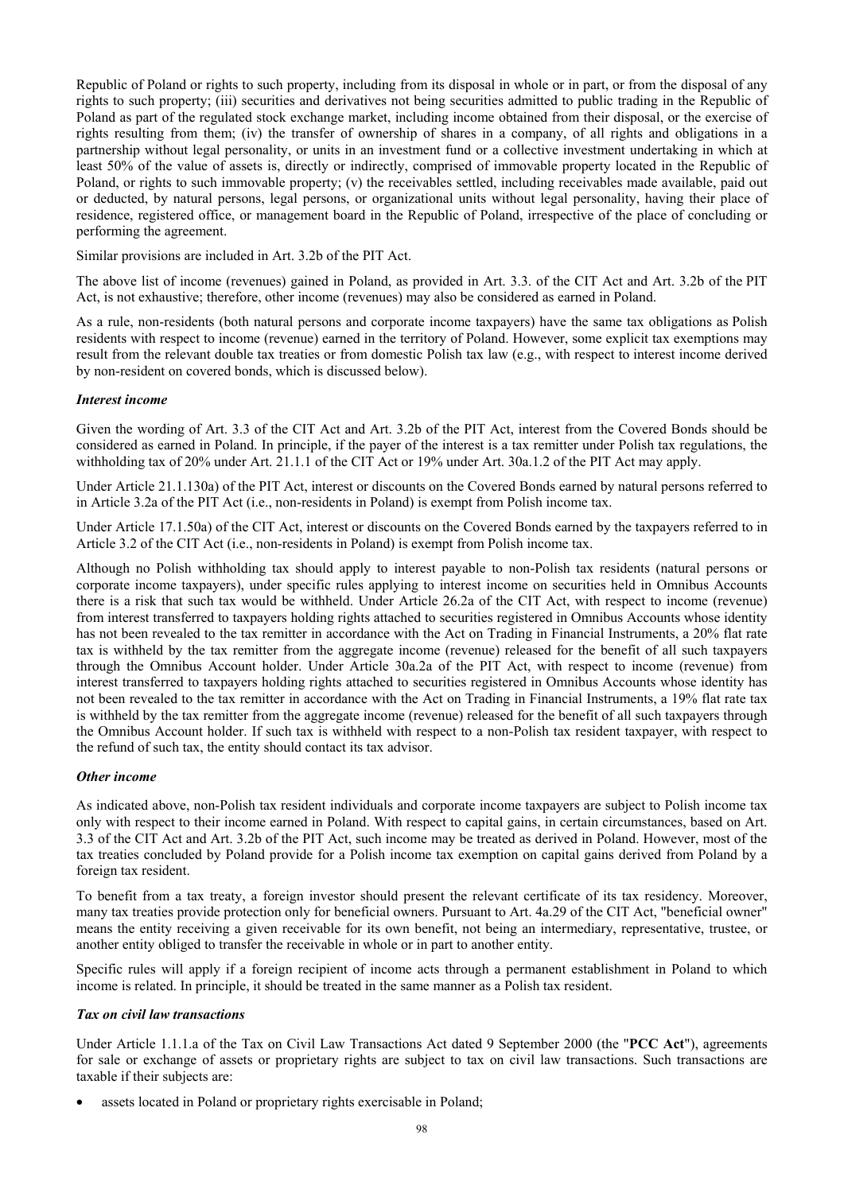Republic of Poland or rights to such property, including from its disposal in whole or in part, or from the disposal of any rights to such property; (iii) securities and derivatives not being securities admitted to public trading in the Republic of Poland as part of the regulated stock exchange market, including income obtained from their disposal, or the exercise of rights resulting from them; (iv) the transfer of ownership of shares in a company, of all rights and obligations in a partnership without legal personality, or units in an investment fund or a collective investment undertaking in which at least 50% of the value of assets is, directly or indirectly, comprised of immovable property located in the Republic of Poland, or rights to such immovable property; (v) the receivables settled, including receivables made available, paid out or deducted, by natural persons, legal persons, or organizational units without legal personality, having their place of residence, registered office, or management board in the Republic of Poland, irrespective of the place of concluding or performing the agreement.

Similar provisions are included in Art. 3.2b of the PIT Act.

The above list of income (revenues) gained in Poland, as provided in Art. 3.3. of the CIT Act and Art. 3.2b of the PIT Act, is not exhaustive; therefore, other income (revenues) may also be considered as earned in Poland.

As a rule, non-residents (both natural persons and corporate income taxpayers) have the same tax obligations as Polish residents with respect to income (revenue) earned in the territory of Poland. However, some explicit tax exemptions may result from the relevant double tax treaties or from domestic Polish tax law (e.g., with respect to interest income derived by non-resident on covered bonds, which is discussed below).

## *Interest income*

Given the wording of Art. 3.3 of the CIT Act and Art. 3.2b of the PIT Act, interest from the Covered Bonds should be considered as earned in Poland. In principle, if the payer of the interest is a tax remitter under Polish tax regulations, the withholding tax of 20% under Art. 21.1.1 of the CIT Act or 19% under Art. 30a.1.2 of the PIT Act may apply.

Under Article 21.1.130a) of the PIT Act, interest or discounts on the Covered Bonds earned by natural persons referred to in Article 3.2a of the PIT Act (i.e., non-residents in Poland) is exempt from Polish income tax.

Under Article 17.1.50a) of the CIT Act, interest or discounts on the Covered Bonds earned by the taxpayers referred to in Article 3.2 of the CIT Act (i.e., non-residents in Poland) is exempt from Polish income tax.

Although no Polish withholding tax should apply to interest payable to non-Polish tax residents (natural persons or corporate income taxpayers), under specific rules applying to interest income on securities held in Omnibus Accounts there is a risk that such tax would be withheld. Under Article 26.2a of the CIT Act, with respect to income (revenue) from interest transferred to taxpayers holding rights attached to securities registered in Omnibus Accounts whose identity has not been revealed to the tax remitter in accordance with the Act on Trading in Financial Instruments, a 20% flat rate tax is withheld by the tax remitter from the aggregate income (revenue) released for the benefit of all such taxpayers through the Omnibus Account holder. Under Article 30a.2a of the PIT Act, with respect to income (revenue) from interest transferred to taxpayers holding rights attached to securities registered in Omnibus Accounts whose identity has not been revealed to the tax remitter in accordance with the Act on Trading in Financial Instruments, a 19% flat rate tax is withheld by the tax remitter from the aggregate income (revenue) released for the benefit of all such taxpayers through the Omnibus Account holder. If such tax is withheld with respect to a non-Polish tax resident taxpayer, with respect to the refund of such tax, the entity should contact its tax advisor.

#### *Other income*

As indicated above, non-Polish tax resident individuals and corporate income taxpayers are subject to Polish income tax only with respect to their income earned in Poland. With respect to capital gains, in certain circumstances, based on Art. 3.3 of the CIT Act and Art. 3.2b of the PIT Act, such income may be treated as derived in Poland. However, most of the tax treaties concluded by Poland provide for a Polish income tax exemption on capital gains derived from Poland by a foreign tax resident.

To benefit from a tax treaty, a foreign investor should present the relevant certificate of its tax residency. Moreover, many tax treaties provide protection only for beneficial owners. Pursuant to Art. 4a.29 of the CIT Act, "beneficial owner" means the entity receiving a given receivable for its own benefit, not being an intermediary, representative, trustee, or another entity obliged to transfer the receivable in whole or in part to another entity.

Specific rules will apply if a foreign recipient of income acts through a permanent establishment in Poland to which income is related. In principle, it should be treated in the same manner as a Polish tax resident.

### *Tax on civil law transactions*

Under Article 1.1.1.a of the Tax on Civil Law Transactions Act dated 9 September 2000 (the "**PCC Act**"), agreements for sale or exchange of assets or proprietary rights are subject to tax on civil law transactions. Such transactions are taxable if their subjects are:

assets located in Poland or proprietary rights exercisable in Poland;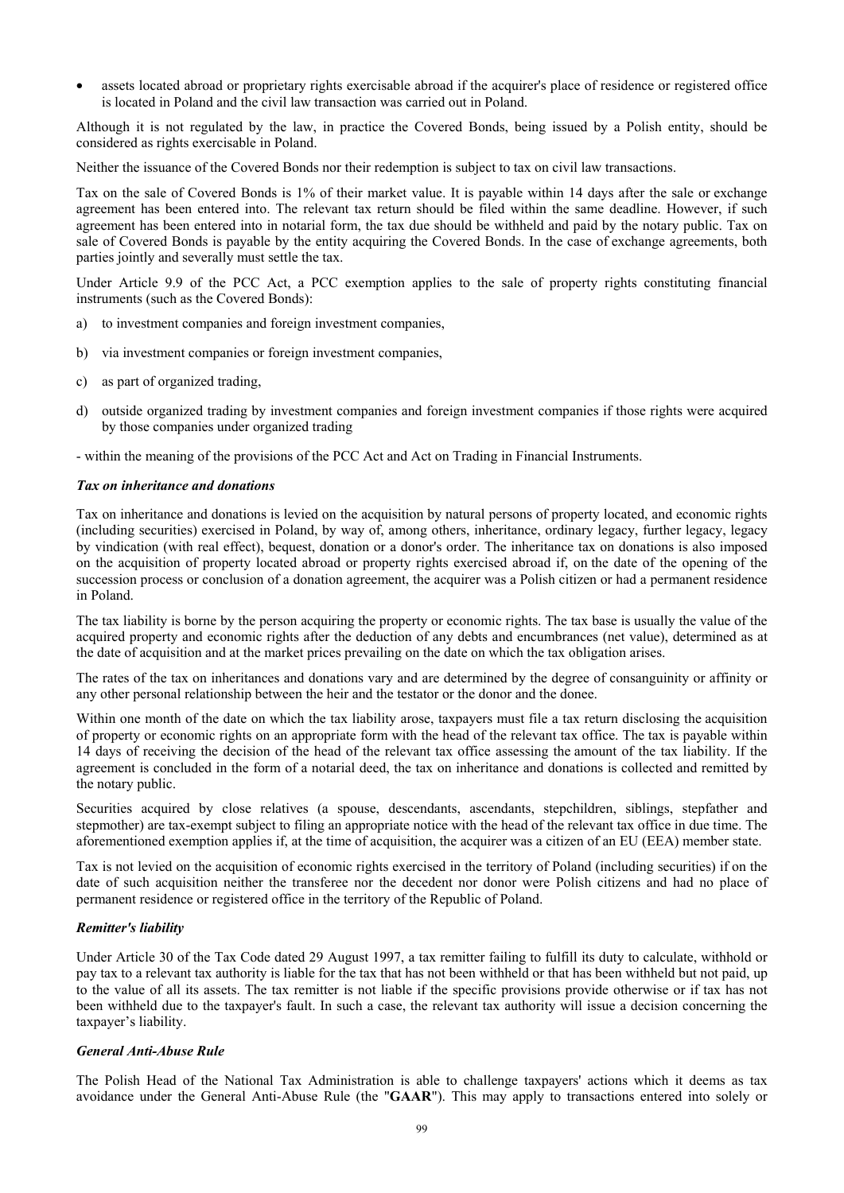assets located abroad or proprietary rights exercisable abroad if the acquirer's place of residence or registered office is located in Poland and the civil law transaction was carried out in Poland.

Although it is not regulated by the law, in practice the Covered Bonds, being issued by a Polish entity, should be considered as rights exercisable in Poland.

Neither the issuance of the Covered Bonds nor their redemption is subject to tax on civil law transactions.

Tax on the sale of Covered Bonds is 1% of their market value. It is payable within 14 days after the sale or exchange agreement has been entered into. The relevant tax return should be filed within the same deadline. However, if such agreement has been entered into in notarial form, the tax due should be withheld and paid by the notary public. Tax on sale of Covered Bonds is payable by the entity acquiring the Covered Bonds. In the case of exchange agreements, both parties jointly and severally must settle the tax.

Under Article 9.9 of the PCC Act, a PCC exemption applies to the sale of property rights constituting financial instruments (such as the Covered Bonds):

- a) to investment companies and foreign investment companies,
- b) via investment companies or foreign investment companies,
- c) as part of organized trading,
- d) outside organized trading by investment companies and foreign investment companies if those rights were acquired by those companies under organized trading

- within the meaning of the provisions of the PCC Act and Act on Trading in Financial Instruments.

### *Tax on inheritance and donations*

Tax on inheritance and donations is levied on the acquisition by natural persons of property located, and economic rights (including securities) exercised in Poland, by way of, among others, inheritance, ordinary legacy, further legacy, legacy by vindication (with real effect), bequest, donation or a donor's order. The inheritance tax on donations is also imposed on the acquisition of property located abroad or property rights exercised abroad if, on the date of the opening of the succession process or conclusion of a donation agreement, the acquirer was a Polish citizen or had a permanent residence in Poland.

The tax liability is borne by the person acquiring the property or economic rights. The tax base is usually the value of the acquired property and economic rights after the deduction of any debts and encumbrances (net value), determined as at the date of acquisition and at the market prices prevailing on the date on which the tax obligation arises.

The rates of the tax on inheritances and donations vary and are determined by the degree of consanguinity or affinity or any other personal relationship between the heir and the testator or the donor and the donee.

Within one month of the date on which the tax liability arose, taxpayers must file a tax return disclosing the acquisition of property or economic rights on an appropriate form with the head of the relevant tax office. The tax is payable within 14 days of receiving the decision of the head of the relevant tax office assessing the amount of the tax liability. If the agreement is concluded in the form of a notarial deed, the tax on inheritance and donations is collected and remitted by the notary public.

Securities acquired by close relatives (a spouse, descendants, ascendants, stepchildren, siblings, stepfather and stepmother) are tax-exempt subject to filing an appropriate notice with the head of the relevant tax office in due time. The aforementioned exemption applies if, at the time of acquisition, the acquirer was a citizen of an EU (EEA) member state.

Tax is not levied on the acquisition of economic rights exercised in the territory of Poland (including securities) if on the date of such acquisition neither the transferee nor the decedent nor donor were Polish citizens and had no place of permanent residence or registered office in the territory of the Republic of Poland.

## *Remitter's liability*

Under Article 30 of the Tax Code dated 29 August 1997, a tax remitter failing to fulfill its duty to calculate, withhold or pay tax to a relevant tax authority is liable for the tax that has not been withheld or that has been withheld but not paid, up to the value of all its assets. The tax remitter is not liable if the specific provisions provide otherwise or if tax has not been withheld due to the taxpayer's fault. In such a case, the relevant tax authority will issue a decision concerning the taxpayer's liability.

## *General Anti-Abuse Rule*

The Polish Head of the National Tax Administration is able to challenge taxpayers' actions which it deems as tax avoidance under the General Anti-Abuse Rule (the "**GAAR**"). This may apply to transactions entered into solely or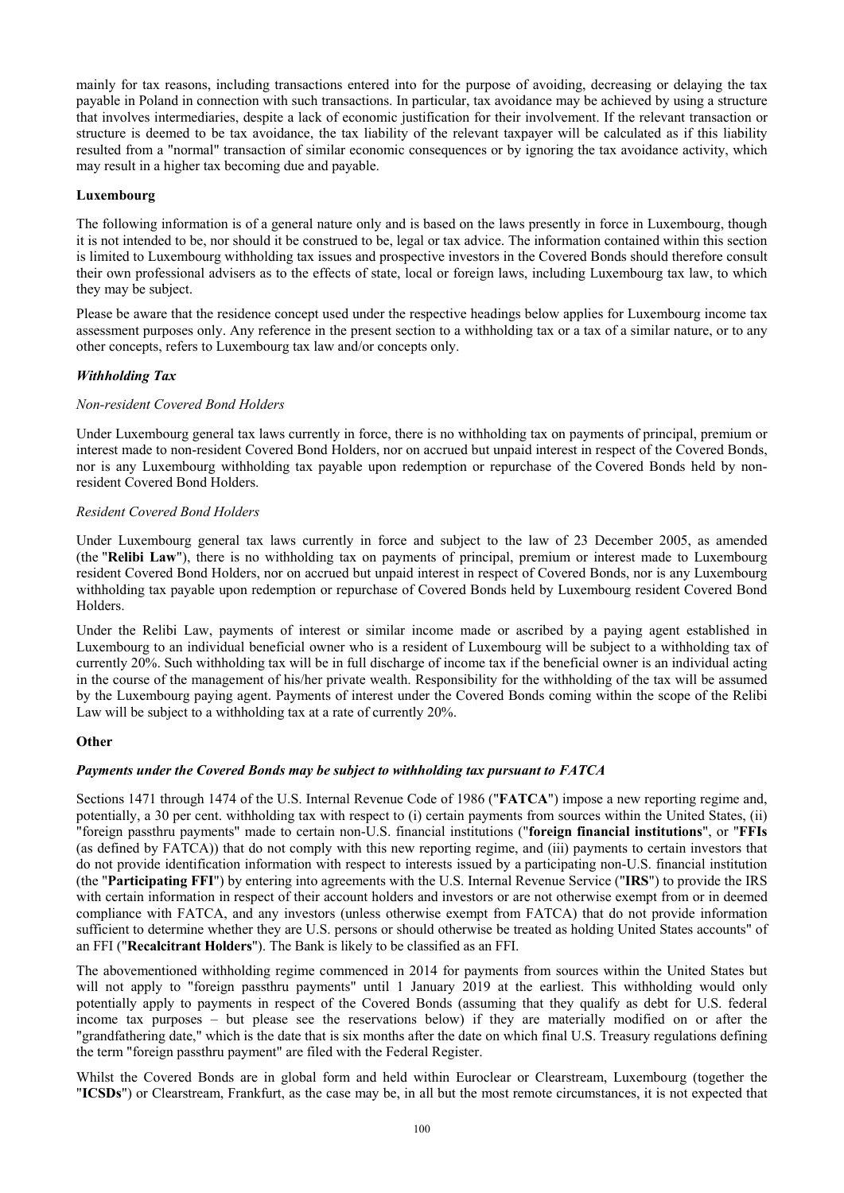mainly for tax reasons, including transactions entered into for the purpose of avoiding, decreasing or delaying the tax payable in Poland in connection with such transactions. In particular, tax avoidance may be achieved by using a structure that involves intermediaries, despite a lack of economic justification for their involvement. If the relevant transaction or structure is deemed to be tax avoidance, the tax liability of the relevant taxpayer will be calculated as if this liability resulted from a "normal" transaction of similar economic consequences or by ignoring the tax avoidance activity, which may result in a higher tax becoming due and payable.

## **Luxembourg**

The following information is of a general nature only and is based on the laws presently in force in Luxembourg, though it is not intended to be, nor should it be construed to be, legal or tax advice. The information contained within this section is limited to Luxembourg withholding tax issues and prospective investors in the Covered Bonds should therefore consult their own professional advisers as to the effects of state, local or foreign laws, including Luxembourg tax law, to which they may be subject.

Please be aware that the residence concept used under the respective headings below applies for Luxembourg income tax assessment purposes only. Any reference in the present section to a withholding tax or a tax of a similar nature, or to any other concepts, refers to Luxembourg tax law and/or concepts only.

# *Withholding Tax*

## *Non-resident Covered Bond Holders*

Under Luxembourg general tax laws currently in force, there is no withholding tax on payments of principal, premium or interest made to non-resident Covered Bond Holders, nor on accrued but unpaid interest in respect of the Covered Bonds, nor is any Luxembourg withholding tax payable upon redemption or repurchase of the Covered Bonds held by nonresident Covered Bond Holders.

## *Resident Covered Bond Holders*

Under Luxembourg general tax laws currently in force and subject to the law of 23 December 2005, as amended (the "**Relibi Law**"), there is no withholding tax on payments of principal, premium or interest made to Luxembourg resident Covered Bond Holders, nor on accrued but unpaid interest in respect of Covered Bonds, nor is any Luxembourg withholding tax payable upon redemption or repurchase of Covered Bonds held by Luxembourg resident Covered Bond Holders.

Under the Relibi Law, payments of interest or similar income made or ascribed by a paying agent established in Luxembourg to an individual beneficial owner who is a resident of Luxembourg will be subject to a withholding tax of currently 20%. Such withholding tax will be in full discharge of income tax if the beneficial owner is an individual acting in the course of the management of his/her private wealth. Responsibility for the withholding of the tax will be assumed by the Luxembourg paying agent. Payments of interest under the Covered Bonds coming within the scope of the Relibi Law will be subject to a withholding tax at a rate of currently 20%.

## **Other**

## *Payments under the Covered Bonds may be subject to withholding tax pursuant to FATCA*

Sections 1471 through 1474 of the U.S. Internal Revenue Code of 1986 ("**FATCA**") impose a new reporting regime and, potentially, a 30 per cent. withholding tax with respect to (i) certain payments from sources within the United States, (ii) "foreign passthru payments" made to certain non-U.S. financial institutions ("**foreign financial institutions**", or "**FFIs**  (as defined by FATCA)) that do not comply with this new reporting regime, and (iii) payments to certain investors that do not provide identification information with respect to interests issued by a participating non-U.S. financial institution (the "**Participating FFI**") by entering into agreements with the U.S. Internal Revenue Service ("**IRS**") to provide the IRS with certain information in respect of their account holders and investors or are not otherwise exempt from or in deemed compliance with FATCA, and any investors (unless otherwise exempt from FATCA) that do not provide information sufficient to determine whether they are U.S. persons or should otherwise be treated as holding United States accounts" of an FFI ("**Recalcitrant Holders**"). The Bank is likely to be classified as an FFI.

The abovementioned withholding regime commenced in 2014 for payments from sources within the United States but will not apply to "foreign passthru payments" until 1 January 2019 at the earliest. This withholding would only potentially apply to payments in respect of the Covered Bonds (assuming that they qualify as debt for U.S. federal income tax purposes – but please see the reservations below) if they are materially modified on or after the "grandfathering date," which is the date that is six months after the date on which final U.S. Treasury regulations defining the term "foreign passthru payment" are filed with the Federal Register.

Whilst the Covered Bonds are in global form and held within Euroclear or Clearstream, Luxembourg (together the "**ICSDs**") or Clearstream, Frankfurt, as the case may be, in all but the most remote circumstances, it is not expected that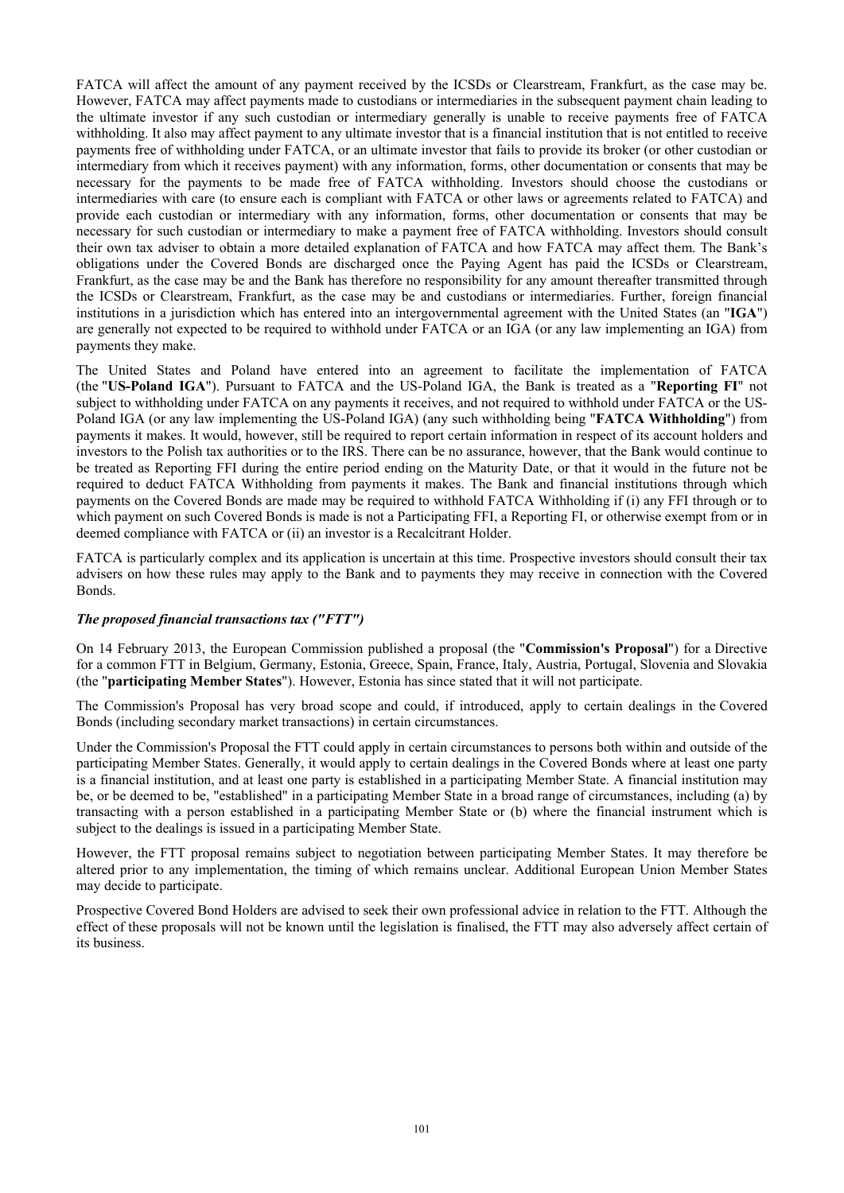FATCA will affect the amount of any payment received by the ICSDs or Clearstream, Frankfurt, as the case may be. However, FATCA may affect payments made to custodians or intermediaries in the subsequent payment chain leading to the ultimate investor if any such custodian or intermediary generally is unable to receive payments free of FATCA withholding. It also may affect payment to any ultimate investor that is a financial institution that is not entitled to receive payments free of withholding under FATCA, or an ultimate investor that fails to provide its broker (or other custodian or intermediary from which it receives payment) with any information, forms, other documentation or consents that may be necessary for the payments to be made free of FATCA withholding. Investors should choose the custodians or intermediaries with care (to ensure each is compliant with FATCA or other laws or agreements related to FATCA) and provide each custodian or intermediary with any information, forms, other documentation or consents that may be necessary for such custodian or intermediary to make a payment free of FATCA withholding. Investors should consult their own tax adviser to obtain a more detailed explanation of FATCA and how FATCA may affect them. The Bank's obligations under the Covered Bonds are discharged once the Paying Agent has paid the ICSDs or Clearstream, Frankfurt, as the case may be and the Bank has therefore no responsibility for any amount thereafter transmitted through the ICSDs or Clearstream, Frankfurt, as the case may be and custodians or intermediaries. Further, foreign financial institutions in a jurisdiction which has entered into an intergovernmental agreement with the United States (an "**IGA**") are generally not expected to be required to withhold under FATCA or an IGA (or any law implementing an IGA) from payments they make.

The United States and Poland have entered into an agreement to facilitate the implementation of FATCA (the "**US-Poland IGA**"). Pursuant to FATCA and the US-Poland IGA, the Bank is treated as a "**Reporting FI**" not subject to withholding under FATCA on any payments it receives, and not required to withhold under FATCA or the US-Poland IGA (or any law implementing the US-Poland IGA) (any such withholding being "**FATCA Withholding**") from payments it makes. It would, however, still be required to report certain information in respect of its account holders and investors to the Polish tax authorities or to the IRS. There can be no assurance, however, that the Bank would continue to be treated as Reporting FFI during the entire period ending on the Maturity Date, or that it would in the future not be required to deduct FATCA Withholding from payments it makes. The Bank and financial institutions through which payments on the Covered Bonds are made may be required to withhold FATCA Withholding if (i) any FFI through or to which payment on such Covered Bonds is made is not a Participating FFI, a Reporting FI, or otherwise exempt from or in deemed compliance with FATCA or (ii) an investor is a Recalcitrant Holder.

FATCA is particularly complex and its application is uncertain at this time. Prospective investors should consult their tax advisers on how these rules may apply to the Bank and to payments they may receive in connection with the Covered Bonds.

## *The proposed financial transactions tax ("FTT")*

On 14 February 2013, the European Commission published a proposal (the "**Commission's Proposal**") for a Directive for a common FTT in Belgium, Germany, Estonia, Greece, Spain, France, Italy, Austria, Portugal, Slovenia and Slovakia (the "**participating Member States**"). However, Estonia has since stated that it will not participate.

The Commission's Proposal has very broad scope and could, if introduced, apply to certain dealings in the Covered Bonds (including secondary market transactions) in certain circumstances.

Under the Commission's Proposal the FTT could apply in certain circumstances to persons both within and outside of the participating Member States. Generally, it would apply to certain dealings in the Covered Bonds where at least one party is a financial institution, and at least one party is established in a participating Member State. A financial institution may be, or be deemed to be, "established" in a participating Member State in a broad range of circumstances, including (a) by transacting with a person established in a participating Member State or (b) where the financial instrument which is subject to the dealings is issued in a participating Member State.

However, the FTT proposal remains subject to negotiation between participating Member States. It may therefore be altered prior to any implementation, the timing of which remains unclear. Additional European Union Member States may decide to participate.

Prospective Covered Bond Holders are advised to seek their own professional advice in relation to the FTT. Although the effect of these proposals will not be known until the legislation is finalised, the FTT may also adversely affect certain of its business.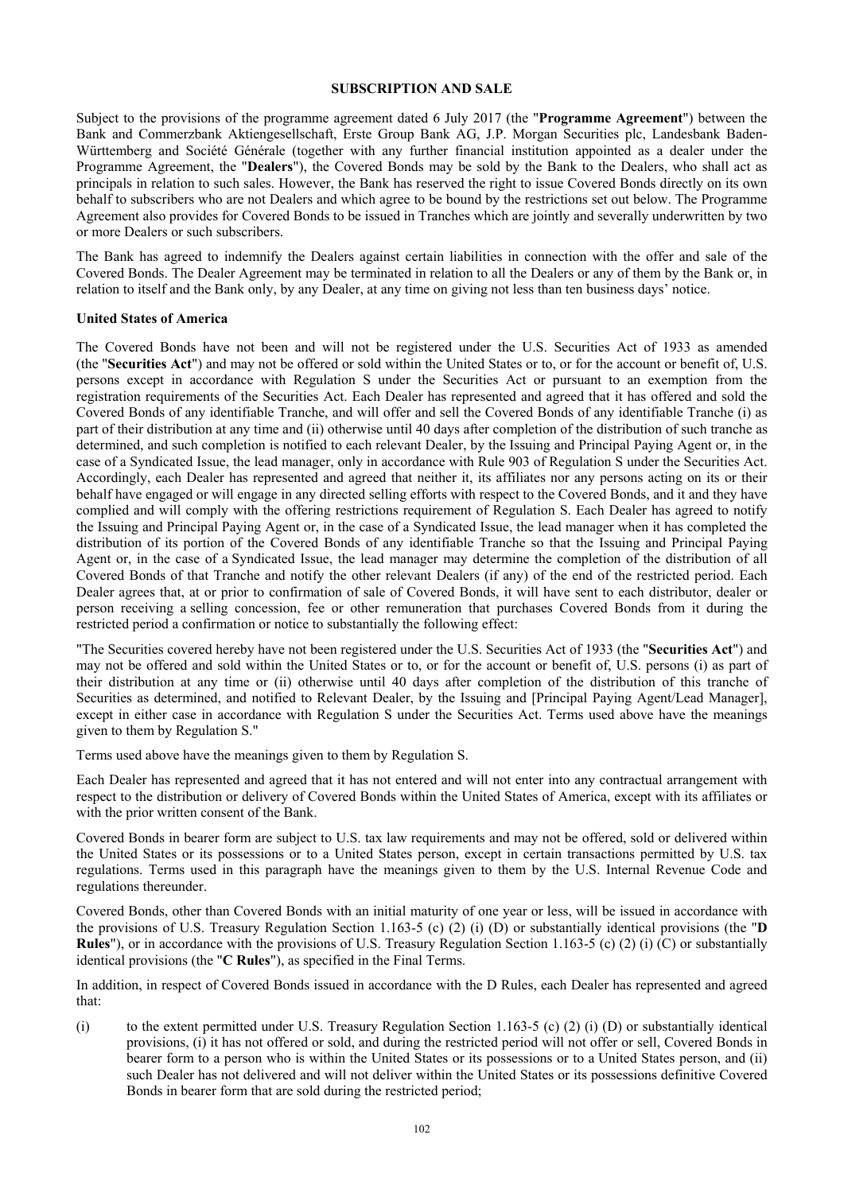#### **SUBSCRIPTION AND SALE**

Subject to the provisions of the programme agreement dated 6 July 2017 (the "**Programme Agreement**") between the Bank and Commerzbank Aktiengesellschaft, Erste Group Bank AG, J.P. Morgan Securities plc, Landesbank Baden-Württemberg and Société Générale (together with any further financial institution appointed as a dealer under the Programme Agreement, the "**Dealers**"), the Covered Bonds may be sold by the Bank to the Dealers, who shall act as principals in relation to such sales. However, the Bank has reserved the right to issue Covered Bonds directly on its own behalf to subscribers who are not Dealers and which agree to be bound by the restrictions set out below. The Programme Agreement also provides for Covered Bonds to be issued in Tranches which are jointly and severally underwritten by two or more Dealers or such subscribers.

The Bank has agreed to indemnify the Dealers against certain liabilities in connection with the offer and sale of the Covered Bonds. The Dealer Agreement may be terminated in relation to all the Dealers or any of them by the Bank or, in relation to itself and the Bank only, by any Dealer, at any time on giving not less than ten business days' notice.

### **United States of America**

The Covered Bonds have not been and will not be registered under the U.S. Securities Act of 1933 as amended (the "**Securities Act**") and may not be offered or sold within the United States or to, or for the account or benefit of, U.S. persons except in accordance with Regulation S under the Securities Act or pursuant to an exemption from the registration requirements of the Securities Act. Each Dealer has represented and agreed that it has offered and sold the Covered Bonds of any identifiable Tranche, and will offer and sell the Covered Bonds of any identifiable Tranche (i) as part of their distribution at any time and (ii) otherwise until 40 days after completion of the distribution of such tranche as determined, and such completion is notified to each relevant Dealer, by the Issuing and Principal Paying Agent or, in the case of a Syndicated Issue, the lead manager, only in accordance with Rule 903 of Regulation S under the Securities Act. Accordingly, each Dealer has represented and agreed that neither it, its affiliates nor any persons acting on its or their behalf have engaged or will engage in any directed selling efforts with respect to the Covered Bonds, and it and they have complied and will comply with the offering restrictions requirement of Regulation S. Each Dealer has agreed to notify the Issuing and Principal Paying Agent or, in the case of a Syndicated Issue, the lead manager when it has completed the distribution of its portion of the Covered Bonds of any identifiable Tranche so that the Issuing and Principal Paying Agent or, in the case of a Syndicated Issue, the lead manager may determine the completion of the distribution of all Covered Bonds of that Tranche and notify the other relevant Dealers (if any) of the end of the restricted period. Each Dealer agrees that, at or prior to confirmation of sale of Covered Bonds, it will have sent to each distributor, dealer or person receiving a selling concession, fee or other remuneration that purchases Covered Bonds from it during the restricted period a confirmation or notice to substantially the following effect:

"The Securities covered hereby have not been registered under the U.S. Securities Act of 1933 (the "**Securities Act**") and may not be offered and sold within the United States or to, or for the account or benefit of, U.S. persons (i) as part of their distribution at any time or (ii) otherwise until 40 days after completion of the distribution of this tranche of Securities as determined, and notified to Relevant Dealer, by the Issuing and [Principal Paying Agent/Lead Manager], except in either case in accordance with Regulation S under the Securities Act. Terms used above have the meanings given to them by Regulation S."

Terms used above have the meanings given to them by Regulation S.

Each Dealer has represented and agreed that it has not entered and will not enter into any contractual arrangement with respect to the distribution or delivery of Covered Bonds within the United States of America, except with its affiliates or with the prior written consent of the Bank.

Covered Bonds in bearer form are subject to U.S. tax law requirements and may not be offered, sold or delivered within the United States or its possessions or to a United States person, except in certain transactions permitted by U.S. tax regulations. Terms used in this paragraph have the meanings given to them by the U.S. Internal Revenue Code and regulations thereunder.

Covered Bonds, other than Covered Bonds with an initial maturity of one year or less, will be issued in accordance with the provisions of U.S. Treasury Regulation Section 1.163-5 (c) (2) (i) (D) or substantially identical provisions (the "**D Rules**"), or in accordance with the provisions of U.S. Treasury Regulation Section 1.163-5 (c) (2) (i) (C) or substantially identical provisions (the "**C Rules**"), as specified in the Final Terms.

In addition, in respect of Covered Bonds issued in accordance with the D Rules, each Dealer has represented and agreed that:

(i) to the extent permitted under U.S. Treasury Regulation Section 1.163-5 (c) (2) (i) (D) or substantially identical provisions, (i) it has not offered or sold, and during the restricted period will not offer or sell, Covered Bonds in bearer form to a person who is within the United States or its possessions or to a United States person, and (ii) such Dealer has not delivered and will not deliver within the United States or its possessions definitive Covered Bonds in bearer form that are sold during the restricted period;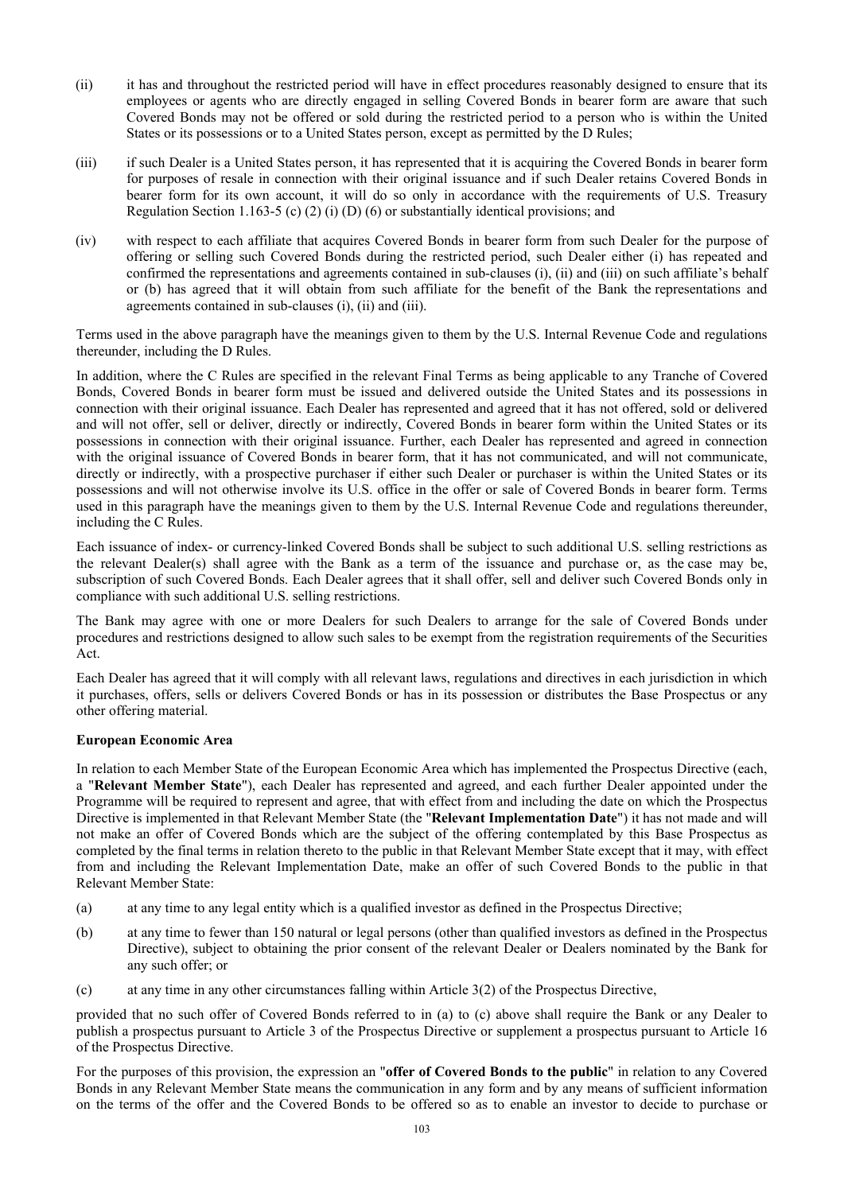- (ii) it has and throughout the restricted period will have in effect procedures reasonably designed to ensure that its employees or agents who are directly engaged in selling Covered Bonds in bearer form are aware that such Covered Bonds may not be offered or sold during the restricted period to a person who is within the United States or its possessions or to a United States person, except as permitted by the D Rules;
- (iii) if such Dealer is a United States person, it has represented that it is acquiring the Covered Bonds in bearer form for purposes of resale in connection with their original issuance and if such Dealer retains Covered Bonds in bearer form for its own account, it will do so only in accordance with the requirements of U.S. Treasury Regulation Section 1.163-5 (c) (2) (i) (D) (6) or substantially identical provisions; and
- (iv) with respect to each affiliate that acquires Covered Bonds in bearer form from such Dealer for the purpose of offering or selling such Covered Bonds during the restricted period, such Dealer either (i) has repeated and confirmed the representations and agreements contained in sub-clauses (i), (ii) and (iii) on such affiliate's behalf or (b) has agreed that it will obtain from such affiliate for the benefit of the Bank the representations and agreements contained in sub-clauses (i), (ii) and (iii).

Terms used in the above paragraph have the meanings given to them by the U.S. Internal Revenue Code and regulations thereunder, including the D Rules.

In addition, where the C Rules are specified in the relevant Final Terms as being applicable to any Tranche of Covered Bonds, Covered Bonds in bearer form must be issued and delivered outside the United States and its possessions in connection with their original issuance. Each Dealer has represented and agreed that it has not offered, sold or delivered and will not offer, sell or deliver, directly or indirectly, Covered Bonds in bearer form within the United States or its possessions in connection with their original issuance. Further, each Dealer has represented and agreed in connection with the original issuance of Covered Bonds in bearer form, that it has not communicated, and will not communicate, directly or indirectly, with a prospective purchaser if either such Dealer or purchaser is within the United States or its possessions and will not otherwise involve its U.S. office in the offer or sale of Covered Bonds in bearer form. Terms used in this paragraph have the meanings given to them by the U.S. Internal Revenue Code and regulations thereunder, including the C Rules.

Each issuance of index- or currency-linked Covered Bonds shall be subject to such additional U.S. selling restrictions as the relevant Dealer(s) shall agree with the Bank as a term of the issuance and purchase or, as the case may be, subscription of such Covered Bonds. Each Dealer agrees that it shall offer, sell and deliver such Covered Bonds only in compliance with such additional U.S. selling restrictions.

The Bank may agree with one or more Dealers for such Dealers to arrange for the sale of Covered Bonds under procedures and restrictions designed to allow such sales to be exempt from the registration requirements of the Securities Act.

Each Dealer has agreed that it will comply with all relevant laws, regulations and directives in each jurisdiction in which it purchases, offers, sells or delivers Covered Bonds or has in its possession or distributes the Base Prospectus or any other offering material.

# **European Economic Area**

In relation to each Member State of the European Economic Area which has implemented the Prospectus Directive (each, a "**Relevant Member State**"), each Dealer has represented and agreed, and each further Dealer appointed under the Programme will be required to represent and agree, that with effect from and including the date on which the Prospectus Directive is implemented in that Relevant Member State (the "**Relevant Implementation Date**") it has not made and will not make an offer of Covered Bonds which are the subject of the offering contemplated by this Base Prospectus as completed by the final terms in relation thereto to the public in that Relevant Member State except that it may, with effect from and including the Relevant Implementation Date, make an offer of such Covered Bonds to the public in that Relevant Member State:

- (a) at any time to any legal entity which is a qualified investor as defined in the Prospectus Directive;
- (b) at any time to fewer than 150 natural or legal persons (other than qualified investors as defined in the Prospectus Directive), subject to obtaining the prior consent of the relevant Dealer or Dealers nominated by the Bank for any such offer; or
- (c) at any time in any other circumstances falling within Article 3(2) of the Prospectus Directive,

provided that no such offer of Covered Bonds referred to in (a) to (c) above shall require the Bank or any Dealer to publish a prospectus pursuant to Article 3 of the Prospectus Directive or supplement a prospectus pursuant to Article 16 of the Prospectus Directive.

For the purposes of this provision, the expression an "**offer of Covered Bonds to the public**" in relation to any Covered Bonds in any Relevant Member State means the communication in any form and by any means of sufficient information on the terms of the offer and the Covered Bonds to be offered so as to enable an investor to decide to purchase or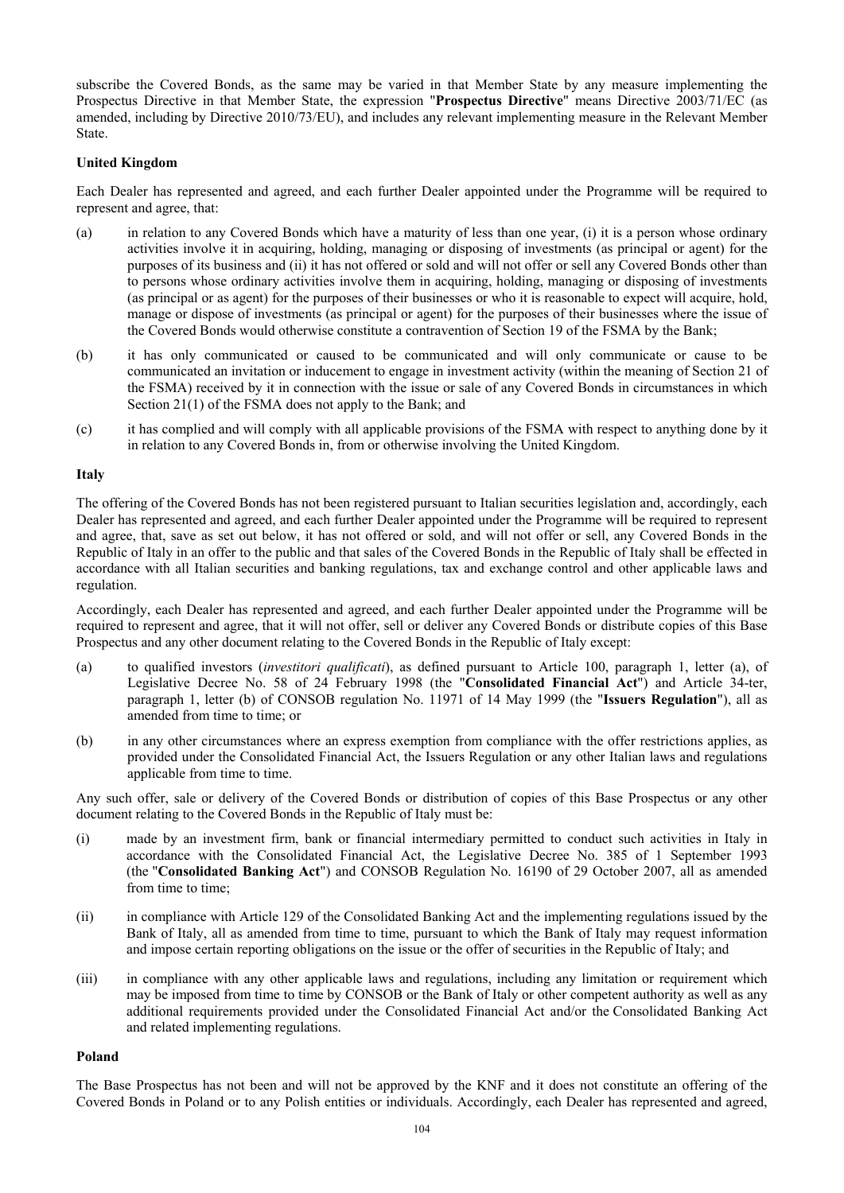subscribe the Covered Bonds, as the same may be varied in that Member State by any measure implementing the Prospectus Directive in that Member State, the expression "**Prospectus Directive**" means Directive 2003/71/EC (as amended, including by Directive 2010/73/EU), and includes any relevant implementing measure in the Relevant Member State.

## **United Kingdom**

Each Dealer has represented and agreed, and each further Dealer appointed under the Programme will be required to represent and agree, that:

- (a) in relation to any Covered Bonds which have a maturity of less than one year, (i) it is a person whose ordinary activities involve it in acquiring, holding, managing or disposing of investments (as principal or agent) for the purposes of its business and (ii) it has not offered or sold and will not offer or sell any Covered Bonds other than to persons whose ordinary activities involve them in acquiring, holding, managing or disposing of investments (as principal or as agent) for the purposes of their businesses or who it is reasonable to expect will acquire, hold, manage or dispose of investments (as principal or agent) for the purposes of their businesses where the issue of the Covered Bonds would otherwise constitute a contravention of Section 19 of the FSMA by the Bank;
- (b) it has only communicated or caused to be communicated and will only communicate or cause to be communicated an invitation or inducement to engage in investment activity (within the meaning of Section 21 of the FSMA) received by it in connection with the issue or sale of any Covered Bonds in circumstances in which Section 21(1) of the FSMA does not apply to the Bank; and
- (c) it has complied and will comply with all applicable provisions of the FSMA with respect to anything done by it in relation to any Covered Bonds in, from or otherwise involving the United Kingdom.

### **Italy**

The offering of the Covered Bonds has not been registered pursuant to Italian securities legislation and, accordingly, each Dealer has represented and agreed, and each further Dealer appointed under the Programme will be required to represent and agree, that, save as set out below, it has not offered or sold, and will not offer or sell, any Covered Bonds in the Republic of Italy in an offer to the public and that sales of the Covered Bonds in the Republic of Italy shall be effected in accordance with all Italian securities and banking regulations, tax and exchange control and other applicable laws and regulation.

Accordingly, each Dealer has represented and agreed, and each further Dealer appointed under the Programme will be required to represent and agree, that it will not offer, sell or deliver any Covered Bonds or distribute copies of this Base Prospectus and any other document relating to the Covered Bonds in the Republic of Italy except:

- (a) to qualified investors (*investitori qualificati*), as defined pursuant to Article 100, paragraph 1, letter (a), of Legislative Decree No. 58 of 24 February 1998 (the "**Consolidated Financial Act**") and Article 34-ter, paragraph 1, letter (b) of CONSOB regulation No. 11971 of 14 May 1999 (the "**Issuers Regulation**"), all as amended from time to time; or
- (b) in any other circumstances where an express exemption from compliance with the offer restrictions applies, as provided under the Consolidated Financial Act, the Issuers Regulation or any other Italian laws and regulations applicable from time to time.

Any such offer, sale or delivery of the Covered Bonds or distribution of copies of this Base Prospectus or any other document relating to the Covered Bonds in the Republic of Italy must be:

- (i) made by an investment firm, bank or financial intermediary permitted to conduct such activities in Italy in accordance with the Consolidated Financial Act, the Legislative Decree No. 385 of 1 September 1993 (the "**Consolidated Banking Act**") and CONSOB Regulation No. 16190 of 29 October 2007, all as amended from time to time;
- (ii) in compliance with Article 129 of the Consolidated Banking Act and the implementing regulations issued by the Bank of Italy, all as amended from time to time, pursuant to which the Bank of Italy may request information and impose certain reporting obligations on the issue or the offer of securities in the Republic of Italy; and
- (iii) in compliance with any other applicable laws and regulations, including any limitation or requirement which may be imposed from time to time by CONSOB or the Bank of Italy or other competent authority as well as any additional requirements provided under the Consolidated Financial Act and/or the Consolidated Banking Act and related implementing regulations.

#### **Poland**

The Base Prospectus has not been and will not be approved by the KNF and it does not constitute an offering of the Covered Bonds in Poland or to any Polish entities or individuals. Accordingly, each Dealer has represented and agreed,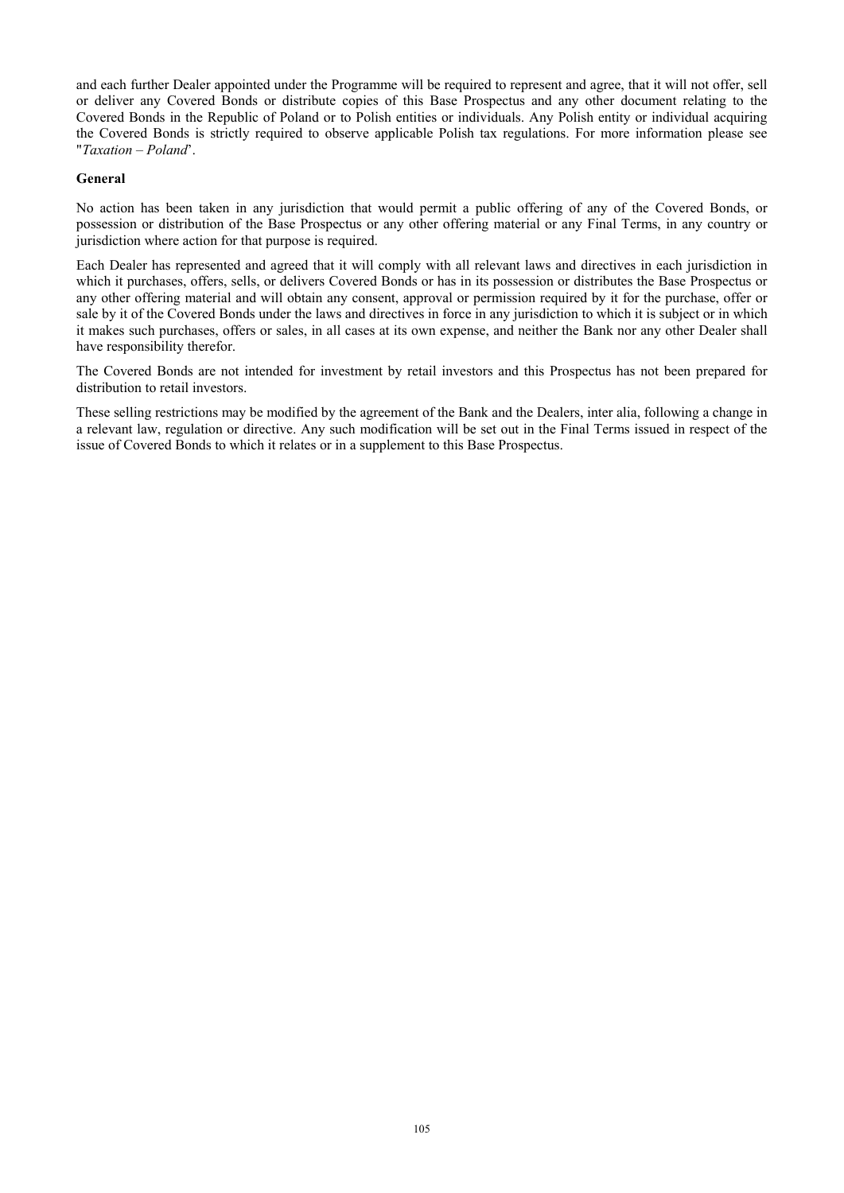and each further Dealer appointed under the Programme will be required to represent and agree, that it will not offer, sell or deliver any Covered Bonds or distribute copies of this Base Prospectus and any other document relating to the Covered Bonds in the Republic of Poland or to Polish entities or individuals. Any Polish entity or individual acquiring the Covered Bonds is strictly required to observe applicable Polish tax regulations. For more information please see "*Taxation – Poland*'.

## **General**

No action has been taken in any jurisdiction that would permit a public offering of any of the Covered Bonds, or possession or distribution of the Base Prospectus or any other offering material or any Final Terms, in any country or jurisdiction where action for that purpose is required.

Each Dealer has represented and agreed that it will comply with all relevant laws and directives in each jurisdiction in which it purchases, offers, sells, or delivers Covered Bonds or has in its possession or distributes the Base Prospectus or any other offering material and will obtain any consent, approval or permission required by it for the purchase, offer or sale by it of the Covered Bonds under the laws and directives in force in any jurisdiction to which it is subject or in which it makes such purchases, offers or sales, in all cases at its own expense, and neither the Bank nor any other Dealer shall have responsibility therefor.

The Covered Bonds are not intended for investment by retail investors and this Prospectus has not been prepared for distribution to retail investors.

These selling restrictions may be modified by the agreement of the Bank and the Dealers, inter alia, following a change in a relevant law, regulation or directive. Any such modification will be set out in the Final Terms issued in respect of the issue of Covered Bonds to which it relates or in a supplement to this Base Prospectus.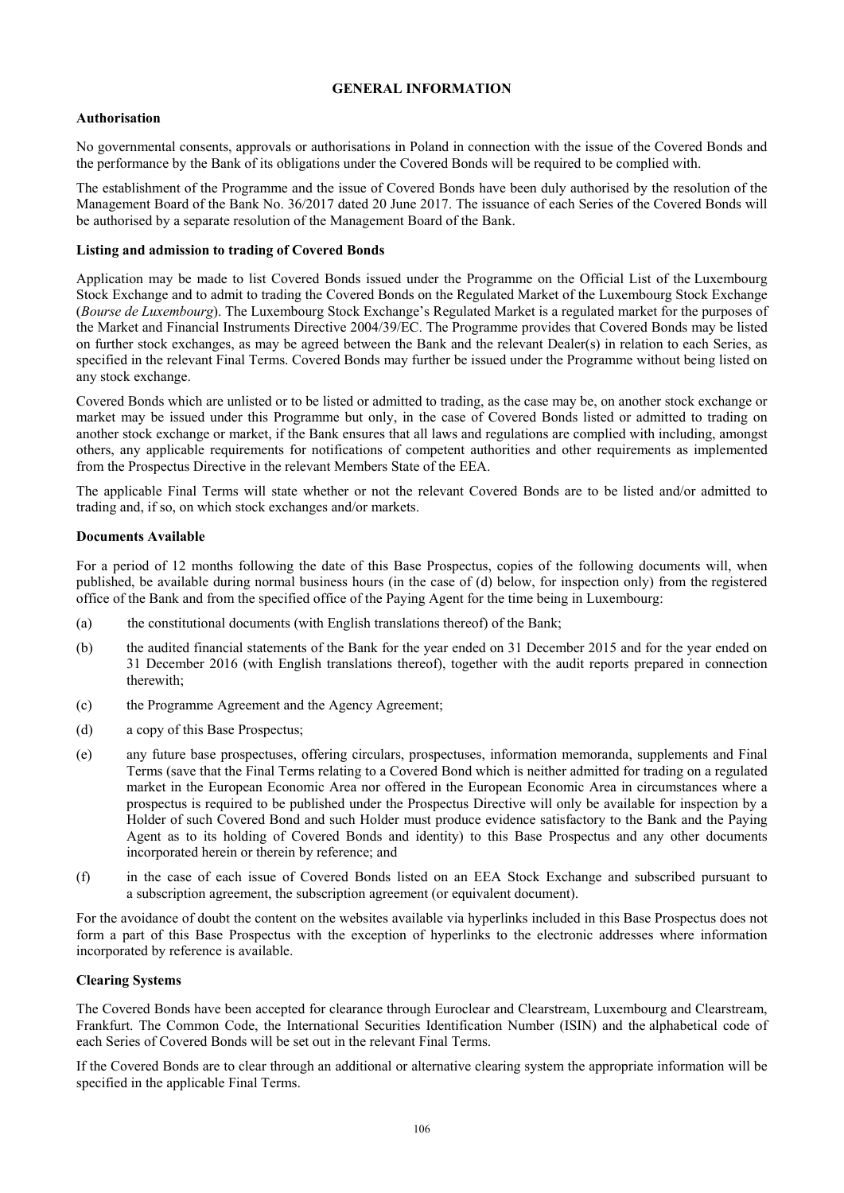# **GENERAL INFORMATION**

## **Authorisation**

No governmental consents, approvals or authorisations in Poland in connection with the issue of the Covered Bonds and the performance by the Bank of its obligations under the Covered Bonds will be required to be complied with.

The establishment of the Programme and the issue of Covered Bonds have been duly authorised by the resolution of the Management Board of the Bank No. 36/2017 dated 20 June 2017. The issuance of each Series of the Covered Bonds will be authorised by a separate resolution of the Management Board of the Bank.

## **Listing and admission to trading of Covered Bonds**

Application may be made to list Covered Bonds issued under the Programme on the Official List of the Luxembourg Stock Exchange and to admit to trading the Covered Bonds on the Regulated Market of the Luxembourg Stock Exchange (*Bourse de Luxembourg*). The Luxembourg Stock Exchange's Regulated Market is a regulated market for the purposes of the Market and Financial Instruments Directive 2004/39/EC. The Programme provides that Covered Bonds may be listed on further stock exchanges, as may be agreed between the Bank and the relevant Dealer(s) in relation to each Series, as specified in the relevant Final Terms. Covered Bonds may further be issued under the Programme without being listed on any stock exchange.

Covered Bonds which are unlisted or to be listed or admitted to trading, as the case may be, on another stock exchange or market may be issued under this Programme but only, in the case of Covered Bonds listed or admitted to trading on another stock exchange or market, if the Bank ensures that all laws and regulations are complied with including, amongst others, any applicable requirements for notifications of competent authorities and other requirements as implemented from the Prospectus Directive in the relevant Members State of the EEA.

The applicable Final Terms will state whether or not the relevant Covered Bonds are to be listed and/or admitted to trading and, if so, on which stock exchanges and/or markets.

### **Documents Available**

For a period of 12 months following the date of this Base Prospectus, copies of the following documents will, when published, be available during normal business hours (in the case of (d) below, for inspection only) from the registered office of the Bank and from the specified office of the Paying Agent for the time being in Luxembourg:

- (a) the constitutional documents (with English translations thereof) of the Bank;
- (b) the audited financial statements of the Bank for the year ended on 31 December 2015 and for the year ended on 31 December 2016 (with English translations thereof), together with the audit reports prepared in connection therewith;
- (c) the Programme Agreement and the Agency Agreement;
- (d) a copy of this Base Prospectus;
- (e) any future base prospectuses, offering circulars, prospectuses, information memoranda, supplements and Final Terms (save that the Final Terms relating to a Covered Bond which is neither admitted for trading on a regulated market in the European Economic Area nor offered in the European Economic Area in circumstances where a prospectus is required to be published under the Prospectus Directive will only be available for inspection by a Holder of such Covered Bond and such Holder must produce evidence satisfactory to the Bank and the Paying Agent as to its holding of Covered Bonds and identity) to this Base Prospectus and any other documents incorporated herein or therein by reference; and
- (f) in the case of each issue of Covered Bonds listed on an EEA Stock Exchange and subscribed pursuant to a subscription agreement, the subscription agreement (or equivalent document).

For the avoidance of doubt the content on the websites available via hyperlinks included in this Base Prospectus does not form a part of this Base Prospectus with the exception of hyperlinks to the electronic addresses where information incorporated by reference is available.

#### **Clearing Systems**

The Covered Bonds have been accepted for clearance through Euroclear and Clearstream, Luxembourg and Clearstream, Frankfurt. The Common Code, the International Securities Identification Number (ISIN) and the alphabetical code of each Series of Covered Bonds will be set out in the relevant Final Terms.

If the Covered Bonds are to clear through an additional or alternative clearing system the appropriate information will be specified in the applicable Final Terms.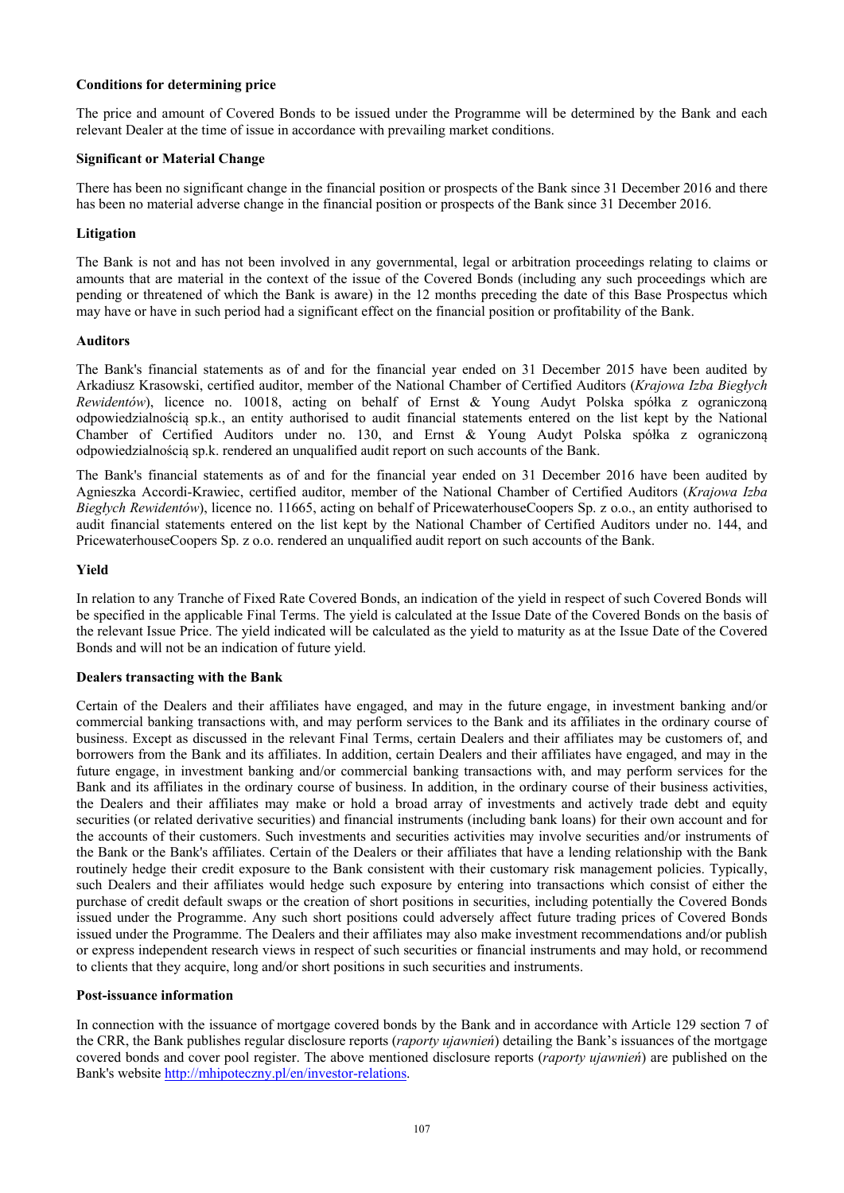## **Conditions for determining price**

The price and amount of Covered Bonds to be issued under the Programme will be determined by the Bank and each relevant Dealer at the time of issue in accordance with prevailing market conditions.

## **Significant or Material Change**

There has been no significant change in the financial position or prospects of the Bank since 31 December 2016 and there has been no material adverse change in the financial position or prospects of the Bank since 31 December 2016.

## **Litigation**

The Bank is not and has not been involved in any governmental, legal or arbitration proceedings relating to claims or amounts that are material in the context of the issue of the Covered Bonds (including any such proceedings which are pending or threatened of which the Bank is aware) in the 12 months preceding the date of this Base Prospectus which may have or have in such period had a significant effect on the financial position or profitability of the Bank.

### **Auditors**

The Bank's financial statements as of and for the financial year ended on 31 December 2015 have been audited by Arkadiusz Krasowski, certified auditor, member of the National Chamber of Certified Auditors (*Krajowa Izba Biegłych Rewidentów*), licence no. 10018, acting on behalf of Ernst & Young Audyt Polska spółka z ograniczoną odpowiedzialnością sp.k., an entity authorised to audit financial statements entered on the list kept by the National Chamber of Certified Auditors under no. 130, and Ernst & Young Audyt Polska spółka z ograniczoną odpowiedzialnością sp.k. rendered an unqualified audit report on such accounts of the Bank.

The Bank's financial statements as of and for the financial year ended on 31 December 2016 have been audited by Agnieszka Accordi-Krawiec, certified auditor, member of the National Chamber of Certified Auditors (*Krajowa Izba Biegłych Rewidentów*), licence no. 11665, acting on behalf of PricewaterhouseCoopers Sp. z o.o., an entity authorised to audit financial statements entered on the list kept by the National Chamber of Certified Auditors under no. 144, and PricewaterhouseCoopers Sp. z o.o. rendered an unqualified audit report on such accounts of the Bank.

## **Yield**

In relation to any Tranche of Fixed Rate Covered Bonds, an indication of the yield in respect of such Covered Bonds will be specified in the applicable Final Terms. The yield is calculated at the Issue Date of the Covered Bonds on the basis of the relevant Issue Price. The yield indicated will be calculated as the yield to maturity as at the Issue Date of the Covered Bonds and will not be an indication of future yield.

## **Dealers transacting with the Bank**

Certain of the Dealers and their affiliates have engaged, and may in the future engage, in investment banking and/or commercial banking transactions with, and may perform services to the Bank and its affiliates in the ordinary course of business. Except as discussed in the relevant Final Terms, certain Dealers and their affiliates may be customers of, and borrowers from the Bank and its affiliates. In addition, certain Dealers and their affiliates have engaged, and may in the future engage, in investment banking and/or commercial banking transactions with, and may perform services for the Bank and its affiliates in the ordinary course of business. In addition, in the ordinary course of their business activities, the Dealers and their affiliates may make or hold a broad array of investments and actively trade debt and equity securities (or related derivative securities) and financial instruments (including bank loans) for their own account and for the accounts of their customers. Such investments and securities activities may involve securities and/or instruments of the Bank or the Bank's affiliates. Certain of the Dealers or their affiliates that have a lending relationship with the Bank routinely hedge their credit exposure to the Bank consistent with their customary risk management policies. Typically, such Dealers and their affiliates would hedge such exposure by entering into transactions which consist of either the purchase of credit default swaps or the creation of short positions in securities, including potentially the Covered Bonds issued under the Programme. Any such short positions could adversely affect future trading prices of Covered Bonds issued under the Programme. The Dealers and their affiliates may also make investment recommendations and/or publish or express independent research views in respect of such securities or financial instruments and may hold, or recommend to clients that they acquire, long and/or short positions in such securities and instruments.

#### **Post-issuance information**

In connection with the issuance of mortgage covered bonds by the Bank and in accordance with Article 129 section 7 of the CRR, the Bank publishes regular disclosure reports (*raporty ujawnień*) detailing the Bank's issuances of the mortgage covered bonds and cover pool register. The above mentioned disclosure reports (*raporty ujawnień*) are published on the Bank's website http://mhipoteczny.pl/en/investor-relations.